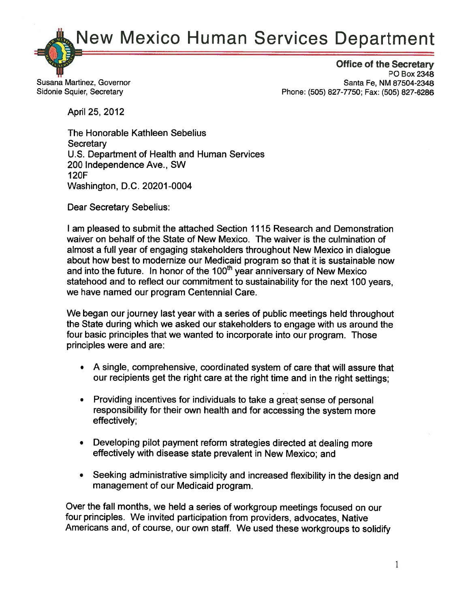New Mexico Human Services Department

Susana Martinez, Governor Sidonie Squier, Secretary

**Office of the Secretary** PO Box 2348 Santa Fe, NM 87504-2348 Phone: (505) 827-7750; Fax: (505) 827-6286

April 25, 2012

The Honorable Kathleen Sebelius Secretary U.S. Department of Health and Human Services 200 Independence Ave., SW **120F** Washington, D.C. 20201-0004

**Dear Secretary Sebelius:** 

I am pleased to submit the attached Section 1115 Research and Demonstration waiver on behalf of the State of New Mexico. The waiver is the culmination of almost a full year of engaging stakeholders throughout New Mexico in dialogue about how best to modernize our Medicaid program so that it is sustainable now and into the future. In honor of the 100<sup>th</sup> year anniversary of New Mexico statehood and to reflect our commitment to sustainability for the next 100 years. we have named our program Centennial Care.

We began our journey last year with a series of public meetings held throughout the State during which we asked our stakeholders to engage with us around the four basic principles that we wanted to incorporate into our program. Those principles were and are:

- A single, comprehensive, coordinated system of care that will assure that our recipients get the right care at the right time and in the right settings:
- Providing incentives for individuals to take a great sense of personal  $\bullet$ responsibility for their own health and for accessing the system more effectively;
- Developing pilot payment reform strategies directed at dealing more effectively with disease state prevalent in New Mexico; and
- Seeking administrative simplicity and increased flexibility in the design and management of our Medicaid program.

Over the fall months, we held a series of workgroup meetings focused on our four principles. We invited participation from providers, advocates, Native Americans and, of course, our own staff. We used these workgroups to solidify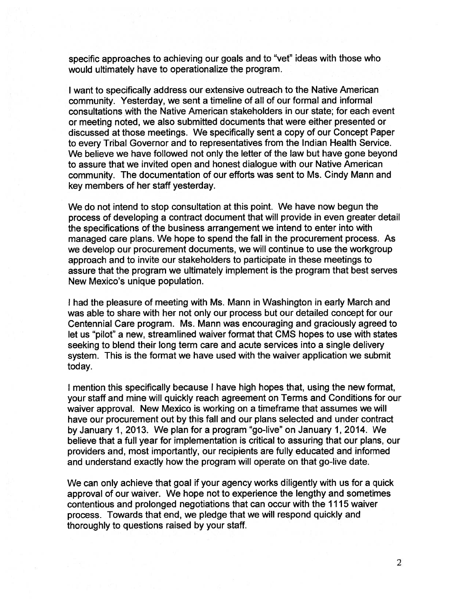specific approaches to achieving our goals and to "vet" ideas with those who would ultimately have to operationalize the program.

I want to specifically address our extensive outreach to the Native American community. Yesterday, we sent a timeline of all of our formal and informal consultations with the Native American stakeholders in our state; for each event or meeting noted, we also submitted documents that were either presented or discussed at those meetings. We specifically sent a copy of our Concept Paper to every Tribal Governor and to representatives from the Indian Health Service. We believe we have followed not only the letter of the law but have gone beyond to assure that we invited open and honest dialogue with our Native American community. The documentation of our efforts was sent to Ms. Cindy Mann and kev members of her staff yesterday.

We do not intend to stop consultation at this point. We have now begun the process of developing a contract document that will provide in even greater detail the specifications of the business arrangement we intend to enter into with managed care plans. We hope to spend the fall in the procurement process. As we develop our procurement documents, we will continue to use the workgroup approach and to invite our stakeholders to participate in these meetings to assure that the program we ultimately implement is the program that best serves New Mexico's unique population.

I had the pleasure of meeting with Ms. Mann in Washington in early March and was able to share with her not only our process but our detailed concept for our Centennial Care program. Ms. Mann was encouraging and graciously agreed to let us "pilot" a new, streamlined waiver format that CMS hopes to use with states seeking to blend their long term care and acute services into a single delivery system. This is the format we have used with the waiver application we submit today.

I mention this specifically because I have high hopes that, using the new format, your staff and mine will quickly reach agreement on Terms and Conditions for our waiver approval. New Mexico is working on a timeframe that assumes we will have our procurement out by this fall and our plans selected and under contract by January 1, 2013. We plan for a program "go-live" on January 1, 2014. We believe that a full year for implementation is critical to assuring that our plans, our providers and, most importantly, our recipients are fully educated and informed and understand exactly how the program will operate on that go-live date.

We can only achieve that goal if your agency works diligently with us for a quick approval of our waiver. We hope not to experience the lengthy and sometimes contentious and prolonged negotiations that can occur with the 1115 waiver process. Towards that end, we pledge that we will respond quickly and thoroughly to questions raised by your staff.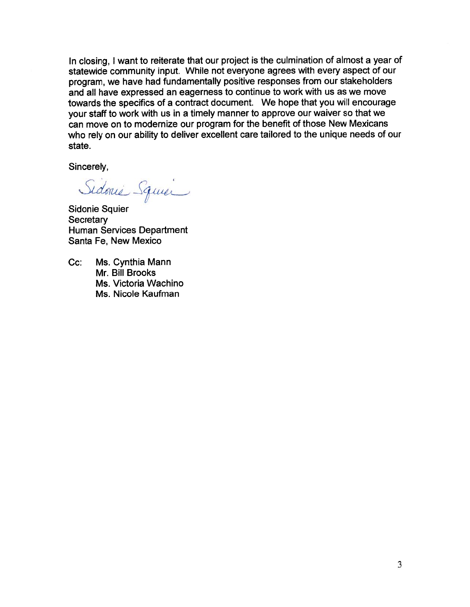In closing, I want to reiterate that our project is the culmination of almost a year of statewide community input. While not everyone agrees with every aspect of our program, we have had fundamentally positive responses from our stakeholders and all have expressed an eagerness to continue to work with us as we move towards the specifics of a contract document. We hope that you will encourage your staff to work with us in a timely manner to approve our waiver so that we can move on to modernize our program for the benefit of those New Mexicans who rely on our ability to deliver excellent care tailored to the unique needs of our state.

Sincerely,

Sidonie Squier

**Sidonie Squier** Secretary **Human Services Department** Santa Fe, New Mexico

 $Cc$ : Ms. Cynthia Mann Mr. Bill Brooks Ms. Victoria Wachino Ms. Nicole Kaufman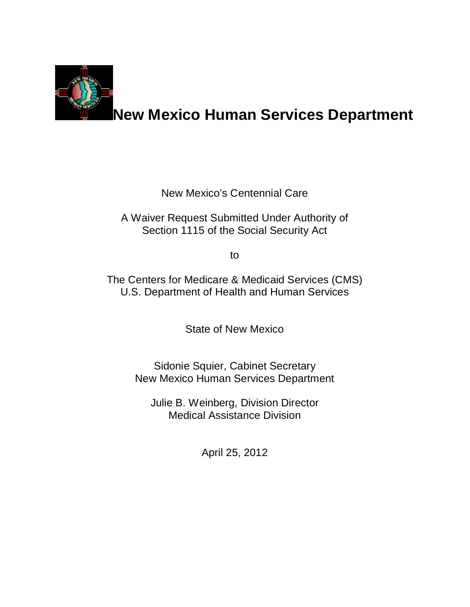

# **New Mexico Human Services Department**

New Mexico's Centennial Care

A Waiver Request Submitted Under Authority of Section 1115 of the Social Security Act

to

The Centers for Medicare & Medicaid Services (CMS) U.S. Department of Health and Human Services

State of New Mexico

Sidonie Squier, Cabinet Secretary New Mexico Human Services Department

Julie B. Weinberg, Division Director Medical Assistance Division

April 25, 2012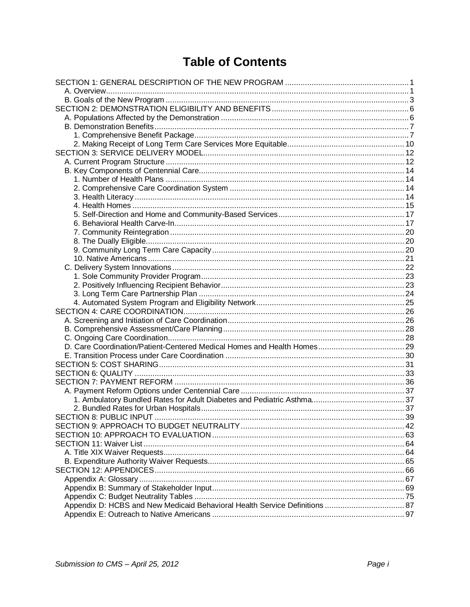# **Table of Contents**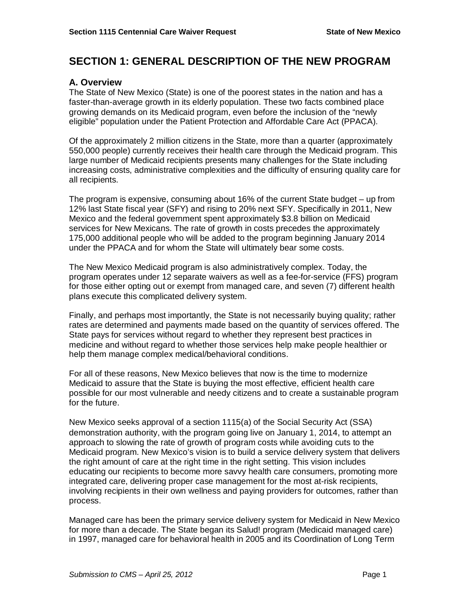# **SECTION 1: GENERAL DESCRIPTION OF THE NEW PROGRAM**

### **A. Overview**

The State of New Mexico (State) is one of the poorest states in the nation and has a faster-than-average growth in its elderly population. These two facts combined place growing demands on its Medicaid program, even before the inclusion of the "newly eligible" population under the Patient Protection and Affordable Care Act (PPACA).

Of the approximately 2 million citizens in the State, more than a quarter (approximately 550,000 people) currently receives their health care through the Medicaid program. This large number of Medicaid recipients presents many challenges for the State including increasing costs, administrative complexities and the difficulty of ensuring quality care for all recipients.

The program is expensive, consuming about 16% of the current State budget – up from 12% last State fiscal year (SFY) and rising to 20% next SFY. Specifically in 2011, New Mexico and the federal government spent approximately \$3.8 billion on Medicaid services for New Mexicans. The rate of growth in costs precedes the approximately 175,000 additional people who will be added to the program beginning January 2014 under the PPACA and for whom the State will ultimately bear some costs.

The New Mexico Medicaid program is also administratively complex. Today, the program operates under 12 separate waivers as well as a fee-for-service (FFS) program for those either opting out or exempt from managed care, and seven (7) different health plans execute this complicated delivery system.

Finally, and perhaps most importantly, the State is not necessarily buying quality; rather rates are determined and payments made based on the quantity of services offered. The State pays for services without regard to whether they represent best practices in medicine and without regard to whether those services help make people healthier or help them manage complex medical/behavioral conditions.

For all of these reasons, New Mexico believes that now is the time to modernize Medicaid to assure that the State is buying the most effective, efficient health care possible for our most vulnerable and needy citizens and to create a sustainable program for the future.

New Mexico seeks approval of a section 1115(a) of the Social Security Act (SSA) demonstration authority, with the program going live on January 1, 2014, to attempt an approach to slowing the rate of growth of program costs while avoiding cuts to the Medicaid program. New Mexico's vision is to build a service delivery system that delivers the right amount of care at the right time in the right setting. This vision includes educating our recipients to become more savvy health care consumers, promoting more integrated care, delivering proper case management for the most at-risk recipients, involving recipients in their own wellness and paying providers for outcomes, rather than process.

Managed care has been the primary service delivery system for Medicaid in New Mexico for more than a decade. The State began its Salud! program (Medicaid managed care) in 1997, managed care for behavioral health in 2005 and its Coordination of Long Term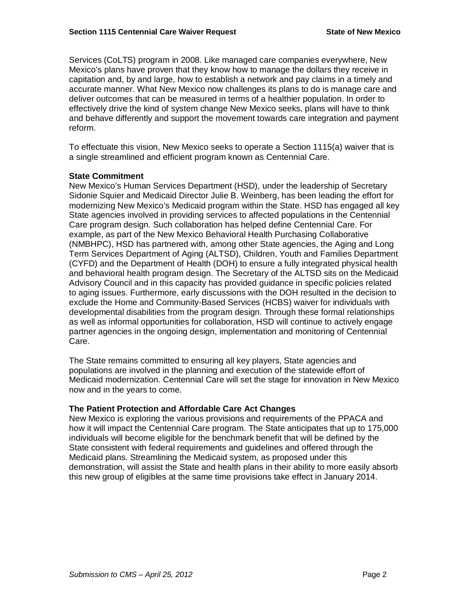Services (CoLTS) program in 2008. Like managed care companies everywhere, New Mexico's plans have proven that they know how to manage the dollars they receive in capitation and, by and large, how to establish a network and pay claims in a timely and accurate manner. What New Mexico now challenges its plans to do is manage care and deliver outcomes that can be measured in terms of a healthier population. In order to effectively drive the kind of system change New Mexico seeks, plans will have to think and behave differently and support the movement towards care integration and payment reform.

To effectuate this vision, New Mexico seeks to operate a Section 1115(a) waiver that is a single streamlined and efficient program known as Centennial Care.

#### **State Commitment**

New Mexico's Human Services Department (HSD), under the leadership of Secretary Sidonie Squier and Medicaid Director Julie B. Weinberg, has been leading the effort for modernizing New Mexico's Medicaid program within the State. HSD has engaged all key State agencies involved in providing services to affected populations in the Centennial Care program design. Such collaboration has helped define Centennial Care. For example, as part of the New Mexico Behavioral Health Purchasing Collaborative (NMBHPC), HSD has partnered with, among other State agencies, the Aging and Long Term Services Department of Aging (ALTSD), Children, Youth and Families Department (CYFD) and the Department of Health (DOH) to ensure a fully integrated physical health and behavioral health program design. The Secretary of the ALTSD sits on the Medicaid Advisory Council and in this capacity has provided guidance in specific policies related to aging issues. Furthermore, early discussions with the DOH resulted in the decision to exclude the Home and Community-Based Services (HCBS) waiver for individuals with developmental disabilities from the program design. Through these formal relationships as well as informal opportunities for collaboration, HSD will continue to actively engage partner agencies in the ongoing design, implementation and monitoring of Centennial Care.

The State remains committed to ensuring all key players, State agencies and populations are involved in the planning and execution of the statewide effort of Medicaid modernization. Centennial Care will set the stage for innovation in New Mexico now and in the years to come.

#### **The Patient Protection and Affordable Care Act Changes**

New Mexico is exploring the various provisions and requirements of the PPACA and how it will impact the Centennial Care program. The State anticipates that up to 175,000 individuals will become eligible for the benchmark benefit that will be defined by the State consistent with federal requirements and guidelines and offered through the Medicaid plans. Streamlining the Medicaid system, as proposed under this demonstration, will assist the State and health plans in their ability to more easily absorb this new group of eligibles at the same time provisions take effect in January 2014.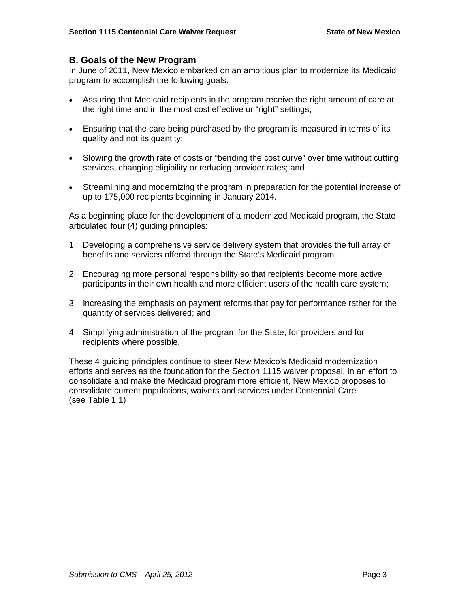## **B. Goals of the New Program**

In June of 2011, New Mexico embarked on an ambitious plan to modernize its Medicaid program to accomplish the following goals:

- Assuring that Medicaid recipients in the program receive the right amount of care at the right time and in the most cost effective or "right" settings;
- Ensuring that the care being purchased by the program is measured in terms of its quality and not its quantity;
- Slowing the growth rate of costs or "bending the cost curve" over time without cutting services, changing eligibility or reducing provider rates; and
- Streamlining and modernizing the program in preparation for the potential increase of up to 175,000 recipients beginning in January 2014.

As a beginning place for the development of a modernized Medicaid program, the State articulated four (4) guiding principles:

- 1. Developing a comprehensive service delivery system that provides the full array of benefits and services offered through the State's Medicaid program;
- 2. Encouraging more personal responsibility so that recipients become more active participants in their own health and more efficient users of the health care system;
- 3. Increasing the emphasis on payment reforms that pay for performance rather for the quantity of services delivered; and
- 4. Simplifying administration of the program for the State, for providers and for recipients where possible.

These 4 guiding principles continue to steer New Mexico's Medicaid modernization efforts and serves as the foundation for the Section 1115 waiver proposal. In an effort to consolidate and make the Medicaid program more efficient, New Mexico proposes to consolidate current populations, waivers and services under Centennial Care (see Table 1.1)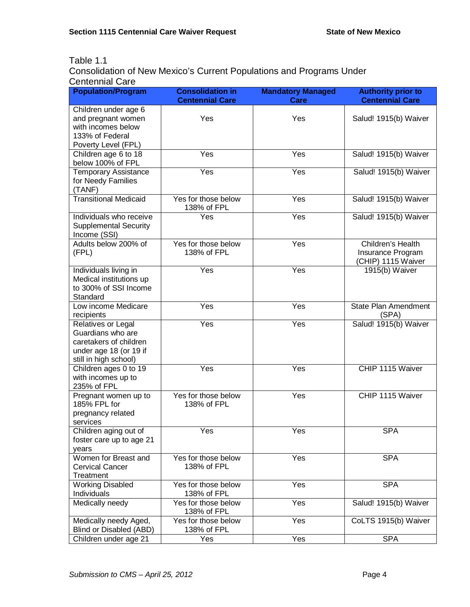# Table 1.1

Consolidation of New Mexico's Current Populations and Programs Under Centennial Care

| <b>Population/Program</b>                                                                                            | <b>Consolidation in</b><br><b>Centennial Care</b> | <b>Mandatory Managed</b><br>Care | <b>Authority prior to</b><br><b>Centennial Care</b> |
|----------------------------------------------------------------------------------------------------------------------|---------------------------------------------------|----------------------------------|-----------------------------------------------------|
| Children under age 6<br>and pregnant women<br>with incomes below<br>133% of Federal<br>Poverty Level (FPL)           | Yes                                               | Yes                              |                                                     |
| Children age 6 to 18<br>below 100% of FPL                                                                            | Yes                                               | Yes                              |                                                     |
| Temporary Assistance<br>for Needy Families<br>(TANF)                                                                 | Yes                                               | Yes                              | Salud! 1915(b) Waiver                               |
| <b>Transitional Medicaid</b>                                                                                         | Yes for those below<br>138% of FPL                | Yes                              | Salud! 1915(b) Waiver                               |
| Individuals who receive<br><b>Supplemental Security</b><br>Income (SSI)                                              | Yes                                               | Yes                              | Salud! 1915(b) Waiver                               |
| Adults below 200% of<br>(FPL)                                                                                        | Yes for those below<br>138% of FPL                | Yes                              |                                                     |
| Individuals living in<br>Medical institutions up<br>to 300% of SSI Income<br>Standard                                | Yes                                               | Yes                              | 1915(b) Waiver                                      |
| Low income Medicare<br>recipients                                                                                    | Yes                                               | Yes                              | <b>State Plan Amendment</b><br>(SPA)                |
| Relatives or Legal<br>Guardians who are<br>caretakers of children<br>under age 18 (or 19 if<br>still in high school) | Yes                                               | Yes                              | Salud! 1915(b) Waiver                               |
| Children ages 0 to 19<br>with incomes up to<br>235% of FPL                                                           | Yes                                               | Yes                              | CHIP 1115 Waiver                                    |
| Pregnant women up to<br>185% FPL for<br>pregnancy related<br>services                                                | Yes for those below<br>138% of FPL                | Yes                              | CHIP 1115 Waiver                                    |
| Children aging out of<br>foster care up to age 21<br>years                                                           | Yes                                               | Yes                              | <b>SPA</b>                                          |
| Women for Breast and<br><b>Cervical Cancer</b><br>Treatment                                                          | Yes for those below<br>138% of FPL                | Yes                              | <b>SPA</b>                                          |
| <b>Working Disabled</b><br>Individuals                                                                               | Yes for those below<br>138% of FPL                | Yes                              | <b>SPA</b>                                          |
| Medically needy                                                                                                      | Yes for those below<br>138% of FPL                | Yes                              | Salud! 1915(b) Waiver                               |
| Medically needy Aged,<br>Blind or Disabled (ABD)                                                                     | Yes for those below<br>138% of FPL                | Yes                              | CoLTS 1915(b) Waiver                                |
| Children under age 21                                                                                                | Yes                                               | Yes                              | <b>SPA</b>                                          |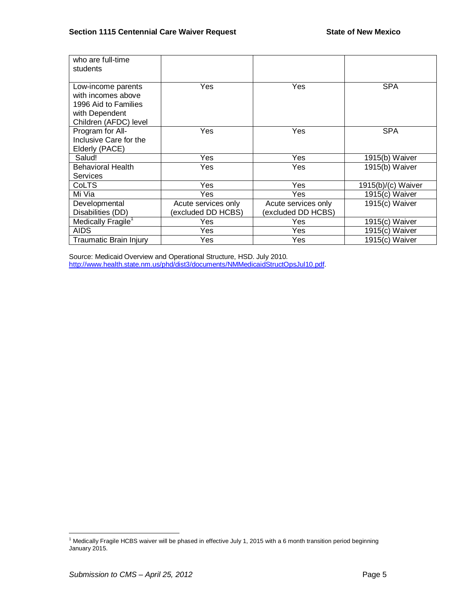| who are full-time<br>students                                                                               |                                           |                                           |                    |
|-------------------------------------------------------------------------------------------------------------|-------------------------------------------|-------------------------------------------|--------------------|
| Low-income parents<br>with incomes above<br>1996 Aid to Families<br>with Dependent<br>Children (AFDC) level | Yes                                       | Yes                                       | <b>SPA</b>         |
| Program for All-<br>Inclusive Care for the<br>Elderly (PACE)                                                | Yes                                       | Yes                                       | <b>SPA</b>         |
| Salud!                                                                                                      | Yes                                       | Yes                                       | 1915(b) Waiver     |
| <b>Behavioral Health</b><br>Services                                                                        | Yes                                       | Yes                                       | 1915(b) Waiver     |
| <b>CoLTS</b>                                                                                                | Yes                                       | Yes                                       | 1915(b)/(c) Waiver |
| Mi Via                                                                                                      | Yes                                       | Yes                                       | 1915(c) Waiver     |
| Developmental<br>Disabilities (DD)                                                                          | Acute services only<br>(excluded DD HCBS) | Acute services only<br>(excluded DD HCBS) | 1915(c) Waiver     |
| Medically Fragile <sup>1</sup>                                                                              | Yes                                       | Yes                                       | 1915(c) Waiver     |
| <b>AIDS</b>                                                                                                 | Yes                                       | Yes                                       | 1915(c) Waiver     |
| <b>Traumatic Brain Injury</b>                                                                               | Yes                                       | Yes                                       | 1915(c) Waiver     |

Source: Medicaid Overview and Operational Structure, HSD. July 2010. http://www.health.state.nm.us/phd/dist3/documents/NMMedicaidStructOpsJul10.pdf.

 1 Medically Fragile HCBS waiver will be phased in effective July 1, 2015 with a 6 month transition period beginning January 2015.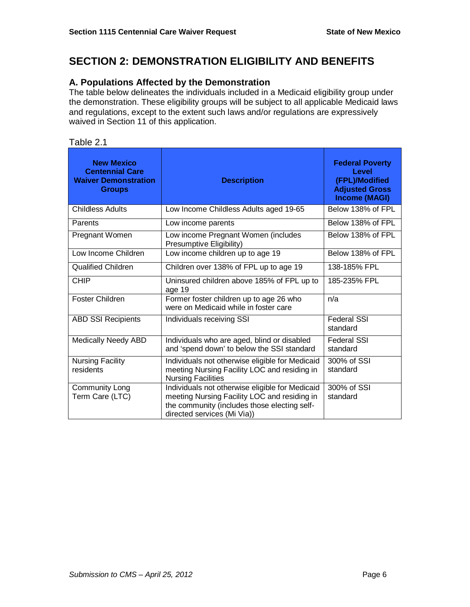# **SECTION 2: DEMONSTRATION ELIGIBILITY AND BENEFITS**

# **A. Populations Affected by the Demonstration**

The table below delineates the individuals included in a Medicaid eligibility group under the demonstration. These eligibility groups will be subject to all applicable Medicaid laws and regulations, except to the extent such laws and/or regulations are expressively waived in Section 11 of this application.

#### Table 2.1

| <b>New Mexico</b><br><b>Centennial Care</b><br><b>Waiver Demonstration</b><br><b>Groups</b> | <b>Description</b>                                                                                                                                                             | <b>Federal Poverty</b><br>Level<br>(FPL)/Modified<br><b>Adjusted Gross</b><br><b>Income (MAGI)</b> |
|---------------------------------------------------------------------------------------------|--------------------------------------------------------------------------------------------------------------------------------------------------------------------------------|----------------------------------------------------------------------------------------------------|
| Childless Adults                                                                            | Low Income Childless Adults aged 19-65                                                                                                                                         | Below 138% of FPL                                                                                  |
| Parents                                                                                     | Low income parents                                                                                                                                                             | Below 138% of FPL                                                                                  |
| Pregnant Women                                                                              | Low income Pregnant Women (includes<br>Presumptive Eligibility)                                                                                                                | Below 138% of FPL                                                                                  |
| Low Income Children                                                                         | Low income children up to age 19                                                                                                                                               | Below 138% of FPL                                                                                  |
| <b>Qualified Children</b>                                                                   | Children over 138% of FPL up to age 19                                                                                                                                         | 138-185% FPL                                                                                       |
| <b>CHIP</b>                                                                                 | Uninsured children above 185% of FPL up to<br>age 19                                                                                                                           | 185-235% FPL                                                                                       |
| <b>Foster Children</b>                                                                      | Former foster children up to age 26 who<br>were on Medicaid while in foster care                                                                                               | n/a                                                                                                |
| <b>ABD SSI Recipients</b>                                                                   | Individuals receiving SSI                                                                                                                                                      | Federal SSI<br>standard                                                                            |
| <b>Medically Needy ABD</b>                                                                  | Individuals who are aged, blind or disabled<br>and 'spend down' to below the SSI standard                                                                                      | <b>Federal SSI</b><br>standard                                                                     |
| <b>Nursing Facility</b><br>residents                                                        | Individuals not otherwise eligible for Medicaid<br>meeting Nursing Facility LOC and residing in<br><b>Nursing Facilities</b>                                                   | 300% of SSI<br>standard                                                                            |
| Community Long<br>Term Care (LTC)                                                           | Individuals not otherwise eligible for Medicaid<br>meeting Nursing Facility LOC and residing in<br>the community (includes those electing self-<br>directed services (Mi Via)) | 300% of SSI<br>standard                                                                            |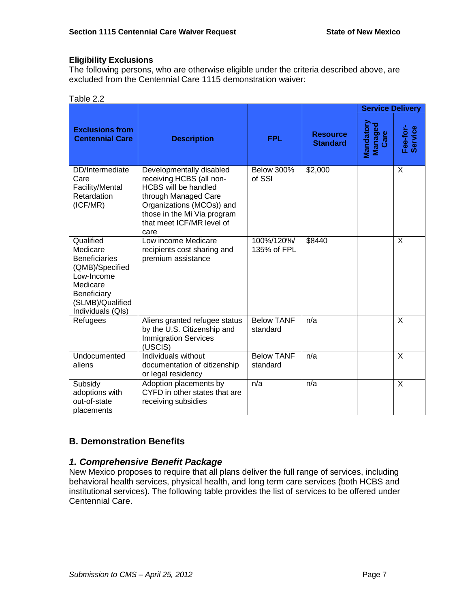## **Eligibility Exclusions**

The following persons, who are otherwise eligible under the criteria described above, are excluded from the Centennial Care 1115 demonstration waiver:

|                                                                                                                                                    |                                                                                                                                                                                                              |                               |                                    | <b>Service Delivery</b>      |                         |
|----------------------------------------------------------------------------------------------------------------------------------------------------|--------------------------------------------------------------------------------------------------------------------------------------------------------------------------------------------------------------|-------------------------------|------------------------------------|------------------------------|-------------------------|
| <b>Exclusions from</b><br><b>Centennial Care</b>                                                                                                   | <b>Description</b>                                                                                                                                                                                           | <b>FPL</b>                    | <b>Resource</b><br><b>Standard</b> | Mandatory<br>Managed<br>Care | Fee-for-<br>Service     |
| DD/Intermediate<br>Care<br>Facility/Mental<br>Retardation<br>(ICF/MR)                                                                              | Developmentally disabled<br>receiving HCBS (all non-<br><b>HCBS</b> will be handled<br>through Managed Care<br>Organizations (MCOs)) and<br>those in the Mi Via program<br>that meet ICF/MR level of<br>care | <b>Below 300%</b><br>of SSI   | \$2,000                            |                              | $\times$                |
| Qualified<br>Medicare<br><b>Beneficiaries</b><br>(QMB)/Specified<br>Low-Income<br>Medicare<br>Beneficiary<br>(SLMB)/Qualified<br>Individuals (QIs) | Low income Medicare<br>recipients cost sharing and<br>premium assistance                                                                                                                                     | 100%/120%/<br>135% of FPL     | \$8440                             |                              | $\times$                |
| Refugees                                                                                                                                           | Aliens granted refugee status<br>by the U.S. Citizenship and<br><b>Immigration Services</b><br>(USCIS)                                                                                                       | <b>Below TANF</b><br>standard | n/a                                |                              | $\overline{\mathsf{x}}$ |
| Undocumented<br>aliens                                                                                                                             | Individuals without<br>documentation of citizenship<br>or legal residency                                                                                                                                    | <b>Below TANF</b><br>standard | n/a                                |                              | $\overline{\mathsf{x}}$ |
| Subsidy<br>adoptions with<br>out-of-state<br>placements                                                                                            | Adoption placements by<br>CYFD in other states that are<br>receiving subsidies                                                                                                                               | n/a                           | n/a                                |                              | X                       |

#### Table 2.2

# **B. Demonstration Benefits**

# *1. Comprehensive Benefit Package*

New Mexico proposes to require that all plans deliver the full range of services, including behavioral health services, physical health, and long term care services (both HCBS and institutional services). The following table provides the list of services to be offered under Centennial Care.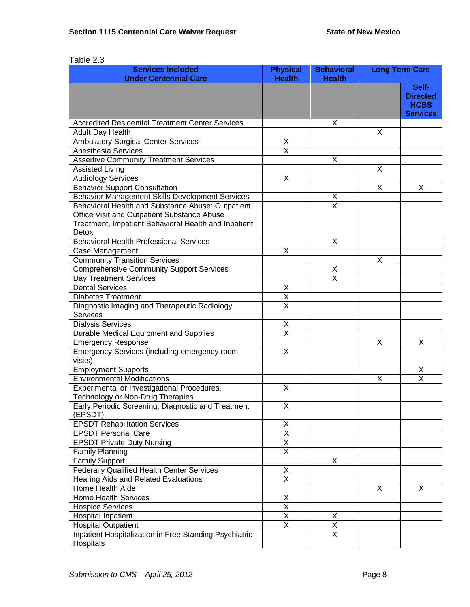| <b>Services Included</b><br><b>Under Centennial Care</b> | <b>Physical</b><br><b>Health</b> | <b>Behavioral</b><br><b>Health</b> | <b>Long Term Care</b>   |                                                            |
|----------------------------------------------------------|----------------------------------|------------------------------------|-------------------------|------------------------------------------------------------|
|                                                          |                                  |                                    |                         | Self-<br><b>Directed</b><br><b>HCBS</b><br><b>Services</b> |
| <b>Accredited Residential Treatment Center Services</b>  |                                  | X                                  |                         |                                                            |
| <b>Adult Day Health</b>                                  |                                  |                                    | X                       |                                                            |
| <b>Ambulatory Surgical Center Services</b>               | Χ                                |                                    |                         |                                                            |
| Anesthesia Services                                      | $\overline{\mathsf{x}}$          |                                    |                         |                                                            |
| <b>Assertive Community Treatment Services</b>            |                                  | X                                  |                         |                                                            |
| <b>Assisted Living</b>                                   |                                  |                                    | $\overline{\mathsf{x}}$ |                                                            |
| <b>Audiology Services</b>                                | X                                |                                    |                         |                                                            |
| <b>Behavior Support Consultation</b>                     |                                  |                                    | X                       | Χ                                                          |
| Behavior Management Skills Development Services          |                                  | $\overline{\mathsf{X}}$            |                         |                                                            |
| Behavioral Health and Substance Abuse: Outpatient        |                                  | $\overline{\mathsf{x}}$            |                         |                                                            |
| Office Visit and Outpatient Substance Abuse              |                                  |                                    |                         |                                                            |
| Treatment, Impatient Behavioral Health and Inpatient     |                                  |                                    |                         |                                                            |
| Detox                                                    |                                  |                                    |                         |                                                            |
| <b>Behavioral Health Professional Services</b>           |                                  | X                                  |                         |                                                            |
| Case Management                                          | X                                |                                    |                         |                                                            |
| <b>Community Transition Services</b>                     |                                  |                                    | X                       |                                                            |
| <b>Comprehensive Community Support Services</b>          |                                  | X                                  |                         |                                                            |
| Day Treatment Services                                   |                                  | $\overline{\mathsf{x}}$            |                         |                                                            |
| <b>Dental Services</b>                                   | Χ                                |                                    |                         |                                                            |
| <b>Diabetes Treatment</b>                                | $\overline{\mathsf{X}}$          |                                    |                         |                                                            |
| Diagnostic Imaging and Therapeutic Radiology             | $\overline{\mathsf{x}}$          |                                    |                         |                                                            |
| Services                                                 |                                  |                                    |                         |                                                            |
| <b>Dialysis Services</b>                                 |                                  |                                    |                         |                                                            |
| Durable Medical Equipment and Supplies                   | $\frac{x}{x}$                    |                                    |                         |                                                            |
| <b>Emergency Response</b>                                |                                  |                                    | X                       | X                                                          |
| Emergency Services (including emergency room             | $\overline{X}$                   |                                    |                         |                                                            |
| visits)                                                  |                                  |                                    |                         |                                                            |
| <b>Employment Supports</b>                               |                                  |                                    |                         | X                                                          |
| <b>Environmental Modifications</b>                       |                                  |                                    | X                       | $\overline{\mathsf{x}}$                                    |
| Experimental or Investigational Procedures,              | X                                |                                    |                         |                                                            |
| Technology or Non-Drug Therapies                         |                                  |                                    |                         |                                                            |
| Early Periodic Screening, Diagnostic and Treatment       | $\overline{\mathsf{X}}$          |                                    |                         |                                                            |
| (EPSDT)                                                  |                                  |                                    |                         |                                                            |
| <b>EPSDT Rehabilitation Services</b>                     | X                                |                                    |                         |                                                            |
| <b>EPSDT Personal Care</b>                               | $\overline{\mathsf{X}}$          |                                    |                         |                                                            |
| <b>EPSDT Private Duty Nursing</b>                        | $\overline{\mathsf{X}}$          |                                    |                         |                                                            |
| <b>Family Planning</b>                                   | $\overline{\mathsf{x}}$          |                                    |                         |                                                            |
| <b>Family Support</b>                                    |                                  | X                                  |                         |                                                            |
| <b>Federally Qualified Health Center Services</b>        | X                                |                                    |                         |                                                            |
| Hearing Aids and Related Evaluations                     | $\overline{\mathsf{x}}$          |                                    |                         |                                                            |
| Home Health Aide                                         |                                  |                                    | X                       | X                                                          |
| <b>Home Health Services</b>                              | X                                |                                    |                         |                                                            |
| <b>Hospice Services</b>                                  | $\overline{X}$                   |                                    |                         |                                                            |
| <b>Hospital Inpatient</b>                                | $\overline{\mathsf{X}}$          | Χ                                  |                         |                                                            |
| <b>Hospital Outpatient</b>                               | $\overline{\mathsf{x}}$          | $\overline{\mathsf{X}}$            |                         |                                                            |
| Inpatient Hospitalization in Free Standing Psychiatric   |                                  | $\overline{\mathsf{x}}$            |                         |                                                            |
| Hospitals                                                |                                  |                                    |                         |                                                            |

#### Table 2.3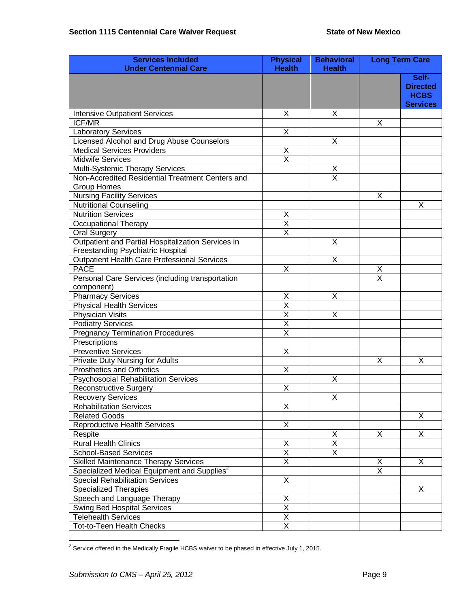| <b>Services Included</b>                                | <b>Physical</b>         | <b>Behavioral</b>       | <b>Long Term Care</b>   |                                                            |
|---------------------------------------------------------|-------------------------|-------------------------|-------------------------|------------------------------------------------------------|
| <b>Under Centennial Care</b>                            | <b>Health</b>           | <b>Health</b>           |                         |                                                            |
|                                                         |                         |                         |                         | Self-<br><b>Directed</b><br><b>HCBS</b><br><b>Services</b> |
| <b>Intensive Outpatient Services</b>                    | X                       | X                       |                         |                                                            |
| <b>ICF/MR</b>                                           |                         |                         | X                       |                                                            |
| <b>Laboratory Services</b>                              | $\overline{\mathsf{X}}$ |                         |                         |                                                            |
| Licensed Alcohol and Drug Abuse Counselors              |                         | X                       |                         |                                                            |
| <b>Medical Services Providers</b>                       | Χ                       |                         |                         |                                                            |
| <b>Midwife Services</b>                                 | $\overline{\mathsf{x}}$ |                         |                         |                                                            |
| Multi-Systemic Therapy Services                         |                         | $\frac{x}{x}$           |                         |                                                            |
| Non-Accredited Residential Treatment Centers and        |                         |                         |                         |                                                            |
| <b>Group Homes</b>                                      |                         |                         |                         |                                                            |
| <b>Nursing Facility Services</b>                        |                         |                         | X                       |                                                            |
| <b>Nutritional Counseling</b>                           |                         |                         |                         | Χ                                                          |
| <b>Nutrition Services</b>                               | X                       |                         |                         |                                                            |
| Occupational Therapy                                    | $\overline{\mathsf{x}}$ |                         |                         |                                                            |
| <b>Oral Surgery</b>                                     | $\overline{\mathsf{x}}$ |                         |                         |                                                            |
| Outpatient and Partial Hospitalization Services in      |                         | X                       |                         |                                                            |
| Freestanding Psychiatric Hospital                       |                         |                         |                         |                                                            |
| <b>Outpatient Health Care Professional Services</b>     |                         | X                       |                         |                                                            |
| <b>PACE</b>                                             | Χ                       |                         |                         |                                                            |
| Personal Care Services (including transportation        |                         |                         | $\frac{x}{x}$           |                                                            |
| component)                                              |                         |                         |                         |                                                            |
| <b>Pharmacy Services</b>                                | X                       | X                       |                         |                                                            |
| <b>Physical Health Services</b>                         | $\overline{\mathsf{x}}$ |                         |                         |                                                            |
| Physician Visits                                        | $\overline{\mathsf{x}}$ | $\overline{X}$          |                         |                                                            |
| <b>Podiatry Services</b>                                | $\overline{\mathsf{x}}$ |                         |                         |                                                            |
| <b>Pregnancy Termination Procedures</b>                 | $\overline{\mathsf{x}}$ |                         |                         |                                                            |
| Prescriptions                                           |                         |                         |                         |                                                            |
| <b>Preventive Services</b>                              | $\overline{\mathsf{X}}$ |                         |                         |                                                            |
| <b>Private Duty Nursing for Adults</b>                  |                         |                         | X                       | X                                                          |
| <b>Prosthetics and Orthotics</b>                        | Χ                       |                         |                         |                                                            |
| <b>Psychosocial Rehabilitation Services</b>             |                         | X                       |                         |                                                            |
| Reconstructive Surgery                                  | Χ                       |                         |                         |                                                            |
| <b>Recovery Services</b>                                |                         | $\overline{X}$          |                         |                                                            |
| <b>Rehabilitation Services</b>                          | X                       |                         |                         |                                                            |
| <b>Related Goods</b>                                    |                         |                         |                         | X                                                          |
| <b>Reproductive Health Services</b>                     | X                       |                         |                         |                                                            |
| Respite                                                 |                         | X                       | X                       | X                                                          |
| <b>Rural Health Clinics</b>                             | Χ                       | $\overline{\mathsf{x}}$ |                         |                                                            |
| School-Based Services                                   | $\overline{\mathsf{x}}$ | $\overline{\mathsf{x}}$ |                         |                                                            |
| <b>Skilled Maintenance Therapy Services</b>             | $\overline{\mathsf{x}}$ |                         | Χ                       | X                                                          |
| Specialized Medical Equipment and Supplies <sup>2</sup> |                         |                         | $\overline{\mathsf{x}}$ |                                                            |
| <b>Special Rehabilitation Services</b>                  | X                       |                         |                         |                                                            |
| <b>Specialized Therapies</b>                            |                         |                         |                         | X                                                          |
| Speech and Language Therapy                             | Χ                       |                         |                         |                                                            |
| <b>Swing Bed Hospital Services</b>                      | $\overline{\mathsf{X}}$ |                         |                         |                                                            |
| <b>Telehealth Services</b>                              | $\overline{\mathsf{x}}$ |                         |                         |                                                            |
| <b>Tot-to-Teen Health Checks</b>                        | $\overline{\mathsf{x}}$ |                         |                         |                                                            |
|                                                         |                         |                         |                         |                                                            |

 2 Service offered in the Medically Fragile HCBS waiver to be phased in effective July 1, 2015.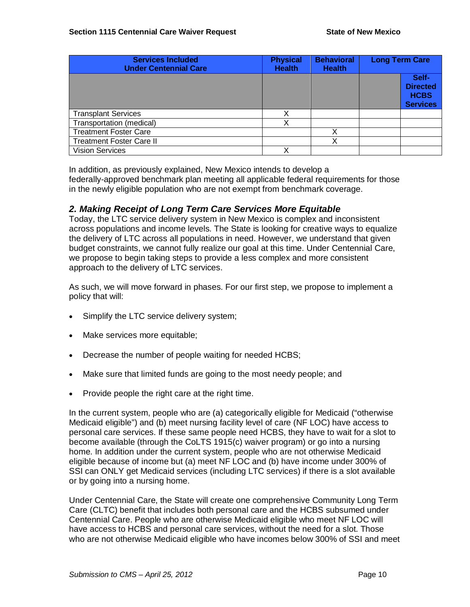| <b>Services Included</b><br><b>Under Centennial Care</b> | <b>Physical</b><br><b>Health</b> | <b>Behavioral</b><br><b>Health</b> | <b>Long Term Care</b> |                                                            |
|----------------------------------------------------------|----------------------------------|------------------------------------|-----------------------|------------------------------------------------------------|
|                                                          |                                  |                                    |                       | Self-<br><b>Directed</b><br><b>HCBS</b><br><b>Services</b> |
| <b>Transplant Services</b>                               | Χ                                |                                    |                       |                                                            |
| Transportation (medical)                                 | Χ                                |                                    |                       |                                                            |
| <b>Treatment Foster Care</b>                             |                                  |                                    |                       |                                                            |
| <b>Treatment Foster Care II</b>                          |                                  |                                    |                       |                                                            |
| <b>Vision Services</b>                                   |                                  |                                    |                       |                                                            |

In addition, as previously explained, New Mexico intends to develop a federally-approved benchmark plan meeting all applicable federal requirements for those in the newly eligible population who are not exempt from benchmark coverage.

# *2. Making Receipt of Long Term Care Services More Equitable*

Today, the LTC service delivery system in New Mexico is complex and inconsistent across populations and income levels. The State is looking for creative ways to equalize the delivery of LTC across all populations in need. However, we understand that given budget constraints, we cannot fully realize our goal at this time. Under Centennial Care, we propose to begin taking steps to provide a less complex and more consistent approach to the delivery of LTC services.

As such, we will move forward in phases. For our first step, we propose to implement a policy that will:

- Simplify the LTC service delivery system;
- Make services more equitable;
- Decrease the number of people waiting for needed HCBS;
- Make sure that limited funds are going to the most needy people; and
- $\bullet$  Provide people the right care at the right time.

In the current system, people who are (a) categorically eligible for Medicaid ("otherwise Medicaid eligible") and (b) meet nursing facility level of care (NF LOC) have access to personal care services. If these same people need HCBS, they have to wait for a slot to become available (through the CoLTS 1915(c) waiver program) or go into a nursing home. In addition under the current system, people who are not otherwise Medicaid eligible because of income but (a) meet NF LOC and (b) have income under 300% of SSI can ONLY get Medicaid services (including LTC services) if there is a slot available or by going into a nursing home.

Under Centennial Care, the State will create one comprehensive Community Long Term Care (CLTC) benefit that includes both personal care and the HCBS subsumed under Centennial Care. People who are otherwise Medicaid eligible who meet NF LOC will have access to HCBS and personal care services, without the need for a slot. Those who are not otherwise Medicaid eligible who have incomes below 300% of SSI and meet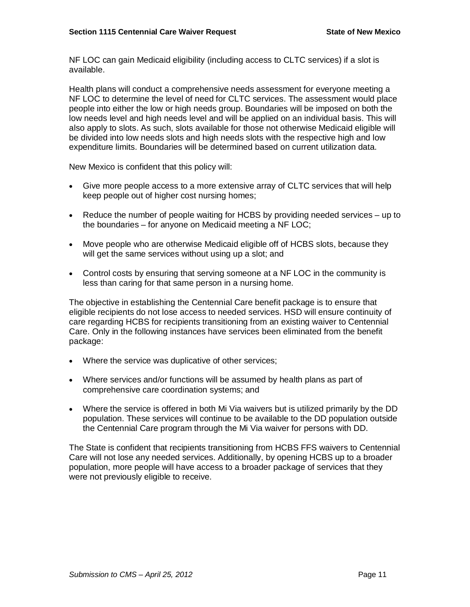NF LOC can gain Medicaid eligibility (including access to CLTC services) if a slot is available.

Health plans will conduct a comprehensive needs assessment for everyone meeting a NF LOC to determine the level of need for CLTC services. The assessment would place people into either the low or high needs group. Boundaries will be imposed on both the low needs level and high needs level and will be applied on an individual basis. This will also apply to slots. As such, slots available for those not otherwise Medicaid eligible will be divided into low needs slots and high needs slots with the respective high and low expenditure limits. Boundaries will be determined based on current utilization data.

New Mexico is confident that this policy will:

- Give more people access to a more extensive array of CLTC services that will help keep people out of higher cost nursing homes;
- $\bullet$  Reduce the number of people waiting for HCBS by providing needed services up to the boundaries – for anyone on Medicaid meeting a NF LOC;
- Move people who are otherwise Medicaid eligible off of HCBS slots, because they will get the same services without using up a slot; and
- Control costs by ensuring that serving someone at a NF LOC in the community is less than caring for that same person in a nursing home.

The objective in establishing the Centennial Care benefit package is to ensure that eligible recipients do not lose access to needed services. HSD will ensure continuity of care regarding HCBS for recipients transitioning from an existing waiver to Centennial Care. Only in the following instances have services been eliminated from the benefit package:

- Where the service was duplicative of other services;
- Where services and/or functions will be assumed by health plans as part of comprehensive care coordination systems; and
- Where the service is offered in both Mi Via waivers but is utilized primarily by the DD population. These services will continue to be available to the DD population outside the Centennial Care program through the Mi Via waiver for persons with DD.

The State is confident that recipients transitioning from HCBS FFS waivers to Centennial Care will not lose any needed services. Additionally, by opening HCBS up to a broader population, more people will have access to a broader package of services that they were not previously eligible to receive.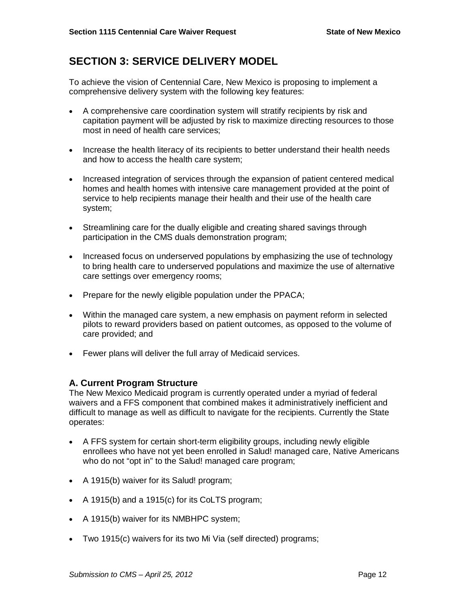# **SECTION 3: SERVICE DELIVERY MODEL**

To achieve the vision of Centennial Care, New Mexico is proposing to implement a comprehensive delivery system with the following key features:

- A comprehensive care coordination system will stratify recipients by risk and capitation payment will be adjusted by risk to maximize directing resources to those most in need of health care services;
- Increase the health literacy of its recipients to better understand their health needs and how to access the health care system;
- Increased integration of services through the expansion of patient centered medical homes and health homes with intensive care management provided at the point of service to help recipients manage their health and their use of the health care system;
- Streamlining care for the dually eligible and creating shared savings through participation in the CMS duals demonstration program;
- Increased focus on underserved populations by emphasizing the use of technology to bring health care to underserved populations and maximize the use of alternative care settings over emergency rooms;
- $\bullet$  Prepare for the newly eligible population under the PPACA;
- Within the managed care system, a new emphasis on payment reform in selected pilots to reward providers based on patient outcomes, as opposed to the volume of care provided; and
- Fewer plans will deliver the full array of Medicaid services.

#### **A. Current Program Structure**

The New Mexico Medicaid program is currently operated under a myriad of federal waivers and a FFS component that combined makes it administratively inefficient and difficult to manage as well as difficult to navigate for the recipients. Currently the State operates:

- A FFS system for certain short-term eligibility groups, including newly eligible enrollees who have not yet been enrolled in Salud! managed care, Native Americans who do not "opt in" to the Salud! managed care program;
- A 1915(b) waiver for its Salud! program;
- $\bullet$  A 1915(b) and a 1915(c) for its CoLTS program;
- A 1915(b) waiver for its NMBHPC system;
- $\bullet$  Two 1915(c) waivers for its two Mi Via (self directed) programs;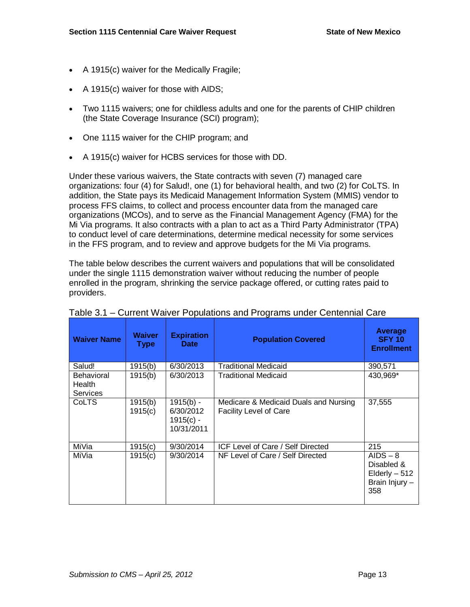- $\bullet$  A 1915(c) waiver for the Medically Fragile;
- $\bullet$  A 1915(c) waiver for those with AIDS;
- Two 1115 waivers; one for childless adults and one for the parents of CHIP children (the State Coverage Insurance (SCI) program);
- One 1115 waiver for the CHIP program; and
- A 1915(c) waiver for HCBS services for those with DD.

Under these various waivers, the State contracts with seven (7) managed care organizations: four (4) for Salud!, one (1) for behavioral health, and two (2) for CoLTS. In addition, the State pays its Medicaid Management Information System (MMIS) vendor to process FFS claims, to collect and process encounter data from the managed care organizations (MCOs), and to serve as the Financial Management Agency (FMA) for the Mi Via programs. It also contracts with a plan to act as a Third Party Administrator (TPA) to conduct level of care determinations, determine medical necessity for some services in the FFS program, and to review and approve budgets for the Mi Via programs.

The table below describes the current waivers and populations that will be consolidated under the single 1115 demonstration waiver without reducing the number of people enrolled in the program, shrinking the service package offered, or cutting rates paid to providers.

| <b>Waiver Name</b>                             | <b>Waiver</b><br><b>Type</b> | <b>Expiration</b><br><b>Date</b>                      | <b>Population Covered</b>                                              | <b>Average</b><br><b>SFY 10</b><br><b>Enrollment</b>                   |
|------------------------------------------------|------------------------------|-------------------------------------------------------|------------------------------------------------------------------------|------------------------------------------------------------------------|
| Salud!                                         | 1915(b)                      | 6/30/2013                                             | <b>Traditional Medicaid</b>                                            | 390,571                                                                |
| <b>Behavioral</b><br>Health<br><b>Services</b> | 1915(b)                      | 6/30/2013                                             | <b>Traditional Medicaid</b>                                            | 430,969*                                                               |
| <b>CoLTS</b>                                   | 1915(b)<br>1915(c)           | $1915(b) -$<br>6/30/2012<br>$1915(c) -$<br>10/31/2011 | Medicare & Medicaid Duals and Nursing<br><b>Facility Level of Care</b> | 37,555                                                                 |
| MiVia                                          | 1915(c)                      | 9/30/2014                                             | ICF Level of Care / Self Directed                                      | 215                                                                    |
| MiVia                                          | 1915(c)                      | 9/30/2014                                             | NF Level of Care / Self Directed                                       | $AIDS - 8$<br>Disabled &<br>$E$ Iderly $-512$<br>Brain Injury -<br>358 |

|  |  | Table 3.1 – Current Waiver Populations and Programs under Centennial Care |  |  |
|--|--|---------------------------------------------------------------------------|--|--|
|  |  |                                                                           |  |  |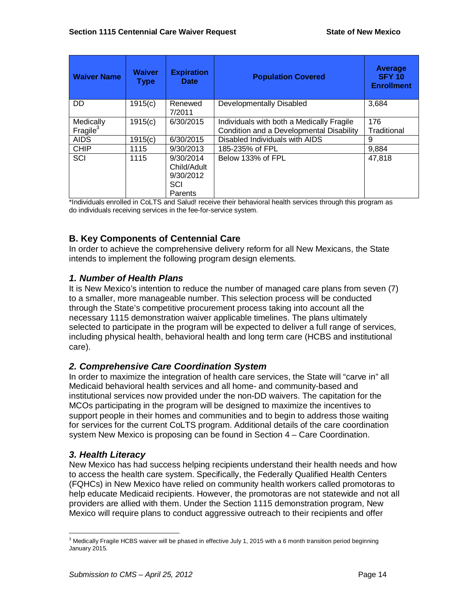| <b>Waiver Name</b>                    | <b>Waiver</b><br><b>Type</b> | <b>Expiration</b><br><b>Date</b>                        | <b>Population Covered</b>                                                             | <b>Average</b><br><b>SFY 10</b><br><b>Enrollment</b> |
|---------------------------------------|------------------------------|---------------------------------------------------------|---------------------------------------------------------------------------------------|------------------------------------------------------|
| DD                                    | 1915(c)                      | Renewed<br>7/2011                                       | Developmentally Disabled                                                              | 3,684                                                |
| Medically<br>$\mathsf{F}$ ragile $^3$ | 1915(c)                      | 6/30/2015                                               | Individuals with both a Medically Fragile<br>Condition and a Developmental Disability | 176<br>Traditional                                   |
| <b>AIDS</b>                           | 1915(c)                      | 6/30/2015                                               | Disabled Individuals with AIDS                                                        | 9                                                    |
| <b>CHIP</b>                           | 1115                         | 9/30/2013                                               | 185-235% of FPL                                                                       | 9,884                                                |
| SCI                                   | 1115                         | 9/30/2014<br>Child/Adult<br>9/30/2012<br>SCI<br>Parents | Below 133% of FPL                                                                     | 47,818                                               |

\*Individuals enrolled in CoLTS and Salud! receive their behavioral health services through this program as do individuals receiving services in the fee-for-service system.

# **B. Key Components of Centennial Care**

In order to achieve the comprehensive delivery reform for all New Mexicans, the State intends to implement the following program design elements.

# *1. Number of Health Plans*

It is New Mexico's intention to reduce the number of managed care plans from seven (7) to a smaller, more manageable number. This selection process will be conducted through the State's competitive procurement process taking into account all the necessary 1115 demonstration waiver applicable timelines. The plans ultimately selected to participate in the program will be expected to deliver a full range of services, including physical health, behavioral health and long term care (HCBS and institutional care).

# *2. Comprehensive Care Coordination System*

In order to maximize the integration of health care services, the State will "carve in" all Medicaid behavioral health services and all home- and community-based and institutional services now provided under the non-DD waivers. The capitation for the MCOs participating in the program will be designed to maximize the incentives to support people in their homes and communities and to begin to address those waiting for services for the current CoLTS program. Additional details of the care coordination system New Mexico is proposing can be found in Section 4 – Care Coordination.

# *3. Health Literacy*

New Mexico has had success helping recipients understand their health needs and how to access the health care system. Specifically, the Federally Qualified Health Centers (FQHCs) in New Mexico have relied on community health workers called promotoras to help educate Medicaid recipients. However, the promotoras are not statewide and not all providers are allied with them. Under the Section 1115 demonstration program, New Mexico will require plans to conduct aggressive outreach to their recipients and offer

 $\overline{a}$  $3$  Medically Fragile HCBS waiver will be phased in effective July 1, 2015 with a 6 month transition period beginning January 2015.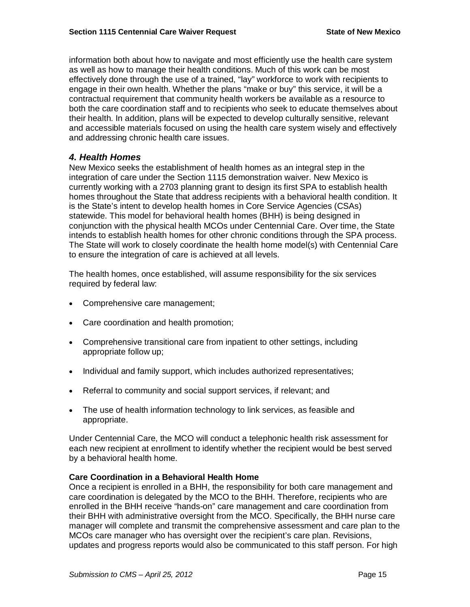information both about how to navigate and most efficiently use the health care system as well as how to manage their health conditions. Much of this work can be most effectively done through the use of a trained, "lay" workforce to work with recipients to engage in their own health. Whether the plans "make or buy" this service, it will be a contractual requirement that community health workers be available as a resource to both the care coordination staff and to recipients who seek to educate themselves about their health. In addition, plans will be expected to develop culturally sensitive, relevant and accessible materials focused on using the health care system wisely and effectively and addressing chronic health care issues.

# *4. Health Homes*

New Mexico seeks the establishment of health homes as an integral step in the integration of care under the Section 1115 demonstration waiver. New Mexico is currently working with a 2703 planning grant to design its first SPA to establish health homes throughout the State that address recipients with a behavioral health condition. It is the State's intent to develop health homes in Core Service Agencies (CSAs) statewide. This model for behavioral health homes (BHH) is being designed in conjunction with the physical health MCOs under Centennial Care. Over time, the State intends to establish health homes for other chronic conditions through the SPA process. The State will work to closely coordinate the health home model(s) with Centennial Care to ensure the integration of care is achieved at all levels.

The health homes, once established, will assume responsibility for the six services required by federal law:

- Comprehensive care management;
- Care coordination and health promotion;
- Comprehensive transitional care from inpatient to other settings, including appropriate follow up;
- Individual and family support, which includes authorized representatives;
- Referral to community and social support services, if relevant; and
- The use of health information technology to link services, as feasible and appropriate.

Under Centennial Care, the MCO will conduct a telephonic health risk assessment for each new recipient at enrollment to identify whether the recipient would be best served by a behavioral health home.

#### **Care Coordination in a Behavioral Health Home**

Once a recipient is enrolled in a BHH, the responsibility for both care management and care coordination is delegated by the MCO to the BHH. Therefore, recipients who are enrolled in the BHH receive "hands-on" care management and care coordination from their BHH with administrative oversight from the MCO. Specifically, the BHH nurse care manager will complete and transmit the comprehensive assessment and care plan to the MCOs care manager who has oversight over the recipient's care plan. Revisions, updates and progress reports would also be communicated to this staff person. For high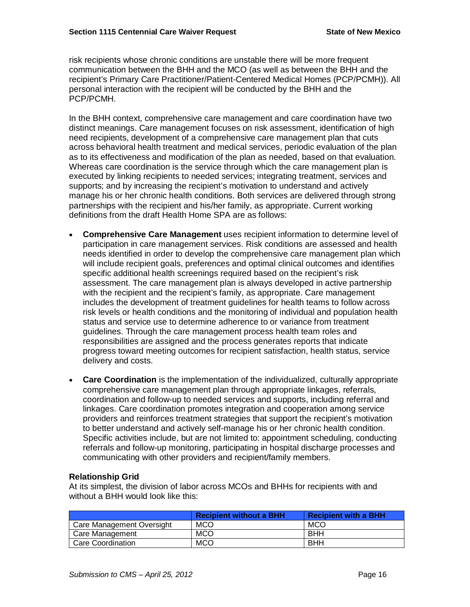risk recipients whose chronic conditions are unstable there will be more frequent communication between the BHH and the MCO (as well as between the BHH and the recipient's Primary Care Practitioner/Patient-Centered Medical Homes (PCP/PCMH)). All personal interaction with the recipient will be conducted by the BHH and the PCP/PCMH.

In the BHH context, comprehensive care management and care coordination have two distinct meanings. Care management focuses on risk assessment, identification of high need recipients, development of a comprehensive care management plan that cuts across behavioral health treatment and medical services, periodic evaluation of the plan as to its effectiveness and modification of the plan as needed, based on that evaluation. Whereas care coordination is the service through which the care management plan is executed by linking recipients to needed services; integrating treatment, services and supports; and by increasing the recipient's motivation to understand and actively manage his or her chronic health conditions. Both services are delivered through strong partnerships with the recipient and his/her family, as appropriate. Current working definitions from the draft Health Home SPA are as follows:

- **Comprehensive Care Management** uses recipient information to determine level of participation in care management services. Risk conditions are assessed and health needs identified in order to develop the comprehensive care management plan which will include recipient goals, preferences and optimal clinical outcomes and identifies specific additional health screenings required based on the recipient's risk assessment. The care management plan is always developed in active partnership with the recipient and the recipient's family, as appropriate. Care management includes the development of treatment guidelines for health teams to follow across risk levels or health conditions and the monitoring of individual and population health status and service use to determine adherence to or variance from treatment guidelines. Through the care management process health team roles and responsibilities are assigned and the process generates reports that indicate progress toward meeting outcomes for recipient satisfaction, health status, service delivery and costs.
- **Care Coordination** is the implementation of the individualized, culturally appropriate comprehensive care management plan through appropriate linkages, referrals, coordination and follow-up to needed services and supports, including referral and linkages. Care coordination promotes integration and cooperation among service providers and reinforces treatment strategies that support the recipient's motivation to better understand and actively self-manage his or her chronic health condition. Specific activities include, but are not limited to: appointment scheduling, conducting referrals and follow-up monitoring, participating in hospital discharge processes and communicating with other providers and recipient/family members.

#### **Relationship Grid**

At its simplest, the division of labor across MCOs and BHHs for recipients with and without a BHH would look like this:

|                           | <b>Recipient without a BHH</b> | <b>Recipient with a BHH</b> |
|---------------------------|--------------------------------|-----------------------------|
| Care Management Oversight | <b>MCO</b>                     | <b>MCO</b>                  |
| Care Management           | <b>MCO</b>                     | <b>BHH</b>                  |
| Care Coordination         | <b>MCO</b>                     | <b>BHH</b>                  |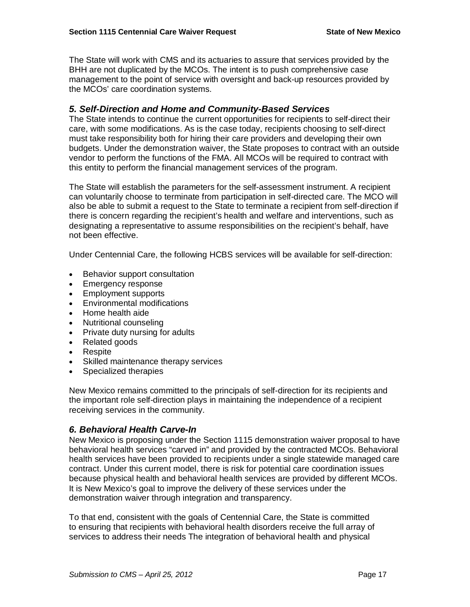The State will work with CMS and its actuaries to assure that services provided by the BHH are not duplicated by the MCOs. The intent is to push comprehensive case management to the point of service with oversight and back-up resources provided by the MCOs' care coordination systems.

## *5. Self-Direction and Home and Community-Based Services*

The State intends to continue the current opportunities for recipients to self-direct their care, with some modifications. As is the case today, recipients choosing to self-direct must take responsibility both for hiring their care providers and developing their own budgets. Under the demonstration waiver, the State proposes to contract with an outside vendor to perform the functions of the FMA. All MCOs will be required to contract with this entity to perform the financial management services of the program.

The State will establish the parameters for the self-assessment instrument. A recipient can voluntarily choose to terminate from participation in self-directed care. The MCO will also be able to submit a request to the State to terminate a recipient from self-direction if there is concern regarding the recipient's health and welfare and interventions, such as designating a representative to assume responsibilities on the recipient's behalf, have not been effective.

Under Centennial Care, the following HCBS services will be available for self-direction:

- Behavior support consultation
- Emergency response
- Employment supports
- Environmental modifications
- Home health aide
- Nutritional counseling
- Private duty nursing for adults
- Related goods
- Respite
- Skilled maintenance therapy services
- Specialized therapies

New Mexico remains committed to the principals of self-direction for its recipients and the important role self-direction plays in maintaining the independence of a recipient receiving services in the community.

#### *6. Behavioral Health Carve-In*

New Mexico is proposing under the Section 1115 demonstration waiver proposal to have behavioral health services "carved in" and provided by the contracted MCOs. Behavioral health services have been provided to recipients under a single statewide managed care contract. Under this current model, there is risk for potential care coordination issues because physical health and behavioral health services are provided by different MCOs. It is New Mexico's goal to improve the delivery of these services under the demonstration waiver through integration and transparency.

To that end, consistent with the goals of Centennial Care, the State is committed to ensuring that recipients with behavioral health disorders receive the full array of services to address their needs The integration of behavioral health and physical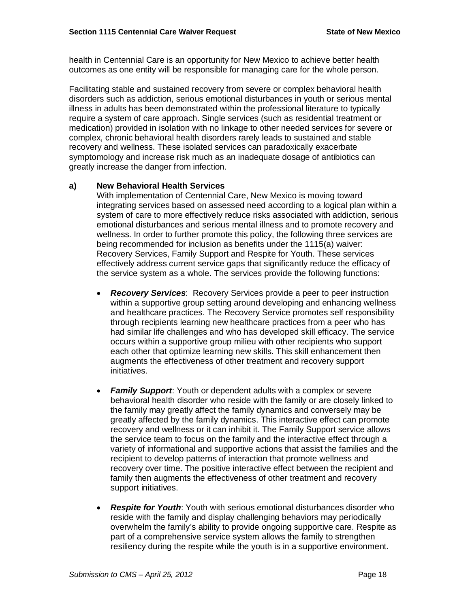health in Centennial Care is an opportunity for New Mexico to achieve better health outcomes as one entity will be responsible for managing care for the whole person.

Facilitating stable and sustained recovery from severe or complex behavioral health disorders such as addiction, serious emotional disturbances in youth or serious mental illness in adults has been demonstrated within the professional literature to typically require a system of care approach. Single services (such as residential treatment or medication) provided in isolation with no linkage to other needed services for severe or complex, chronic behavioral health disorders rarely leads to sustained and stable recovery and wellness. These isolated services can paradoxically exacerbate symptomology and increase risk much as an inadequate dosage of antibiotics can greatly increase the danger from infection.

#### **a) New Behavioral Health Services**

With implementation of Centennial Care, New Mexico is moving toward integrating services based on assessed need according to a logical plan within a system of care to more effectively reduce risks associated with addiction, serious emotional disturbances and serious mental illness and to promote recovery and wellness. In order to further promote this policy, the following three services are being recommended for inclusion as benefits under the 1115(a) waiver: Recovery Services, Family Support and Respite for Youth. These services effectively address current service gaps that significantly reduce the efficacy of the service system as a whole. The services provide the following functions:

- **Recovery Services:** Recovery Services provide a peer to peer instruction within a supportive group setting around developing and enhancing wellness and healthcare practices. The Recovery Service promotes self responsibility through recipients learning new healthcare practices from a peer who has had similar life challenges and who has developed skill efficacy. The service occurs within a supportive group milieu with other recipients who support each other that optimize learning new skills. This skill enhancement then augments the effectiveness of other treatment and recovery support initiatives.
- **Family Support:** Youth or dependent adults with a complex or severe behavioral health disorder who reside with the family or are closely linked to the family may greatly affect the family dynamics and conversely may be greatly affected by the family dynamics. This interactive effect can promote recovery and wellness or it can inhibit it. The Family Support service allows the service team to focus on the family and the interactive effect through a variety of informational and supportive actions that assist the families and the recipient to develop patterns of interaction that promote wellness and recovery over time. The positive interactive effect between the recipient and family then augments the effectiveness of other treatment and recovery support initiatives.
- **Respite for Youth:** Youth with serious emotional disturbances disorder who reside with the family and display challenging behaviors may periodically overwhelm the family's ability to provide ongoing supportive care. Respite as part of a comprehensive service system allows the family to strengthen resiliency during the respite while the youth is in a supportive environment.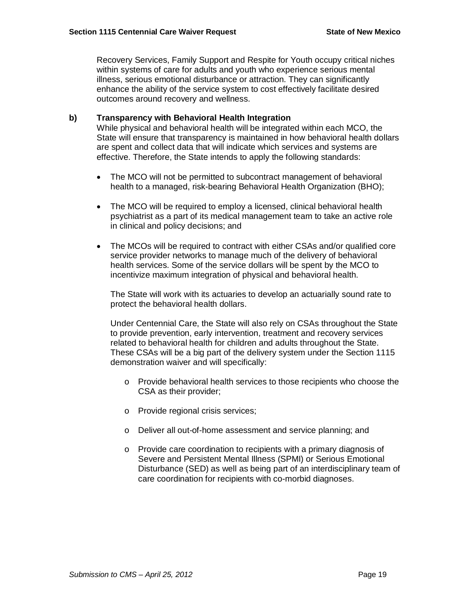Recovery Services, Family Support and Respite for Youth occupy critical niches within systems of care for adults and youth who experience serious mental illness, serious emotional disturbance or attraction. They can significantly enhance the ability of the service system to cost effectively facilitate desired outcomes around recovery and wellness.

#### **b) Transparency with Behavioral Health Integration**

While physical and behavioral health will be integrated within each MCO, the State will ensure that transparency is maintained in how behavioral health dollars are spent and collect data that will indicate which services and systems are effective. Therefore, the State intends to apply the following standards:

- The MCO will not be permitted to subcontract management of behavioral health to a managed, risk-bearing Behavioral Health Organization (BHO);
- The MCO will be required to employ a licensed, clinical behavioral health psychiatrist as a part of its medical management team to take an active role in clinical and policy decisions; and
- The MCOs will be required to contract with either CSAs and/or qualified core service provider networks to manage much of the delivery of behavioral health services. Some of the service dollars will be spent by the MCO to incentivize maximum integration of physical and behavioral health.

The State will work with its actuaries to develop an actuarially sound rate to protect the behavioral health dollars.

Under Centennial Care, the State will also rely on CSAs throughout the State to provide prevention, early intervention, treatment and recovery services related to behavioral health for children and adults throughout the State. These CSAs will be a big part of the delivery system under the Section 1115 demonstration waiver and will specifically:

- o Provide behavioral health services to those recipients who choose the CSA as their provider;
- o Provide regional crisis services;
- o Deliver all out-of-home assessment and service planning; and
- o Provide care coordination to recipients with a primary diagnosis of Severe and Persistent Mental Illness (SPMI) or Serious Emotional Disturbance (SED) as well as being part of an interdisciplinary team of care coordination for recipients with co-morbid diagnoses.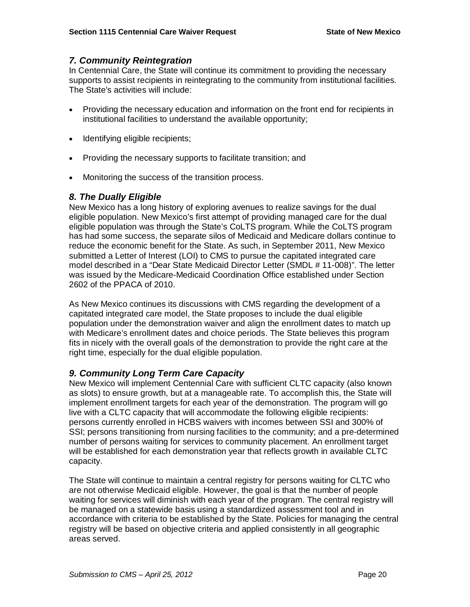# *7. Community Reintegration*

In Centennial Care, the State will continue its commitment to providing the necessary supports to assist recipients in reintegrating to the community from institutional facilities. The State's activities will include:

- Providing the necessary education and information on the front end for recipients in institutional facilities to understand the available opportunity;
- Identifying eligible recipients;
- Providing the necessary supports to facilitate transition; and
- Monitoring the success of the transition process.

### *8. The Dually Eligible*

New Mexico has a long history of exploring avenues to realize savings for the dual eligible population. New Mexico's first attempt of providing managed care for the dual eligible population was through the State's CoLTS program. While the CoLTS program has had some success, the separate silos of Medicaid and Medicare dollars continue to reduce the economic benefit for the State. As such, in September 2011, New Mexico submitted a Letter of Interest (LOI) to CMS to pursue the capitated integrated care model described in a "Dear State Medicaid Director Letter (SMDL # 11-008)". The letter was issued by the Medicare-Medicaid Coordination Office established under Section 2602 of the PPACA of 2010.

As New Mexico continues its discussions with CMS regarding the development of a capitated integrated care model, the State proposes to include the dual eligible population under the demonstration waiver and align the enrollment dates to match up with Medicare's enrollment dates and choice periods. The State believes this program fits in nicely with the overall goals of the demonstration to provide the right care at the right time, especially for the dual eligible population.

# *9. Community Long Term Care Capacity*

New Mexico will implement Centennial Care with sufficient CLTC capacity (also known as slots) to ensure growth, but at a manageable rate. To accomplish this, the State will implement enrollment targets for each year of the demonstration. The program will go live with a CLTC capacity that will accommodate the following eligible recipients: persons currently enrolled in HCBS waivers with incomes between SSI and 300% of SSI; persons transitioning from nursing facilities to the community; and a pre-determined number of persons waiting for services to community placement. An enrollment target will be established for each demonstration year that reflects growth in available CLTC capacity.

The State will continue to maintain a central registry for persons waiting for CLTC who are not otherwise Medicaid eligible. However, the goal is that the number of people waiting for services will diminish with each year of the program. The central registry will be managed on a statewide basis using a standardized assessment tool and in accordance with criteria to be established by the State. Policies for managing the central registry will be based on objective criteria and applied consistently in all geographic areas served.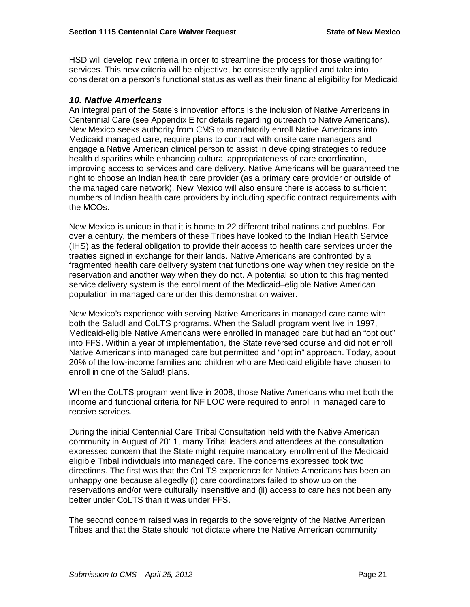HSD will develop new criteria in order to streamline the process for those waiting for services. This new criteria will be objective, be consistently applied and take into consideration a person's functional status as well as their financial eligibility for Medicaid.

#### *10. Native Americans*

An integral part of the State's innovation efforts is the inclusion of Native Americans in Centennial Care (see Appendix E for details regarding outreach to Native Americans). New Mexico seeks authority from CMS to mandatorily enroll Native Americans into Medicaid managed care, require plans to contract with onsite care managers and engage a Native American clinical person to assist in developing strategies to reduce health disparities while enhancing cultural appropriateness of care coordination, improving access to services and care delivery. Native Americans will be guaranteed the right to choose an Indian health care provider (as a primary care provider or outside of the managed care network). New Mexico will also ensure there is access to sufficient numbers of Indian health care providers by including specific contract requirements with the MCOs.

New Mexico is unique in that it is home to 22 different tribal nations and pueblos. For over a century, the members of these Tribes have looked to the Indian Health Service (IHS) as the federal obligation to provide their access to health care services under the treaties signed in exchange for their lands. Native Americans are confronted by a fragmented health care delivery system that functions one way when they reside on the reservation and another way when they do not. A potential solution to this fragmented service delivery system is the enrollment of the Medicaid–eligible Native American population in managed care under this demonstration waiver.

New Mexico's experience with serving Native Americans in managed care came with both the Salud! and CoLTS programs. When the Salud! program went live in 1997, Medicaid-eligible Native Americans were enrolled in managed care but had an "opt out" into FFS. Within a year of implementation, the State reversed course and did not enroll Native Americans into managed care but permitted and "opt in" approach. Today, about 20% of the low-income families and children who are Medicaid eligible have chosen to enroll in one of the Salud! plans.

When the CoLTS program went live in 2008, those Native Americans who met both the income and functional criteria for NF LOC were required to enroll in managed care to receive services.

During the initial Centennial Care Tribal Consultation held with the Native American community in August of 2011, many Tribal leaders and attendees at the consultation expressed concern that the State might require mandatory enrollment of the Medicaid eligible Tribal individuals into managed care. The concerns expressed took two directions. The first was that the CoLTS experience for Native Americans has been an unhappy one because allegedly (i) care coordinators failed to show up on the reservations and/or were culturally insensitive and (ii) access to care has not been any better under CoLTS than it was under FFS.

The second concern raised was in regards to the sovereignty of the Native American Tribes and that the State should not dictate where the Native American community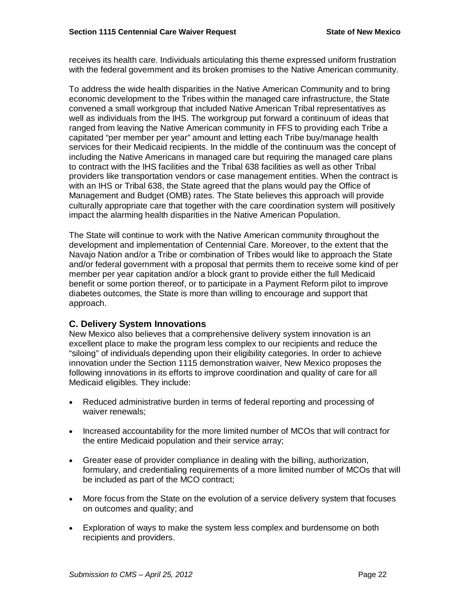receives its health care. Individuals articulating this theme expressed uniform frustration with the federal government and its broken promises to the Native American community.

To address the wide health disparities in the Native American Community and to bring economic development to the Tribes within the managed care infrastructure, the State convened a small workgroup that included Native American Tribal representatives as well as individuals from the IHS. The workgroup put forward a continuum of ideas that ranged from leaving the Native American community in FFS to providing each Tribe a capitated "per member per year" amount and letting each Tribe buy/manage health services for their Medicaid recipients. In the middle of the continuum was the concept of including the Native Americans in managed care but requiring the managed care plans to contract with the IHS facilities and the Tribal 638 facilities as well as other Tribal providers like transportation vendors or case management entities. When the contract is with an IHS or Tribal 638, the State agreed that the plans would pay the Office of Management and Budget (OMB) rates. The State believes this approach will provide culturally appropriate care that together with the care coordination system will positively impact the alarming health disparities in the Native American Population.

The State will continue to work with the Native American community throughout the development and implementation of Centennial Care. Moreover, to the extent that the Navajo Nation and/or a Tribe or combination of Tribes would like to approach the State and/or federal government with a proposal that permits them to receive some kind of per member per year capitation and/or a block grant to provide either the full Medicaid benefit or some portion thereof, or to participate in a Payment Reform pilot to improve diabetes outcomes, the State is more than willing to encourage and support that approach.

# **C. Delivery System Innovations**

New Mexico also believes that a comprehensive delivery system innovation is an excellent place to make the program less complex to our recipients and reduce the "siloing" of individuals depending upon their eligibility categories. In order to achieve innovation under the Section 1115 demonstration waiver, New Mexico proposes the following innovations in its efforts to improve coordination and quality of care for all Medicaid eligibles. They include:

- Reduced administrative burden in terms of federal reporting and processing of waiver renewals;
- Increased accountability for the more limited number of MCOs that will contract for the entire Medicaid population and their service array;
- Greater ease of provider compliance in dealing with the billing, authorization, formulary, and credentialing requirements of a more limited number of MCOs that will be included as part of the MCO contract;
- More focus from the State on the evolution of a service delivery system that focuses on outcomes and quality; and
- Exploration of ways to make the system less complex and burdensome on both recipients and providers.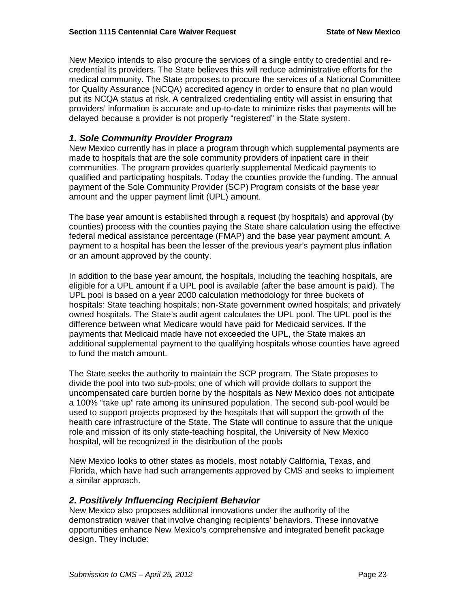New Mexico intends to also procure the services of a single entity to credential and recredential its providers. The State believes this will reduce administrative efforts for the medical community. The State proposes to procure the services of a National Committee for Quality Assurance (NCQA) accredited agency in order to ensure that no plan would put its NCQA status at risk. A centralized credentialing entity will assist in ensuring that providers' information is accurate and up-to-date to minimize risks that payments will be delayed because a provider is not properly "registered" in the State system.

# *1. Sole Community Provider Program*

New Mexico currently has in place a program through which supplemental payments are made to hospitals that are the sole community providers of inpatient care in their communities. The program provides quarterly supplemental Medicaid payments to qualified and participating hospitals. Today the counties provide the funding. The annual payment of the Sole Community Provider (SCP) Program consists of the base year amount and the upper payment limit (UPL) amount.

The base year amount is established through a request (by hospitals) and approval (by counties) process with the counties paying the State share calculation using the effective federal medical assistance percentage (FMAP) and the base year payment amount. A payment to a hospital has been the lesser of the previous year's payment plus inflation or an amount approved by the county.

In addition to the base year amount, the hospitals, including the teaching hospitals, are eligible for a UPL amount if a UPL pool is available (after the base amount is paid). The UPL pool is based on a year 2000 calculation methodology for three buckets of hospitals: State teaching hospitals; non-State government owned hospitals; and privately owned hospitals. The State's audit agent calculates the UPL pool. The UPL pool is the difference between what Medicare would have paid for Medicaid services. If the payments that Medicaid made have not exceeded the UPL, the State makes an additional supplemental payment to the qualifying hospitals whose counties have agreed to fund the match amount.

The State seeks the authority to maintain the SCP program. The State proposes to divide the pool into two sub-pools; one of which will provide dollars to support the uncompensated care burden borne by the hospitals as New Mexico does not anticipate a 100% "take up" rate among its uninsured population. The second sub-pool would be used to support projects proposed by the hospitals that will support the growth of the health care infrastructure of the State. The State will continue to assure that the unique role and mission of its only state-teaching hospital, the University of New Mexico hospital, will be recognized in the distribution of the pools

New Mexico looks to other states as models, most notably California, Texas, and Florida, which have had such arrangements approved by CMS and seeks to implement a similar approach.

# *2. Positively Influencing Recipient Behavior*

New Mexico also proposes additional innovations under the authority of the demonstration waiver that involve changing recipients' behaviors. These innovative opportunities enhance New Mexico's comprehensive and integrated benefit package design. They include: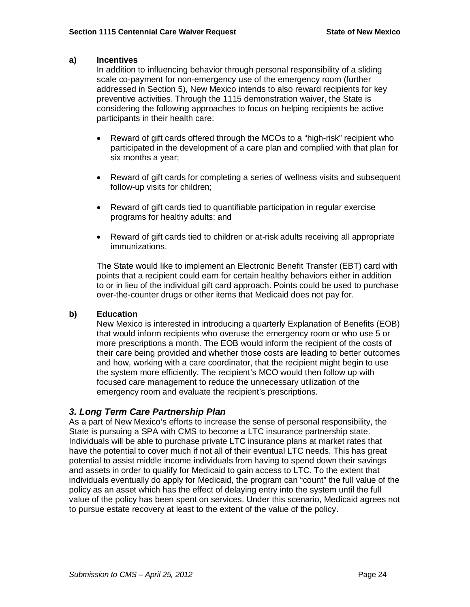#### **a) Incentives**

In addition to influencing behavior through personal responsibility of a sliding scale co-payment for non-emergency use of the emergency room (further addressed in Section 5), New Mexico intends to also reward recipients for key preventive activities. Through the 1115 demonstration waiver, the State is considering the following approaches to focus on helping recipients be active participants in their health care:

- Reward of gift cards offered through the MCOs to a "high-risk" recipient who participated in the development of a care plan and complied with that plan for six months a year;
- Reward of gift cards for completing a series of wellness visits and subsequent follow-up visits for children;
- Reward of gift cards tied to quantifiable participation in regular exercise programs for healthy adults; and
- Reward of gift cards tied to children or at-risk adults receiving all appropriate immunizations.

The State would like to implement an Electronic Benefit Transfer (EBT) card with points that a recipient could earn for certain healthy behaviors either in addition to or in lieu of the individual gift card approach. Points could be used to purchase over-the-counter drugs or other items that Medicaid does not pay for.

#### **b) Education**

New Mexico is interested in introducing a quarterly Explanation of Benefits (EOB) that would inform recipients who overuse the emergency room or who use 5 or more prescriptions a month. The EOB would inform the recipient of the costs of their care being provided and whether those costs are leading to better outcomes and how, working with a care coordinator, that the recipient might begin to use the system more efficiently. The recipient's MCO would then follow up with focused care management to reduce the unnecessary utilization of the emergency room and evaluate the recipient's prescriptions.

#### *3. Long Term Care Partnership Plan*

As a part of New Mexico's efforts to increase the sense of personal responsibility, the State is pursuing a SPA with CMS to become a LTC insurance partnership state. Individuals will be able to purchase private LTC insurance plans at market rates that have the potential to cover much if not all of their eventual LTC needs. This has great potential to assist middle income individuals from having to spend down their savings and assets in order to qualify for Medicaid to gain access to LTC. To the extent that individuals eventually do apply for Medicaid, the program can "count" the full value of the policy as an asset which has the effect of delaying entry into the system until the full value of the policy has been spent on services. Under this scenario, Medicaid agrees not to pursue estate recovery at least to the extent of the value of the policy.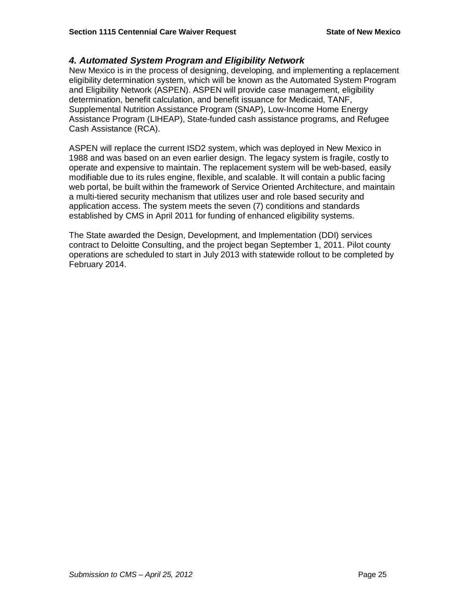#### *4. Automated System Program and Eligibility Network*

New Mexico is in the process of designing, developing, and implementing a replacement eligibility determination system, which will be known as the Automated System Program and Eligibility Network (ASPEN). ASPEN will provide case management, eligibility determination, benefit calculation, and benefit issuance for Medicaid, TANF, Supplemental Nutrition Assistance Program (SNAP), Low-Income Home Energy Assistance Program (LIHEAP), State-funded cash assistance programs, and Refugee Cash Assistance (RCA).

ASPEN will replace the current ISD2 system, which was deployed in New Mexico in 1988 and was based on an even earlier design. The legacy system is fragile, costly to operate and expensive to maintain. The replacement system will be web-based, easily modifiable due to its rules engine, flexible, and scalable. It will contain a public facing web portal, be built within the framework of Service Oriented Architecture, and maintain a multi-tiered security mechanism that utilizes user and role based security and application access. The system meets the seven (7) conditions and standards established by CMS in April 2011 for funding of enhanced eligibility systems.

The State awarded the Design, Development, and Implementation (DDI) services contract to Deloitte Consulting, and the project began September 1, 2011. Pilot county operations are scheduled to start in July 2013 with statewide rollout to be completed by February 2014.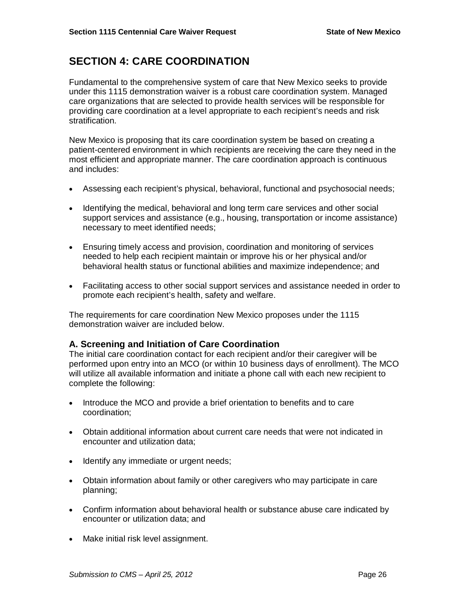# **SECTION 4: CARE COORDINATION**

Fundamental to the comprehensive system of care that New Mexico seeks to provide under this 1115 demonstration waiver is a robust care coordination system. Managed care organizations that are selected to provide health services will be responsible for providing care coordination at a level appropriate to each recipient's needs and risk stratification.

New Mexico is proposing that its care coordination system be based on creating a patient-centered environment in which recipients are receiving the care they need in the most efficient and appropriate manner. The care coordination approach is continuous and includes:

- Assessing each recipient's physical, behavioral, functional and psychosocial needs;
- Identifying the medical, behavioral and long term care services and other social support services and assistance (e.g., housing, transportation or income assistance) necessary to meet identified needs;
- Ensuring timely access and provision, coordination and monitoring of services needed to help each recipient maintain or improve his or her physical and/or behavioral health status or functional abilities and maximize independence; and
- Facilitating access to other social support services and assistance needed in order to promote each recipient's health, safety and welfare.

The requirements for care coordination New Mexico proposes under the 1115 demonstration waiver are included below.

# **A. Screening and Initiation of Care Coordination**

The initial care coordination contact for each recipient and/or their caregiver will be performed upon entry into an MCO (or within 10 business days of enrollment). The MCO will utilize all available information and initiate a phone call with each new recipient to complete the following:

- Introduce the MCO and provide a brief orientation to benefits and to care coordination;
- Obtain additional information about current care needs that were not indicated in encounter and utilization data;
- Identify any immediate or urgent needs;
- Obtain information about family or other caregivers who may participate in care planning;
- Confirm information about behavioral health or substance abuse care indicated by encounter or utilization data; and
- Make initial risk level assignment.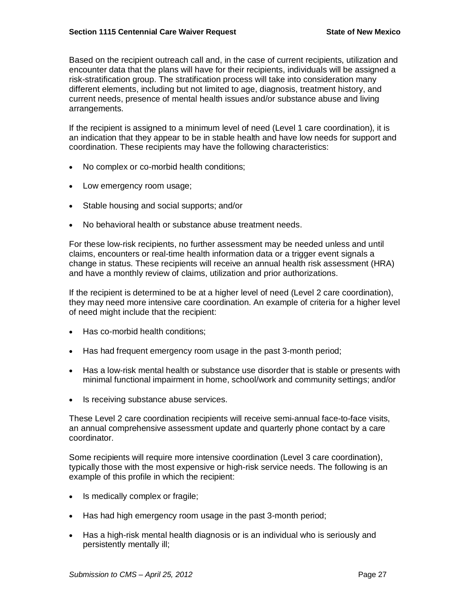Based on the recipient outreach call and, in the case of current recipients, utilization and encounter data that the plans will have for their recipients, individuals will be assigned a risk-stratification group. The stratification process will take into consideration many different elements, including but not limited to age, diagnosis, treatment history, and current needs, presence of mental health issues and/or substance abuse and living arrangements.

If the recipient is assigned to a minimum level of need (Level 1 care coordination), it is an indication that they appear to be in stable health and have low needs for support and coordination. These recipients may have the following characteristics:

- No complex or co-morbid health conditions;
- Low emergency room usage;
- Stable housing and social supports; and/or
- No behavioral health or substance abuse treatment needs.

For these low-risk recipients, no further assessment may be needed unless and until claims, encounters or real-time health information data or a trigger event signals a change in status. These recipients will receive an annual health risk assessment (HRA) and have a monthly review of claims, utilization and prior authorizations.

If the recipient is determined to be at a higher level of need (Level 2 care coordination), they may need more intensive care coordination. An example of criteria for a higher level of need might include that the recipient:

- Has co-morbid health conditions:
- Has had frequent emergency room usage in the past 3-month period;
- Has a low-risk mental health or substance use disorder that is stable or presents with minimal functional impairment in home, school/work and community settings; and/or
- Is receiving substance abuse services.

These Level 2 care coordination recipients will receive semi-annual face-to-face visits, an annual comprehensive assessment update and quarterly phone contact by a care coordinator.

Some recipients will require more intensive coordination (Level 3 care coordination), typically those with the most expensive or high-risk service needs. The following is an example of this profile in which the recipient:

- Is medically complex or fragile;
- Has had high emergency room usage in the past 3-month period;
- Has a high-risk mental health diagnosis or is an individual who is seriously and persistently mentally ill;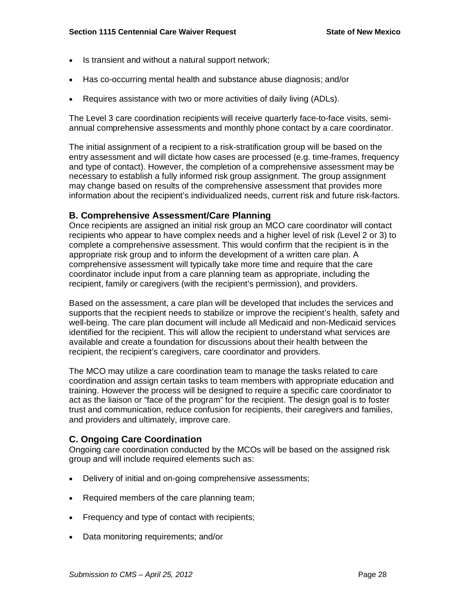- Is transient and without a natural support network;
- Has co-occurring mental health and substance abuse diagnosis; and/or
- Requires assistance with two or more activities of daily living (ADLs).

The Level 3 care coordination recipients will receive quarterly face-to-face visits, semiannual comprehensive assessments and monthly phone contact by a care coordinator.

The initial assignment of a recipient to a risk-stratification group will be based on the entry assessment and will dictate how cases are processed (e.g. time-frames, frequency and type of contact). However, the completion of a comprehensive assessment may be necessary to establish a fully informed risk group assignment. The group assignment may change based on results of the comprehensive assessment that provides more information about the recipient's individualized needs, current risk and future risk-factors.

#### **B. Comprehensive Assessment/Care Planning**

Once recipients are assigned an initial risk group an MCO care coordinator will contact recipients who appear to have complex needs and a higher level of risk (Level 2 or 3) to complete a comprehensive assessment. This would confirm that the recipient is in the appropriate risk group and to inform the development of a written care plan. A comprehensive assessment will typically take more time and require that the care coordinator include input from a care planning team as appropriate, including the recipient, family or caregivers (with the recipient's permission), and providers.

Based on the assessment, a care plan will be developed that includes the services and supports that the recipient needs to stabilize or improve the recipient's health, safety and well-being. The care plan document will include all Medicaid and non-Medicaid services identified for the recipient. This will allow the recipient to understand what services are available and create a foundation for discussions about their health between the recipient, the recipient's caregivers, care coordinator and providers.

The MCO may utilize a care coordination team to manage the tasks related to care coordination and assign certain tasks to team members with appropriate education and training. However the process will be designed to require a specific care coordinator to act as the liaison or "face of the program" for the recipient. The design goal is to foster trust and communication, reduce confusion for recipients, their caregivers and families, and providers and ultimately, improve care.

#### **C. Ongoing Care Coordination**

Ongoing care coordination conducted by the MCOs will be based on the assigned risk group and will include required elements such as:

- Delivery of initial and on-going comprehensive assessments;
- Required members of the care planning team;
- Frequency and type of contact with recipients;
- Data monitoring requirements; and/or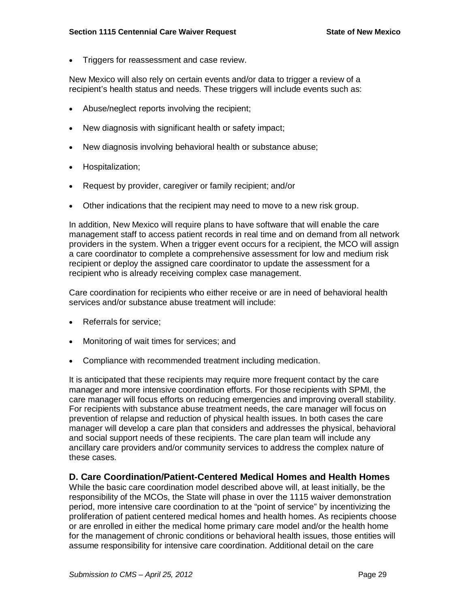• Triggers for reassessment and case review.

New Mexico will also rely on certain events and/or data to trigger a review of a recipient's health status and needs. These triggers will include events such as:

- Abuse/neglect reports involving the recipient;
- New diagnosis with significant health or safety impact;
- New diagnosis involving behavioral health or substance abuse;
- Hospitalization;
- Request by provider, caregiver or family recipient; and/or
- Other indications that the recipient may need to move to a new risk group.

In addition, New Mexico will require plans to have software that will enable the care management staff to access patient records in real time and on demand from all network providers in the system. When a trigger event occurs for a recipient, the MCO will assign a care coordinator to complete a comprehensive assessment for low and medium risk recipient or deploy the assigned care coordinator to update the assessment for a recipient who is already receiving complex case management.

Care coordination for recipients who either receive or are in need of behavioral health services and/or substance abuse treatment will include:

- Referrals for service:
- Monitoring of wait times for services; and
- Compliance with recommended treatment including medication.

It is anticipated that these recipients may require more frequent contact by the care manager and more intensive coordination efforts. For those recipients with SPMI, the care manager will focus efforts on reducing emergencies and improving overall stability. For recipients with substance abuse treatment needs, the care manager will focus on prevention of relapse and reduction of physical health issues. In both cases the care manager will develop a care plan that considers and addresses the physical, behavioral and social support needs of these recipients. The care plan team will include any ancillary care providers and/or community services to address the complex nature of these cases.

# **D. Care Coordination/Patient-Centered Medical Homes and Health Homes**

While the basic care coordination model described above will, at least initially, be the responsibility of the MCOs, the State will phase in over the 1115 waiver demonstration period, more intensive care coordination to at the "point of service" by incentivizing the proliferation of patient centered medical homes and health homes. As recipients choose or are enrolled in either the medical home primary care model and/or the health home for the management of chronic conditions or behavioral health issues, those entities will assume responsibility for intensive care coordination. Additional detail on the care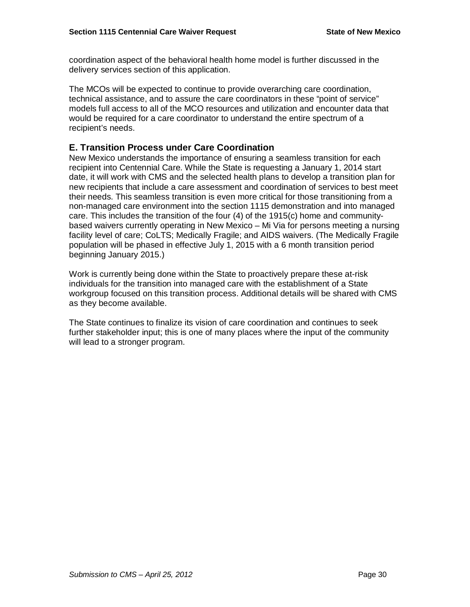coordination aspect of the behavioral health home model is further discussed in the delivery services section of this application.

The MCOs will be expected to continue to provide overarching care coordination, technical assistance, and to assure the care coordinators in these "point of service" models full access to all of the MCO resources and utilization and encounter data that would be required for a care coordinator to understand the entire spectrum of a recipient's needs.

# **E. Transition Process under Care Coordination**

New Mexico understands the importance of ensuring a seamless transition for each recipient into Centennial Care. While the State is requesting a January 1, 2014 start date, it will work with CMS and the selected health plans to develop a transition plan for new recipients that include a care assessment and coordination of services to best meet their needs. This seamless transition is even more critical for those transitioning from a non-managed care environment into the section 1115 demonstration and into managed care. This includes the transition of the four (4) of the 1915(c) home and communitybased waivers currently operating in New Mexico – Mi Via for persons meeting a nursing facility level of care; CoLTS; Medically Fragile; and AIDS waivers. (The Medically Fragile population will be phased in effective July 1, 2015 with a 6 month transition period beginning January 2015.)

Work is currently being done within the State to proactively prepare these at-risk individuals for the transition into managed care with the establishment of a State workgroup focused on this transition process. Additional details will be shared with CMS as they become available.

The State continues to finalize its vision of care coordination and continues to seek further stakeholder input; this is one of many places where the input of the community will lead to a stronger program.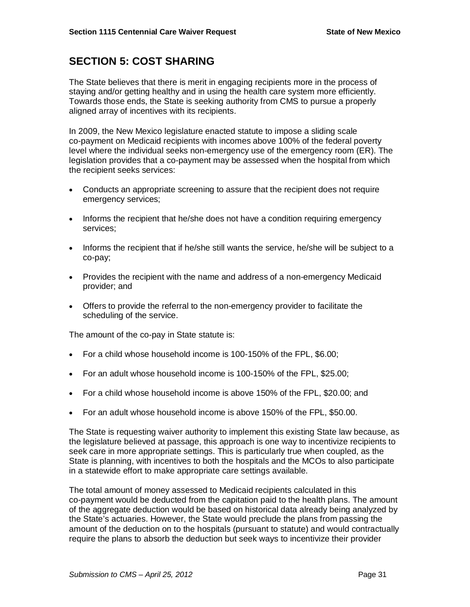# **SECTION 5: COST SHARING**

The State believes that there is merit in engaging recipients more in the process of staying and/or getting healthy and in using the health care system more efficiently. Towards those ends, the State is seeking authority from CMS to pursue a properly aligned array of incentives with its recipients.

In 2009, the New Mexico legislature enacted statute to impose a sliding scale co-payment on Medicaid recipients with incomes above 100% of the federal poverty level where the individual seeks non-emergency use of the emergency room (ER). The legislation provides that a co-payment may be assessed when the hospital from which the recipient seeks services:

- Conducts an appropriate screening to assure that the recipient does not require emergency services;
- Informs the recipient that he/she does not have a condition requiring emergency services;
- $\bullet$  Informs the recipient that if he/she still wants the service, he/she will be subject to a co-pay;
- Provides the recipient with the name and address of a non-emergency Medicaid provider; and
- Offers to provide the referral to the non-emergency provider to facilitate the scheduling of the service.

The amount of the co-pay in State statute is:

- $\bullet$  For a child whose household income is 100-150% of the FPL, \$6.00;
- For an adult whose household income is 100-150% of the FPL, \$25.00;
- For a child whose household income is above 150% of the FPL,  $$20.00$ ; and
- For an adult whose household income is above 150% of the FPL, \$50.00.

The State is requesting waiver authority to implement this existing State law because, as the legislature believed at passage, this approach is one way to incentivize recipients to seek care in more appropriate settings. This is particularly true when coupled, as the State is planning, with incentives to both the hospitals and the MCOs to also participate in a statewide effort to make appropriate care settings available.

The total amount of money assessed to Medicaid recipients calculated in this co-payment would be deducted from the capitation paid to the health plans. The amount of the aggregate deduction would be based on historical data already being analyzed by the State's actuaries. However, the State would preclude the plans from passing the amount of the deduction on to the hospitals (pursuant to statute) and would contractually require the plans to absorb the deduction but seek ways to incentivize their provider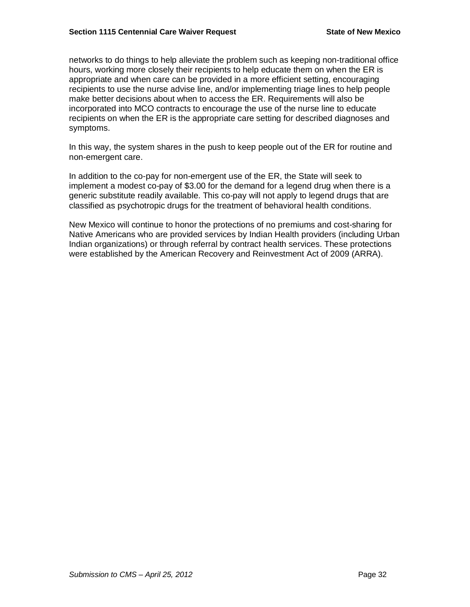networks to do things to help alleviate the problem such as keeping non-traditional office hours, working more closely their recipients to help educate them on when the ER is appropriate and when care can be provided in a more efficient setting, encouraging recipients to use the nurse advise line, and/or implementing triage lines to help people make better decisions about when to access the ER. Requirements will also be incorporated into MCO contracts to encourage the use of the nurse line to educate recipients on when the ER is the appropriate care setting for described diagnoses and symptoms.

In this way, the system shares in the push to keep people out of the ER for routine and non-emergent care.

In addition to the co-pay for non-emergent use of the ER, the State will seek to implement a modest co-pay of \$3.00 for the demand for a legend drug when there is a generic substitute readily available. This co-pay will not apply to legend drugs that are classified as psychotropic drugs for the treatment of behavioral health conditions.

New Mexico will continue to honor the protections of no premiums and cost-sharing for Native Americans who are provided services by Indian Health providers (including Urban Indian organizations) or through referral by contract health services. These protections were established by the American Recovery and Reinvestment Act of 2009 (ARRA).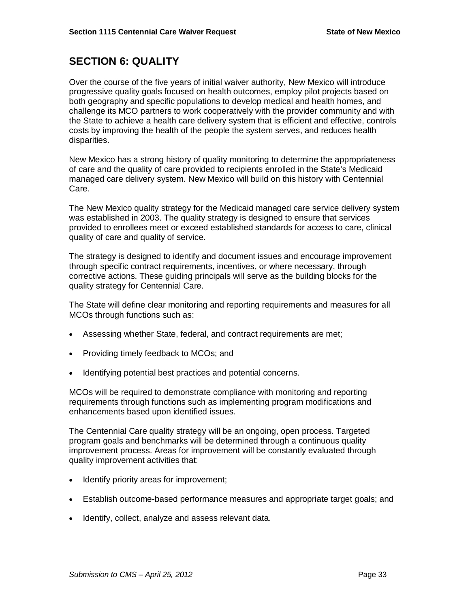## **SECTION 6: QUALITY**

Over the course of the five years of initial waiver authority, New Mexico will introduce progressive quality goals focused on health outcomes, employ pilot projects based on both geography and specific populations to develop medical and health homes, and challenge its MCO partners to work cooperatively with the provider community and with the State to achieve a health care delivery system that is efficient and effective, controls costs by improving the health of the people the system serves, and reduces health disparities.

New Mexico has a strong history of quality monitoring to determine the appropriateness of care and the quality of care provided to recipients enrolled in the State's Medicaid managed care delivery system. New Mexico will build on this history with Centennial Care.

The New Mexico quality strategy for the Medicaid managed care service delivery system was established in 2003. The quality strategy is designed to ensure that services provided to enrollees meet or exceed established standards for access to care, clinical quality of care and quality of service.

The strategy is designed to identify and document issues and encourage improvement through specific contract requirements, incentives, or where necessary, through corrective actions. These guiding principals will serve as the building blocks for the quality strategy for Centennial Care.

The State will define clear monitoring and reporting requirements and measures for all MCOs through functions such as:

- Assessing whether State, federal, and contract requirements are met:
- Providing timely feedback to MCOs; and
- Identifying potential best practices and potential concerns.

MCOs will be required to demonstrate compliance with monitoring and reporting requirements through functions such as implementing program modifications and enhancements based upon identified issues.

The Centennial Care quality strategy will be an ongoing, open process. Targeted program goals and benchmarks will be determined through a continuous quality improvement process. Areas for improvement will be constantly evaluated through quality improvement activities that:

- Identify priority areas for improvement;
- Establish outcome-based performance measures and appropriate target goals; and
- Identify, collect, analyze and assess relevant data.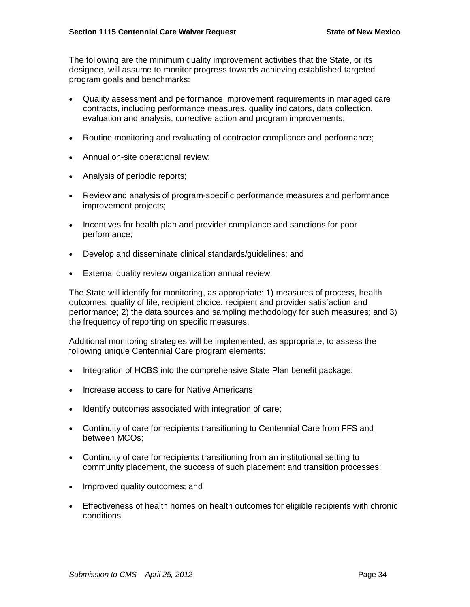The following are the minimum quality improvement activities that the State, or its designee, will assume to monitor progress towards achieving established targeted program goals and benchmarks:

- x Quality assessment and performance improvement requirements in managed care contracts, including performance measures, quality indicators, data collection, evaluation and analysis, corrective action and program improvements;
- Routine monitoring and evaluating of contractor compliance and performance;
- Annual on-site operational review;
- Analysis of periodic reports;
- Review and analysis of program-specific performance measures and performance improvement projects;
- Incentives for health plan and provider compliance and sanctions for poor performance;
- Develop and disseminate clinical standards/guidelines; and
- External quality review organization annual review.

The State will identify for monitoring, as appropriate: 1) measures of process, health outcomes, quality of life, recipient choice, recipient and provider satisfaction and performance; 2) the data sources and sampling methodology for such measures; and 3) the frequency of reporting on specific measures.

Additional monitoring strategies will be implemented, as appropriate, to assess the following unique Centennial Care program elements:

- Integration of HCBS into the comprehensive State Plan benefit package;
- Increase access to care for Native Americans;
- Identify outcomes associated with integration of care;
- Continuity of care for recipients transitioning to Centennial Care from FFS and between MCOs;
- Continuity of care for recipients transitioning from an institutional setting to community placement, the success of such placement and transition processes;
- Improved quality outcomes; and
- Effectiveness of health homes on health outcomes for eligible recipients with chronic conditions.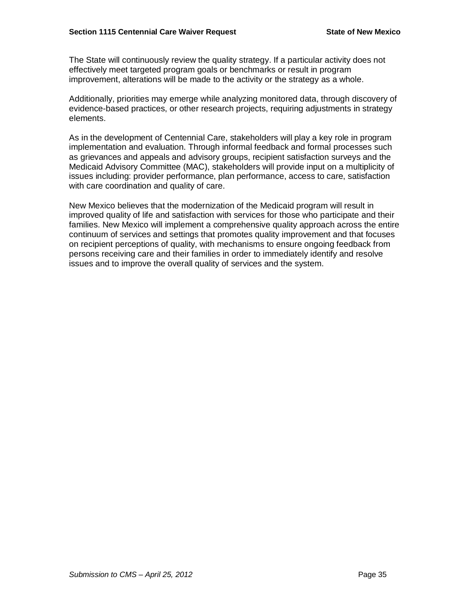The State will continuously review the quality strategy. If a particular activity does not effectively meet targeted program goals or benchmarks or result in program improvement, alterations will be made to the activity or the strategy as a whole.

Additionally, priorities may emerge while analyzing monitored data, through discovery of evidence-based practices, or other research projects, requiring adjustments in strategy elements.

As in the development of Centennial Care, stakeholders will play a key role in program implementation and evaluation. Through informal feedback and formal processes such as grievances and appeals and advisory groups, recipient satisfaction surveys and the Medicaid Advisory Committee (MAC), stakeholders will provide input on a multiplicity of issues including: provider performance, plan performance, access to care, satisfaction with care coordination and quality of care.

New Mexico believes that the modernization of the Medicaid program will result in improved quality of life and satisfaction with services for those who participate and their families. New Mexico will implement a comprehensive quality approach across the entire continuum of services and settings that promotes quality improvement and that focuses on recipient perceptions of quality, with mechanisms to ensure ongoing feedback from persons receiving care and their families in order to immediately identify and resolve issues and to improve the overall quality of services and the system.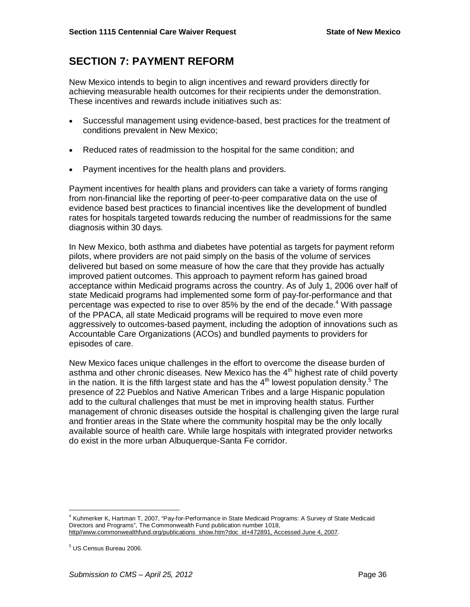## **SECTION 7: PAYMENT REFORM**

New Mexico intends to begin to align incentives and reward providers directly for achieving measurable health outcomes for their recipients under the demonstration. These incentives and rewards include initiatives such as:

- Successful management using evidence-based, best practices for the treatment of conditions prevalent in New Mexico;
- Reduced rates of readmission to the hospital for the same condition; and
- Payment incentives for the health plans and providers.

Payment incentives for health plans and providers can take a variety of forms ranging from non-financial like the reporting of peer-to-peer comparative data on the use of evidence based best practices to financial incentives like the development of bundled rates for hospitals targeted towards reducing the number of readmissions for the same diagnosis within 30 days.

In New Mexico, both asthma and diabetes have potential as targets for payment reform pilots, where providers are not paid simply on the basis of the volume of services delivered but based on some measure of how the care that they provide has actually improved patient outcomes. This approach to payment reform has gained broad acceptance within Medicaid programs across the country. As of July 1, 2006 over half of state Medicaid programs had implemented some form of pay-for-performance and that percentage was expected to rise to over 85% by the end of the decade.<sup>4</sup> With passage of the PPACA, all state Medicaid programs will be required to move even more aggressively to outcomes-based payment, including the adoption of innovations such as Accountable Care Organizations (ACOs) and bundled payments to providers for episodes of care.

New Mexico faces unique challenges in the effort to overcome the disease burden of asthma and other chronic diseases. New Mexico has the  $4<sup>th</sup>$  highest rate of child poverty in the nation. It is the fifth largest state and has the  $4<sup>th</sup>$  lowest population density.<sup>5</sup> The presence of 22 Pueblos and Native American Tribes and a large Hispanic population add to the cultural challenges that must be met in improving health status. Further management of chronic diseases outside the hospital is challenging given the large rural and frontier areas in the State where the community hospital may be the only locally available source of health care. While large hospitals with integrated provider networks do exist in the more urban Albuquerque-Santa Fe corridor.

<u>.</u>

<sup>4</sup> Kuhmerker K, Hartman T, 2007, "Pay-for-Performance in State Medicaid Programs: A Survey of State Medicaid Directors and Programs", The Commonwealth Fund publication number 1018, http//www.commonwealthfund.org/publications\_show.htm?doc\_id+472891, Accessed June 4, 2007.

<sup>5</sup> US Census Bureau 2006.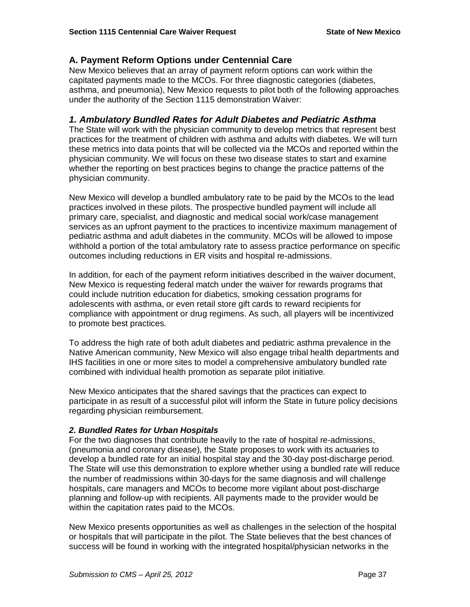## **A. Payment Reform Options under Centennial Care**

New Mexico believes that an array of payment reform options can work within the capitated payments made to the MCOs. For three diagnostic categories (diabetes, asthma, and pneumonia), New Mexico requests to pilot both of the following approaches under the authority of the Section 1115 demonstration Waiver:

#### *1. Ambulatory Bundled Rates for Adult Diabetes and Pediatric Asthma*

The State will work with the physician community to develop metrics that represent best practices for the treatment of children with asthma and adults with diabetes. We will turn these metrics into data points that will be collected via the MCOs and reported within the physician community. We will focus on these two disease states to start and examine whether the reporting on best practices begins to change the practice patterns of the physician community.

New Mexico will develop a bundled ambulatory rate to be paid by the MCOs to the lead practices involved in these pilots. The prospective bundled payment will include all primary care, specialist, and diagnostic and medical social work/case management services as an upfront payment to the practices to incentivize maximum management of pediatric asthma and adult diabetes in the community. MCOs will be allowed to impose withhold a portion of the total ambulatory rate to assess practice performance on specific outcomes including reductions in ER visits and hospital re-admissions.

In addition, for each of the payment reform initiatives described in the waiver document, New Mexico is requesting federal match under the waiver for rewards programs that could include nutrition education for diabetics, smoking cessation programs for adolescents with asthma, or even retail store gift cards to reward recipients for compliance with appointment or drug regimens. As such, all players will be incentivized to promote best practices.

To address the high rate of both adult diabetes and pediatric asthma prevalence in the Native American community, New Mexico will also engage tribal health departments and IHS facilities in one or more sites to model a comprehensive ambulatory bundled rate combined with individual health promotion as separate pilot initiative.

New Mexico anticipates that the shared savings that the practices can expect to participate in as result of a successful pilot will inform the State in future policy decisions regarding physician reimbursement.

#### *2. Bundled Rates for Urban Hospitals*

For the two diagnoses that contribute heavily to the rate of hospital re-admissions, (pneumonia and coronary disease), the State proposes to work with its actuaries to develop a bundled rate for an initial hospital stay and the 30-day post-discharge period. The State will use this demonstration to explore whether using a bundled rate will reduce the number of readmissions within 30-days for the same diagnosis and will challenge hospitals, care managers and MCOs to become more vigilant about post-discharge planning and follow-up with recipients. All payments made to the provider would be within the capitation rates paid to the MCOs.

New Mexico presents opportunities as well as challenges in the selection of the hospital or hospitals that will participate in the pilot. The State believes that the best chances of success will be found in working with the integrated hospital/physician networks in the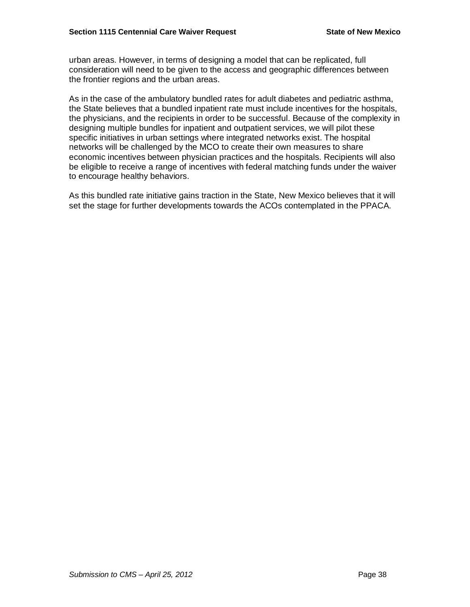urban areas. However, in terms of designing a model that can be replicated, full consideration will need to be given to the access and geographic differences between the frontier regions and the urban areas.

As in the case of the ambulatory bundled rates for adult diabetes and pediatric asthma, the State believes that a bundled inpatient rate must include incentives for the hospitals, the physicians, and the recipients in order to be successful. Because of the complexity in designing multiple bundles for inpatient and outpatient services, we will pilot these specific initiatives in urban settings where integrated networks exist. The hospital networks will be challenged by the MCO to create their own measures to share economic incentives between physician practices and the hospitals. Recipients will also be eligible to receive a range of incentives with federal matching funds under the waiver to encourage healthy behaviors.

As this bundled rate initiative gains traction in the State, New Mexico believes that it will set the stage for further developments towards the ACOs contemplated in the PPACA.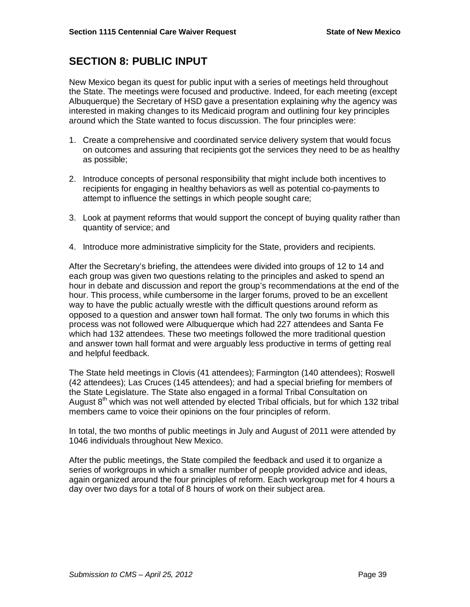## **SECTION 8: PUBLIC INPUT**

New Mexico began its quest for public input with a series of meetings held throughout the State. The meetings were focused and productive. Indeed, for each meeting (except Albuquerque) the Secretary of HSD gave a presentation explaining why the agency was interested in making changes to its Medicaid program and outlining four key principles around which the State wanted to focus discussion. The four principles were:

- 1. Create a comprehensive and coordinated service delivery system that would focus on outcomes and assuring that recipients got the services they need to be as healthy as possible;
- 2. Introduce concepts of personal responsibility that might include both incentives to recipients for engaging in healthy behaviors as well as potential co-payments to attempt to influence the settings in which people sought care;
- 3. Look at payment reforms that would support the concept of buying quality rather than quantity of service; and
- 4. Introduce more administrative simplicity for the State, providers and recipients.

After the Secretary's briefing, the attendees were divided into groups of 12 to 14 and each group was given two questions relating to the principles and asked to spend an hour in debate and discussion and report the group's recommendations at the end of the hour. This process, while cumbersome in the larger forums, proved to be an excellent way to have the public actually wrestle with the difficult questions around reform as opposed to a question and answer town hall format. The only two forums in which this process was not followed were Albuquerque which had 227 attendees and Santa Fe which had 132 attendees. These two meetings followed the more traditional question and answer town hall format and were arguably less productive in terms of getting real and helpful feedback.

The State held meetings in Clovis (41 attendees); Farmington (140 attendees); Roswell (42 attendees); Las Cruces (145 attendees); and had a special briefing for members of the State Legislature. The State also engaged in a formal Tribal Consultation on August  $8<sup>th</sup>$  which was not well attended by elected Tribal officials, but for which 132 tribal members came to voice their opinions on the four principles of reform.

In total, the two months of public meetings in July and August of 2011 were attended by 1046 individuals throughout New Mexico.

After the public meetings, the State compiled the feedback and used it to organize a series of workgroups in which a smaller number of people provided advice and ideas, again organized around the four principles of reform. Each workgroup met for 4 hours a day over two days for a total of 8 hours of work on their subject area.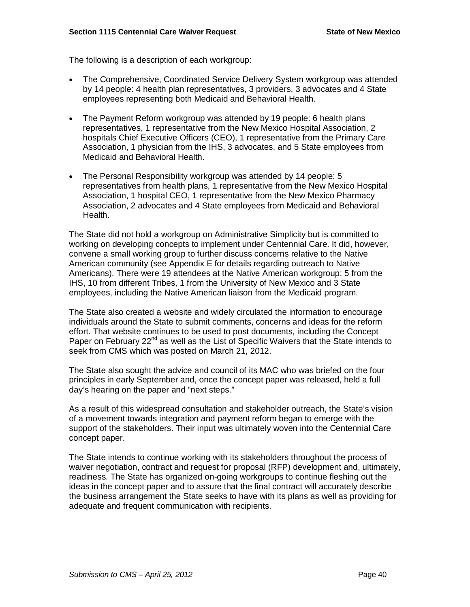The following is a description of each workgroup:

- The Comprehensive, Coordinated Service Delivery System workgroup was attended by 14 people: 4 health plan representatives, 3 providers, 3 advocates and 4 State employees representing both Medicaid and Behavioral Health.
- The Payment Reform workgroup was attended by 19 people: 6 health plans representatives, 1 representative from the New Mexico Hospital Association, 2 hospitals Chief Executive Officers (CEO), 1 representative from the Primary Care Association, 1 physician from the IHS, 3 advocates, and 5 State employees from Medicaid and Behavioral Health.
- The Personal Responsibility workgroup was attended by 14 people: 5 representatives from health plans, 1 representative from the New Mexico Hospital Association, 1 hospital CEO, 1 representative from the New Mexico Pharmacy Association, 2 advocates and 4 State employees from Medicaid and Behavioral Health.

The State did not hold a workgroup on Administrative Simplicity but is committed to working on developing concepts to implement under Centennial Care. It did, however, convene a small working group to further discuss concerns relative to the Native American community (see Appendix E for details regarding outreach to Native Americans). There were 19 attendees at the Native American workgroup: 5 from the IHS, 10 from different Tribes, 1 from the University of New Mexico and 3 State employees, including the Native American liaison from the Medicaid program.

The State also created a website and widely circulated the information to encourage individuals around the State to submit comments, concerns and ideas for the reform effort. That website continues to be used to post documents, including the Concept Paper on February 22<sup>nd</sup> as well as the List of Specific Waivers that the State intends to seek from CMS which was posted on March 21, 2012.

The State also sought the advice and council of its MAC who was briefed on the four principles in early September and, once the concept paper was released, held a full day's hearing on the paper and "next steps."

As a result of this widespread consultation and stakeholder outreach, the State's vision of a movement towards integration and payment reform began to emerge with the support of the stakeholders. Their input was ultimately woven into the Centennial Care concept paper.

The State intends to continue working with its stakeholders throughout the process of waiver negotiation, contract and request for proposal (RFP) development and, ultimately, readiness. The State has organized on-going workgroups to continue fleshing out the ideas in the concept paper and to assure that the final contract will accurately describe the business arrangement the State seeks to have with its plans as well as providing for adequate and frequent communication with recipients.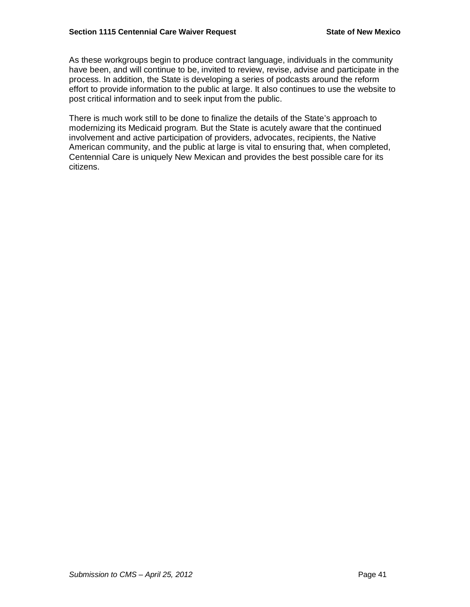As these workgroups begin to produce contract language, individuals in the community have been, and will continue to be, invited to review, revise, advise and participate in the process. In addition, the State is developing a series of podcasts around the reform effort to provide information to the public at large. It also continues to use the website to post critical information and to seek input from the public.

There is much work still to be done to finalize the details of the State's approach to modernizing its Medicaid program. But the State is acutely aware that the continued involvement and active participation of providers, advocates, recipients, the Native American community, and the public at large is vital to ensuring that, when completed, Centennial Care is uniquely New Mexican and provides the best possible care for its citizens.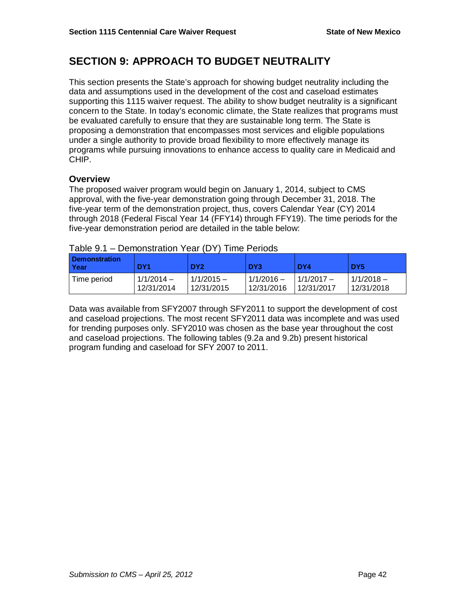## **SECTION 9: APPROACH TO BUDGET NEUTRALITY**

This section presents the State's approach for showing budget neutrality including the data and assumptions used in the development of the cost and caseload estimates supporting this 1115 waiver request. The ability to show budget neutrality is a significant concern to the State. In today's economic climate, the State realizes that programs must be evaluated carefully to ensure that they are sustainable long term. The State is proposing a demonstration that encompasses most services and eligible populations under a single authority to provide broad flexibility to more effectively manage its programs while pursuing innovations to enhance access to quality care in Medicaid and CHIP.

#### **Overview**

The proposed waiver program would begin on January 1, 2014, subject to CMS approval, with the five-year demonstration going through December 31, 2018. The five-year term of the demonstration project, thus, covers Calendar Year (CY) 2014 through 2018 (Federal Fiscal Year 14 (FFY14) through FFY19). The time periods for the five-year demonstration period are detailed in the table below:

| <b>Demonstration</b><br>Year | DY <sub>1</sub> | DY <sub>2</sub> | DY <sub>3</sub> | DY4          | DY <sub>5</sub> |
|------------------------------|-----------------|-----------------|-----------------|--------------|-----------------|
| Time period                  | $1/1/2014 -$    | $1/1/2015 -$    | $1/1/2016 -$    | $1/1/2017 -$ | $1/1/2018 -$    |
|                              | 12/31/2014      | 12/31/2015      | 12/31/2016      | 12/31/2017   | 12/31/2018      |

| Table 9.1 – Demonstration Year (DY) Time Periods |  |
|--------------------------------------------------|--|
|                                                  |  |

Data was available from SFY2007 through SFY2011 to support the development of cost and caseload projections. The most recent SFY2011 data was incomplete and was used for trending purposes only. SFY2010 was chosen as the base year throughout the cost and caseload projections. The following tables (9.2a and 9.2b) present historical program funding and caseload for SFY 2007 to 2011.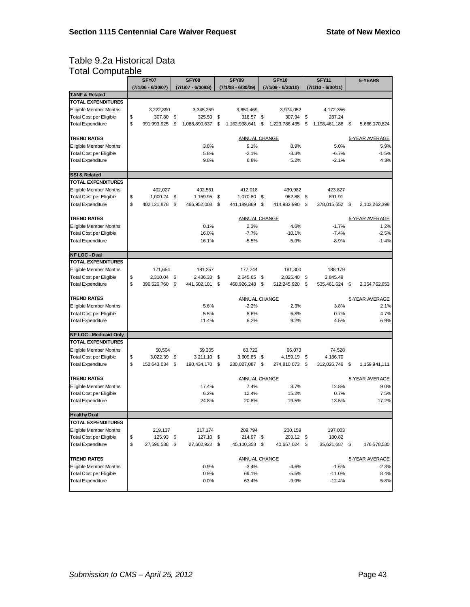## Table 9.2a Historical Data Total Computable

|                                | SFY07                | SFY08                |     | SFY09                | SFY10                | SFY11                |      | 5-YEARS        |
|--------------------------------|----------------------|----------------------|-----|----------------------|----------------------|----------------------|------|----------------|
|                                | $(7/1/06 - 6/30/07)$ | (7/1/07 - 6/30/08)   |     | $(7/1/08 - 6/30/09)$ | $(7/1/09 - 6/30/10)$ | (7/1/10 - 6/30/11)   |      |                |
| <b>TANF &amp; Related</b>      |                      |                      |     |                      |                      |                      |      |                |
| <b>TOTAL EXPENDITURES</b>      |                      |                      |     |                      |                      |                      |      |                |
| Eligible Member Months         | 3,222,890            | 3,345,269            |     | 3,650,469            | 3,974,052            | 4,172,356            |      |                |
| <b>Total Cost per Eligible</b> | \$<br>307.80         | \$<br>325.50         | -\$ | 318.57 \$            | 307.94               | \$<br>287.24         |      |                |
| <b>Total Expenditure</b>       | \$<br>991,993,925    | \$<br>1,088,890,637  | \$  | 1,162,938,641        | \$<br>1,223,786,435  | \$<br>1.198.461.186  | - \$ | 5,666,070,824  |
| <b>TREND RATES</b>             |                      |                      |     | ANNUAL CHANGE        |                      |                      |      | 5-YEAR AVERAGE |
| <b>Eligible Member Months</b>  |                      | 3.8%                 |     | 9.1%                 | 8.9%                 | 5.0%                 |      | 5.9%           |
| <b>Total Cost per Eligible</b> |                      | 5.8%                 |     | $-2.1%$              | $-3.3%$              | $-6.7%$              |      | $-1.5%$        |
| <b>Total Expenditure</b>       |                      | 9.8%                 |     | 6.8%                 | 5.2%                 | $-2.1%$              |      | 4.3%           |
| <b>SSI &amp; Related</b>       |                      |                      |     |                      |                      |                      |      |                |
| TOTAL EXPENDITURES             |                      |                      |     |                      |                      |                      |      |                |
| <b>Eligible Member Months</b>  | 402,027              | 402,561              |     | 412,018              | 430,982              | 423,827              |      |                |
| <b>Total Cost per Eligible</b> | \$<br>1,000.24       | \$<br>1,159.95       | -\$ | 1,070.80 \$          | 962.88 \$            | 891.91               |      |                |
| <b>Total Expenditure</b>       | \$<br>402,121,878    | \$<br>466, 952, 008  | \$  | 441, 189, 869        | \$<br>414,982,990    | \$<br>378,015,652 \$ |      | 2,103,262,398  |
| <b>TREND RATES</b>             |                      |                      |     | ANNUAL CHANGE        |                      |                      |      | 5-YEAR AVERAGE |
| <b>Eligible Member Months</b>  |                      | 0.1%                 |     | 2.3%                 | 4.6%                 | $-1.7%$              |      | 1.2%           |
| <b>Total Cost per Eligible</b> |                      | 16.0%                |     | $-7.7%$              | $-10.1%$             | $-7.4%$              |      | $-2.5%$        |
| <b>Total Expenditure</b>       |                      | 16.1%                |     | $-5.5%$              | $-5.9%$              | $-8.9%$              |      | $-1.4%$        |
| <b>NF LOC - Dual</b>           |                      |                      |     |                      |                      |                      |      |                |
| TOTAL EXPENDITURES             |                      |                      |     |                      |                      |                      |      |                |
| <b>Eligible Member Months</b>  | 171,654              | 181,257              |     | 177,244              | 181,300              | 188,179              |      |                |
| <b>Total Cost per Eligible</b> | \$<br>2,310.04       | \$<br>2,436.33       | \$  | 2,645.65 \$          | 2,825.40             | \$<br>2,845.49       |      |                |
| <b>Total Expenditure</b>       | \$<br>396,526,760    | \$<br>441,602,101    | \$  | 468,926,248 \$       | 512,245,920          | \$<br>535,461,624 \$ |      | 2,354,762,653  |
| <b>TREND RATES</b>             |                      |                      |     | <b>ANNUAL CHANGE</b> |                      |                      |      | 5-YEAR AVERAGE |
| <b>Eligible Member Months</b>  |                      | 5.6%                 |     | $-2.2%$              | 2.3%                 | 3.8%                 |      | 2.1%           |
| <b>Total Cost per Eligible</b> |                      | 5.5%                 |     | 8.6%                 | 6.8%                 | 0.7%                 |      | 4.7%           |
| <b>Total Expenditure</b>       |                      | 11.4%                |     | 6.2%                 | 9.2%                 | 4.5%                 |      | 6.9%           |
| <b>NF LOC - Medicaid Only</b>  |                      |                      |     |                      |                      |                      |      |                |
| TOTAL EXPENDITURES             |                      |                      |     |                      |                      |                      |      |                |
| Eligible Member Months         | 50,504               | 59,305               |     | 63,722               | 66,073               | 74,528               |      |                |
| <b>Total Cost per Eligible</b> | \$<br>3,022.39       | \$<br>$3,211.10$ \$  |     | 3,609.85 \$          | 4,159.19 \$          | 4,186.70             |      |                |
| <b>Total Expenditure</b>       | \$<br>152,643,034    | \$<br>190,434,170 \$ |     | 230,027,087 \$       | 274,810,073 \$       | 312,026,746          | \$   | 1,159,941,111  |
| <b>TREND RATES</b>             |                      |                      |     | <b>ANNUAL CHANGE</b> |                      |                      |      | 5-YEAR AVERAGE |
| Eligible Member Months         |                      | 17.4%                |     | 7.4%                 | 3.7%                 | 12.8%                |      | 9.0%           |
| <b>Total Cost per Eligible</b> |                      | 6.2%                 |     | 12.4%                | 15.2%                | 0.7%                 |      | 7.5%           |
| <b>Total Expenditure</b>       |                      | 24.8%                |     | 20.8%                | 19.5%                | 13.5%                |      | 17.2%          |
| <b>Healthy Dual</b>            |                      |                      |     |                      |                      |                      |      |                |
| TOTAL EXPENDITURES             |                      |                      |     |                      |                      |                      |      |                |
| <b>Eligible Member Months</b>  | 219,137              | 217,174              |     | 209,794              | 200,159              | 197,003              |      |                |
| <b>Total Cost per Eligible</b> | \$<br>125.93 \$      | 127.10 \$            |     | 214.97 \$            | 203.12 \$            | 180.82               |      |                |
| <b>Total Expenditure</b>       | \$<br>27,596,538 \$  | 27,602,922 \$        |     | 45,100,358 \$        | 40,657,024 \$        | 35,621,687 \$        |      | 176,578,530    |
| <b>TREND RATES</b>             |                      |                      |     | <b>ANNUAL CHANGE</b> |                      |                      |      | 5-YEAR AVERAGE |
| Eligible Member Months         |                      | $-0.9%$              |     | $-3.4%$              | $-4.6%$              | $-1.6%$              |      | $-2.3%$        |
| <b>Total Cost per Eligible</b> |                      | 0.9%                 |     | 69.1%                | $-5.5%$              | $-11.0%$             |      | 8.4%           |
| <b>Total Expenditure</b>       |                      | 0.0%                 |     | 63.4%                | $-9.9%$              | $-12.4%$             |      | 5.8%           |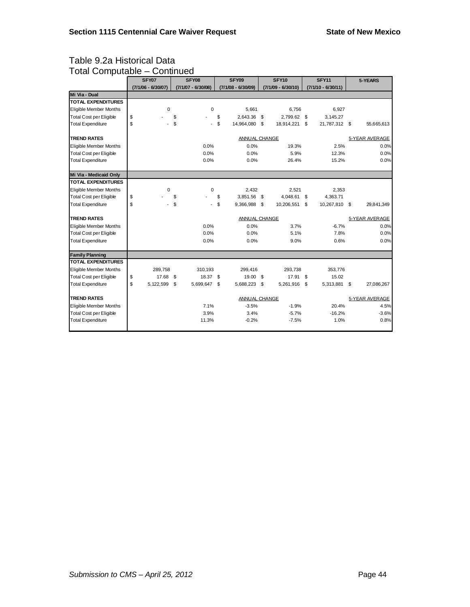#### Table 9.2a Historical Data Total Computable – Continued

| r olur oorripali               | ------             |    |                      |                      |                      |                      |                |
|--------------------------------|--------------------|----|----------------------|----------------------|----------------------|----------------------|----------------|
|                                | SFY07              |    | SFY08                | SFY09                | SFY10                | <b>SFY11</b>         | 5-YEARS        |
|                                | (7/1/06 - 6/30/07) |    | $(7/1/07 - 6/30/08)$ | $(7/1/08 - 6/30/09)$ | $(7/1/09 - 6/30/10)$ | $(7/1/10 - 6/30/11)$ |                |
| Mi Via - Dual                  |                    |    |                      |                      |                      |                      |                |
| <b>TOTAL EXPENDITURES</b>      |                    |    |                      |                      |                      |                      |                |
| Eligible Member Months         | $\mathbf 0$        |    | 0                    | 5,661                | 6,756                | 6,927                |                |
| <b>Total Cost per Eligible</b> | \$                 | \$ |                      | \$<br>2.643.36 \$    | 2.799.62 \$          | 3,145.27             |                |
| <b>Total Expenditure</b>       | \$                 | \$ |                      | \$<br>14,964,080 \$  | 18,914,221 \$        | 21,787,312 \$        | 55,665,613     |
| <b>TREND RATES</b>             |                    |    |                      | ANNUAL CHANGE        |                      |                      | 5-YEAR AVERAGE |
| Eligible Member Months         |                    |    | 0.0%                 | 0.0%                 | 19.3%                | 2.5%                 | 0.0%           |
| <b>Total Cost per Eligible</b> |                    |    | 0.0%                 | 0.0%                 | 5.9%                 | 12.3%                | 0.0%           |
| <b>Total Expenditure</b>       |                    |    | 0.0%                 | 0.0%                 | 26.4%                | 15.2%                | 0.0%           |
| Mi Via - Medicaid Only         |                    |    |                      |                      |                      |                      |                |
| <b>TOTAL EXPENDITURES</b>      |                    |    |                      |                      |                      |                      |                |
| Eligible Member Months         | $\mathbf 0$        |    | $\mathbf 0$          | 2,432                | 2,521                | 2,353                |                |
| <b>Total Cost per Eligible</b> | \$                 | \$ |                      | \$<br>3,851.56 \$    | 4,048.61 \$          | 4,363.71             |                |
| <b>Total Expenditure</b>       | \$                 | \$ |                      | \$<br>9,366,988 \$   | 10,206,551 \$        | 10,267,810 \$        | 29,841,349     |
| <b>TREND RATES</b>             |                    |    |                      | ANNUAL CHANGE        |                      |                      | 5-YEAR AVERAGE |
| <b>Eligible Member Months</b>  |                    |    | 0.0%                 | 0.0%                 | 3.7%                 | $-6.7%$              | 0.0%           |
| <b>Total Cost per Eligible</b> |                    |    | 0.0%                 | 0.0%                 | 5.1%                 | 7.8%                 | 0.0%           |
| <b>Total Expenditure</b>       |                    |    | 0.0%                 | 0.0%                 | 9.0%                 | 0.6%                 | 0.0%           |
| <b>Family Planning</b>         |                    |    |                      |                      |                      |                      |                |
| TOTAL EXPENDITURES             |                    |    |                      |                      |                      |                      |                |
| <b>Eligible Member Months</b>  | 289,758            |    | 310,193              | 299,416              | 293,738              | 353,776              |                |
| <b>Total Cost per Eligible</b> | \$<br>17.68        | -S | 18.37                | \$<br>19.00 \$       | 17.91 \$             | 15.02                |                |
| <b>Total Expenditure</b>       | \$<br>5, 122, 599  | \$ | 5,699,647            | \$<br>5,688,223 \$   | 5,261,916 \$         | 5,313,881 \$         | 27,086,267     |
| <b>TREND RATES</b>             |                    |    |                      | <b>ANNUAL CHANGE</b> |                      |                      | 5-YEAR AVERAGE |
| Eligible Member Months         |                    |    | 7.1%                 | $-3.5%$              | $-1.9%$              | 20.4%                | 4.5%           |
| <b>Total Cost per Eligible</b> |                    |    | 3.9%                 | 3.4%                 | $-5.7%$              | $-16.2%$             | $-3.6%$        |
| <b>Total Expenditure</b>       |                    |    | 11.3%                | $-0.2%$              | $-7.5%$              | 1.0%                 | 0.8%           |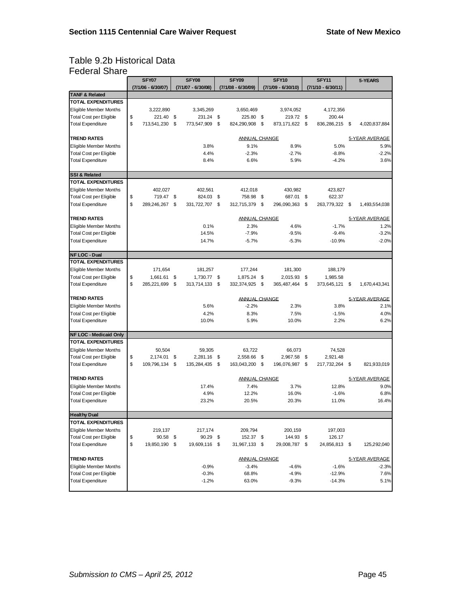#### Table 9.2b Historical Data Federal Share

|                                | SFY07                | SFY08                | SFY09                  |      | SFY <sub>10</sub>  | SFY11                | 5-YEARS             |
|--------------------------------|----------------------|----------------------|------------------------|------|--------------------|----------------------|---------------------|
|                                | $(7/1/06 - 6/30/07)$ | $(7/1/07 - 6/30/08)$ | (7/1/08 - 6/30/09)     |      | (7/1/09 - 6/30/10) | $(7/1/10 - 6/30/11)$ |                     |
| <b>TANF &amp; Related</b>      |                      |                      |                        |      |                    |                      |                     |
| TOTAL EXPENDITURES             |                      |                      |                        |      |                    |                      |                     |
| Eligible Member Months         | 3,222,890            | 3,345,269            | 3,650,469              |      | 3,974,052          | 4,172,356            |                     |
| <b>Total Cost per Eligible</b> | \$<br>221.40         | \$<br>231.24         | \$<br>225.80           | - \$ | 219.72 \$          | 200.44               |                     |
| <b>Total Expenditure</b>       | \$<br>713,541,230    | \$<br>773,547,909    | \$<br>824,290,908      | \$   | 873, 171, 622      | \$<br>836,286,215    | \$<br>4,020,837,884 |
| <b>TREND RATES</b>             |                      |                      | ANNUAL CHANGE          |      |                    |                      | 5-YEAR AVERAGE      |
| <b>Eligible Member Months</b>  |                      | 3.8%                 | 9.1%                   |      | 8.9%               | 5.0%                 | 5.9%                |
| <b>Total Cost per Eligible</b> |                      | 4.4%                 | $-2.3%$                |      | $-2.7%$            | $-8.8%$              | $-2.2%$             |
| <b>Total Expenditure</b>       |                      | 8.4%                 | 6.6%                   |      | 5.9%               | $-4.2%$              | 3.6%                |
| <b>SSI &amp; Related</b>       |                      |                      |                        |      |                    |                      |                     |
| TOTAL EXPENDITURES             |                      |                      |                        |      |                    |                      |                     |
| Eligible Member Months         | 402,027              | 402,561              | 412,018                |      | 430,982            | 423,827              |                     |
| <b>Total Cost per Eligible</b> | \$<br>719.47 \$      | 824.03 \$            | 758.98 \$              |      | 687.01 \$          | 622.37               |                     |
| <b>Total Expenditure</b>       | \$<br>289,246,267 \$ | 331,722,707 \$       | 312,715,379 \$         |      | 296,090,363        | \$<br>263,779,322 \$ | 1,493,554,038       |
| <b>TREND RATES</b>             |                      |                      | <b>ANNUAL CHANGE</b>   |      |                    |                      | 5-YEAR AVERAGE      |
| <b>Eligible Member Months</b>  |                      | 0.1%                 | 2.3%                   |      | 4.6%               | $-1.7%$              | 1.2%                |
| <b>Total Cost per Eligible</b> |                      | 14.5%                | $-7.9%$                |      | $-9.5%$            | $-9.4%$              | $-3.2%$             |
| <b>Total Expenditure</b>       |                      | 14.7%                | $-5.7%$                |      | $-5.3%$            | $-10.9%$             | $-2.0%$             |
| <b>NF LOC - Dual</b>           |                      |                      |                        |      |                    |                      |                     |
| <b>TOTAL EXPENDITURES</b>      |                      |                      |                        |      |                    |                      |                     |
| Eligible Member Months         | 171,654              | 181,257              | 177,244                |      | 181,300            | 188,179              |                     |
| <b>Total Cost per Eligible</b> | \$<br>1,661.61       | \$<br>1,730.77       | \$<br>1,875.24 \$      |      | 2,015.93 \$        | 1,985.58             |                     |
| <b>Total Expenditure</b>       | \$<br>285,221,699    | \$<br>313,714,133    | \$<br>332, 374, 925 \$ |      | 365,487,464        | \$<br>373,645,121    | 1,670,443,341<br>\$ |
| <b>TREND RATES</b>             |                      |                      | <b>ANNUAL CHANGE</b>   |      |                    |                      | 5-YEAR AVERAGE      |
| Eligible Member Months         |                      | 5.6%                 | $-2.2%$                |      | 2.3%               | 3.8%                 | 2.1%                |
| <b>Total Cost per Eligible</b> |                      | 4.2%                 | 8.3%                   |      | 7.5%               | $-1.5%$              | 4.0%                |
| <b>Total Expenditure</b>       |                      | 10.0%                | 5.9%                   |      | 10.0%              | 2.2%                 | 6.2%                |
|                                |                      |                      |                        |      |                    |                      |                     |
| <b>NF LOC - Medicaid Only</b>  |                      |                      |                        |      |                    |                      |                     |
| <b>TOTAL EXPENDITURES</b>      |                      |                      |                        |      |                    |                      |                     |
| Eligible Member Months         | 50,504               | 59,305               | 63,722                 |      | 66,073             | 74,528               |                     |
| <b>Total Cost per Eligible</b> | \$<br>2,174.01       | \$<br>2,281.16 \$    | 2,558.66 \$            |      | 2,967.58 \$        | 2,921.48             |                     |
| <b>Total Expenditure</b>       | \$<br>109,796,134    | \$<br>135,284,435    | \$<br>163,043,200      | \$   | 196,076,987        | \$<br>217,732,264 \$ | 821,933,019         |
| <b>TREND RATES</b>             |                      |                      | ANNUAL CHANGE          |      |                    |                      | 5-YEAR AVERAGE      |
| Eligible Member Months         |                      | 17.4%                | 7.4%                   |      | 3.7%               | 12.8%                | 9.0%                |
| <b>Total Cost per Eligible</b> |                      | 4.9%                 | 12.2%                  |      | 16.0%              | $-1.6%$              | 6.8%                |
| <b>Total Expenditure</b>       |                      | 23.2%                | 20.5%                  |      | 20.3%              | 11.0%                | 16.4%               |
| <b>Healthy Dual</b>            |                      |                      |                        |      |                    |                      |                     |
| <b>TOTAL EXPENDITURES</b>      |                      |                      |                        |      |                    |                      |                     |
| <b>Eligible Member Months</b>  | 219,137              | 217,174              | 209,794                |      | 200,159            | 197,003              |                     |
| <b>Total Cost per Eligible</b> | \$<br>90.58          | \$<br>90.29 \$       | 152.37 \$              |      | 144.93 \$          | 126.17               |                     |
| <b>Total Expenditure</b>       | \$<br>19,850,190 \$  | 19,609,116 \$        | 31,967,133 \$          |      | 29,008,787 \$      | 24,856,813 \$        | 125,292,040         |
| <b>TREND RATES</b>             |                      |                      | <b>ANNUAL CHANGE</b>   |      |                    |                      | 5-YEAR AVERAGE      |
| Eligible Member Months         |                      | $-0.9%$              | $-3.4%$                |      | $-4.6%$            | $-1.6%$              | $-2.3%$             |
| <b>Total Cost per Eligible</b> |                      | $-0.3%$              | 68.8%                  |      | $-4.9%$            | $-12.9%$             | 7.6%                |
| <b>Total Expenditure</b>       |                      | $-1.2%$              | 63.0%                  |      | $-9.3%$            | $-14.3%$             | 5.1%                |
|                                |                      |                      |                        |      |                    |                      |                     |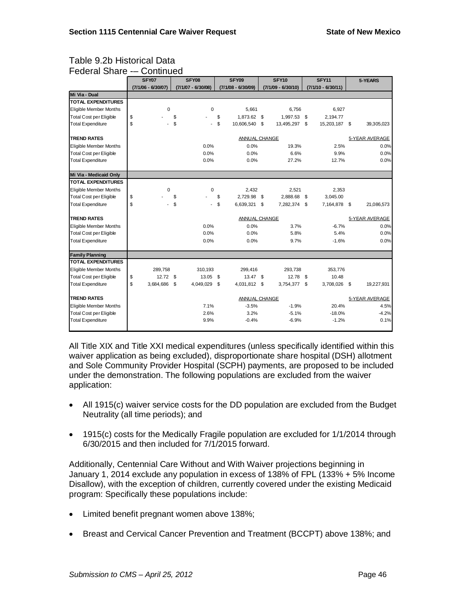#### Table 9.2b Historical Data Federal Share -– Continued

|                                | SFY07                |    | SFY08                | SFY09                | SFY <sub>10</sub>    | SFY <sub>11</sub>    | 5-YEARS        |
|--------------------------------|----------------------|----|----------------------|----------------------|----------------------|----------------------|----------------|
|                                | $(7/1/06 - 6/30/07)$ |    | $(7/1/07 - 6/30/08)$ | $(7/1/08 - 6/30/09)$ | $(7/1/09 - 6/30/10)$ | $(7/1/10 - 6/30/11)$ |                |
| Mi Via - Dual                  |                      |    |                      |                      |                      |                      |                |
| <b>TOTAL EXPENDITURES</b>      |                      |    |                      |                      |                      |                      |                |
| Eligible Member Months         | 0                    |    | $\mathbf 0$          | 5,661                | 6,756                | 6,927                |                |
| <b>Total Cost per Eligible</b> | \$                   | \$ |                      | \$<br>1,873.62 \$    | 1,997.53 \$          | 2,194.77             |                |
| <b>Total Expenditure</b>       | \$                   | \$ |                      | \$<br>10,606,540 \$  | 13,495,297 \$        | 15,203,187 \$        | 39,305,023     |
| <b>TREND RATES</b>             |                      |    |                      | ANNUAL CHANGE        |                      |                      | 5-YEAR AVERAGE |
| <b>Eligible Member Months</b>  |                      |    | 0.0%                 | 0.0%                 | 19.3%                | 2.5%                 | 0.0%           |
| <b>Total Cost per Eligible</b> |                      |    | 0.0%                 | 0.0%                 | 6.6%                 | 9.9%                 | 0.0%           |
| <b>Total Expenditure</b>       |                      |    | 0.0%                 | 0.0%                 | 27.2%                | 12.7%                | 0.0%           |
| Mi Via - Medicaid Only         |                      |    |                      |                      |                      |                      |                |
| <b>TOTAL EXPENDITURES</b>      |                      |    |                      |                      |                      |                      |                |
| Eligible Member Months         | 0                    |    | $\mathbf 0$          | 2,432                | 2,521                | 2,353                |                |
| <b>Total Cost per Eligible</b> | \$                   | \$ |                      | \$<br>2,729.98 \$    | 2,888.68 \$          | 3,045.00             |                |
| <b>Total Expenditure</b>       | \$                   | \$ |                      | \$<br>6,639,321      | \$<br>7,282,374 \$   | 7,164,878 \$         | 21,086,573     |
| <b>TREND RATES</b>             |                      |    |                      | ANNUAL CHANGE        |                      |                      | 5-YEAR AVERAGE |
| Eligible Member Months         |                      |    | 0.0%                 | 0.0%                 | 3.7%                 | $-6.7%$              | 0.0%           |
| <b>Total Cost per Eligible</b> |                      |    | 0.0%                 | 0.0%                 | 5.8%                 | 5.4%                 | 0.0%           |
| <b>Total Expenditure</b>       |                      |    | 0.0%                 | 0.0%                 | 9.7%                 | $-1.6%$              | 0.0%           |
| <b>Family Planning</b>         |                      |    |                      |                      |                      |                      |                |
| <b>TOTAL EXPENDITURES</b>      |                      |    |                      |                      |                      |                      |                |
| Eligible Member Months         | 289.758              |    | 310.193              | 299.416              | 293.738              | 353.776              |                |
| <b>Total Cost per Eligible</b> | \$<br>12.72          | -S | 13.05                | \$<br>13.47 \$       | 12.78 \$             | 10.48                |                |
| <b>Total Expenditure</b>       | \$<br>3,684,686      | S  | 4.049.029            | \$<br>4,031,812 \$   | 3,754,377 \$         | 3,708,026 \$         | 19,227,931     |
| <b>TREND RATES</b>             |                      |    |                      | <b>ANNUAL CHANGE</b> |                      |                      | 5-YEAR AVERAGE |
| Eligible Member Months         |                      |    | 7.1%                 | $-3.5%$              | $-1.9%$              | 20.4%                | 4.5%           |
| <b>Total Cost per Eligible</b> |                      |    | 2.6%                 | 3.2%                 | $-5.1%$              | $-18.0%$             | $-4.2%$        |
| <b>Total Expenditure</b>       |                      |    | 9.9%                 | $-0.4%$              | $-6.9%$              | $-1.2%$              | 0.1%           |

All Title XIX and Title XXI medical expenditures (unless specifically identified within this waiver application as being excluded), disproportionate share hospital (DSH) allotment and Sole Community Provider Hospital (SCPH) payments, are proposed to be included under the demonstration. The following populations are excluded from the waiver application:

- All 1915(c) waiver service costs for the DD population are excluded from the Budget Neutrality (all time periods); and
- $\bullet$  1915(c) costs for the Medically Fragile population are excluded for 1/1/2014 through 6/30/2015 and then included for 7/1/2015 forward.

Additionally, Centennial Care Without and With Waiver projections beginning in January 1, 2014 exclude any population in excess of 138% of FPL (133% + 5% Income Disallow), with the exception of children, currently covered under the existing Medicaid program: Specifically these populations include:

- Limited benefit pregnant women above 138%;
- Breast and Cervical Cancer Prevention and Treatment (BCCPT) above 138%; and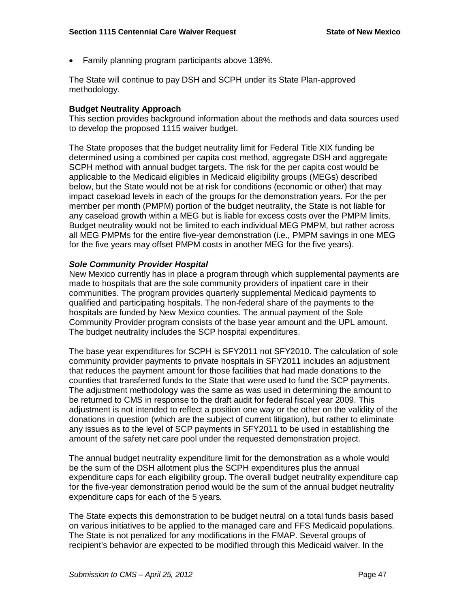• Family planning program participants above 138%.

The State will continue to pay DSH and SCPH under its State Plan-approved methodology.

#### **Budget Neutrality Approach**

This section provides background information about the methods and data sources used to develop the proposed 1115 waiver budget.

The State proposes that the budget neutrality limit for Federal Title XIX funding be determined using a combined per capita cost method, aggregate DSH and aggregate SCPH method with annual budget targets. The risk for the per capita cost would be applicable to the Medicaid eligibles in Medicaid eligibility groups (MEGs) described below, but the State would not be at risk for conditions (economic or other) that may impact caseload levels in each of the groups for the demonstration years. For the per member per month (PMPM) portion of the budget neutrality, the State is not liable for any caseload growth within a MEG but is liable for excess costs over the PMPM limits. Budget neutrality would not be limited to each individual MEG PMPM, but rather across all MEG PMPMs for the entire five-year demonstration (i.e., PMPM savings in one MEG for the five years may offset PMPM costs in another MEG for the five years).

#### *Sole Community Provider Hospital*

New Mexico currently has in place a program through which supplemental payments are made to hospitals that are the sole community providers of inpatient care in their communities. The program provides quarterly supplemental Medicaid payments to qualified and participating hospitals. The non-federal share of the payments to the hospitals are funded by New Mexico counties. The annual payment of the Sole Community Provider program consists of the base year amount and the UPL amount. The budget neutrality includes the SCP hospital expenditures.

The base year expenditures for SCPH is SFY2011 not SFY2010. The calculation of sole community provider payments to private hospitals in SFY2011 includes an adjustment that reduces the payment amount for those facilities that had made donations to the counties that transferred funds to the State that were used to fund the SCP payments. The adjustment methodology was the same as was used in determining the amount to be returned to CMS in response to the draft audit for federal fiscal year 2009. This adjustment is not intended to reflect a position one way or the other on the validity of the donations in question (which are the subject of current litigation), but rather to eliminate any issues as to the level of SCP payments in SFY2011 to be used in establishing the amount of the safety net care pool under the requested demonstration project.

The annual budget neutrality expenditure limit for the demonstration as a whole would be the sum of the DSH allotment plus the SCPH expenditures plus the annual expenditure caps for each eligibility group. The overall budget neutrality expenditure cap for the five-year demonstration period would be the sum of the annual budget neutrality expenditure caps for each of the 5 years.

The State expects this demonstration to be budget neutral on a total funds basis based on various initiatives to be applied to the managed care and FFS Medicaid populations. The State is not penalized for any modifications in the FMAP. Several groups of recipient's behavior are expected to be modified through this Medicaid waiver. In the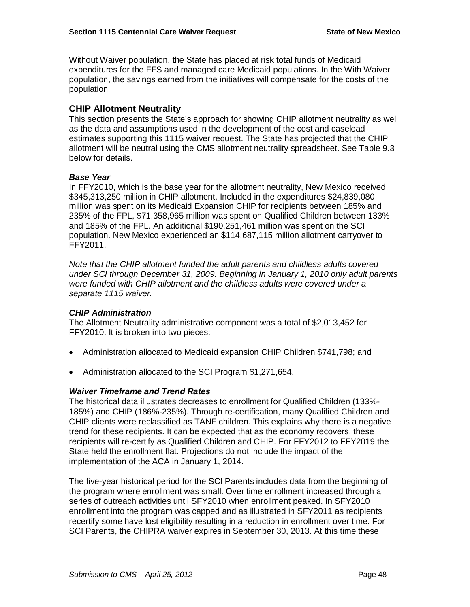Without Waiver population, the State has placed at risk total funds of Medicaid expenditures for the FFS and managed care Medicaid populations. In the With Waiver population, the savings earned from the initiatives will compensate for the costs of the population

### **CHIP Allotment Neutrality**

This section presents the State's approach for showing CHIP allotment neutrality as well as the data and assumptions used in the development of the cost and caseload estimates supporting this 1115 waiver request. The State has projected that the CHIP allotment will be neutral using the CMS allotment neutrality spreadsheet. See Table 9.3 below for details.

#### *Base Year*

In FFY2010, which is the base year for the allotment neutrality, New Mexico received \$345,313,250 million in CHIP allotment. Included in the expenditures \$24,839,080 million was spent on its Medicaid Expansion CHIP for recipients between 185% and 235% of the FPL, \$71,358,965 million was spent on Qualified Children between 133% and 185% of the FPL. An additional \$190,251,461 million was spent on the SCI population. New Mexico experienced an \$114,687,115 million allotment carryover to FFY2011.

*Note that the CHIP allotment funded the adult parents and childless adults covered under SCI through December 31, 2009. Beginning in January 1, 2010 only adult parents were funded with CHIP allotment and the childless adults were covered under a separate 1115 waiver.* 

#### *CHIP Administration*

The Allotment Neutrality administrative component was a total of \$2,013,452 for FFY2010. It is broken into two pieces:

- Administration allocated to Medicaid expansion CHIP Children \$741,798; and
- Administration allocated to the SCI Program \$1,271,654.

#### *Waiver Timeframe and Trend Rates*

The historical data illustrates decreases to enrollment for Qualified Children (133%- 185%) and CHIP (186%-235%). Through re-certification, many Qualified Children and CHIP clients were reclassified as TANF children. This explains why there is a negative trend for these recipients. It can be expected that as the economy recovers, these recipients will re-certify as Qualified Children and CHIP. For FFY2012 to FFY2019 the State held the enrollment flat. Projections do not include the impact of the implementation of the ACA in January 1, 2014.

The five-year historical period for the SCI Parents includes data from the beginning of the program where enrollment was small. Over time enrollment increased through a series of outreach activities until SFY2010 when enrollment peaked. In SFY2010 enrollment into the program was capped and as illustrated in SFY2011 as recipients recertify some have lost eligibility resulting in a reduction in enrollment over time. For SCI Parents, the CHIPRA waiver expires in September 30, 2013. At this time these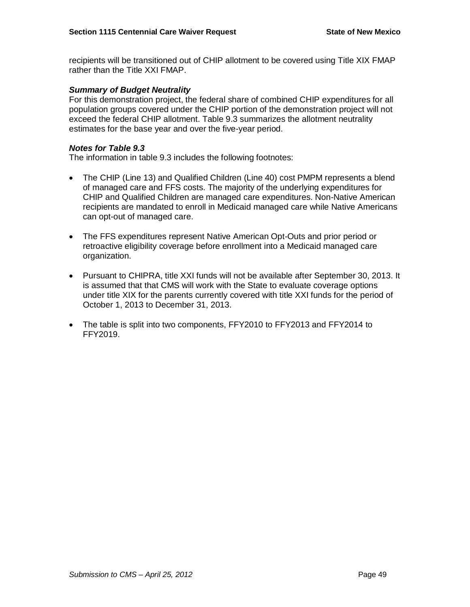recipients will be transitioned out of CHIP allotment to be covered using Title XIX FMAP rather than the Title XXI FMAP.

#### *Summary of Budget Neutrality*

For this demonstration project, the federal share of combined CHIP expenditures for all population groups covered under the CHIP portion of the demonstration project will not exceed the federal CHIP allotment. Table 9.3 summarizes the allotment neutrality estimates for the base year and over the five-year period.

#### *Notes for Table 9.3*

The information in table 9.3 includes the following footnotes:

- The CHIP (Line 13) and Qualified Children (Line 40) cost PMPM represents a blend of managed care and FFS costs. The majority of the underlying expenditures for CHIP and Qualified Children are managed care expenditures. Non-Native American recipients are mandated to enroll in Medicaid managed care while Native Americans can opt-out of managed care.
- The FFS expenditures represent Native American Opt-Outs and prior period or retroactive eligibility coverage before enrollment into a Medicaid managed care organization.
- Pursuant to CHIPRA, title XXI funds will not be available after September 30, 2013. It is assumed that that CMS will work with the State to evaluate coverage options under title XIX for the parents currently covered with title XXI funds for the period of October 1, 2013 to December 31, 2013.
- The table is split into two components, FFY2010 to FFY2013 and FFY2014 to FFY2019.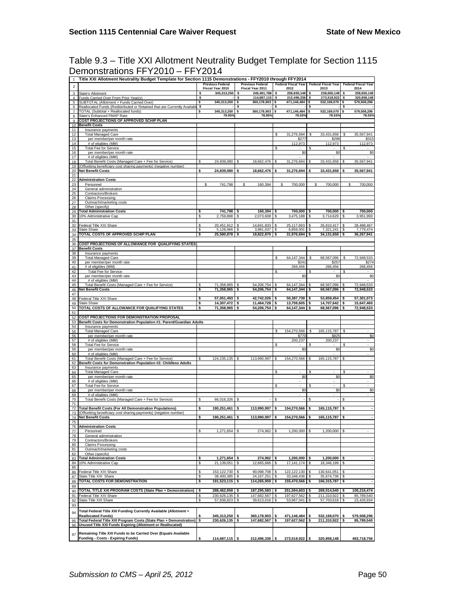Table 9.3 – Title XXI Allotment Neutrality Budget Template for Section 1115 Demonstrations FFY2010 – FFY2014

|                | Title XXI Allotment Neutrality Budget Template for Section 1115 Demonstrations - FFY2010 through FFY2014             |     |                                             |          |                                 |          |                            |          |                            |            |                            |
|----------------|----------------------------------------------------------------------------------------------------------------------|-----|---------------------------------------------|----------|---------------------------------|----------|----------------------------|----------|----------------------------|------------|----------------------------|
| $\overline{2}$ |                                                                                                                      |     | <b>Previous Federal</b><br>Fiscal Year 2010 |          | <b>Previous Federal</b>         |          | <b>Federal Fiscal Year</b> |          | <b>Federal Fiscal Year</b> |            | <b>Federal Fiscal Year</b> |
| 3              | State's Allotment                                                                                                    | \$  | 345,313,250                                 | s        | Fiscal Year 2011<br>245,491,788 | \$       | 2012<br>258,650,148        | s        | 2013<br>258,650,148        | \$         | 2014<br>258,650,148        |
| 4              | Funds Carried Over From Prior Year(s)                                                                                | \$  |                                             | \$       | 114,687,115                     | s        | 212,496,336                | s        | 273,518,922                | \$         | 320,858,148                |
| 5              | SUBTOTAL (Allotment + Funds Carried Over)                                                                            | \$  | 345,313,250                                 | \$       | 360,178,903                     | \$       | 471,146,484                | \$       | 532,169,070                | \$         | 579,508,296                |
|                | Reallocated Funds (Redistributed or Retained that are Currently Availab                                              | \$  |                                             |          |                                 | s        |                            | \$       |                            |            |                            |
| 7              | TOTAL (Subtotal + Reallocated funds)                                                                                 | \$  | 345,313,250<br>79.95%                       | s        | 360,178,903<br>78.85%           | s        | 471,146,484<br>78.55%      | s        | 532,169,070<br>78.55°      | s          | 579,508,296<br>78.55%      |
| 8<br>9         | State's Enhanced FMAP Rate<br><b>COST PROJECTIONS OF APPROVED SCHIP PLAN</b>                                         |     |                                             |          |                                 |          |                            |          |                            |            |                            |
| 10             | <b>Benefit Costs</b>                                                                                                 |     |                                             |          |                                 |          |                            |          |                            |            |                            |
| 11             | Insurance payments                                                                                                   |     |                                             |          |                                 |          |                            |          |                            |            |                            |
| 12             | <b>Total Managed Care</b>                                                                                            |     |                                             |          |                                 | \$.      | 31,276,694                 | \$       | 33,431,658                 | S          | 35,567,941                 |
| 13<br>14       | per member/per month rate                                                                                            |     |                                             |          |                                 |          | \$277<br>112,973           |          | \$296<br>112,973           |            | 112,973                    |
| 15             | # of eligibles (MM)<br><b>Total Fee for Service</b>                                                                  |     |                                             |          |                                 | \$       |                            |          |                            |            |                            |
| 16             | per member/per month rate                                                                                            |     |                                             |          |                                 |          | \$0                        |          | \$0                        |            | \$0                        |
| 17             | # of eligibles (MM)                                                                                                  |     |                                             |          |                                 |          |                            |          |                            |            |                            |
| 18             | Total Benefit Costs (Managed Care + Fee for Service)                                                                 |     | 24,839,080                                  |          | 18,662,476                      |          | 31,276,694                 |          | 33,431,658                 |            | 35,567,941                 |
| 19<br>20       | Offsetting beneficiary cost sharing payments) (negative number)<br><b>Net Benefit Costs</b>                          |     | 24,839,080                                  |          | 18,662,476                      |          | 31,276,694                 |          | 33,431,658                 | s          | 35,567,941                 |
| 21             |                                                                                                                      |     |                                             |          |                                 |          |                            |          |                            |            |                            |
| 22             | <b>Administration Costs</b>                                                                                          |     |                                             |          |                                 |          |                            |          |                            |            |                            |
| 23             | Personnel                                                                                                            |     | \$<br>741,798                               |          | 160.394                         |          | 700,000                    |          | \$.<br>700,000             |            | 700,000                    |
| 24             | General administration                                                                                               |     |                                             |          |                                 |          |                            |          |                            |            |                            |
| 25<br>26       | Contractors/Brokers                                                                                                  |     |                                             |          |                                 |          |                            |          |                            |            |                            |
| 27             | Claims Processing<br>Outreach/marketing costs                                                                        |     |                                             |          |                                 |          |                            |          |                            |            |                            |
| 28             | Other (specify)                                                                                                      |     |                                             |          |                                 |          |                            |          |                            |            |                            |
| 29             | <b>Total Administration Costs</b>                                                                                    | s   | 741,798                                     | s        | 160,394                         | s        | 700,000                    |          | 700,000                    |            | 700,000                    |
| 30             | 10% Administrative Cap                                                                                               | \$  | 2,759,898                                   | -S       | 2,073,608                       | -\$      | 3,475,188                  | -S       | 3,714,629                  | s          | 3,951,993                  |
| 31             | Federal Title XXI Share                                                                                              | s   | 20,451,912                                  |          |                                 |          |                            |          | 26,810,417                 | s          | 28,488,467                 |
| 32<br>33       | State Share                                                                                                          | \$  | 5,128,966                                   | \$<br>-S | 14,841,833 \$<br>3,981,037      | \$       | 25,117,693<br>6,859,001    | s<br>S   | 7,321,241                  | s          | 7,779,474                  |
| 34             | <b>TOTAL COSTS OF APPROVED SCHIP PLAN</b>                                                                            | \$  | 25,580,878                                  | s        | 18,822,870                      | \$       | 31,976,694                 | s        | 34, 131, 658               | s          | 36,267,941                 |
| 35             |                                                                                                                      |     |                                             |          |                                 |          |                            |          |                            |            |                            |
| 36             | COST PROJECTIONS OF ALLOWANCE FOR QUALIFYING STATES                                                                  |     |                                             |          |                                 |          |                            |          |                            |            |                            |
| 37             | <b>Benefit Costs</b>                                                                                                 |     |                                             |          |                                 |          |                            |          |                            |            |                            |
| 38<br>39       | Insurance payments<br><b>Total Managed Care</b>                                                                      |     |                                             |          |                                 |          | 64, 147, 344               |          | 68,567,096                 |            | 72,948,533                 |
| 40             | per member/per month rate                                                                                            |     |                                             |          |                                 |          | \$241                      |          | \$257                      |            | \$274                      |
| 41             | # of eligibles (MM)                                                                                                  |     |                                             |          |                                 |          | 266,456                    |          | 266,456                    |            | 266,456                    |
| 42             | <b>Total Fee for Service</b>                                                                                         |     |                                             |          |                                 |          | $\sim$                     |          | $\sim$                     |            | $\sim$                     |
| 43             | per member/per month rate                                                                                            |     |                                             |          |                                 |          | \$0                        |          | \$0                        |            | \$C                        |
| 44<br>45       | # of eligibles (MM)<br>Total Benefit Costs (Managed Care + Fee for Service)                                          | s   | 71,358,965                                  | -5       | 54,206,754                      | \$       | 64, 147, 344               |          | 68,567,096                 | s          | 72,948,533                 |
| 46             | Net Benefit Costs                                                                                                    | s   | 71,358,965                                  | \$       | 54,206,754                      | s        | 64, 147, 344               |          | 68,567,096                 | s          | 72,948,533                 |
| 47             |                                                                                                                      |     |                                             |          |                                 |          |                            |          |                            |            |                            |
| 48             | Federal Title XXI Share                                                                                              | s   | 57,051,493                                  | s        | 42,742,026                      | s        | 50,387,739                 | s        | 53,859,454                 | s          | 57,301,073                 |
| 49             | State Share                                                                                                          | \$  | 14,307,472                                  | \$       | 11,464,728 \$                   |          | 13,759,605                 | s        | 14,707,642                 | s          | 15,647,460                 |
|                | TOTAL COSTS OF ALLOWANCE FOR QUALIFYING STATES                                                                       | s   | 71,358,965                                  | \$       | 54,206,754 \$                   |          | 64, 147, 344               | -S       | 68,567,096                 | \$         | 72,948,533                 |
| 50             |                                                                                                                      |     |                                             |          |                                 |          |                            |          |                            |            |                            |
| 51             |                                                                                                                      |     |                                             |          |                                 |          |                            |          |                            |            |                            |
| 52<br>53       | COST PROJECTIONS FOR DEMONSTRATION PROPOSAL<br>Benefit Costs for Demonstration Population #1: Parent/Guardian Adults |     |                                             |          |                                 |          |                            |          |                            |            |                            |
| 54             | Insurance payments                                                                                                   |     |                                             |          |                                 |          |                            |          |                            |            |                            |
| 55             | <b>Total Managed Care</b>                                                                                            |     |                                             |          |                                 | S        | 154,270,566                |          | 165, 115, 787              |            |                            |
| 56             | per member/per month rate                                                                                            |     |                                             |          |                                 |          | \$770                      |          | \$825                      |            | \$0                        |
| 57             | # of eligibles (MM)                                                                                                  |     |                                             |          |                                 |          | 200,237                    | s        | 200,237                    |            | $\sim$<br>$\sim$           |
| 58<br>59       | <b>Total Fee for Service</b><br>per member/per month rate                                                            |     |                                             |          |                                 | \$       | \$0                        |          | \$0                        |            | \$0                        |
| 60             | # of eligibles (MM)                                                                                                  |     |                                             |          |                                 |          |                            |          |                            |            | $\overline{\phantom{a}}$   |
| 61             | Total Benefit Costs (Managed Care + Fee for Service)                                                                 |     | 124,235,135                                 | £.       | 113,990,997                     | S        | 154,270,566                |          | 165,115,787                |            |                            |
| 62             | Benefit Costs for Demonstration Population #2: Childless Adults                                                      |     |                                             |          |                                 |          |                            |          |                            |            |                            |
| 63             | Insurance payments                                                                                                   |     |                                             |          |                                 | Ŝ        |                            |          |                            | S          |                            |
| 64<br>65       | <b>Total Managed Care</b><br>per member/per month rate                                                               |     |                                             |          |                                 |          | \$0                        |          | \$0                        |            | \$0                        |
| 66             | # of eligibles (MM)                                                                                                  |     |                                             |          |                                 |          |                            |          |                            |            |                            |
| 67             | <b>Total Fee for Service</b>                                                                                         |     |                                             |          |                                 |          |                            |          |                            |            |                            |
| 68             | per member/per month rate                                                                                            |     |                                             |          |                                 |          | \$0                        |          | \$0                        |            | \$C                        |
| 69             | # of eligibles (MM)<br>Total Benefit Costs (Managed Care + Fee for Service)                                          |     | 66,016,326                                  | \$       |                                 | S        |                            | S        |                            | S          |                            |
| 70<br>71       |                                                                                                                      |     |                                             |          |                                 |          |                            |          |                            |            |                            |
| 72             | <b>Total Benefit Costs (For All Demonstration Populations)</b>                                                       |     | 190,251,461                                 |          | 113,990,997                     | s        | 154,270,566                |          | 165,115,787                |            |                            |
| 73             | Offsetting beneficiary cost sharing payments) (negative number)                                                      |     |                                             |          |                                 |          |                            |          |                            |            |                            |
| 74             | <b>Net Benefit Costs</b>                                                                                             | s   | 190,251,461                                 | S        | 113,990,997                     |          | 154,270,566                |          | 165, 115, 787              |            |                            |
|                | <b>Administration Costs</b>                                                                                          |     |                                             |          |                                 |          |                            |          |                            |            |                            |
| 76<br>77       | Personnel                                                                                                            | S   | 1.271.654                                   | £.       | 274,962                         | -S       | 1,200,000                  |          | 1.200.000                  |            |                            |
| 78             | General administration                                                                                               |     |                                             |          |                                 |          |                            |          |                            |            |                            |
| 79             | Contractors/Brokers                                                                                                  |     |                                             |          |                                 |          |                            |          |                            |            |                            |
| 80             | <b>Claims Processing</b>                                                                                             |     |                                             |          |                                 |          |                            |          |                            |            |                            |
| 81             | Outreach/marketing costs                                                                                             |     |                                             |          |                                 |          |                            |          |                            |            |                            |
| 82<br>83       | Other (specify)<br><b>Total Administration Costs</b>                                                                 | \$  | 1,271,654                                   | - 5      | 274,962 \$                      |          | $1,200,000$ \$             |          | $1,200,000$ \$             |            |                            |
| 84             | 10% Administrative Cap                                                                                               | \$  | 21,139,051                                  | \$       | 12.665.666                      | \$       | 17, 141, 174               | -S       | 18,346,199                 | $\sim$     |                            |
| 85             |                                                                                                                      |     |                                             |          |                                 |          |                            |          |                            |            |                            |
| 86             | Federal Title XXI Share                                                                                              | S   | 153, 122, 730                               |          | 90,098,708                      | \$       | 122,122,130                |          | 130.641.051                | \$         |                            |
| 87             | State Title XXI Share                                                                                                | \$  | 38,400,385                                  | \$       | 24, 167, 251<br>114,265,959     | \$<br>\$ | 33,348,436                 | \$<br>-S | 35,674,736                 | -S<br>l \$ |                            |
| 88<br>89       | TOTAL COSTS FOR DEMONSTRATION                                                                                        | ाइ  | 191,523,115                                 |          |                                 |          | 155,470,566                |          | 166,315,787                |            |                            |
| 90             | TOTAL TITLE XXI PROGRAM COSTS (State Plan + Demonstration)                                                           | '\$ | 288,462,958                                 | \$       | 187,295,583                     | \$       | 251,594,603 \$             |          | 269,014,540                | \$         | 109,216,474                |
| 91             | Federal Title XXI Share                                                                                              | s   | 230,626,135                                 | -S       | 147,682,567                     | S        | 197.627.562                | -S       | 211,310,922                | £.         | 85,789,540                 |
| 92             | State Title XXI Share                                                                                                | \$  | 57,836,823                                  | \$       | 39,613,016                      | \$       | 53,967,041                 | \$       | 57,703,618                 | \$         | 23,426,934                 |
| 93             |                                                                                                                      |     |                                             |          |                                 |          |                            |          |                            |            |                            |
| 94             | Total Federal Title XXI Funding Currently Available (Allotment +                                                     |     |                                             |          |                                 |          |                            |          |                            |            |                            |
|                | <b>Reallocated Funds)</b>                                                                                            | Ŝ   | 345,313,250                                 | s        | 360,178,903                     |          | 471,146,484                |          | 532,169,070                |            | 579,508,296                |
| 95             | Total Federal Title XXI Program Costs (State Plan + Demonstration)                                                   | s   | 230,626,135                                 | s        | 147,682,567                     | s        | 197,627,562                |          | 211,310,922                | s          | 85,789,540                 |
| 96             | Unused Title XXI Funds Expiring (Allotment or Reallocated)                                                           |     |                                             |          |                                 |          |                            |          |                            |            |                            |
| 97             | Remaining Title XXI Funds to be Carried Over (Equals Available<br><b>Funding - Costs - Expiring Funds)</b>           | s   | 114,687,115                                 | \$       | 212,496,336                     | s        | 273,518,922                | Ŝ        | 320,858,148                |            | 493,718,756                |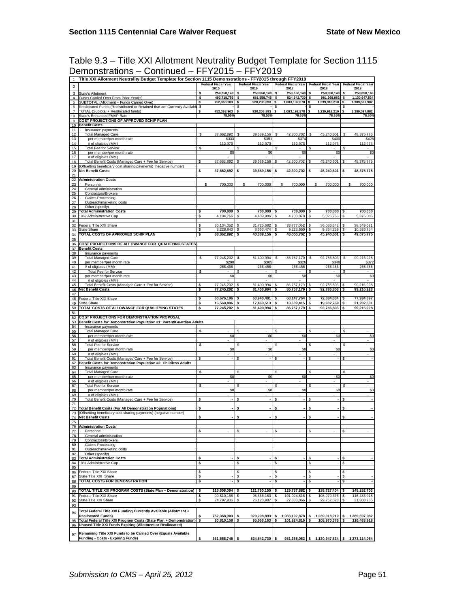Table 9.3 – Title XXI Allotment Neutrality Budget Template for Section 1115 Demonstrations – Continued – FFY2015 – FFY2019

|                | Title XXI Allotment Neutrality Budget Template for Section 1115 Demonstrations - FFY2015 through FFY2019                         |          |                            |          |                            |          |                            |         |                            |          |                            |
|----------------|----------------------------------------------------------------------------------------------------------------------------------|----------|----------------------------|----------|----------------------------|----------|----------------------------|---------|----------------------------|----------|----------------------------|
| $\overline{c}$ |                                                                                                                                  |          | <b>Federal Fiscal Year</b> |          | <b>Federal Fiscal Year</b> |          | <b>Federal Fiscal Year</b> |         | <b>Federal Fiscal Year</b> |          | <b>Federal Fiscal Year</b> |
| 3              | state's Allotment                                                                                                                |          | 2015<br>258,650,148        |          | 2016<br>258,650,148        |          | 2017<br>258,650,148        |         | 2018<br>258,650,148        |          | 2019<br>258,650,148        |
| 4              | unds Carried Over From Prior Year(s)                                                                                             | s        | 493,718,756                |          | 661,558,745                |          | 824,542,730                |         | 981,268,062                |          | 1,130,947,834              |
| 5              | SUBTOTAL (Allotment + Funds Carried Over)                                                                                        | s        | 752,368,903                |          | 920,208,893                |          | 1,083,192,878              |         | 1,239,918,210              |          | 1,389,597,982              |
| 6              | Reallocated Funds (Redistributed or Retained that are Currently Available                                                        | -S       |                            |          |                            |          |                            |         |                            |          |                            |
| $\overline{7}$ | TOTAL (Subtotal + Reallocated funds)                                                                                             | \$       | 752,368,903                | s        | 920,208,893                | l \$     | 1,083,192,878<br>78.55%    | s       | 1,239,918,210<br>78.559    | s        | 1,389,597,982<br>78.55%    |
| 8<br>9         | State's Enhanced FMAP Rate<br><b>COST PROJECTIONS OF APPROVED SCHIP PLAN</b>                                                     |          | 78.55%                     |          | 78.55%                     |          |                            |         |                            |          |                            |
| 10             | <b>Benefit Costs</b>                                                                                                             |          |                            |          |                            |          |                            |         |                            |          |                            |
| 11             | Insurance payments                                                                                                               |          |                            |          |                            |          |                            |         |                            |          |                            |
| 12             | <b>Total Managed Care</b>                                                                                                        | \$       | 37,662,892                 | S        | 39,689,156                 |          | 42,300,702                 |         | 45,240,601                 |          | 48,375,775                 |
| 13             | per member/per month rate                                                                                                        |          | \$33                       |          | \$35                       |          | \$374                      |         | \$400                      |          | \$428                      |
| 14             | # of eligibles (MM)                                                                                                              |          | 112,973                    |          | 112,973                    |          | 112,973                    |         | 112,973                    |          | 112,973                    |
| 15<br>16       | <b>Total Fee for Service</b><br>per member/per month rate                                                                        | s        | \$0                        |          | \$0                        |          | \$C                        |         | \$0                        |          | \$0                        |
| 17             | # of eligibles (MM)                                                                                                              |          |                            |          |                            |          |                            |         |                            |          |                            |
| 18             | Total Benefit Costs (Managed Care + Fee for Service)                                                                             | S        | 37,662,892                 |          | 39,689,156                 |          | 42,300,702                 | s       | 45,240,601                 | s        | 48,375,775                 |
| 19             | Offsetting beneficiary cost sharing payments) (negative number)                                                                  |          |                            |          |                            |          |                            |         |                            |          |                            |
| 20             | Net Benefit Costs                                                                                                                | \$       | 37,662,892                 | \$.      | 39,689,156                 | - S      | 42,300,702                 | s       | 45,240,601                 | s        | 48,375,775                 |
| 21<br>22       | <b>Administration Costs</b>                                                                                                      |          |                            |          |                            |          |                            |         |                            |          |                            |
| 23             | Personnel                                                                                                                        |          | \$<br>700,000              |          | \$<br>700,000              |          | 700,000<br>Ś               |         | \$<br>700,000              |          | Ŝ<br>700,000               |
| 24             | General administration                                                                                                           |          |                            |          |                            |          |                            |         |                            |          |                            |
| 25             | Contractors/Brokers                                                                                                              |          |                            |          |                            |          |                            |         |                            |          |                            |
| 26             | <b>Claims Processing</b>                                                                                                         |          |                            |          |                            |          |                            |         |                            |          |                            |
| 27             | Outreach/marketing costs<br>Other (specify)                                                                                      |          |                            |          |                            |          |                            |         |                            |          |                            |
| 28<br>29       | <b>Total Administration Costs</b>                                                                                                |          | 700,000                    |          | 700,000                    |          | 700,000                    |         | 700,000 \$                 |          | 700,000                    |
| 30             | 10% Administrative Cap                                                                                                           | s        | 4,184,766                  | -S       | 4,409,906                  | S.       | 4,700,078                  | \$      | 5,026,733                  | -S       | 5,375,086                  |
| 31             |                                                                                                                                  |          |                            |          |                            |          |                            |         |                            |          |                            |
| 32             | ederal Title XXI Share                                                                                                           |          | 30,134,052                 |          | 31,725,682                 | S        | 33,777,052                 | s       | 36,086,342                 |          | 38,549,021                 |
| 33             | State Share                                                                                                                      | \$       | 8.228.840                  |          | 8,663,474                  |          | 650                        |         | 9,854,259                  |          | 10,526,754                 |
| 34             | TOTAL COSTS OF APPROVED SCHIP PLAN                                                                                               | \$       | 38,362,892                 | l S      | 40,389,156                 | s        | 43,000,702                 | \$      | 45,940,601                 | \$       | 49,075,775                 |
| 35<br>36       | COST PROJECTIONS OF ALLOWANCE FOR QUALIFYING STATES                                                                              |          |                            |          |                            |          |                            |         |                            |          |                            |
| 37             | <b>Benefit Costs</b>                                                                                                             |          |                            |          |                            |          |                            |         |                            |          |                            |
| 38             | Insurance payments                                                                                                               |          |                            |          |                            |          |                            |         |                            |          |                            |
| 39             | <b>Total Managed Care</b>                                                                                                        | \$       | 77,245,202                 |          | 81,400,994                 |          | 86,757,179                 |         | 92,786,803                 |          | 99,216,928                 |
| 40             | per member/per month rate                                                                                                        |          | \$290                      |          | \$305                      |          | \$326                      |         | \$348                      |          | \$372                      |
| 41             | # of eligibles (MM)                                                                                                              | Ŝ        | 266,456                    |          | 266,456                    |          | 266,456                    |         | 266.456                    |          | 266,456                    |
| 42<br>43       | <b>Total Fee for Service</b><br>per member/per month rate                                                                        |          | \$0                        |          | \$0                        |          | \$0                        |         | \$0                        |          | \$0                        |
| 44             | # of eligibles (MM)                                                                                                              |          |                            |          |                            |          |                            |         |                            |          |                            |
| 45             | Total Benefit Costs (Managed Care + Fee for Service)                                                                             | s        | 77,245,202                 | - \$     | 81,400,994                 |          | 86,757,179                 | s       | 92,786,803                 |          | 99,216,928                 |
| 46             | Net Benefit Costs                                                                                                                | s        | 77,245,202                 |          | 81,400,994                 |          | 86,757,179                 | s       | 92,786,803                 |          | 99,216,928                 |
| 47             |                                                                                                                                  |          |                            |          |                            |          |                            |         |                            |          |                            |
| 48             | Federal Title XXI Share<br>State Share                                                                                           | \$<br>\$ | 60,676,106<br>16,569,096   |          | 63,940,481<br>17,460,513   | \$<br>\$ | 68, 147, 764<br>18,609,415 | \$<br>s | 72,884,034<br>19,902,769   | \$<br>\$ | 77,934,897<br>21,282,031   |
| 49<br>50       | TOTAL COSTS OF ALLOWANCE FOR QUALIFYING STATES                                                                                   | s        | 77,245,202                 |          | 81,400,994                 | s        | 86,757,179                 |         | 92,786,803                 |          | 99,216,928                 |
| 51             |                                                                                                                                  |          |                            |          |                            |          |                            |         |                            |          |                            |
| 52             | COST PROJECTIONS FOR DEMONSTRATION PROPOSAL                                                                                      |          |                            |          |                            |          |                            |         |                            |          |                            |
| 53             | Benefit Costs for Demonstration Population #1: Parent/Guardian Adults                                                            |          |                            |          |                            |          |                            |         |                            |          |                            |
| 54             | Insurance payments                                                                                                               |          |                            |          |                            |          |                            | S       |                            |          |                            |
| 55<br>56       | <b>Total Managed Care</b><br>per member/per month rate                                                                           |          | \$0                        |          | \$0                        |          | \$0                        |         | \$0                        |          | \$0                        |
|                |                                                                                                                                  |          |                            |          |                            |          |                            |         |                            |          |                            |
|                |                                                                                                                                  |          |                            |          |                            |          |                            |         |                            |          |                            |
| 57<br>58       | # of eligibles (MM)<br><b>Total Fee for Service</b>                                                                              | S        |                            | £.       |                            | \$.      |                            | S       |                            | £.       |                            |
| 59             | per member/per month rate                                                                                                        |          | \$0                        |          | \$0                        |          | \$0                        |         | \$0                        |          | \$0                        |
| 60             | # of eligibles (MM)                                                                                                              |          |                            |          |                            |          |                            |         |                            |          |                            |
| 61             | Total Benefit Costs (Managed Care + Fee for Service)                                                                             |          |                            |          |                            |          |                            |         |                            |          |                            |
| 62             | Benefit Costs for Demonstration Population #2: Childless Adults                                                                  |          |                            |          |                            |          |                            |         |                            |          |                            |
| 63<br>64       | Insurance payments<br><b>Total Managed Care</b>                                                                                  |          |                            |          |                            |          |                            |         |                            |          |                            |
| 65             | per member/per month rate                                                                                                        |          | \$0                        |          | \$0                        |          | \$0                        |         | \$0                        |          | \$0                        |
| 66             | # of eligibles (MM)                                                                                                              |          |                            |          |                            |          |                            |         |                            |          |                            |
| 67             | <b>Total Fee for Service</b>                                                                                                     |          |                            |          |                            |          |                            |         |                            |          |                            |
| 68             | per member/per month rate                                                                                                        |          | \$0                        |          | \$0                        |          | \$0                        |         | \$0                        |          | \$0                        |
| 69<br>70       | # of eligibles (MM)<br>Total Benefit Costs (Managed Care + Fee for Service)                                                      |          |                            | Ŝ        |                            |          |                            |         |                            |          |                            |
| 71             |                                                                                                                                  |          |                            |          |                            |          |                            |         |                            |          |                            |
| 72             | <b>Total Benefit Costs (For All Demonstration Populations)</b>                                                                   |          |                            | \$       |                            |          |                            |         |                            |          |                            |
| 73             | (Offsetting beneficiary cost sharing payments) (negative number)                                                                 |          |                            |          |                            |          |                            |         |                            |          |                            |
| 74<br>75       | <b>Net Benefit Costs</b>                                                                                                         |          |                            |          |                            |          |                            |         |                            |          |                            |
| 76             | <b>Administration Costs</b>                                                                                                      |          |                            |          |                            |          |                            |         |                            |          |                            |
| 77             | Personnel                                                                                                                        |          |                            |          |                            |          |                            |         |                            |          |                            |
| 78             | General administration                                                                                                           |          |                            |          |                            |          |                            |         |                            |          |                            |
| 79             | Contractors/Brokers                                                                                                              |          |                            |          |                            |          |                            |         |                            |          |                            |
| 80<br>81       | Claims Processing<br>Outreach/marketing costs                                                                                    |          |                            |          |                            |          |                            |         |                            |          |                            |
| 82             | Other (specify)                                                                                                                  |          |                            |          |                            |          |                            |         |                            |          |                            |
| 83             | <b>Total Administration Costs</b>                                                                                                | s        |                            | s        |                            | s        |                            | s       |                            | s        |                            |
| 84             | 10% Administrative Cap                                                                                                           | s        |                            | \$       |                            | s        |                            | s       |                            | s        |                            |
| 85             |                                                                                                                                  |          |                            |          |                            | Я        |                            | S       |                            |          |                            |
| 86             | Federal Title XXI Share                                                                                                          | s<br>s   |                            | S        |                            | S.       |                            | S       |                            | S        |                            |
| 87<br>88       | State Title XXI Share<br>TOTAL COSTS FOR DEMONSTRATION                                                                           | \$       | $\overline{\phantom{a}}$   | \$<br>\$ |                            | \$       | $\overline{\phantom{a}}$   | \$      | $\overline{\phantom{a}}$   | \$       |                            |
| 89             |                                                                                                                                  |          |                            |          |                            |          |                            |         |                            |          |                            |
| 90             | TOTAL TITLE XXI PROGRAM COSTS (State Plan + Demonstration)                                                                       | s        | 115,608,094                | - \$     | 121,790,150                | l S      | 129,757,882                | s       | 138,727,404                |          | 148,292,703                |
| 91             | Federal Title XXI Share                                                                                                          | \$.      | 90,810,158                 |          | 95,666,163                 |          | 101,924,816                |         | 108,970,376                |          | 116,483,918                |
| 92             | State Title XXI Share                                                                                                            | \$       | 24,797,936                 | \$       | 26,123,987                 | \$       | 27,833,066                 | S       | 29,757,028                 | \$       | 31,808,785                 |
| 93             |                                                                                                                                  |          |                            |          |                            |          |                            |         |                            |          |                            |
| 94             | Total Federal Title XXI Funding Currently Available (Allotment +                                                                 |          |                            |          |                            |          |                            |         |                            |          |                            |
|                | <b>Reallocated Funds)</b>                                                                                                        |          | 752,368,903                | \$       | 920,208,893                | s        | 1,083,192,878              | \$      | 1,239,918,210              |          | 1,389,597,982              |
| 95<br>96       | Total Federal Title XXI Program Costs (State Plan + Demonstration)<br>Unused Title XXI Funds Expiring (Allotment or Reallocated) | \$       | 90,810,158                 | 5        | 95,666,163                 | l \$     | 101,924,816 \$             |         | 108,970,376 \$             |          | 116,483,918                |
|                |                                                                                                                                  |          |                            |          |                            |          |                            |         |                            |          |                            |
| 97             | Remaining Title XXI Funds to be Carried Over (Equals Available<br><b>Funding - Costs - Expiring Funds)</b>                       | \$       | 661,558,745                | \$       | 824,542,730                | \$       | 981,268,062                |         | \$ 1,130,947,834           |          | \$ 1,273,114,064           |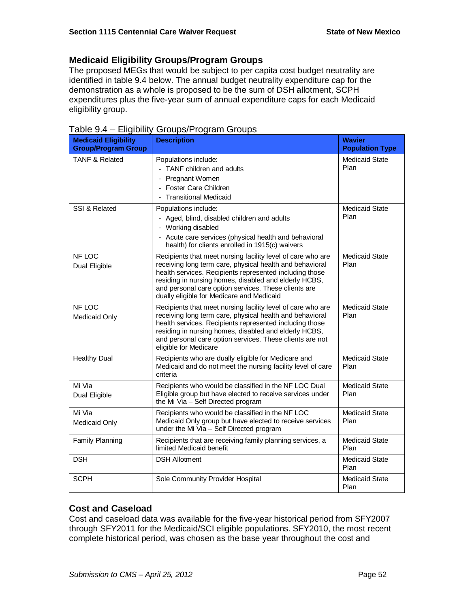## **Medicaid Eligibility Groups/Program Groups**

The proposed MEGs that would be subject to per capita cost budget neutrality are identified in table 9.4 below. The annual budget neutrality expenditure cap for the demonstration as a whole is proposed to be the sum of DSH allotment, SCPH expenditures plus the five-year sum of annual expenditure caps for each Medicaid eligibility group.

| <b>Medicaid Eligibility</b><br><b>Group/Program Group</b> | <b>Description</b>                                                                                                                                                                                                                                                                                                                               | <b>Wavier</b><br><b>Population Type</b> |
|-----------------------------------------------------------|--------------------------------------------------------------------------------------------------------------------------------------------------------------------------------------------------------------------------------------------------------------------------------------------------------------------------------------------------|-----------------------------------------|
| <b>TANF &amp; Related</b>                                 | Populations include:<br>- TANF children and adults<br>- Pregnant Women<br>- Foster Care Children<br>- Transitional Medicaid                                                                                                                                                                                                                      | <b>Medicaid State</b><br>Plan           |
| SSI & Related                                             | Populations include:<br>- Aged, blind, disabled children and adults<br>- Working disabled<br>- Acute care services (physical health and behavioral<br>health) for clients enrolled in 1915(c) waivers                                                                                                                                            | Medicaid State<br>Plan                  |
| NF LOC<br>Dual Eligible                                   | Recipients that meet nursing facility level of care who are<br>receiving long term care, physical health and behavioral<br>health services. Recipients represented including those<br>residing in nursing homes, disabled and elderly HCBS,<br>and personal care option services. These clients are<br>dually eligible for Medicare and Medicaid | Medicaid State<br>Plan                  |
| NF LOC<br>Medicaid Only                                   | Recipients that meet nursing facility level of care who are<br>receiving long term care, physical health and behavioral<br>health services. Recipients represented including those<br>residing in nursing homes, disabled and elderly HCBS,<br>and personal care option services. These clients are not<br>eligible for Medicare                 | <b>Medicaid State</b><br>Plan           |
| <b>Healthy Dual</b>                                       | Recipients who are dually eligible for Medicare and<br>Medicaid and do not meet the nursing facility level of care<br>criteria                                                                                                                                                                                                                   | <b>Medicaid State</b><br>Plan           |
| Mi Via<br>Dual Eligible                                   | Recipients who would be classified in the NF LOC Dual<br>Eligible group but have elected to receive services under<br>the Mi Via - Self Directed program                                                                                                                                                                                         | <b>Medicaid State</b><br>Plan           |
| Mi Via<br>Medicaid Only                                   | Recipients who would be classified in the NF LOC<br>Medicaid Only group but have elected to receive services<br>under the Mi Via - Self Directed program                                                                                                                                                                                         | <b>Medicaid State</b><br>Plan           |
| Family Planning                                           | Recipients that are receiving family planning services, a<br>limited Medicaid benefit                                                                                                                                                                                                                                                            | Medicaid State<br>Plan                  |
| <b>DSH</b>                                                | <b>DSH Allotment</b>                                                                                                                                                                                                                                                                                                                             | <b>Medicaid State</b><br>Plan           |
| <b>SCPH</b>                                               | Sole Community Provider Hospital                                                                                                                                                                                                                                                                                                                 | <b>Medicaid State</b><br>Plan           |

Table 9.4 – Eligibility Groups/Program Groups

### **Cost and Caseload**

Cost and caseload data was available for the five-year historical period from SFY2007 through SFY2011 for the Medicaid/SCI eligible populations. SFY2010, the most recent complete historical period, was chosen as the base year throughout the cost and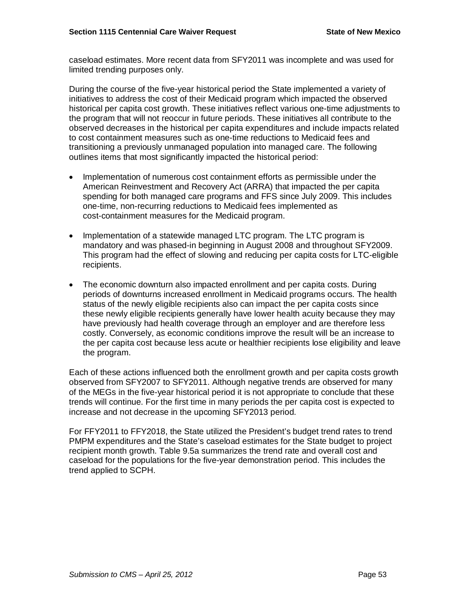caseload estimates. More recent data from SFY2011 was incomplete and was used for limited trending purposes only.

During the course of the five-year historical period the State implemented a variety of initiatives to address the cost of their Medicaid program which impacted the observed historical per capita cost growth. These initiatives reflect various one-time adjustments to the program that will not reoccur in future periods. These initiatives all contribute to the observed decreases in the historical per capita expenditures and include impacts related to cost containment measures such as one-time reductions to Medicaid fees and transitioning a previously unmanaged population into managed care. The following outlines items that most significantly impacted the historical period:

- Implementation of numerous cost containment efforts as permissible under the American Reinvestment and Recovery Act (ARRA) that impacted the per capita spending for both managed care programs and FFS since July 2009. This includes one-time, non-recurring reductions to Medicaid fees implemented as cost-containment measures for the Medicaid program.
- Implementation of a statewide managed LTC program. The LTC program is mandatory and was phased-in beginning in August 2008 and throughout SFY2009. This program had the effect of slowing and reducing per capita costs for LTC-eligible recipients.
- The economic downturn also impacted enrollment and per capita costs. During periods of downturns increased enrollment in Medicaid programs occurs. The health status of the newly eligible recipients also can impact the per capita costs since these newly eligible recipients generally have lower health acuity because they may have previously had health coverage through an employer and are therefore less costly. Conversely, as economic conditions improve the result will be an increase to the per capita cost because less acute or healthier recipients lose eligibility and leave the program.

Each of these actions influenced both the enrollment growth and per capita costs growth observed from SFY2007 to SFY2011. Although negative trends are observed for many of the MEGs in the five-year historical period it is not appropriate to conclude that these trends will continue. For the first time in many periods the per capita cost is expected to increase and not decrease in the upcoming SFY2013 period.

For FFY2011 to FFY2018, the State utilized the President's budget trend rates to trend PMPM expenditures and the State's caseload estimates for the State budget to project recipient month growth. Table 9.5a summarizes the trend rate and overall cost and caseload for the populations for the five-year demonstration period. This includes the trend applied to SCPH.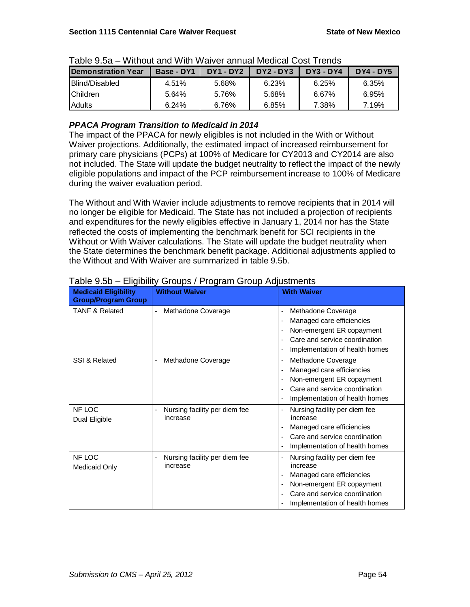| .                          |            |                  |             |                  |             |  |  |  |  |  |
|----------------------------|------------|------------------|-------------|------------------|-------------|--|--|--|--|--|
| <b>IDemonstration Year</b> | Base - DY1 | <b>DY1 - DY2</b> | $DY2 - DY3$ | <b>DY3 - DY4</b> | $DY4 - DY5$ |  |  |  |  |  |
| <b>IBlind/Disabled</b>     | 4.51%      | 5.68%            | 6.23%       | 6.25%            | 6.35%       |  |  |  |  |  |
| <b>IChildren</b>           | 5.64%      | 5.76%            | 5.68%       | 6.67%            | 6.95%       |  |  |  |  |  |
| Adults                     | 6.24%      | 6.76%            | 6.85%       | 7.38%            | 7.19%       |  |  |  |  |  |

Table 9.5a – Without and With Waiver annual Medical Cost Trends

## *PPACA Program Transition to Medicaid in 2014*

The impact of the PPACA for newly eligibles is not included in the With or Without Waiver projections. Additionally, the estimated impact of increased reimbursement for primary care physicians (PCPs) at 100% of Medicare for CY2013 and CY2014 are also not included. The State will update the budget neutrality to reflect the impact of the newly eligible populations and impact of the PCP reimbursement increase to 100% of Medicare during the waiver evaluation period.

The Without and With Wavier include adjustments to remove recipients that in 2014 will no longer be eligible for Medicaid. The State has not included a projection of recipients and expenditures for the newly eligibles effective in January 1, 2014 nor has the State reflected the costs of implementing the benchmark benefit for SCI recipients in the Without or With Waiver calculations. The State will update the budget neutrality when the State determines the benchmark benefit package. Additional adjustments applied to the Without and With Waiver are summarized in table 9.5b.

| <b>Medicaid Eligibility</b><br><b>Group/Program Group</b> | <b>Without Waiver</b>                          | <b>With Waiver</b>                                                                                                                                                     |
|-----------------------------------------------------------|------------------------------------------------|------------------------------------------------------------------------------------------------------------------------------------------------------------------------|
| <b>TANF &amp; Related</b>                                 | Methadone Coverage<br>÷,                       | Methadone Coverage<br>Managed care efficiencies<br>Non-emergent ER copayment<br>Care and service coordination<br>Implementation of health homes                        |
| SSI & Related                                             | Methadone Coverage                             | Methadone Coverage<br>Managed care efficiencies<br>Non-emergent ER copayment<br>Care and service coordination<br>Implementation of health homes                        |
| NF LOC<br>Dual Eligible                                   | Nursing facility per diem fee<br>٠<br>increase | Nursing facility per diem fee<br>increase<br>Managed care efficiencies<br>Care and service coordination<br>Implementation of health homes                              |
| NF LOC<br>Medicaid Only                                   | Nursing facility per diem fee<br>increase      | Nursing facility per diem fee<br>increase<br>Managed care efficiencies<br>Non-emergent ER copayment<br>Care and service coordination<br>Implementation of health homes |

## Table 9.5b – Eligibility Groups / Program Group Adjustments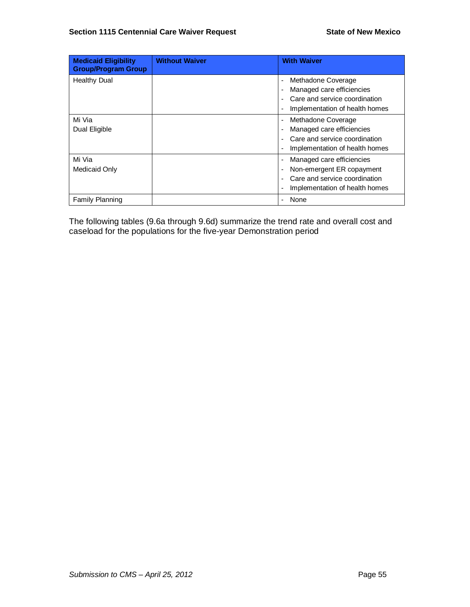| <b>Medicaid Eligibility</b><br><b>Group/Program Group</b> | <b>Without Waiver</b> | <b>With Waiver</b>                                                                                                                                                                                   |
|-----------------------------------------------------------|-----------------------|------------------------------------------------------------------------------------------------------------------------------------------------------------------------------------------------------|
| <b>Healthy Dual</b>                                       |                       | Methadone Coverage<br>$\blacksquare$                                                                                                                                                                 |
|                                                           |                       | Managed care efficiencies<br>$\overline{\phantom{a}}$<br>Care and service coordination<br>$\blacksquare$<br>Implementation of health homes<br>$\blacksquare$                                         |
| Mi Via<br>Dual Eligible                                   |                       | Methadone Coverage<br>$\overline{\phantom{a}}$<br>Managed care efficiencies<br>$\blacksquare$<br>Care and service coordination<br>$\blacksquare$<br>Implementation of health homes<br>$\blacksquare$ |
| Mi Via<br>Medicaid Only                                   |                       | Managed care efficiencies<br>$\overline{\phantom{a}}$<br>Non-emergent ER copayment<br>$\qquad \qquad \blacksquare$<br>Care and service coordination<br>Implementation of health homes                |
| <b>Family Planning</b>                                    |                       | None<br>$\blacksquare$                                                                                                                                                                               |

The following tables (9.6a through 9.6d) summarize the trend rate and overall cost and caseload for the populations for the five-year Demonstration period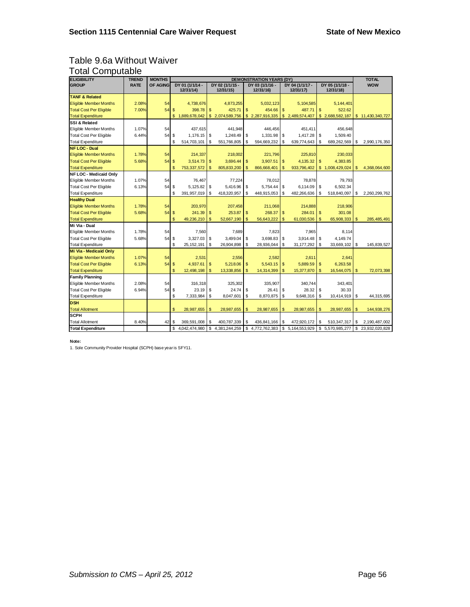## Table 9.6a Without Waiver Total Computable

| <b>ELIGIBILITY</b>             | <b>TREND</b> | <b>MONTHS</b>   | <b>DEMONSTRATION YEARS (DY)</b> |                 |                |                 |               |                 |                | <b>TOTAL</b>     |               |                 |          |                  |
|--------------------------------|--------------|-----------------|---------------------------------|-----------------|----------------|-----------------|---------------|-----------------|----------------|------------------|---------------|-----------------|----------|------------------|
| <b>GROUP</b>                   | <b>RATE</b>  | <b>OF AGING</b> |                                 | DY 01 (1/1/14 - |                | DY 02 (1/1/15 - |               | DY 03 (1/1/16 - |                | DY 04 (1/1/17 -  |               | DY 05 (1/1/18 - |          | <b>WOW</b>       |
|                                |              |                 |                                 | 12/31/14)       |                | 12/31/15)       |               | 12/31/16)       |                | 12/31/17)        |               | 12/31/18)       |          |                  |
| <b>TANF &amp; Related</b>      |              |                 |                                 |                 |                |                 |               |                 |                |                  |               |                 |          |                  |
| <b>Eligible Member Months</b>  | 2.08%        | 54              |                                 | 4,738,676       |                | 4,873,255       |               | 5,032,123       |                | 5,104,585        |               | 5,144,401       |          |                  |
| <b>Total Cost Per Eligible</b> | 7.00%        | 54              | $\mathsf{\$}$                   | 398.78          | $\mathbf{s}$   | 425.71          | \$            | 454.66          | <sub>\$</sub>  | 487.71           | $\mathbb{S}$  | 522.62          |          |                  |
| <b>Total Expenditure</b>       |              |                 | \$                              | 1,889,678,042   |                | \$2,074,589,756 |               | \$2,287,916,335 |                | \$ 2,489,574,407 |               | \$2,688,582,187 |          | \$11,430,340,727 |
| SSI & Related                  |              |                 |                                 |                 |                |                 |               |                 |                |                  |               |                 |          |                  |
| Eligible Member Months         | 1.07%        | 54              |                                 | 437,615         |                | 441,948         |               | 446,456         |                | 451,411          |               | 456,648         |          |                  |
| <b>Total Cost Per Eligible</b> | 6.44%        | 54              | \$                              | 1,176.15        | l \$           | 1,248.49        | \$            | 1,331.98        | \$             | 1,417.28         | \$            | 1,509.40        |          |                  |
| <b>Total Expenditure</b>       |              |                 | \$                              | 514,703,101     | <b>S</b>       | 551,766,805     | \$            | 594,669,232     | <sup>\$</sup>  | 639,774,643      | \$            | 689,262,569     | \$       | 2,990,176,350    |
| <b>NFLOC - Dual</b>            |              |                 |                                 |                 |                |                 |               |                 |                |                  |               |                 |          |                  |
| <b>Eligible Member Months</b>  | 1.78%        | 54              |                                 | 214,337         |                | 218,002         |               | 221,796         |                | 225,810          |               | 230,033         |          |                  |
| <b>Total Cost Per Eligible</b> | 5.68%        | 54              | $\mathsf{\$}$                   | 3,514.73        | <b>S</b>       | 3,696.44        | $\mathsf{\$}$ | 3,907.51        | $\mathbf{\$}$  | 4,135.32         | $\mathbb{S}$  | 4,383.85        |          |                  |
| <b>Total Expenditure</b>       |              |                 | \$                              | 753, 337, 572   | \$             | 805,833,200     | \$            | 866,668,401     | \$             | 933.796.402      |               | \$1,008,429,024 | S        | 4,368,064,600    |
| NF LOC - Medicaid Only         |              |                 |                                 |                 |                |                 |               |                 |                |                  |               |                 |          |                  |
| Eligible Member Months         | 1.07%        | 54              |                                 | 76.467          |                | 77.224          |               | 78.012          |                | 78.878           |               | 79.793          |          |                  |
| <b>Total Cost Per Eligible</b> | 6.13%        | 54              | \$                              | 5.125.82        | l \$           | 5.416.96        | \$            | 5.754.44        | <sup>\$</sup>  | 6.114.09         | \$            | 6.502.34        |          |                  |
| <b>Total Expenditure</b>       |              |                 | \$                              | 391,957,019     | l \$           | 418,320,957     | \$            | 448,915,053     | <sup>\$</sup>  | 482,266,636      | \$            | 518,840,097     | S        | 2,260,299,762    |
| <b>Healthy Dual</b>            |              |                 |                                 |                 |                |                 |               |                 |                |                  |               |                 |          |                  |
| <b>Eligible Member Months</b>  | 1.78%        | 54              |                                 | 203,970         |                | 207,458         |               | 211,068         |                | 214,888          |               | 218,906         |          |                  |
| <b>Total Cost Per Eligible</b> | 5.68%        | 54              | $\mathbf{\$}$                   | 241.39          | \$             | 253.87          | \$            | 268.37          | $\mathfrak{s}$ | 284.01           | $\mathsf{\$}$ | 301.08          |          |                  |
| <b>Total Expenditure</b>       |              |                 | \$                              | 49,236,210      |                | 52,667,190      | \$            | 56,643,222      | -\$            | 61,030,536       | $\mathbf{s}$  | 65,908,333      |          | 285,485,491      |
| Mi Via - Dual                  |              |                 |                                 |                 |                |                 |               |                 |                |                  |               |                 |          |                  |
| Eligible Member Months         | 1.78%        | 54              |                                 | 7,560           |                | 7.689           |               | 7.823           |                | 7.965            |               | 8.114           |          |                  |
| <b>Total Cost Per Eligible</b> | 5.68%        | 54              | \$                              | 3,327.03        | -\$            | 3,499.04        | \$            | 3,698.83        | \$             | 3,914.48         | \$            | 4,149.74        |          |                  |
| <b>Total Expenditure</b>       |              |                 | \$                              | 25, 152, 191    | \$             | 26,904,898      | \$            | 28,936,044      | \$             | 31,177,292       | \$            | 33,669,102      | \$       | 145.839.527      |
| Mi Via - Medicaid Only         |              |                 |                                 |                 |                |                 |               |                 |                |                  |               |                 |          |                  |
| <b>Eligible Member Months</b>  | 1.07%        | 54              |                                 | 2.531           |                | 2.556           |               | 2.582           |                | 2.611            |               | 2.641           |          |                  |
| <b>Total Cost Per Eligible</b> | 6.13%        | 54              | $\mathsf{\$}$                   | 4.937.61        | \$             | 5.218.06        | $\mathsf{\$}$ | 5.543.15        | -\$            | 5.889.59         | $\mathbf{s}$  | 6.263.58        |          |                  |
| <b>Total Expenditure</b>       |              |                 | \$                              | 12,498,198      | \$             | 13,338,856      | \$            | 14,314,399      | $\mathfrak{s}$ | 15,377,870       | $\mathbf{s}$  | 16,544,075      | <b>S</b> | 72,073,398       |
| <b>Family Planning</b>         |              |                 |                                 |                 |                |                 |               |                 |                |                  |               |                 |          |                  |
| Eligible Member Months         | 2.08%        | 54              |                                 | 316,318         |                | 325,302         |               | 335,907         |                | 340,744          |               | 343,401         |          |                  |
| <b>Total Cost Per Eligible</b> | 6.94%        | 54              | \$                              | 23.19           | -S             | 24.74           | \$            | 26.41           | \$             | 28.32            | \$            | 30.33           |          |                  |
| <b>Total Expenditure</b>       |              |                 | \$                              | 7,333,984       | \$             | 8,047,601       | \$            | 8,870,875       | \$             | 9,648,316        | \$            | 10,414,919      | \$       | 44,315,695       |
| <b>DSH</b>                     |              |                 |                                 |                 |                |                 |               |                 |                |                  |               |                 |          |                  |
| <b>Total Allotment</b>         |              |                 | \$                              | 28,987,655      | $\mathfrak{s}$ | 28,987,655      | \$            | 28,987,655      | -\$            | 28,987,655       | \$            | 28,987,655      | \$       | 144,938,276      |
| <b>SCPH</b>                    |              |                 |                                 |                 |                |                 |               |                 |                |                  |               |                 |          |                  |
| <b>Total Allotment</b>         | 8.40%        | 42              | \$                              | 369,591,008     | \$             | 400,787,339     | \$            | 436,841,166     | \$             | 472,920,172      | \$            | 510,347,317     | S        | 2,190,487,002    |
| <b>Total Expenditure</b>       |              |                 | \$                              | 4,042,474,980   | \$             | 4,381,244,259   | \$            | 4,772,762,383   | \$             | 5, 164, 553, 929 |               | \$5,570,985,277 | \$       | 23,932,020,828   |

**Note:**

1. Sole Community Provider Hospital (SCPH) base year is SFY11.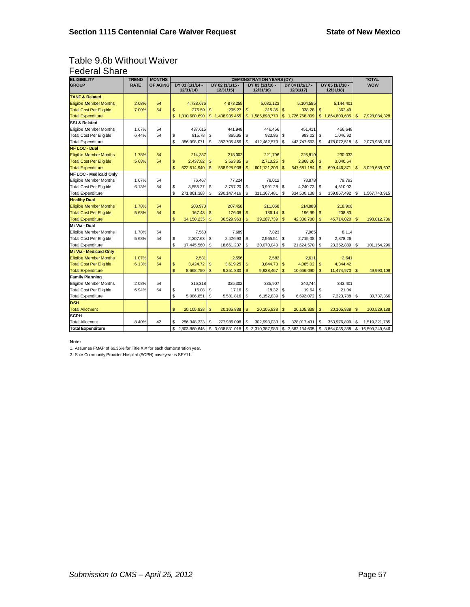## Table 9.6b Without Waiver Federal Share

| ELIGIBILITY<br>GROUP           | <b>TREND</b> | <b>MONTHS</b>   | <b>DEMONSTRATION YEARS (DY)</b> |                 |                |                 |               |                 |                |                 |              | <b>TOTAL</b>    |                |                |
|--------------------------------|--------------|-----------------|---------------------------------|-----------------|----------------|-----------------|---------------|-----------------|----------------|-----------------|--------------|-----------------|----------------|----------------|
|                                | <b>RATE</b>  | <b>OF AGING</b> |                                 | DY 01 (1/1/14 - |                | DY 02 (1/1/15 - |               | DY 03 (1/1/16 - |                | DY 04 (1/1/17 - |              | DY 05 (1/1/18 - |                | <b>WOW</b>     |
|                                |              |                 |                                 | 12/31/14)       |                | 12/31/15)       |               | 12/31/16)       |                | 12/31/17)       |              | 12/31/18)       |                |                |
| <b>TANF &amp; Related</b>      |              |                 |                                 |                 |                |                 |               |                 |                |                 |              |                 |                |                |
| <b>Eligible Member Months</b>  | 2.08%        | 54              |                                 | 4,738,676       |                | 4,873,255       |               | 5.032.123       |                | 5,104,585       |              | 5,144,401       |                |                |
| <b>Total Cost Per Eligible</b> | 7.00%        | 54              | \$                              | 276.59          | \$             | 295.27          | \$            | 315.35          | $\mathbf{s}$   | 338.28          | \$           | 362.49          |                |                |
| <b>Total Expenditure</b>       |              |                 | \$                              | 1,310,680,690   | \$             | 1,438,935,455   | \$            | 1,586,898,770   | $\mathfrak{s}$ | 1,726,768,809   |              | \$1,864,800,605 | -S             | 7,928,084,328  |
| SSI & Related                  |              |                 |                                 |                 |                |                 |               |                 |                |                 |              |                 |                |                |
| Eligible Member Months         | 1.07%        | 54              |                                 | 437,615         |                | 441,948         |               | 446,456         |                | 451,411         |              | 456,648         |                |                |
| <b>Total Cost Per Eligible</b> | 6.44%        | 54              | \$                              | 815.78          | \$             | 865.95          | \$            | 923.86          | \$             | 983.02          | \$           | 1,046.92        |                |                |
| <b>Total Expenditure</b>       |              |                 | \$                              | 356,998,071     | <b>S</b>       | 382,705,456     | \$            | 412,462,579     | \$             | 443,747,693     | \$           | 478,072,518     | \$             | 2.073.986.316  |
| <b>NF LOC - Dual</b>           |              |                 |                                 |                 |                |                 |               |                 |                |                 |              |                 |                |                |
| <b>Eligible Member Months</b>  | 1.78%        | 54              |                                 | 214,337         |                | 218,002         |               | 221.796         |                | 225.810         |              | 230,033         |                |                |
| <b>Total Cost Per Eligible</b> | 5.68%        | 54              | \$                              | 2,437.82        | l s            | 2,563.85        | $\mathsf{\$}$ | 2.710.25        | $\mathsf{\$}$  | 2.868.26        | \$           | 3,040.64        |                |                |
| <b>Total Expenditure</b>       |              |                 | \$                              | 522,514,940     | \$             | 558,925,908     | \$            | 601.121.203     | \$             | 647.681.184     | \$           | 699.446.371     | S              | 3,029,689,607  |
| <b>NF LOC - Medicaid Only</b>  |              |                 |                                 |                 |                |                 |               |                 |                |                 |              |                 |                |                |
| Eligible Member Months         | 1.07%        | 54              |                                 | 76,467          |                | 77,224          |               | 78,012          |                | 78.878          |              | 79,793          |                |                |
| <b>Total Cost Per Eligible</b> | 6.13%        | 54              | \$                              | 3,555.27        | \$             | 3.757.20        | \$            | 3,991.28        | \$             | 4.240.73        | \$           | 4,510.02        |                |                |
| <b>Total Expenditure</b>       |              |                 | \$                              | 271,861,388     | \$             | 290,147,416     | \$            | 311,367,481     | \$             | 334,500,138     | \$           | 359,867,492     | \$             | 1,567,743,915  |
| <b>Healthy Dual</b>            |              |                 |                                 |                 |                |                 |               |                 |                |                 |              |                 |                |                |
| <b>Eligible Member Months</b>  | 1.78%        | 54              |                                 | 203,970         |                | 207,458         |               | 211,068         |                | 214,888         |              | 218,906         |                |                |
| <b>Total Cost Per Eligible</b> | 5.68%        | 54              | \$                              | 167.43          | $\mathsf{\$}$  | 176.08          | $\mathsf{\$}$ | 186.14          | $\mathsf{\$}$  | 196.99          | \$           | 208.83          |                |                |
| <b>Total Expenditure</b>       |              |                 | \$                              | 34, 150, 235    | S              | 36,529,963      | \$            | 39,287,739      | $\mathfrak{S}$ | 42,330,780      | \$           | 45,714,020      | <b>S</b>       | 198,012,736    |
| Mi Via - Dual                  |              |                 |                                 |                 |                |                 |               |                 |                |                 |              |                 |                |                |
| Eligible Member Months         | 1.78%        | 54              |                                 | 7,560           |                | 7.689           |               | 7.823           |                | 7.965           |              | 8.114           |                |                |
| <b>Total Cost Per Eligible</b> | 5.68%        | 54              | \$                              | 2.307.63        | \$             | 2.426.93        | \$            | 2,565.51        | \$             | 2.715.08        | \$           | 2,878.26        |                |                |
| <b>Total Expenditure</b>       |              |                 | \$                              | 17,445,560      | l \$           | 18,661,237      | \$            | 20,070,040      | \$             | 21,624,570      | \$           | 23,352,889 \$   |                | 101, 154, 296  |
| Mi Via - Medicaid Only         |              |                 |                                 |                 |                |                 |               |                 |                |                 |              |                 |                |                |
| <b>Eligible Member Months</b>  | 1.07%        | 54              |                                 | 2,531           |                | 2,556           |               | 2,582           |                | 2,611           |              | 2,641           |                |                |
| Total Cost Per Eligible        | 6.13%        | 54              | \$                              | 3.424.72        | -S             | 3.619.25        | $\mathbf{s}$  | 3.844.73        | $\mathbf{s}$   | 4.085.02        | \$           | 4.344.42        |                |                |
| <b>Total Expenditure</b>       |              |                 | \$                              | 8,668,750       | $\mathfrak{s}$ | 9,251,830       | $\mathsf{s}$  | 9,928,467       | $\mathfrak{s}$ | 10,666,090      | $\mathsf{s}$ | 11,474,970      | $\mathfrak{s}$ | 49,990,109     |
| <b>Family Planning</b>         |              |                 |                                 |                 |                |                 |               |                 |                |                 |              |                 |                |                |
| Eligible Member Months         | 2.08%        | 54              |                                 | 316.318         |                | 325,302         |               | 335.907         |                | 340.744         |              | 343,401         |                |                |
| <b>Total Cost Per Eligible</b> | 6.94%        | 54              | \$                              | 16.08           | \$             | 17.16           | \$            | 18.32           | \$             | 19.64           | \$           | 21.04           |                |                |
| <b>Total Expenditure</b>       |              |                 | \$                              | 5,086,851       | \$             | 5,581,816       | \$            | 6,152,839       | \$             | 6,692,072       | \$           | 7,223,788       | \$             | 30,737,366     |
| <b>DSH</b>                     |              |                 |                                 |                 |                |                 |               |                 |                |                 |              |                 |                |                |
| <b>Total Allotment</b>         |              |                 | \$                              | 20,105,838      | \$             | 20,105,838      | \$            | 20,105,838      | \$             | 20,105,838      | \$           | 20, 105, 838    | $\mathfrak{s}$ | 100,529,188    |
| <b>SCPH</b>                    |              |                 |                                 |                 |                |                 |               |                 |                |                 |              |                 |                |                |
| <b>Total Allotment</b>         | 8.40%        | 42              | \$                              | 256,348,323     | $\mathfrak{L}$ | 277,986,098     | \$            | 302,993,033     | \$             | 328.017.431     | \$           | 353,976,899     | S              | 1,519,321,785  |
| <b>Total Expenditure</b>       |              |                 | \$                              | 2,803,860,646   | \$             | 3,038,831,018   |               | \$3,310,387,989 | \$             | 3,582,134,605   | \$           | 3,864,035,388   | \$             | 16,599,249,646 |
|                                |              |                 |                                 |                 |                |                 |               |                 |                |                 |              |                 |                |                |

#### **Note:**

1. Assumes FMAP of 69.36% for Title XIX for each demonstration year.

2. Sole Community Provider Hospital (SCPH) base year is SFY11.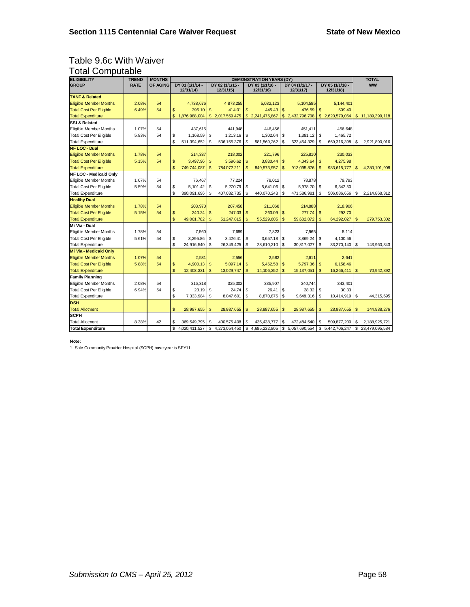## Table 9.6c With Waiver Total Computable

| <b>ELIGIBILITY</b>             | <b>TREND</b> | <b>MONTHS</b>   | <b>DEMONSTRATION YEARS (DY)</b> |                 |                |                 |              |                 |                |                 |              | <b>TOTAL</b>    |                |                |
|--------------------------------|--------------|-----------------|---------------------------------|-----------------|----------------|-----------------|--------------|-----------------|----------------|-----------------|--------------|-----------------|----------------|----------------|
| <b>GROUP</b>                   | <b>RATE</b>  | <b>OF AGING</b> |                                 | DY 01 (1/1/14 - |                | DY 02 (1/1/15 - |              | DY 03 (1/1/16 - |                | DY 04 (1/1/17 - |              | DY 05 (1/1/18 - |                | <b>WW</b>      |
|                                |              |                 |                                 | 12/31/14)       |                | 12/31/15)       |              | 12/31/16)       |                | 12/31/17)       |              | 12/31/18)       |                |                |
| <b>TANF &amp; Related</b>      |              |                 |                                 |                 |                |                 |              |                 |                |                 |              |                 |                |                |
| <b>Eligible Member Months</b>  | 2.08%        | 54              |                                 | 4,738,676       |                | 4,873,255       |              | 5,032,123       |                | 5,104,585       |              | 5,144,401       |                |                |
| <b>Total Cost Per Eligible</b> | 6.49%        | 54              | \$                              | 396.10          | $\mathbf{s}$   | 414.01          | \$           | 445.43          | $\mathbf{s}$   | 476.59          | \$           | 509.40          |                |                |
| <b>Total Expenditure</b>       |              |                 |                                 | \$1,876,988,004 |                | \$2,017,559,475 |              | \$2,241,475,867 |                | \$2,432,796,708 | \$           | 2,620,579,064   | \$             | 11,189,399,118 |
| SSI & Related                  |              |                 |                                 |                 |                |                 |              |                 |                |                 |              |                 |                |                |
| Eligible Member Months         | 1.07%        | 54              |                                 | 437,615         |                | 441,948         |              | 446,456         |                | 451,411         |              | 456,648         |                |                |
| <b>Total Cost Per Eligible</b> | 5.83%        | 54              | \$                              | 1.168.59        | <sup>\$</sup>  | 1.213.16        | \$           | 1.302.64        | \$             | 1.381.12        | \$           | 1.465.72        |                |                |
| <b>Total Expenditure</b>       |              |                 | \$                              | 511,394,652     | \$             | 536, 155, 376   | \$           | 581,569,262     | \$             | 623,454,329     | \$           | 669,316,398     | <b>S</b>       | 2,921,890,016  |
| <b>NFLOC - Dual</b>            |              |                 |                                 |                 |                |                 |              |                 |                |                 |              |                 |                |                |
| <b>Eligible Member Months</b>  | 1.78%        | 54              |                                 | 214,337         |                | 218.002         |              | 221,796         |                | 225,810         |              | 230,033         |                |                |
| <b>Total Cost Per Eligible</b> | 5.15%        | 54              | \$                              | 3,497.96        | $\mathsf{\$}$  | 3,596.62        | \$           | 3,830.44        | $\mathsf{\$}$  | 4,043.64        | \$           | 4,275.98        |                |                |
| <b>Total Expenditure</b>       |              |                 | \$                              | 749,744,087     | $\mathbf{s}$   | 784,072,211     | \$           | 849,573,957     | \$             | 913,095,876     | \$           | 983,615,777     | S              | 4,280,101,908  |
| NF LOC - Medicaid Only         |              |                 |                                 |                 |                |                 |              |                 |                |                 |              |                 |                |                |
| Eligible Member Months         | 1.07%        | 54              |                                 | 76.467          |                | 77.224          |              | 78.012          |                | 78.878          |              | 79.793          |                |                |
| <b>Total Cost Per Eligible</b> | 5.59%        | 54              | \$                              | 5.101.42        | \$             | 5.270.79        | \$           | 5.641.06        | \$             | 5.978.70        | \$           | 6,342.50        |                |                |
| <b>Total Expenditure</b>       |              |                 | \$                              | 390.091.696     | \$             | 407,032,735     | \$           | 440,070,243     | \$             | 471,586,981     | \$           | 506.086.656     | S              | 2.214.868.312  |
| <b>Healthy Dual</b>            |              |                 |                                 |                 |                |                 |              |                 |                |                 |              |                 |                |                |
| <b>Eligible Member Months</b>  | 1.78%        | 54              |                                 | 203,970         |                | 207,458         |              | 211,068         |                | 214,888         |              | 218,906         |                |                |
| <b>Total Cost Per Eligible</b> | 5.15%        | 54              | \$                              | 240.24          | \$             | 247.03          | $\mathbb{S}$ | 263.09          | $\mathbf{\$}$  | 277.74          | \$           | 293.70          |                |                |
| <b>Total Expenditure</b>       |              |                 | \$                              | 49,001,782      | \$             | 51,247,815      | \$           | 55,529,605      | $\mathfrak{s}$ | 59,682,072      | \$           | 64,292,027      | <b>S</b>       | 279,753,302    |
| Mi Via - Dual                  |              |                 |                                 |                 |                |                 |              |                 |                |                 |              |                 |                |                |
| Eligible Member Months         | 1.78%        | 54              |                                 | 7,560           |                | 7,689           |              | 7,823           |                | 7,965           |              | 8,114           |                |                |
| <b>Total Cost Per Eligible</b> | 5.61%        | 54              | \$                              | 3.295.86        | \$             | 3.426.41        | \$           | 3.657.18        | \$             | 3.869.24        | \$           | 4.100.56        |                |                |
| <b>Total Expenditure</b>       |              |                 | \$                              | 24,916,540      | \$             | 26,346,425      | \$           | 28,610,210      | \$             | 30,817,027      | \$           | 33,270,140 \$   |                | 143,960,343    |
| Mi Via - Medicaid Only         |              |                 |                                 |                 |                |                 |              |                 |                |                 |              |                 |                |                |
| <b>Eligible Member Months</b>  | 1.07%        | 54              |                                 | 2,531           |                | 2,556           |              | 2,582           |                | 2,611           |              | 2.641           |                |                |
| <b>Total Cost Per Eligible</b> | 5.88%        | 54              | \$                              | 4,900.13        | $\mathfrak{s}$ | 5,097.14        | \$           | 5,462.58        | $\mathsf{\$}$  | 5,797.36        | $\mathbf{s}$ | 6,158.46        |                |                |
| <b>Total Expenditure</b>       |              |                 | \$                              | 12,403,331      | $\mathsf{s}$   | 13,029,747      | \$           | 14,106,352      | $\mathbf{s}$   | 15,137,051      | $\mathbf{s}$ | 16,266,411      | $\mathfrak{s}$ | 70,942,892     |
| <b>Family Planning</b>         |              |                 |                                 |                 |                |                 |              |                 |                |                 |              |                 |                |                |
| Eligible Member Months         | 2.08%        | 54              |                                 | 316,318         |                | 325,302         |              | 335,907         |                | 340,744         |              | 343,401         |                |                |
| <b>Total Cost Per Eligible</b> | 6.94%        | 54              | \$                              | 23.19           | \$             | 24.74           | \$           | 26.41           | \$             | 28.32           | \$           | 30.33           |                |                |
| <b>Total Expenditure</b>       |              |                 | \$                              | 7,333,984       | \$             | 8,047,601       | \$           | 8,870,875       | \$             | 9,648,316       | \$           | 10,414,919      | \$             | 44,315,695     |
| <b>DSH</b>                     |              |                 |                                 |                 |                |                 |              |                 |                |                 |              |                 |                |                |
| <b>Total Allotment</b>         |              |                 | \$                              | 28,987,655      | $\mathbf{s}$   | 28,987,655      | \$           | 28,987,655      | $\mathbf{s}$   | 28,987,655      | $\mathbf{s}$ | 28,987,655      | \$             | 144,938,276    |
| <b>SCPH</b>                    |              |                 |                                 |                 |                |                 |              |                 |                |                 |              |                 |                |                |
| <b>Total Allotment</b>         | 8.38%        | 42              | \$                              | 369,549,795     | \$             | 400,575,408     | \$           | 436, 438, 777   | \$             | 472,484,540     | \$           | 509,877,200     | S              | 2,188,925,721  |
| <b>Total Expenditure</b>       |              |                 | \$                              | 4,020,411,527   | \$             | 4,273,054,450   | \$           | 4,685,232,805   | \$             | 5,057,690,554   | \$           | 5,442,706,247   | \$             | 23,479,095,584 |

**Note:**

1. Sole Community Provider Hospital (SCPH) base year is SFY11.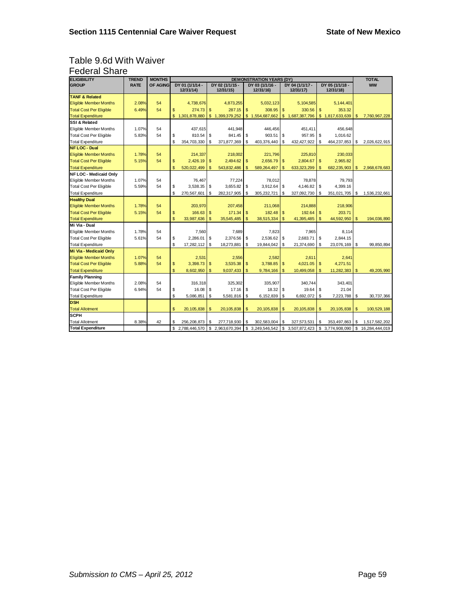#### Table 9.6d With Waiver Federal Share

| <b>ELIGIBILITY</b>             | <b>TREND</b> | <b>MONTHS</b> | <b>DEMONSTRATION YEARS (DY)</b> |                              |               |                              |    |                              |                |                              |                              | <b>TOTAL</b> |                |
|--------------------------------|--------------|---------------|---------------------------------|------------------------------|---------------|------------------------------|----|------------------------------|----------------|------------------------------|------------------------------|--------------|----------------|
| GROUP                          | <b>RATE</b>  | OF AGING      |                                 | DY 01 (1/1/14 -<br>12/31/14) |               | DY 02 (1/1/15 -<br>12/31/15) |    | DY 03 (1/1/16 -<br>12/31/16) |                | DY 04 (1/1/17 -<br>12/31/17) | DY 05 (1/1/18 -<br>12/31/18) |              | <b>WW</b>      |
| TANF & Related                 |              |               |                                 |                              |               |                              |    |                              |                |                              |                              |              |                |
| <b>Eligible Member Months</b>  | 2.08%        | 54            |                                 | 4,738,676                    |               | 4.873.255                    |    | 5.032.123                    |                | 5,104,585                    | 5,144,401                    |              |                |
| <b>Total Cost Per Eligible</b> | 6.49%        | 54            | \$                              | 274.73                       | \$            | 287.15                       | \$ | 308.95                       | \$             | 330.56                       | \$<br>353.32                 |              |                |
| <b>Total Expenditure</b>       |              |               | \$                              | 1,301,878,880                | \$            | 1,399,379,252                |    | \$1,554,687,662              | \$             | 1,687,387,796                | \$1,817,633,639              | <b>S</b>     | 7,760,967,228  |
| SSI & Related                  |              |               |                                 |                              |               |                              |    |                              |                |                              |                              |              |                |
| Eligible Member Months         | 1.07%        | 54            |                                 |                              |               | 441,948                      |    |                              |                |                              |                              |              |                |
| Total Cost Per Eligible        | 5.83%        | 54            |                                 | 437,615<br>810.54            | \$            | 841.45                       | \$ | 446,456<br>903.51            | \$             | 451,411<br>957.95            | \$<br>456,648<br>1.016.62    |              |                |
| <b>Total Expenditure</b>       |              |               | \$<br>\$                        |                              |               |                              |    |                              |                |                              |                              |              |                |
| <b>NFLOC - Dual</b>            |              |               |                                 | 354,703,330                  | \$            | 371,877,369                  | \$ | 403,376,440                  | \$             | 432,427,922                  | \$<br>464,237,853            | - \$         | 2,026,622,915  |
|                                |              | 54            |                                 |                              |               |                              |    |                              |                |                              |                              |              |                |
| <b>Eligible Member Months</b>  | 1.78%        |               |                                 | 214,337                      |               | 218.002                      |    | 221.796                      |                | 225.810                      | 230,033                      |              |                |
| <b>Total Cost Per Eligible</b> | 5.15%        | 54            | \$                              | 2.426.19                     | \$            | 2.494.62                     | \$ | 2.656.79                     | \$             | 2,804.67                     | \$<br>2,965.82               |              |                |
| <b>Total Expenditure</b>       |              |               | \$                              | 520,022,499                  | \$            | 543,832,486                  | \$ | 589,264,497                  | \$             | 633,323,299                  | \$<br>682,235,903            | <b>S</b>     | 2,968,678,683  |
| NF LOC - Medicaid Only         |              |               |                                 |                              |               |                              |    |                              |                |                              |                              |              |                |
| Eligible Member Months         | 1.07%        | 54            |                                 | 76,467                       |               | 77.224                       |    | 78.012                       |                | 78.878                       | 79.793                       |              |                |
| <b>Total Cost Per Eligible</b> | 5.59%        | 54            | \$                              | 3,538.35                     | \$            | 3.655.82                     | \$ | 3,912.64                     | \$             | 4,146.82                     | \$<br>4,399.16               |              |                |
| <b>Total Expenditure</b>       |              |               | \$                              | 270,567,601                  | \$            | 282,317,905                  | \$ | 305,232,721                  | \$             | 327,092,730                  | \$<br>351,021,705            | \$           | 1,536,232,661  |
| <b>Healthy Dual</b>            |              |               |                                 |                              |               |                              |    |                              |                |                              |                              |              |                |
| <b>Eligible Member Months</b>  | 1.78%        | 54            |                                 | 203,970                      |               | 207,458                      |    | 211,068                      |                | 214,888                      | 218,906                      |              |                |
| <b>Total Cost Per Eligible</b> | 5.15%        | 54            | \$                              | 166.63                       | \$            | 171.34                       | \$ | 182.48                       | \$             | 192.64                       | \$<br>203.71                 |              |                |
| <b>Total Expenditure</b>       |              |               | \$                              | 33,987,636                   | \$            | 35,545,485                   | \$ | 38,515,334                   | \$             | 41,395,485                   | \$<br>44,592,950             | <b>S</b>     | 194,036,890    |
| Mi Via - Dual                  |              |               |                                 |                              |               |                              |    |                              |                |                              |                              |              |                |
| Eligible Member Months         | 1.78%        | 54            |                                 | 7,560                        |               | 7.689                        |    | 7,823                        |                | 7.965                        | 8,114                        |              |                |
| <b>Total Cost Per Eligible</b> | 5.61%        | 54            | \$                              | 2.286.01                     | <b>S</b>      | 2.376.56                     | \$ | 2.536.62                     | \$             | 2.683.71                     | \$<br>2.844.15               |              |                |
| <b>Total Expenditure</b>       |              |               | \$                              | 17,282,112                   | \$            | 18,273,881                   | \$ | 19,844,042                   | \$             | 21,374,690                   | \$<br>23,076,169             | \$           | 99.850.894     |
| Mi Via - Medicaid Only         |              |               |                                 |                              |               |                              |    |                              |                |                              |                              |              |                |
| <b>Eligible Member Months</b>  | 1.07%        | 54            |                                 | 2,531                        |               | 2.556                        |    | 2.582                        |                | 2.611                        | 2.641                        |              |                |
| <b>Total Cost Per Eligible</b> | 5.88%        | 54            | \$                              | 3.398.73                     | $\mathsf{\$}$ | 3.535.38                     | \$ | 3,788.85                     | $\mathfrak{s}$ | 4.021.05                     | \$<br>4,271.51               |              |                |
| <b>Total Expenditure</b>       |              |               | \$                              | 8,602,950                    | \$            | 9,037,433                    | \$ | 9,784,166                    | $\mathsf{\$}$  | 10,499,058                   | \$<br>11,282,383             | <b>S</b>     | 49,205,990     |
| <b>Family Planning</b>         |              |               |                                 |                              |               |                              |    |                              |                |                              |                              |              |                |
| Eligible Member Months         | 2.08%        | 54            |                                 | 316.318                      |               | 325.302                      |    | 335.907                      |                | 340.744                      | 343,401                      |              |                |
| <b>Total Cost Per Eligible</b> | 6.94%        | 54            | \$                              | 16.08                        | \$            | 17.16                        | \$ | 18.32                        | \$             | 19.64                        | \$<br>21.04                  |              |                |
| <b>Total Expenditure</b>       |              |               | \$                              | 5,086,851                    | \$            | 5,581,816                    | \$ | 6,152,839                    | \$             | 6,692,072                    | \$<br>7,223,788              | <b>S</b>     | 30,737,366     |
| <b>DSH</b>                     |              |               |                                 |                              |               |                              |    |                              |                |                              |                              |              |                |
| <b>Total Allotment</b>         |              |               | \$                              | 20,105,838                   | \$            | 20,105,838                   | \$ | 20,105,838                   | \$             | 20,105,838                   | \$<br>20,105,838             | <b>S</b>     | 100,529,188    |
| <b>SCPH</b>                    |              |               |                                 |                              |               |                              |    |                              |                |                              |                              |              |                |
| <b>Total Allotment</b>         | 8.38%        | 42            | \$                              | 256,208,873                  | \$            | 277,718,930                  | \$ | 302,583,004                  | \$             | 327,573,531                  | \$<br>353,497,863            | -\$          | 1,517,582,202  |
| <b>Total Expenditure</b>       |              |               | \$                              | 2,788,446,570                | \$            | 2,963,670,394                | \$ | 3.249.546.542                | \$             | 3,507,872,423                | \$<br>3.774.908.090          | \$           | 16,284,444,019 |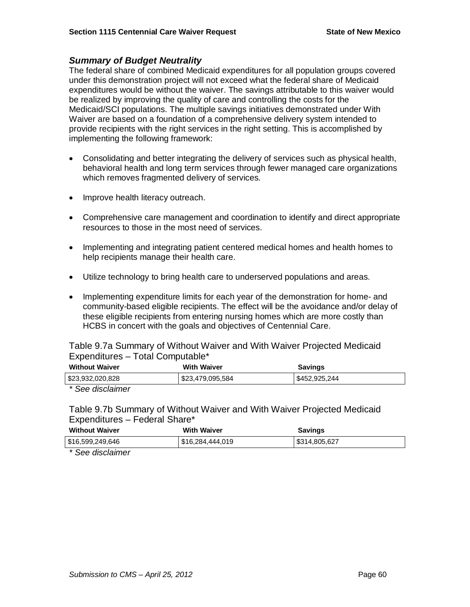## *Summary of Budget Neutrality*

The federal share of combined Medicaid expenditures for all population groups covered under this demonstration project will not exceed what the federal share of Medicaid expenditures would be without the waiver. The savings attributable to this waiver would be realized by improving the quality of care and controlling the costs for the Medicaid/SCI populations. The multiple savings initiatives demonstrated under With Waiver are based on a foundation of a comprehensive delivery system intended to provide recipients with the right services in the right setting. This is accomplished by implementing the following framework:

- Consolidating and better integrating the delivery of services such as physical health, behavioral health and long term services through fewer managed care organizations which removes fragmented delivery of services.
- Improve health literacy outreach.
- Comprehensive care management and coordination to identify and direct appropriate resources to those in the most need of services.
- Implementing and integrating patient centered medical homes and health homes to help recipients manage their health care.
- Utilize technology to bring health care to underserved populations and areas.
- Implementing expenditure limits for each year of the demonstration for home- and community-based eligible recipients. The effect will be the avoidance and/or delay of these eligible recipients from entering nursing homes which are more costly than HCBS in concert with the goals and objectives of Centennial Care.

Table 9.7a Summary of Without Waiver and With Waiver Projected Medicaid Expenditures – Total Computable\*

| <b>Without Waiver</b> | <b>With Waiver</b> | <b>Savings</b> |
|-----------------------|--------------------|----------------|
| \$23,932,020,828      | \$23,479,095,584   | \$452,925,244  |
|                       |                    |                |

*\* See disclaimer* 

Table 9.7b Summary of Without Waiver and With Waiver Projected Medicaid Expenditures – Federal Share\*

| <b>Without Waiver</b> | <b>With Waiver</b> | <b>Savings</b> |
|-----------------------|--------------------|----------------|
| \$16,599,249,646      | \$16,284,444,019   | \$314,805,627  |

*\* See disclaimer*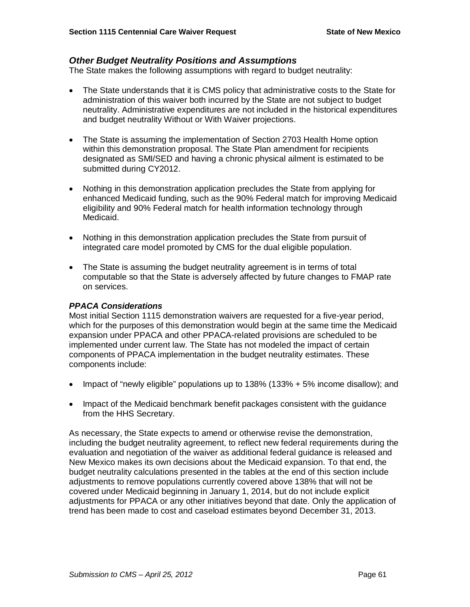#### *Other Budget Neutrality Positions and Assumptions*

The State makes the following assumptions with regard to budget neutrality:

- The State understands that it is CMS policy that administrative costs to the State for administration of this waiver both incurred by the State are not subject to budget neutrality. Administrative expenditures are not included in the historical expenditures and budget neutrality Without or With Waiver projections.
- The State is assuming the implementation of Section 2703 Health Home option within this demonstration proposal. The State Plan amendment for recipients designated as SMI/SED and having a chronic physical ailment is estimated to be submitted during CY2012.
- Nothing in this demonstration application precludes the State from applying for enhanced Medicaid funding, such as the 90% Federal match for improving Medicaid eligibility and 90% Federal match for health information technology through Medicaid.
- Nothing in this demonstration application precludes the State from pursuit of integrated care model promoted by CMS for the dual eligible population.
- The State is assuming the budget neutrality agreement is in terms of total computable so that the State is adversely affected by future changes to FMAP rate on services.

#### *PPACA Considerations*

Most initial Section 1115 demonstration waivers are requested for a five-year period, which for the purposes of this demonstration would begin at the same time the Medicaid expansion under PPACA and other PPACA-related provisions are scheduled to be implemented under current law. The State has not modeled the impact of certain components of PPACA implementation in the budget neutrality estimates. These components include:

- Impact of "newly eligible" populations up to  $138\%$  ( $133\%$  + 5% income disallow); and
- Impact of the Medicaid benchmark benefit packages consistent with the quidance from the HHS Secretary.

As necessary, the State expects to amend or otherwise revise the demonstration, including the budget neutrality agreement, to reflect new federal requirements during the evaluation and negotiation of the waiver as additional federal guidance is released and New Mexico makes its own decisions about the Medicaid expansion. To that end, the budget neutrality calculations presented in the tables at the end of this section include adjustments to remove populations currently covered above 138% that will not be covered under Medicaid beginning in January 1, 2014, but do not include explicit adjustments for PPACA or any other initiatives beyond that date. Only the application of trend has been made to cost and caseload estimates beyond December 31, 2013.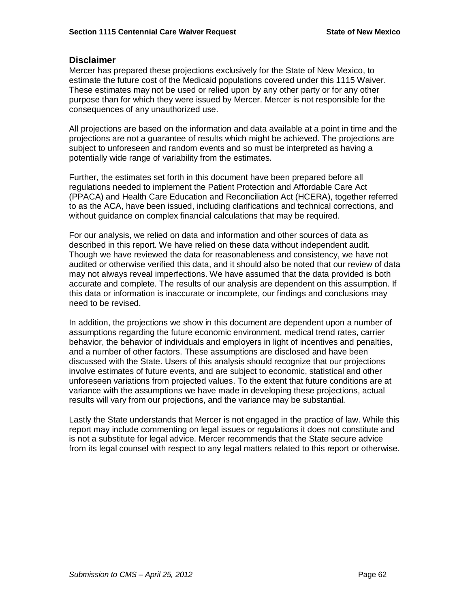#### **Disclaimer**

Mercer has prepared these projections exclusively for the State of New Mexico, to estimate the future cost of the Medicaid populations covered under this 1115 Waiver. These estimates may not be used or relied upon by any other party or for any other purpose than for which they were issued by Mercer. Mercer is not responsible for the consequences of any unauthorized use.

All projections are based on the information and data available at a point in time and the projections are not a guarantee of results which might be achieved. The projections are subject to unforeseen and random events and so must be interpreted as having a potentially wide range of variability from the estimates.

Further, the estimates set forth in this document have been prepared before all regulations needed to implement the Patient Protection and Affordable Care Act (PPACA) and Health Care Education and Reconciliation Act (HCERA), together referred to as the ACA, have been issued, including clarifications and technical corrections, and without guidance on complex financial calculations that may be required.

For our analysis, we relied on data and information and other sources of data as described in this report. We have relied on these data without independent audit. Though we have reviewed the data for reasonableness and consistency, we have not audited or otherwise verified this data, and it should also be noted that our review of data may not always reveal imperfections. We have assumed that the data provided is both accurate and complete. The results of our analysis are dependent on this assumption. If this data or information is inaccurate or incomplete, our findings and conclusions may need to be revised.

In addition, the projections we show in this document are dependent upon a number of assumptions regarding the future economic environment, medical trend rates, carrier behavior, the behavior of individuals and employers in light of incentives and penalties, and a number of other factors. These assumptions are disclosed and have been discussed with the State. Users of this analysis should recognize that our projections involve estimates of future events, and are subject to economic, statistical and other unforeseen variations from projected values. To the extent that future conditions are at variance with the assumptions we have made in developing these projections, actual results will vary from our projections, and the variance may be substantial.

Lastly the State understands that Mercer is not engaged in the practice of law. While this report may include commenting on legal issues or regulations it does not constitute and is not a substitute for legal advice. Mercer recommends that the State secure advice from its legal counsel with respect to any legal matters related to this report or otherwise.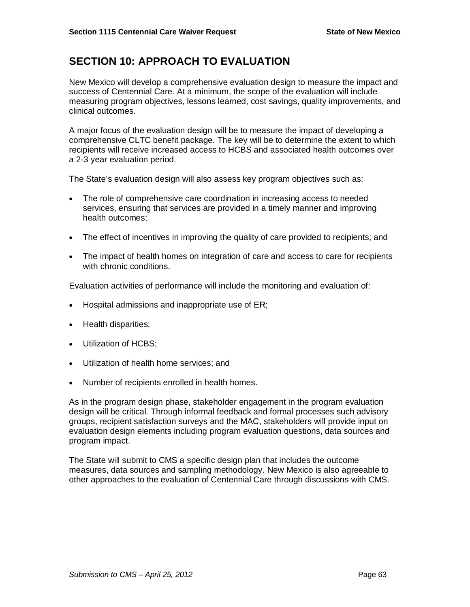## **SECTION 10: APPROACH TO EVALUATION**

New Mexico will develop a comprehensive evaluation design to measure the impact and success of Centennial Care. At a minimum, the scope of the evaluation will include measuring program objectives, lessons learned, cost savings, quality improvements, and clinical outcomes.

A major focus of the evaluation design will be to measure the impact of developing a comprehensive CLTC benefit package. The key will be to determine the extent to which recipients will receive increased access to HCBS and associated health outcomes over a 2-3 year evaluation period.

The State's evaluation design will also assess key program objectives such as:

- The role of comprehensive care coordination in increasing access to needed services, ensuring that services are provided in a timely manner and improving health outcomes;
- The effect of incentives in improving the quality of care provided to recipients; and
- The impact of health homes on integration of care and access to care for recipients with chronic conditions.

Evaluation activities of performance will include the monitoring and evaluation of:

- $\bullet$  Hospital admissions and inappropriate use of ER;
- Health disparities;
- Utilization of HCBS:
- Utilization of health home services; and
- Number of recipients enrolled in health homes.

As in the program design phase, stakeholder engagement in the program evaluation design will be critical. Through informal feedback and formal processes such advisory groups, recipient satisfaction surveys and the MAC, stakeholders will provide input on evaluation design elements including program evaluation questions, data sources and program impact.

The State will submit to CMS a specific design plan that includes the outcome measures, data sources and sampling methodology. New Mexico is also agreeable to other approaches to the evaluation of Centennial Care through discussions with CMS.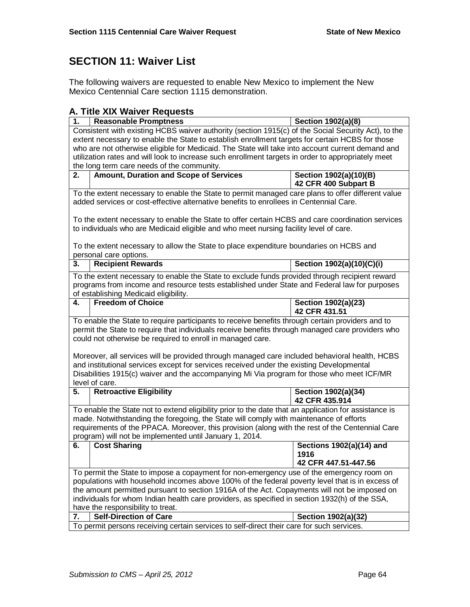# **SECTION 11: Waiver List**

The following waivers are requested to enable New Mexico to implement the New Mexico Centennial Care section 1115 demonstration.

### **A. Title XIX Waiver Requests**

| 1.                                                                                              | <b>Reasonable Promptness</b>                                                                                                                                                                | Section 1902(a)(8)                             |  |  |  |  |  |  |  |
|-------------------------------------------------------------------------------------------------|---------------------------------------------------------------------------------------------------------------------------------------------------------------------------------------------|------------------------------------------------|--|--|--|--|--|--|--|
|                                                                                                 | Consistent with existing HCBS waiver authority (section 1915(c) of the Social Security Act), to the                                                                                         |                                                |  |  |  |  |  |  |  |
|                                                                                                 | extent necessary to enable the State to establish enrollment targets for certain HCBS for those                                                                                             |                                                |  |  |  |  |  |  |  |
|                                                                                                 | who are not otherwise eligible for Medicaid. The State will take into account current demand and                                                                                            |                                                |  |  |  |  |  |  |  |
|                                                                                                 | utilization rates and will look to increase such enrollment targets in order to appropriately meet                                                                                          |                                                |  |  |  |  |  |  |  |
|                                                                                                 | the long term care needs of the community.                                                                                                                                                  |                                                |  |  |  |  |  |  |  |
| 2.                                                                                              | Amount, Duration and Scope of Services                                                                                                                                                      | Section 1902(a)(10)(B)<br>42 CFR 400 Subpart B |  |  |  |  |  |  |  |
|                                                                                                 |                                                                                                                                                                                             |                                                |  |  |  |  |  |  |  |
|                                                                                                 | To the extent necessary to enable the State to permit managed care plans to offer different value<br>added services or cost-effective alternative benefits to enrollees in Centennial Care. |                                                |  |  |  |  |  |  |  |
|                                                                                                 | To the extent necessary to enable the State to offer certain HCBS and care coordination services                                                                                            |                                                |  |  |  |  |  |  |  |
|                                                                                                 | to individuals who are Medicaid eligible and who meet nursing facility level of care.                                                                                                       |                                                |  |  |  |  |  |  |  |
|                                                                                                 | To the extent necessary to allow the State to place expenditure boundaries on HCBS and                                                                                                      |                                                |  |  |  |  |  |  |  |
|                                                                                                 | personal care options.                                                                                                                                                                      |                                                |  |  |  |  |  |  |  |
| 3.                                                                                              | <b>Recipient Rewards</b>                                                                                                                                                                    | Section 1902(a)(10)(C)(i)                      |  |  |  |  |  |  |  |
|                                                                                                 | To the extent necessary to enable the State to exclude funds provided through recipient reward                                                                                              |                                                |  |  |  |  |  |  |  |
|                                                                                                 | programs from income and resource tests established under State and Federal law for purposes                                                                                                |                                                |  |  |  |  |  |  |  |
|                                                                                                 | of establishing Medicaid eligibility.                                                                                                                                                       |                                                |  |  |  |  |  |  |  |
| $\overline{4}$                                                                                  | <b>Freedom of Choice</b>                                                                                                                                                                    | Section 1902(a)(23)                            |  |  |  |  |  |  |  |
|                                                                                                 |                                                                                                                                                                                             | 42 CFR 431.51                                  |  |  |  |  |  |  |  |
|                                                                                                 | To enable the State to require participants to receive benefits through certain providers and to                                                                                            |                                                |  |  |  |  |  |  |  |
|                                                                                                 | permit the State to require that individuals receive benefits through managed care providers who                                                                                            |                                                |  |  |  |  |  |  |  |
|                                                                                                 | could not otherwise be required to enroll in managed care.                                                                                                                                  |                                                |  |  |  |  |  |  |  |
|                                                                                                 | Moreover, all services will be provided through managed care included behavioral health, HCBS                                                                                               |                                                |  |  |  |  |  |  |  |
|                                                                                                 | and institutional services except for services received under the existing Developmental                                                                                                    |                                                |  |  |  |  |  |  |  |
|                                                                                                 | Disabilities 1915(c) waiver and the accompanying Mi Via program for those who meet ICF/MR                                                                                                   |                                                |  |  |  |  |  |  |  |
|                                                                                                 | level of care.                                                                                                                                                                              |                                                |  |  |  |  |  |  |  |
| 5.                                                                                              | <b>Retroactive Eligibility</b>                                                                                                                                                              | Section 1902(a)(34)                            |  |  |  |  |  |  |  |
|                                                                                                 |                                                                                                                                                                                             | 42 CFR 435.914                                 |  |  |  |  |  |  |  |
|                                                                                                 | To enable the State not to extend eligibility prior to the date that an application for assistance is                                                                                       |                                                |  |  |  |  |  |  |  |
|                                                                                                 | made. Notwithstanding the foregoing, the State will comply with maintenance of efforts                                                                                                      |                                                |  |  |  |  |  |  |  |
|                                                                                                 | requirements of the PPACA. Moreover, this provision (along with the rest of the Centennial Care                                                                                             |                                                |  |  |  |  |  |  |  |
|                                                                                                 | program) will not be implemented until January 1, 2014.                                                                                                                                     |                                                |  |  |  |  |  |  |  |
| 6.                                                                                              | <b>Cost Sharing</b>                                                                                                                                                                         | Sections 1902(a)(14) and                       |  |  |  |  |  |  |  |
|                                                                                                 |                                                                                                                                                                                             | 1916                                           |  |  |  |  |  |  |  |
|                                                                                                 |                                                                                                                                                                                             | 42 CFR 447.51-447.56                           |  |  |  |  |  |  |  |
|                                                                                                 | To permit the State to impose a copayment for non-emergency use of the emergency room on                                                                                                    |                                                |  |  |  |  |  |  |  |
| populations with household incomes above 100% of the federal poverty level that is in excess of |                                                                                                                                                                                             |                                                |  |  |  |  |  |  |  |
|                                                                                                 | the amount permitted pursuant to section 1916A of the Act. Copayments will not be imposed on                                                                                                |                                                |  |  |  |  |  |  |  |
|                                                                                                 | individuals for whom Indian health care providers, as specified in section 1932(h) of the SSA,                                                                                              |                                                |  |  |  |  |  |  |  |
|                                                                                                 | have the responsibility to treat.                                                                                                                                                           |                                                |  |  |  |  |  |  |  |
| 7.                                                                                              | <b>Self-Direction of Care</b>                                                                                                                                                               | Section 1902(a)(32)                            |  |  |  |  |  |  |  |
|                                                                                                 | To permit persons receiving certain services to self-direct their care for such services.                                                                                                   |                                                |  |  |  |  |  |  |  |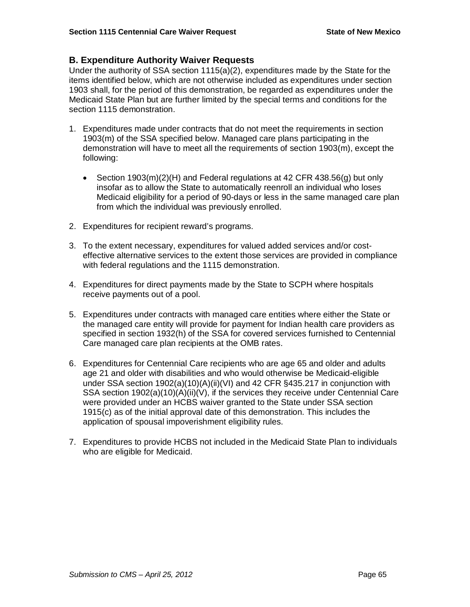## **B. Expenditure Authority Waiver Requests**

Under the authority of SSA section 1115(a)(2), expenditures made by the State for the items identified below, which are not otherwise included as expenditures under section 1903 shall, for the period of this demonstration, be regarded as expenditures under the Medicaid State Plan but are further limited by the special terms and conditions for the section 1115 demonstration.

- 1. Expenditures made under contracts that do not meet the requirements in section 1903(m) of the SSA specified below. Managed care plans participating in the demonstration will have to meet all the requirements of section 1903(m), except the following:
	- Section 1903(m)(2)(H) and Federal regulations at 42 CFR 438.56(g) but only insofar as to allow the State to automatically reenroll an individual who loses Medicaid eligibility for a period of 90-days or less in the same managed care plan from which the individual was previously enrolled.
- 2. Expenditures for recipient reward's programs.
- 3. To the extent necessary, expenditures for valued added services and/or costeffective alternative services to the extent those services are provided in compliance with federal regulations and the 1115 demonstration.
- 4. Expenditures for direct payments made by the State to SCPH where hospitals receive payments out of a pool.
- 5. Expenditures under contracts with managed care entities where either the State or the managed care entity will provide for payment for Indian health care providers as specified in section 1932(h) of the SSA for covered services furnished to Centennial Care managed care plan recipients at the OMB rates.
- 6. Expenditures for Centennial Care recipients who are age 65 and older and adults age 21 and older with disabilities and who would otherwise be Medicaid-eligible under SSA section 1902(a)(10)(A)(ii)(VI) and 42 CFR §435.217 in conjunction with SSA section 1902(a)(10)(A)(ii)(V), if the services they receive under Centennial Care were provided under an HCBS waiver granted to the State under SSA section 1915(c) as of the initial approval date of this demonstration. This includes the application of spousal impoverishment eligibility rules.
- 7. Expenditures to provide HCBS not included in the Medicaid State Plan to individuals who are eligible for Medicaid.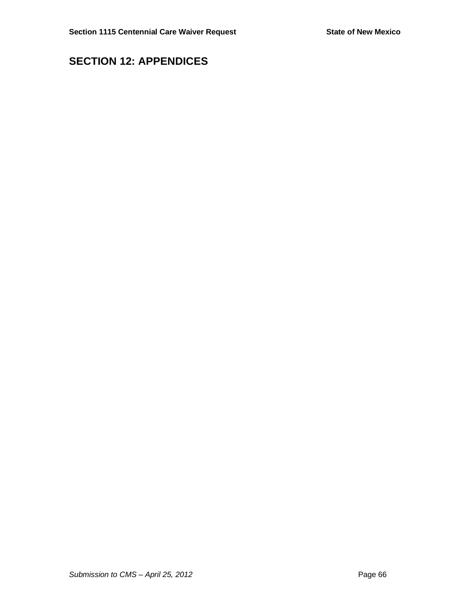# **SECTION 12: APPENDICES**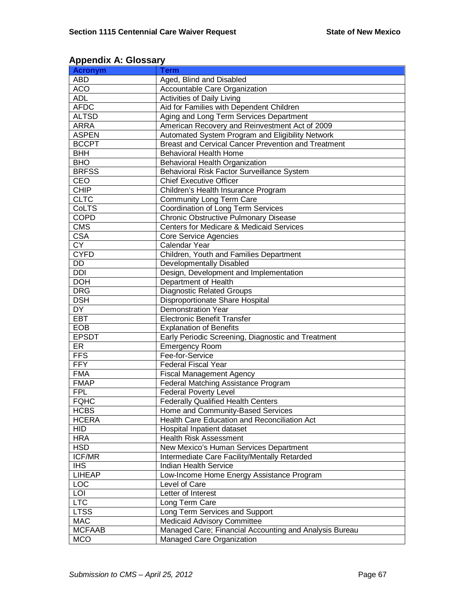| <b>Acronym</b>  | <b>Term</b>                                            |
|-----------------|--------------------------------------------------------|
| ABD             | Aged, Blind and Disabled                               |
| <b>ACO</b>      | Accountable Care Organization                          |
| <b>ADL</b>      | Activities of Daily Living                             |
| <b>AFDC</b>     | Aid for Families with Dependent Children               |
| <b>ALTSD</b>    | Aging and Long Term Services Department                |
| <b>ARRA</b>     | American Recovery and Reinvestment Act of 2009         |
| <b>ASPEN</b>    | Automated System Program and Eligibility Network       |
| <b>BCCPT</b>    | Breast and Cervical Cancer Prevention and Treatment    |
| <b>BHH</b>      | <b>Behavioral Health Home</b>                          |
| <b>BHO</b>      | Behavioral Health Organization                         |
| <b>BRFSS</b>    | Behavioral Risk Factor Surveillance System             |
| CEO             | <b>Chief Executive Officer</b>                         |
| <b>CHIP</b>     | Children's Health Insurance Program                    |
| <b>CLTC</b>     | <b>Community Long Term Care</b>                        |
| CoLTS           | Coordination of Long Term Services                     |
| <b>COPD</b>     | Chronic Obstructive Pulmonary Disease                  |
| <b>CMS</b>      | Centers for Medicare & Medicaid Services               |
| <b>CSA</b>      | <b>Core Service Agencies</b>                           |
| <b>CY</b>       | Calendar Year                                          |
| <b>CYFD</b>     | Children, Youth and Families Department                |
| DD              | Developmentally Disabled                               |
| DDI             | Design, Development and Implementation                 |
| <b>DOH</b>      | Department of Health                                   |
| <b>DRG</b>      | <b>Diagnostic Related Groups</b>                       |
| <b>DSH</b>      | Disproportionate Share Hospital                        |
| $\overline{DY}$ | <b>Demonstration Year</b>                              |
| <b>EBT</b>      | <b>Electronic Benefit Transfer</b>                     |
| EOB             | <b>Explanation of Benefits</b>                         |
| <b>EPSDT</b>    | Early Periodic Screening, Diagnostic and Treatment     |
| ER              | <b>Emergency Room</b>                                  |
| <b>FFS</b>      | Fee-for-Service                                        |
| <b>FFY</b>      | <b>Federal Fiscal Year</b>                             |
| <b>FMA</b>      | <b>Fiscal Management Agency</b>                        |
| <b>FMAP</b>     | Federal Matching Assistance Program                    |
| <b>FPL</b>      | <b>Federal Poverty Level</b>                           |
| <b>FQHC</b>     | <b>Federally Qualified Health Centers</b>              |
| <b>HCBS</b>     | Home and Community-Based Services                      |
| <b>HCERA</b>    | Health Care Education and Reconciliation Act           |
| <b>HID</b>      | Hospital Inpatient dataset                             |
| <b>HRA</b>      | <b>Health Risk Assessment</b>                          |
| <b>HSD</b>      | New Mexico's Human Services Department                 |
| ICF/MR          | Intermediate Care Facility/Mentally Retarded           |
| <b>IHS</b>      | <b>Indian Health Service</b>                           |
| <b>LIHEAP</b>   | Low-Income Home Energy Assistance Program              |
| <b>LOC</b>      | Level of Care                                          |
| LOI             | Letter of Interest                                     |
| <b>LTC</b>      | Long Term Care                                         |
| <b>LTSS</b>     | Long Term Services and Support                         |
| <b>MAC</b>      | Medicaid Advisory Committee                            |
| <b>MCFAAB</b>   | Managed Care; Financial Accounting and Analysis Bureau |
| <b>MCO</b>      | Managed Care Organization                              |

## **Appendix A: Glossary**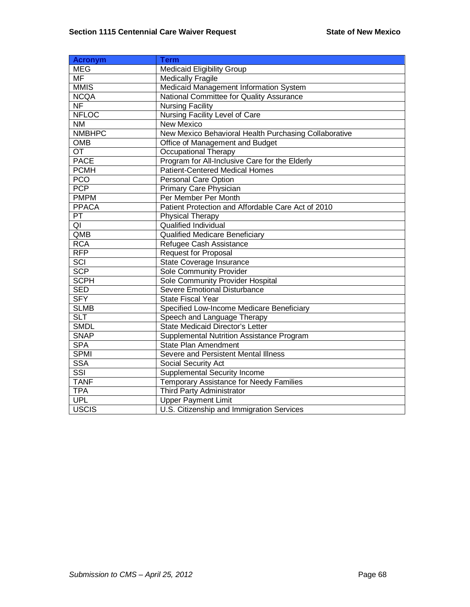| <b>Acronym</b>           | <b>Term</b>                                           |
|--------------------------|-------------------------------------------------------|
| <b>MEG</b>               | <b>Medicaid Eligibility Group</b>                     |
| <b>MF</b>                | <b>Medically Fragile</b>                              |
| <b>MMIS</b>              | Medicaid Management Information System                |
| <b>NCQA</b>              | National Committee for Quality Assurance              |
| $\overline{\mathsf{NF}}$ | <b>Nursing Facility</b>                               |
| <b>NFLOC</b>             | Nursing Facility Level of Care                        |
| <b>NM</b>                | <b>New Mexico</b>                                     |
| <b>NMBHPC</b>            | New Mexico Behavioral Health Purchasing Collaborative |
| <b>OMB</b>               | Office of Management and Budget                       |
| $\overline{OT}$          | Occupational Therapy                                  |
| <b>PACE</b>              | Program for All-Inclusive Care for the Elderly        |
| <b>PCMH</b>              | <b>Patient-Centered Medical Homes</b>                 |
| <b>PCO</b>               | <b>Personal Care Option</b>                           |
| <b>PCP</b>               | Primary Care Physician                                |
| <b>PMPM</b>              | Per Member Per Month                                  |
| <b>PPACA</b>             | Patient Protection and Affordable Care Act of 2010    |
| PT                       | Physical Therapy                                      |
| $\overline{\mathsf{Q}}$  | Qualified Individual                                  |
| QMB                      | Qualified Medicare Beneficiary                        |
| <b>RCA</b>               | Refugee Cash Assistance                               |
| <b>RFP</b>               | Request for Proposal                                  |
| <b>SCI</b>               | State Coverage Insurance                              |
| <b>SCP</b>               | Sole Community Provider                               |
| <b>SCPH</b>              | Sole Community Provider Hospital                      |
| <b>SED</b>               | Severe Emotional Disturbance                          |
| <b>SFY</b>               | <b>State Fiscal Year</b>                              |
| <b>SLMB</b>              | Specified Low-Income Medicare Beneficiary             |
| <b>SLT</b>               | Speech and Language Therapy                           |
| <b>SMDL</b>              | State Medicaid Director's Letter                      |
| <b>SNAP</b>              | Supplemental Nutrition Assistance Program             |
| <b>SPA</b>               | <b>State Plan Amendment</b>                           |
| <b>SPMI</b>              | Severe and Persistent Mental Illness                  |
| <b>SSA</b>               | Social Security Act                                   |
| SSI                      | <b>Supplemental Security Income</b>                   |
| <b>TANF</b>              | Temporary Assistance for Needy Families               |
| <b>TPA</b>               | Third Party Administrator                             |
| <b>UPL</b>               | <b>Upper Payment Limit</b>                            |
| <b>USCIS</b>             | U.S. Citizenship and Immigration Services             |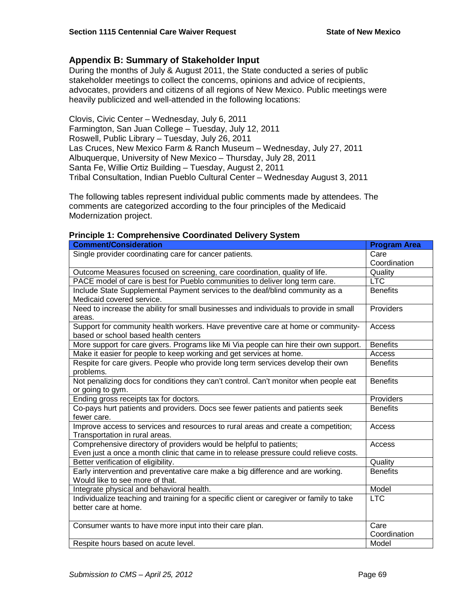# **Appendix B: Summary of Stakeholder Input**

During the months of July & August 2011, the State conducted a series of public stakeholder meetings to collect the concerns, opinions and advice of recipients, advocates, providers and citizens of all regions of New Mexico. Public meetings were heavily publicized and well-attended in the following locations:

Clovis, Civic Center – Wednesday, July 6, 2011 Farmington, San Juan College – Tuesday, July 12, 2011 Roswell, Public Library – Tuesday, July 26, 2011 Las Cruces, New Mexico Farm & Ranch Museum – Wednesday, July 27, 2011 Albuquerque, University of New Mexico – Thursday, July 28, 2011 Santa Fe, Willie Ortiz Building – Tuesday, August 2, 2011 Tribal Consultation, Indian Pueblo Cultural Center – Wednesday August 3, 2011

The following tables represent individual public comments made by attendees. The comments are categorized according to the four principles of the Medicaid Modernization project.

| <u>r micipie i . Comprenensive Cooruniated Delivery Jystem</u>                                                                                              |                     |
|-------------------------------------------------------------------------------------------------------------------------------------------------------------|---------------------|
| <b>Comment/Consideration</b>                                                                                                                                | <b>Program Area</b> |
| Single provider coordinating care for cancer patients.                                                                                                      | Care                |
|                                                                                                                                                             | Coordination        |
| Outcome Measures focused on screening, care coordination, quality of life.                                                                                  | Quality             |
| PACE model of care is best for Pueblo communities to deliver long term care.                                                                                | LTC                 |
| Include State Supplemental Payment services to the deaf/blind community as a                                                                                | <b>Benefits</b>     |
| Medicaid covered service.                                                                                                                                   |                     |
| Need to increase the ability for small businesses and individuals to provide in small<br>areas.                                                             | Providers           |
| Support for community health workers. Have preventive care at home or community-<br>based or school based health centers                                    | Access              |
| More support for care givers. Programs like Mi Via people can hire their own support.                                                                       | <b>Benefits</b>     |
| Make it easier for people to keep working and get services at home.                                                                                         | Access              |
| Respite for care givers. People who provide long term services develop their own                                                                            | <b>Benefits</b>     |
| problems.                                                                                                                                                   |                     |
| Not penalizing docs for conditions they can't control. Can't monitor when people eat<br>or going to gym.                                                    | <b>Benefits</b>     |
| Ending gross receipts tax for doctors.                                                                                                                      | Providers           |
| Co-pays hurt patients and providers. Docs see fewer patients and patients seek<br>fewer care.                                                               | <b>Benefits</b>     |
| Improve access to services and resources to rural areas and create a competition;<br>Transportation in rural areas.                                         | Access              |
| Comprehensive directory of providers would be helpful to patients;<br>Even just a once a month clinic that came in to release pressure could relieve costs. | Access              |
| Better verification of eligibility.                                                                                                                         | Quality             |
| Early intervention and preventative care make a big difference and are working.<br>Would like to see more of that.                                          | <b>Benefits</b>     |
| Integrate physical and behavioral health.                                                                                                                   | Model               |
| Individualize teaching and training for a specific client or caregiver or family to take<br>better care at home.                                            | <b>LTC</b>          |
| Consumer wants to have more input into their care plan.                                                                                                     | Care                |
|                                                                                                                                                             | Coordination        |
| Respite hours based on acute level.                                                                                                                         | Model               |

# **Principle 1: Comprehensive Coordinated Delivery System**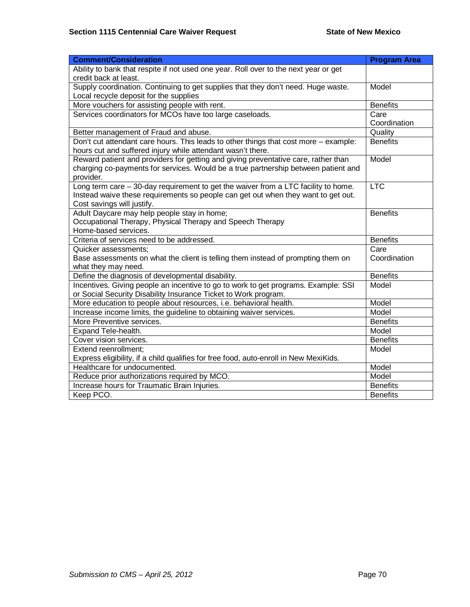| <b>Comment/Consideration</b>                                                                                                                                                                            | <b>Program Area</b>  |
|---------------------------------------------------------------------------------------------------------------------------------------------------------------------------------------------------------|----------------------|
| Ability to bank that respite if not used one year. Roll over to the next year or get<br>credit back at least.                                                                                           |                      |
| Supply coordination. Continuing to get supplies that they don't need. Huge waste.<br>Local recycle deposit for the supplies                                                                             | Model                |
| More vouchers for assisting people with rent.                                                                                                                                                           | <b>Benefits</b>      |
| Services coordinators for MCOs have too large caseloads.                                                                                                                                                | Care<br>Coordination |
| Better management of Fraud and abuse.                                                                                                                                                                   | Quality              |
| Don't cut attendant care hours. This leads to other things that cost more - example:<br>hours cut and suffered injury while attendant wasn't there.                                                     | <b>Benefits</b>      |
| Reward patient and providers for getting and giving preventative care, rather than<br>charging co-payments for services. Would be a true partnership between patient and<br>provider.                   | Model                |
| Long term care $-30$ -day requirement to get the waiver from a LTC facility to home.<br>Instead waive these requirements so people can get out when they want to get out.<br>Cost savings will justify. | <b>LTC</b>           |
| Adult Daycare may help people stay in home;<br>Occupational Therapy, Physical Therapy and Speech Therapy<br>Home-based services.                                                                        | <b>Benefits</b>      |
| Criteria of services need to be addressed.                                                                                                                                                              | <b>Benefits</b>      |
| Quicker assessments;<br>Base assessments on what the client is telling them instead of prompting them on<br>what they may need.                                                                         | Care<br>Coordination |
| Define the diagnosis of developmental disability.                                                                                                                                                       | <b>Benefits</b>      |
| Incentives. Giving people an incentive to go to work to get programs. Example: SSI<br>or Social Security Disability Insurance Ticket to Work program.                                                   | Model                |
| More education to people about resources, i.e. behavioral health.                                                                                                                                       | Model                |
| Increase income limits, the guideline to obtaining waiver services.                                                                                                                                     | Model                |
| More Preventive services.                                                                                                                                                                               | <b>Benefits</b>      |
| Expand Tele-health.                                                                                                                                                                                     | Model                |
| Cover vision services.                                                                                                                                                                                  | <b>Benefits</b>      |
| Extend reenrollment;<br>Express eligibility, if a child qualifies for free food, auto-enroll in New MexiKids.                                                                                           | Model                |
| Healthcare for undocumented.                                                                                                                                                                            | Model                |
| Reduce prior authorizations required by MCO.                                                                                                                                                            | Model                |
| Increase hours for Traumatic Brain Injuries.                                                                                                                                                            | <b>Benefits</b>      |
| Keep PCO.                                                                                                                                                                                               | <b>Benefits</b>      |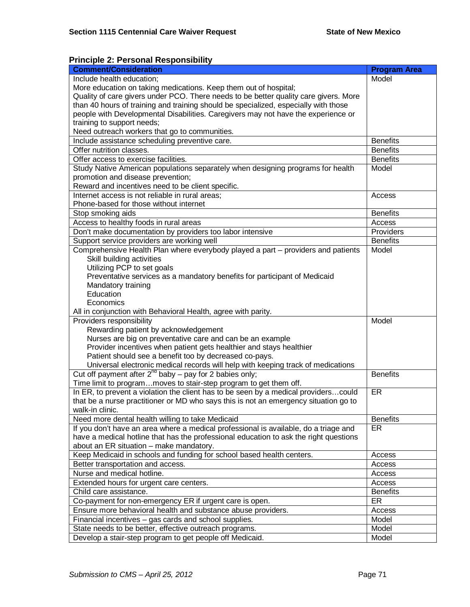# **Principle 2: Personal Responsibility**

| <b>Comment/Consideration</b>                                                          | <b>Program Area</b> |
|---------------------------------------------------------------------------------------|---------------------|
| Include health education;                                                             | Model               |
| More education on taking medications. Keep them out of hospital;                      |                     |
| Quality of care givers under PCO. There needs to be better quality care givers. More  |                     |
| than 40 hours of training and training should be specialized, especially with those   |                     |
| people with Developmental Disabilities. Caregivers may not have the experience or     |                     |
| training to support needs;                                                            |                     |
| Need outreach workers that go to communities.                                         |                     |
| Include assistance scheduling preventive care.                                        | <b>Benefits</b>     |
| Offer nutrition classes.                                                              | <b>Benefits</b>     |
| Offer access to exercise facilities.                                                  | <b>Benefits</b>     |
| Study Native American populations separately when designing programs for health       | Model               |
| promotion and disease prevention;                                                     |                     |
| Reward and incentives need to be client specific.                                     |                     |
| Internet access is not reliable in rural areas;                                       | Access              |
| Phone-based for those without internet                                                |                     |
| Stop smoking aids                                                                     | <b>Benefits</b>     |
| Access to healthy foods in rural areas                                                | Access              |
| Don't make documentation by providers too labor intensive                             | Providers           |
| Support service providers are working well                                            | <b>Benefits</b>     |
| Comprehensive Health Plan where everybody played a part - providers and patients      | Model               |
| Skill building activities                                                             |                     |
| Utilizing PCP to set goals                                                            |                     |
| Preventative services as a mandatory benefits for participant of Medicaid             |                     |
| Mandatory training<br>Education                                                       |                     |
| Economics                                                                             |                     |
| All in conjunction with Behavioral Health, agree with parity.                         |                     |
| Providers responsibility                                                              | Model               |
| Rewarding patient by acknowledgement                                                  |                     |
| Nurses are big on preventative care and can be an example                             |                     |
| Provider incentives when patient gets healthier and stays healthier                   |                     |
| Patient should see a benefit too by decreased co-pays.                                |                     |
| Universal electronic medical records will help with keeping track of medications      |                     |
| Cut off payment after $2^{nd}$ baby – pay for 2 babies only;                          | <b>Benefits</b>     |
| Time limit to programmoves to stair-step program to get them off.                     |                     |
| In ER, to prevent a violation the client has to be seen by a medical providerscould   | ER                  |
| that be a nurse practitioner or MD who says this is not an emergency situation go to  |                     |
| walk-in clinic.                                                                       |                     |
| Need more dental health willing to take Medicaid                                      | <b>Benefits</b>     |
| If you don't have an area where a medical professional is available, do a triage and  | ER                  |
| have a medical hotline that has the professional education to ask the right questions |                     |
| about an ER situation - make mandatory.                                               |                     |
| Keep Medicaid in schools and funding for school based health centers.                 | Access              |
| Better transportation and access.                                                     | Access              |
| Nurse and medical hotline.                                                            | Access              |
| Extended hours for urgent care centers.                                               | Access              |
| Child care assistance.                                                                | <b>Benefits</b>     |
| Co-payment for non-emergency ER if urgent care is open.                               | ER                  |
| Ensure more behavioral health and substance abuse providers.                          | Access              |
| Financial incentives - gas cards and school supplies.                                 | Model               |
| State needs to be better, effective outreach programs.                                | Model               |
| Develop a stair-step program to get people off Medicaid.                              | Model               |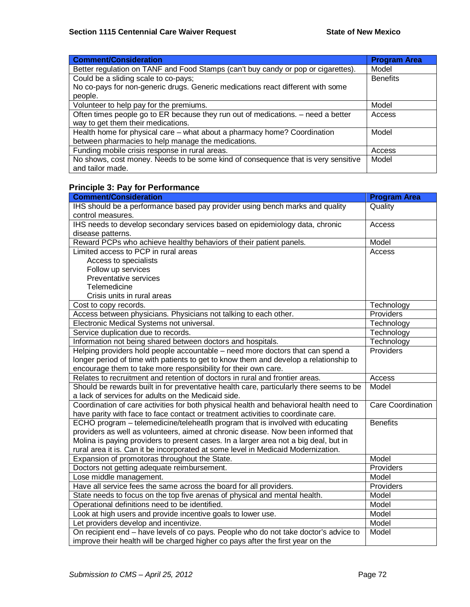| <b>Comment/Consideration</b>                                                      | <b>Program Area</b> |
|-----------------------------------------------------------------------------------|---------------------|
| Better regulation on TANF and Food Stamps (can't buy candy or pop or cigarettes). | Model               |
| Could be a sliding scale to co-pays;                                              | <b>Benefits</b>     |
| No co-pays for non-generic drugs. Generic medications react different with some   |                     |
| people.                                                                           |                     |
| Volunteer to help pay for the premiums.                                           | Model               |
| Often times people go to ER because they run out of medications. - need a better  | Access              |
| way to get them their medications.                                                |                     |
| Health home for physical care – what about a pharmacy home? Coordination          | Model               |
| between pharmacies to help manage the medications.                                |                     |
| Funding mobile crisis response in rural areas.                                    | Access              |
| No shows, cost money. Needs to be some kind of consequence that is very sensitive | Model               |
| and tailor made.                                                                  |                     |

# **Principle 3: Pay for Performance**

| <b>Comment/Consideration</b>                                                                      | <b>Program Area</b> |
|---------------------------------------------------------------------------------------------------|---------------------|
| IHS should be a performance based pay provider using bench marks and quality<br>control measures. | Quality             |
| IHS needs to develop secondary services based on epidemiology data, chronic<br>disease patterns.  | Access              |
| Reward PCPs who achieve healthy behaviors of their patient panels.                                | Model               |
| Limited access to PCP in rural areas                                                              | Access              |
| Access to specialists                                                                             |                     |
| Follow up services                                                                                |                     |
| Preventative services                                                                             |                     |
| Telemedicine                                                                                      |                     |
| Crisis units in rural areas                                                                       |                     |
| Cost to copy records.                                                                             | Technology          |
| Access between physicians. Physicians not talking to each other.                                  | Providers           |
| Electronic Medical Systems not universal.                                                         | Technology          |
| Service duplication due to records.                                                               | Technology          |
| Information not being shared between doctors and hospitals.                                       | Technology          |
| Helping providers hold people accountable - need more doctors that can spend a                    | Providers           |
| longer period of time with patients to get to know them and develop a relationship to             |                     |
| encourage them to take more responsibility for their own care.                                    |                     |
| Relates to recruitment and retention of doctors in rural and frontier areas.                      | Access              |
| Should be rewards built in for preventative health care, particularly there seems to be           | Model               |
| a lack of services for adults on the Medicaid side.                                               |                     |
| Coordination of care activities for both physical health and behavioral health need to            | Care Coordination   |
| have parity with face to face contact or treatment activities to coordinate care.                 |                     |
| ECHO program - telemedicine/teleheatlh program that is involved with educating                    | <b>Benefits</b>     |
| providers as well as volunteers, aimed at chronic disease. Now been informed that                 |                     |
| Molina is paying providers to present cases. In a larger area not a big deal, but in              |                     |
| rural area it is. Can it be incorporated at some level in Medicaid Modernization.                 |                     |
| Expansion of promotoras throughout the State.                                                     | Model               |
| Doctors not getting adequate reimbursement.                                                       | Providers           |
| Lose middle management.                                                                           | Model               |
| Have all service fees the same across the board for all providers.                                | Providers           |
| State needs to focus on the top five arenas of physical and mental health.                        | Model               |
| Operational definitions need to be identified.                                                    | Model               |
| Look at high users and provide incentive goals to lower use.                                      | Model               |
| Let providers develop and incentivize.                                                            | Model               |
| On recipient end - have levels of co pays. People who do not take doctor's advice to              | Model               |
| improve their health will be charged higher co pays after the first year on the                   |                     |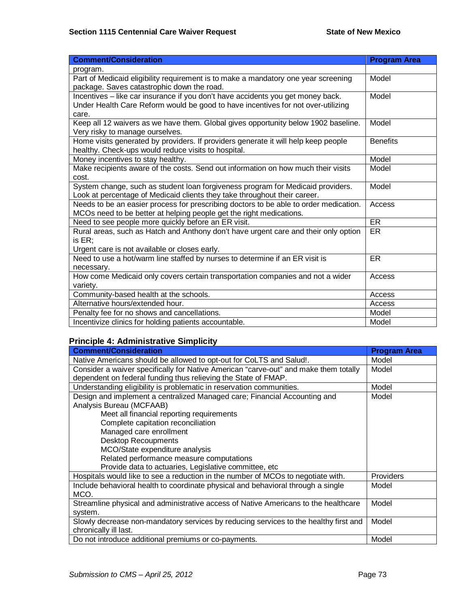| <b>Comment/Consideration</b>                                                                                                                                                 | <b>Program Area</b> |
|------------------------------------------------------------------------------------------------------------------------------------------------------------------------------|---------------------|
| program.                                                                                                                                                                     |                     |
| Part of Medicaid eligibility requirement is to make a mandatory one year screening<br>package. Saves catastrophic down the road.                                             | Model               |
| Incentives - like car insurance if you don't have accidents you get money back.<br>Under Health Care Reform would be good to have incentives for not over-utilizing<br>care. | Model               |
| Keep all 12 waivers as we have them. Global gives opportunity below 1902 baseline.<br>Very risky to manage ourselves.                                                        | Model               |
| Home visits generated by providers. If providers generate it will help keep people<br>healthy. Check-ups would reduce visits to hospital.                                    | <b>Benefits</b>     |
| Money incentives to stay healthy.                                                                                                                                            | Model               |
| Make recipients aware of the costs. Send out information on how much their visits<br>cost.                                                                                   | Model               |
| System change, such as student loan forgiveness program for Medicaid providers.<br>Look at percentage of Medicaid clients they take throughout their career.                 | Model               |
| Needs to be an easier process for prescribing doctors to be able to order medication.<br>MCOs need to be better at helping people get the right medications.                 | Access              |
| Need to see people more quickly before an ER visit.                                                                                                                          | ER.                 |
| Rural areas, such as Hatch and Anthony don't have urgent care and their only option<br>is ER;<br>Urgent care is not available or closes early.                               | <b>ER</b>           |
| Need to use a hot/warm line staffed by nurses to determine if an ER visit is<br>necessary.                                                                                   | ER                  |
| How come Medicaid only covers certain transportation companies and not a wider<br>variety.                                                                                   | Access              |
| Community-based health at the schools.                                                                                                                                       | Access              |
| Alternative hours/extended hour.                                                                                                                                             | Access              |
| Penalty fee for no shows and cancellations.                                                                                                                                  | Model               |
| Incentivize clinics for holding patients accountable.                                                                                                                        | Model               |

# **Principle 4: Administrative Simplicity**

| <b>Comment/Consideration</b>                                                         | <b>Program Area</b> |
|--------------------------------------------------------------------------------------|---------------------|
| Native Americans should be allowed to opt-out for CoLTS and Salud!.                  | Model               |
| Consider a waiver specifically for Native American "carve-out" and make them totally | Model               |
| dependent on federal funding thus relieving the State of FMAP.                       |                     |
| Understanding eligibility is problematic in reservation communities.                 | Model               |
| Design and implement a centralized Managed care; Financial Accounting and            | Model               |
| Analysis Bureau (MCFAAB)                                                             |                     |
| Meet all financial reporting requirements                                            |                     |
| Complete capitation reconciliation                                                   |                     |
| Managed care enrollment                                                              |                     |
| <b>Desktop Recoupments</b>                                                           |                     |
| MCO/State expenditure analysis                                                       |                     |
| Related performance measure computations                                             |                     |
| Provide data to actuaries, Legislative committee, etc                                |                     |
| Hospitals would like to see a reduction in the number of MCOs to negotiate with.     | <b>Providers</b>    |
| Include behavioral health to coordinate physical and behavioral through a single     | Model               |
| MCO.                                                                                 |                     |
| Streamline physical and administrative access of Native Americans to the healthcare  | Model               |
| system.                                                                              |                     |
| Slowly decrease non-mandatory services by reducing services to the healthy first and | Model               |
| chronically ill last.                                                                |                     |
| Do not introduce additional premiums or co-payments.                                 | Model               |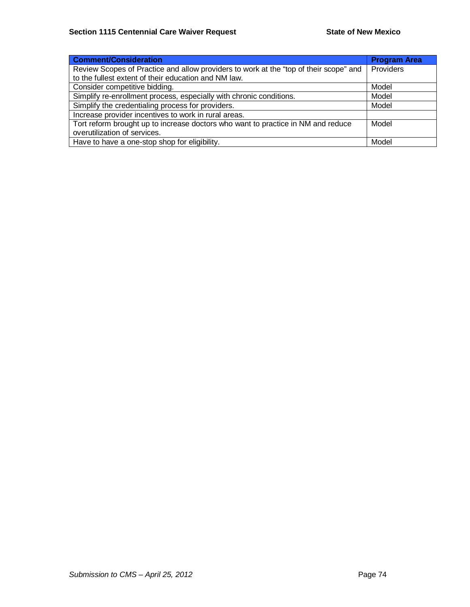| <b>Comment/Consideration</b>                                                          | <b>Program Area</b> |
|---------------------------------------------------------------------------------------|---------------------|
| Review Scopes of Practice and allow providers to work at the "top of their scope" and | Providers           |
| to the fullest extent of their education and NM law.                                  |                     |
| Consider competitive bidding.                                                         | Model               |
| Simplify re-enrollment process, especially with chronic conditions.                   | Model               |
| Simplify the credentialing process for providers.                                     | Model               |
| Increase provider incentives to work in rural areas.                                  |                     |
| Tort reform brought up to increase doctors who want to practice in NM and reduce      | Model               |
| overutilization of services.                                                          |                     |
| Have to have a one-stop shop for eligibility.                                         | Model               |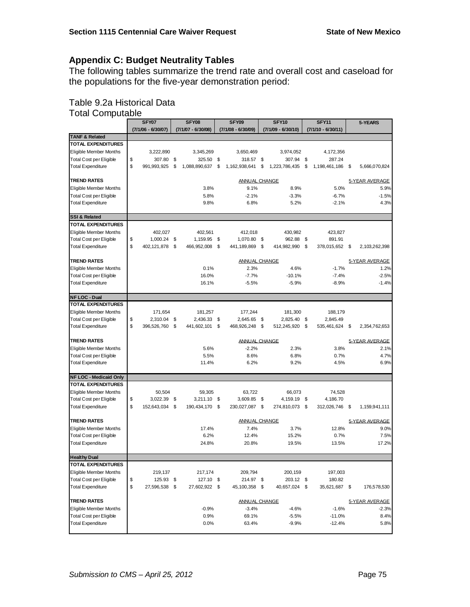# **Appendix C: Budget Neutrality Tables**

The following tables summarize the trend rate and overall cost and caseload for the populations for the five-year demonstration period:

# Table 9.2a Historical Data

Total Computable

|                                | SFY07 |                    | SFY08 |                    | SFY09 |                                 |      | SFY <sub>10</sub>  | <b>SFY11</b> |                    |    | 5-YEARS                |  |  |
|--------------------------------|-------|--------------------|-------|--------------------|-------|---------------------------------|------|--------------------|--------------|--------------------|----|------------------------|--|--|
|                                |       | (7/1/06 - 6/30/07) |       | (7/1/07 - 6/30/08) |       | $(7/1/08 - 6/30/09)$            |      | (7/1/09 - 6/30/10) |              | (7/1/10 - 6/30/11) |    |                        |  |  |
| <b>TANF &amp; Related</b>      |       |                    |       |                    |       |                                 |      |                    |              |                    |    |                        |  |  |
| TOTAL EXPENDITURES             |       |                    |       |                    |       |                                 |      |                    |              |                    |    |                        |  |  |
| Eligible Member Months         |       | 3,222,890          |       | 3,345,269          |       | 3,650,469                       |      | 3,974,052          |              | 4,172,356          |    |                        |  |  |
| <b>Total Cost per Eligible</b> | \$    | 307.80             | -\$   | 325.50             | \$    | 318.57 \$                       |      | 307.94             | - \$         | 287.24             |    |                        |  |  |
| <b>Total Expenditure</b>       | \$    | 991,993,925        | \$    | 1,088,890,637      | \$    | 1,162,938,641                   | \$   | 1,223,786,435      | \$           | 1.198.461.186      | \$ | 5,666,070,824          |  |  |
|                                |       |                    |       |                    |       |                                 |      |                    |              |                    |    |                        |  |  |
| <b>TREND RATES</b>             |       |                    |       |                    |       | <b>ANNUAL CHANGE</b>            |      |                    |              |                    |    | 5-YEAR AVERAGE         |  |  |
| Eligible Member Months         |       |                    |       | 3.8%               |       | 9.1%                            |      | 8.9%               |              | 5.0%               |    | 5.9%                   |  |  |
| <b>Total Cost per Eligible</b> |       |                    |       | 5.8%               |       | $-2.1%$                         |      | $-3.3%$            |              | $-6.7%$            |    | $-1.5%$                |  |  |
| <b>Total Expenditure</b>       |       |                    |       | 9.8%               |       | 6.8%                            |      | 5.2%               |              | $-2.1%$            |    | 4.3%                   |  |  |
| <b>SSI &amp; Related</b>       |       |                    |       |                    |       |                                 |      |                    |              |                    |    |                        |  |  |
| TOTAL EXPENDITURES             |       |                    |       |                    |       |                                 |      |                    |              |                    |    |                        |  |  |
|                                |       |                    |       |                    |       |                                 |      |                    |              |                    |    |                        |  |  |
| Eligible Member Months         |       | 402,027            |       | 402,561            |       | 412,018                         |      | 430,982            |              | 423,827            |    |                        |  |  |
| <b>Total Cost per Eligible</b> | \$    | 1,000.24 \$        |       | 1,159.95 \$        |       | 1,070.80 \$                     |      | 962.88 \$          |              | 891.91             |    |                        |  |  |
| <b>Total Expenditure</b>       | \$    | 402,121,878        | \$    | 466, 952, 008      | \$    | 441,189,869                     | \$   | 414,982,990        | \$           | 378,015,652 \$     |    | 2,103,262,398          |  |  |
| <b>TREND RATES</b>             |       |                    |       |                    |       | <b>ANNUAL CHANGE</b>            |      |                    |              |                    |    | 5-YEAR AVERAGE         |  |  |
| Eligible Member Months         |       |                    |       | 0.1%               |       | 2.3%                            |      | 4.6%               |              | $-1.7%$            |    | 1.2%                   |  |  |
| <b>Total Cost per Eligible</b> |       |                    |       | 16.0%              |       | $-7.7%$                         |      | $-10.1%$           |              | $-7.4%$            |    | $-2.5%$                |  |  |
| <b>Total Expenditure</b>       |       |                    |       | 16.1%              |       | $-5.5%$                         |      | $-5.9%$            |              | $-8.9%$            |    | $-1.4%$                |  |  |
|                                |       |                    |       |                    |       |                                 |      |                    |              |                    |    |                        |  |  |
| <b>NF LOC - Dual</b>           |       |                    |       |                    |       |                                 |      |                    |              |                    |    |                        |  |  |
| <b>TOTAL EXPENDITURES</b>      |       |                    |       |                    |       |                                 |      |                    |              |                    |    |                        |  |  |
| Eligible Member Months         |       | 171,654            |       | 181,257            |       | 177,244                         |      | 181,300            |              | 188,179            |    |                        |  |  |
| <b>Total Cost per Eligible</b> | \$    | 2,310.04           | \$    | 2,436.33           | -\$   | 2,645.65                        | - \$ | 2,825.40           | \$           | 2,845.49           |    |                        |  |  |
| <b>Total Expenditure</b>       | \$    | 396,526,760        | \$    | 441,602,101 \$     |       | 468,926,248 \$                  |      | 512,245,920 \$     |              | 535,461,624        | \$ | 2,354,762,653          |  |  |
| <b>TREND RATES</b>             |       |                    |       |                    |       |                                 |      |                    |              |                    |    |                        |  |  |
|                                |       |                    |       | 5.6%               |       | <b>ANNUAL CHANGE</b><br>$-2.2%$ |      | 2.3%               |              | 3.8%               |    | 5-YEAR AVERAGE<br>2.1% |  |  |
| Eligible Member Months         |       |                    |       |                    |       |                                 |      |                    |              |                    |    |                        |  |  |
| <b>Total Cost per Eligible</b> |       |                    |       | 5.5%               |       | 8.6%                            |      | 6.8%               |              | 0.7%               |    | 4.7%<br>6.9%           |  |  |
| <b>Total Expenditure</b>       |       |                    |       | 11.4%              |       | 6.2%                            |      | 9.2%               |              | 4.5%               |    |                        |  |  |
| <b>NF LOC - Medicaid Only</b>  |       |                    |       |                    |       |                                 |      |                    |              |                    |    |                        |  |  |
| <b>TOTAL EXPENDITURES</b>      |       |                    |       |                    |       |                                 |      |                    |              |                    |    |                        |  |  |
| Eligible Member Months         |       | 50,504             |       | 59,305             |       | 63,722                          |      | 66,073             |              | 74,528             |    |                        |  |  |
| <b>Total Cost per Eligible</b> | \$    | 3,022.39 \$        |       | 3,211.10 \$        |       | 3,609.85 \$                     |      | 4,159.19 \$        |              | 4,186.70           |    |                        |  |  |
| <b>Total Expenditure</b>       | \$    | 152,643,034        | \$    | 190,434,170        | - \$  | 230,027,087 \$                  |      | 274,810,073 \$     |              | 312,026,746        | \$ | 1,159,941,111          |  |  |
| <b>TREND RATES</b>             |       |                    |       |                    |       | <b>ANNUAL CHANGE</b>            |      |                    |              |                    |    | 5-YEAR AVERAGE         |  |  |
| Eligible Member Months         |       |                    |       | 17.4%              |       | 7.4%                            |      | 3.7%               |              | 12.8%              |    | 9.0%                   |  |  |
| <b>Total Cost per Eligible</b> |       |                    |       | 6.2%               |       | 12.4%                           |      | 15.2%              |              | 0.7%               |    | 7.5%                   |  |  |
| <b>Total Expenditure</b>       |       |                    |       | 24.8%              |       | 20.8%                           |      | 19.5%              |              | 13.5%              |    | 17.2%                  |  |  |
|                                |       |                    |       |                    |       |                                 |      |                    |              |                    |    |                        |  |  |
| <b>Healthy Dual</b>            |       |                    |       |                    |       |                                 |      |                    |              |                    |    |                        |  |  |
| TOTAL EXPENDITURES             |       |                    |       |                    |       |                                 |      |                    |              |                    |    |                        |  |  |
| Eligible Member Months         |       | 219,137            |       | 217,174            |       | 209,794                         |      | 200,159            |              | 197,003            |    |                        |  |  |
| <b>Total Cost per Eligible</b> | \$    | 125.93 \$          |       | 127.10 \$          |       | 214.97 \$                       |      | 203.12 \$          |              | 180.82             |    |                        |  |  |
| <b>Total Expenditure</b>       | \$    | 27,596,538 \$      |       | 27,602,922 \$      |       | 45,100,358 \$                   |      | 40,657,024 \$      |              | 35,621,687 \$      |    | 176,578,530            |  |  |
| <b>TREND RATES</b>             |       |                    |       |                    |       |                                 |      |                    |              |                    |    | 5-YEAR AVERAGE         |  |  |
|                                |       |                    |       |                    |       | <b>ANNUAL CHANGE</b>            |      |                    |              |                    |    |                        |  |  |
| <b>Eligible Member Months</b>  |       |                    |       | $-0.9%$            |       | $-3.4%$                         |      | $-4.6%$            |              | $-1.6%$            |    | $-2.3%$                |  |  |
| <b>Total Cost per Eligible</b> |       |                    |       | 0.9%               |       | 69.1%                           |      | $-5.5%$            |              | $-11.0%$           |    | 8.4%                   |  |  |
| <b>Total Expenditure</b>       |       |                    |       | 0.0%               |       | 63.4%                           |      | $-9.9%$            |              | $-12.4%$           |    | 5.8%                   |  |  |
|                                |       |                    |       |                    |       |                                 |      |                    |              |                    |    |                        |  |  |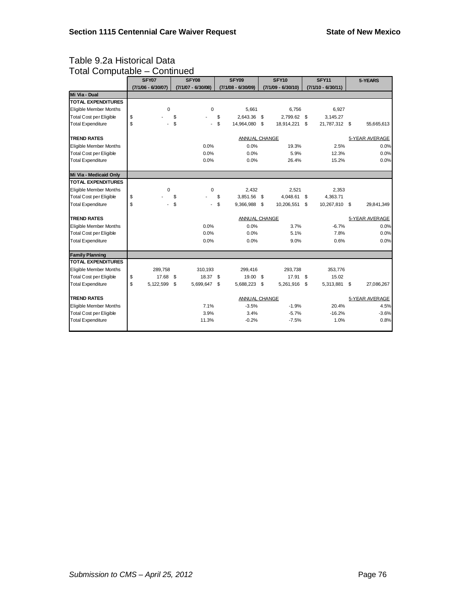### Table 9.2a Historical Data Total Computable – Continued

| $\sim$                         |    |                             |    |                               |    |                               |  |                               |  |                      |  |                |
|--------------------------------|----|-----------------------------|----|-------------------------------|----|-------------------------------|--|-------------------------------|--|----------------------|--|----------------|
|                                |    | SFY07<br>(7/1/06 - 6/30/07) |    | SFY08<br>$(7/1/07 - 6/30/08)$ |    | SFY09<br>$(7/1/08 - 6/30/09)$ |  | SFY10<br>$(7/1/09 - 6/30/10)$ |  | <b>SFY11</b>         |  | 5-YEARS        |
| Mi Via - Dual                  |    |                             |    |                               |    |                               |  |                               |  | $(7/1/10 - 6/30/11)$ |  |                |
|                                |    |                             |    |                               |    |                               |  |                               |  |                      |  |                |
| TOTAL EXPENDITURES             |    |                             |    |                               |    |                               |  |                               |  |                      |  |                |
| Eligible Member Months         |    | $\mathbf 0$                 |    | 0                             |    | 5.661                         |  | 6.756                         |  | 6,927                |  |                |
| <b>Total Cost per Eligible</b> | \$ |                             | \$ |                               | \$ | 2.643.36 \$                   |  | 2.799.62 \$                   |  | 3.145.27             |  |                |
| <b>Total Expenditure</b>       | \$ |                             | \$ |                               | \$ | 14,964,080 \$                 |  | 18,914,221 \$                 |  | 21,787,312 \$        |  | 55,665,613     |
| <b>TREND RATES</b>             |    |                             |    |                               |    | ANNUAL CHANGE                 |  |                               |  |                      |  | 5-YEAR AVERAGE |
| Eligible Member Months         |    |                             |    | 0.0%                          |    | 0.0%                          |  | 19.3%                         |  | 2.5%                 |  | 0.0%           |
| <b>Total Cost per Eligible</b> |    |                             |    | 0.0%                          |    | 0.0%                          |  | 5.9%                          |  | 12.3%                |  | 0.0%           |
| <b>Total Expenditure</b>       |    |                             |    | 0.0%                          |    | 0.0%                          |  | 26.4%                         |  | 15.2%                |  | 0.0%           |
| Mi Via - Medicaid Only         |    |                             |    |                               |    |                               |  |                               |  |                      |  |                |
| <b>TOTAL EXPENDITURES</b>      |    |                             |    |                               |    |                               |  |                               |  |                      |  |                |
| Eligible Member Months         |    | $\mathbf 0$                 |    | $\mathbf 0$                   |    | 2.432                         |  | 2.521                         |  | 2,353                |  |                |
| <b>Total Cost per Eligible</b> | \$ |                             | \$ |                               | \$ | 3,851.56 \$                   |  | 4,048.61 \$                   |  | 4,363.71             |  |                |
| <b>Total Expenditure</b>       | \$ |                             | \$ |                               | \$ | 9,366,988 \$                  |  | 10,206,551 \$                 |  | 10,267,810 \$        |  | 29,841,349     |
| <b>TREND RATES</b>             |    |                             |    |                               |    | ANNUAL CHANGE                 |  |                               |  |                      |  | 5-YEAR AVERAGE |
| <b>Eligible Member Months</b>  |    |                             |    | 0.0%                          |    | 0.0%                          |  | 3.7%                          |  | $-6.7%$              |  | 0.0%           |
| <b>Total Cost per Eligible</b> |    |                             |    | 0.0%                          |    | 0.0%                          |  | 5.1%                          |  | 7.8%                 |  | 0.0%           |
| <b>Total Expenditure</b>       |    |                             |    | 0.0%                          |    | 0.0%                          |  | 9.0%                          |  | 0.6%                 |  | 0.0%           |
| <b>Family Planning</b>         |    |                             |    |                               |    |                               |  |                               |  |                      |  |                |
| TOTAL EXPENDITURES             |    |                             |    |                               |    |                               |  |                               |  |                      |  |                |
| Eligible Member Months         |    | 289,758                     |    | 310,193                       |    | 299,416                       |  | 293,738                       |  | 353,776              |  |                |
| <b>Total Cost per Eligible</b> | \$ | 17.68                       | Ŝ. | 18.37                         | \$ | 19.00 \$                      |  | 17.91 \$                      |  | 15.02                |  |                |
| <b>Total Expenditure</b>       | \$ | 5, 122, 599                 | \$ | 5,699,647                     | \$ | 5,688,223 \$                  |  | 5,261,916 \$                  |  | 5,313,881 \$         |  | 27,086,267     |
| <b>TREND RATES</b>             |    |                             |    |                               |    | <b>ANNUAL CHANGE</b>          |  |                               |  |                      |  | 5-YEAR AVERAGE |
| Eligible Member Months         |    |                             |    | 7.1%                          |    | $-3.5%$                       |  | $-1.9%$                       |  | 20.4%                |  | 4.5%           |
| <b>Total Cost per Eligible</b> |    |                             |    | 3.9%                          |    | 3.4%                          |  | $-5.7%$                       |  | $-16.2%$             |  | $-3.6%$        |
| <b>Total Expenditure</b>       |    |                             |    | 11.3%                         |    | $-0.2%$                       |  | $-7.5%$                       |  | 1.0%                 |  | 0.8%           |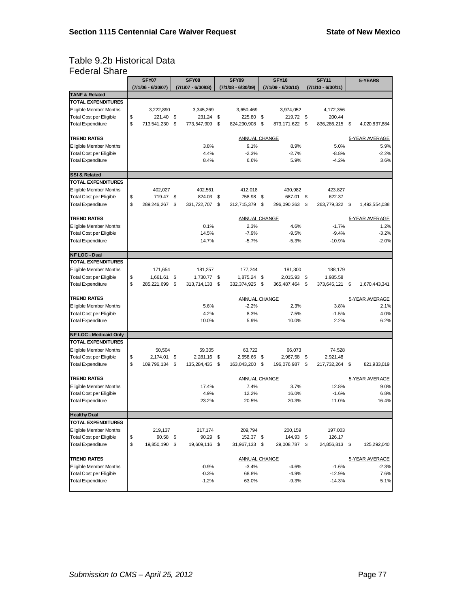# Table 9.2b Historical Data Federal Share

|                                | SFY07                | SFY08                | SFY09                  |      | SFY <sub>10</sub>  | SFY11                | 5-YEARS             |
|--------------------------------|----------------------|----------------------|------------------------|------|--------------------|----------------------|---------------------|
|                                | $(7/1/06 - 6/30/07)$ | $(7/1/07 - 6/30/08)$ | (7/1/08 - 6/30/09)     |      | (7/1/09 - 6/30/10) | $(7/1/10 - 6/30/11)$ |                     |
| <b>TANF &amp; Related</b>      |                      |                      |                        |      |                    |                      |                     |
| TOTAL EXPENDITURES             |                      |                      |                        |      |                    |                      |                     |
| Eligible Member Months         | 3,222,890            | 3,345,269            | 3,650,469              |      | 3,974,052          | 4,172,356            |                     |
| <b>Total Cost per Eligible</b> | \$<br>221.40         | \$<br>231.24         | \$<br>225.80           | - \$ | 219.72 \$          | 200.44               |                     |
| <b>Total Expenditure</b>       | \$<br>713,541,230    | \$<br>773,547,909    | \$<br>824,290,908      | \$   | 873, 171, 622      | \$<br>836,286,215    | \$<br>4,020,837,884 |
| <b>TREND RATES</b>             |                      |                      | ANNUAL CHANGE          |      |                    |                      | 5-YEAR AVERAGE      |
| <b>Eligible Member Months</b>  |                      | 3.8%                 | 9.1%                   |      | 8.9%               | 5.0%                 | 5.9%                |
| <b>Total Cost per Eligible</b> |                      | 4.4%                 | $-2.3%$                |      | $-2.7%$            | $-8.8%$              | $-2.2%$             |
| <b>Total Expenditure</b>       |                      | 8.4%                 | 6.6%                   |      | 5.9%               | $-4.2%$              | 3.6%                |
| <b>SSI &amp; Related</b>       |                      |                      |                        |      |                    |                      |                     |
| TOTAL EXPENDITURES             |                      |                      |                        |      |                    |                      |                     |
| Eligible Member Months         | 402,027              | 402,561              | 412,018                |      | 430,982            | 423,827              |                     |
| <b>Total Cost per Eligible</b> | \$<br>719.47 \$      | 824.03 \$            | 758.98 \$              |      | 687.01 \$          | 622.37               |                     |
| <b>Total Expenditure</b>       | \$<br>289,246,267 \$ | 331,722,707 \$       | 312,715,379 \$         |      | 296,090,363        | \$<br>263,779,322 \$ | 1,493,554,038       |
| <b>TREND RATES</b>             |                      |                      | <b>ANNUAL CHANGE</b>   |      |                    |                      | 5-YEAR AVERAGE      |
| <b>Eligible Member Months</b>  |                      | 0.1%                 | 2.3%                   |      | 4.6%               | $-1.7%$              | 1.2%                |
| <b>Total Cost per Eligible</b> |                      | 14.5%                | $-7.9%$                |      | $-9.5%$            | $-9.4%$              | $-3.2%$             |
| <b>Total Expenditure</b>       |                      | 14.7%                | $-5.7%$                |      | $-5.3%$            | $-10.9%$             | $-2.0%$             |
| <b>NF LOC - Dual</b>           |                      |                      |                        |      |                    |                      |                     |
| <b>TOTAL EXPENDITURES</b>      |                      |                      |                        |      |                    |                      |                     |
| Eligible Member Months         | 171,654              | 181,257              | 177,244                |      | 181,300            | 188,179              |                     |
| <b>Total Cost per Eligible</b> | \$<br>1,661.61       | \$<br>1,730.77       | \$<br>1,875.24 \$      |      | 2,015.93 \$        | 1,985.58             |                     |
| <b>Total Expenditure</b>       | \$<br>285,221,699    | \$<br>313,714,133    | \$<br>332, 374, 925 \$ |      | 365,487,464        | \$<br>373,645,121    | 1,670,443,341<br>\$ |
| <b>TREND RATES</b>             |                      |                      | <b>ANNUAL CHANGE</b>   |      |                    |                      | 5-YEAR AVERAGE      |
| Eligible Member Months         |                      | 5.6%                 | $-2.2%$                |      | 2.3%               | 3.8%                 | 2.1%                |
| <b>Total Cost per Eligible</b> |                      | 4.2%                 | 8.3%                   |      | 7.5%               | $-1.5%$              | 4.0%                |
| <b>Total Expenditure</b>       |                      | 10.0%                | 5.9%                   |      | 10.0%              | 2.2%                 | 6.2%                |
|                                |                      |                      |                        |      |                    |                      |                     |
| <b>NF LOC - Medicaid Only</b>  |                      |                      |                        |      |                    |                      |                     |
| <b>TOTAL EXPENDITURES</b>      |                      |                      |                        |      |                    |                      |                     |
| Eligible Member Months         | 50,504               | 59,305               | 63,722                 |      | 66,073             | 74,528               |                     |
| <b>Total Cost per Eligible</b> | \$<br>2,174.01       | \$<br>2,281.16 \$    | 2,558.66 \$            |      | 2,967.58 \$        | 2,921.48             |                     |
| <b>Total Expenditure</b>       | \$<br>109,796,134    | \$<br>135,284,435    | \$<br>163,043,200      | \$   | 196,076,987        | \$<br>217,732,264 \$ | 821,933,019         |
| <b>TREND RATES</b>             |                      |                      | ANNUAL CHANGE          |      |                    |                      | 5-YEAR AVERAGE      |
| Eligible Member Months         |                      | 17.4%                | 7.4%                   |      | 3.7%               | 12.8%                | 9.0%                |
| <b>Total Cost per Eligible</b> |                      | 4.9%                 | 12.2%                  |      | 16.0%              | $-1.6%$              | 6.8%                |
| <b>Total Expenditure</b>       |                      | 23.2%                | 20.5%                  |      | 20.3%              | 11.0%                | 16.4%               |
| <b>Healthy Dual</b>            |                      |                      |                        |      |                    |                      |                     |
| <b>TOTAL EXPENDITURES</b>      |                      |                      |                        |      |                    |                      |                     |
| <b>Eligible Member Months</b>  | 219,137              | 217,174              | 209,794                |      | 200,159            | 197,003              |                     |
| <b>Total Cost per Eligible</b> | \$<br>90.58          | \$<br>90.29 \$       | 152.37 \$              |      | 144.93 \$          | 126.17               |                     |
| <b>Total Expenditure</b>       | \$<br>19,850,190 \$  | 19,609,116 \$        | 31,967,133 \$          |      | 29,008,787 \$      | 24,856,813 \$        | 125,292,040         |
| <b>TREND RATES</b>             |                      |                      | <b>ANNUAL CHANGE</b>   |      |                    |                      | 5-YEAR AVERAGE      |
| Eligible Member Months         |                      | $-0.9%$              | $-3.4%$                |      | $-4.6%$            | $-1.6%$              | $-2.3%$             |
| <b>Total Cost per Eligible</b> |                      | $-0.3%$              | 68.8%                  |      | $-4.9%$            | $-12.9%$             | 7.6%                |
| <b>Total Expenditure</b>       |                      | $-1.2%$              | 63.0%                  |      | $-9.3%$            | $-14.3%$             | 5.1%                |
|                                |                      |                      |                        |      |                    |                      |                     |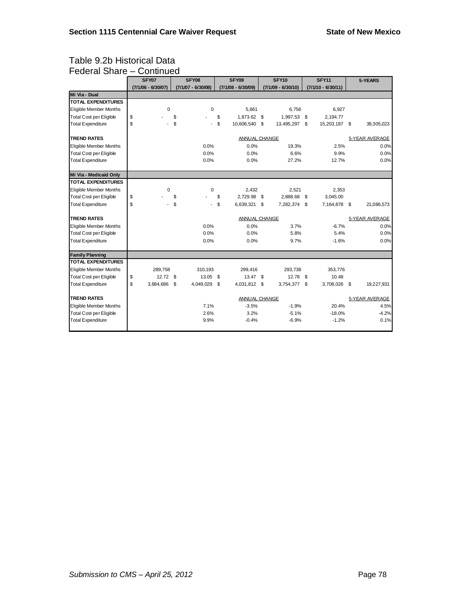### Table 9.2b Historical Data Federal Share – Continued

|                                | .                    |                      |                      |                      |                      |                |
|--------------------------------|----------------------|----------------------|----------------------|----------------------|----------------------|----------------|
|                                | SFY07                | SFY08                | SFY09                | SFY10                | <b>SFY11</b>         | 5-YEARS        |
|                                | $(7/1/06 - 6/30/07)$ | $(7/1/07 - 6/30/08)$ | $(7/1/08 - 6/30/09)$ | $(7/1/09 - 6/30/10)$ | $(7/1/10 - 6/30/11)$ |                |
| Mi Via - Dual                  |                      |                      |                      |                      |                      |                |
| <b>TOTAL EXPENDITURES</b>      |                      |                      |                      |                      |                      |                |
| <b>Eligible Member Months</b>  | $\mathbf 0$          | $\mathbf 0$          | 5,661                | 6,756                | 6,927                |                |
| <b>Total Cost per Eligible</b> | \$                   | \$                   | \$<br>1.873.62 \$    | 1,997.53 \$          | 2,194.77             |                |
| <b>Total Expenditure</b>       | \$                   | \$                   | \$<br>10,606,540 \$  | 13,495,297 \$        | 15,203,187 \$        | 39,305,023     |
| <b>TREND RATES</b>             |                      |                      | ANNUAL CHANGE        |                      |                      | 5-YEAR AVERAGE |
| Eligible Member Months         |                      | 0.0%                 | 0.0%                 | 19.3%                | 2.5%                 | 0.0%           |
| <b>Total Cost per Eligible</b> |                      | 0.0%                 | 0.0%                 | 6.6%                 | 9.9%                 | 0.0%           |
| <b>Total Expenditure</b>       |                      | 0.0%                 | 0.0%                 | 27.2%                | 12.7%                | 0.0%           |
| Mi Via - Medicaid Only         |                      |                      |                      |                      |                      |                |
| <b>TOTAL EXPENDITURES</b>      |                      |                      |                      |                      |                      |                |
| Eligible Member Months         | $\mathbf 0$          | 0                    | 2,432                | 2,521                | 2,353                |                |
| <b>Total Cost per Eligible</b> | \$                   | \$                   | \$<br>2,729.98 \$    | 2,888.68             | \$<br>3,045.00       |                |
| <b>Total Expenditure</b>       | \$                   | \$                   | \$<br>6,639,321 \$   | 7,282,374 \$         | 7,164,878 \$         | 21,086,573     |
| <b>TREND RATES</b>             |                      |                      | ANNUAL CHANGE        |                      |                      | 5-YEAR AVERAGE |
| Eligible Member Months         |                      | 0.0%                 | 0.0%                 | 3.7%                 | $-6.7%$              | 0.0%           |
| <b>Total Cost per Eligible</b> |                      | 0.0%                 | 0.0%                 | 5.8%                 | 5.4%                 | 0.0%           |
| <b>Total Expenditure</b>       |                      | 0.0%                 | 0.0%                 | 9.7%                 | $-1.6%$              | 0.0%           |
| <b>Family Planning</b>         |                      |                      |                      |                      |                      |                |
| <b>TOTAL EXPENDITURES</b>      |                      |                      |                      |                      |                      |                |
| <b>Eligible Member Months</b>  | 289,758              | 310,193              | 299,416              | 293,738              | 353,776              |                |
| <b>Total Cost per Eligible</b> | \$<br>12.72 \$       | 13.05                | \$<br>$13.47$ \$     | 12.78 \$             | 10.48                |                |
| <b>Total Expenditure</b>       | \$<br>3,684,686      | \$<br>4,049,029      | \$<br>4,031,812 \$   | 3,754,377 \$         | 3,708,026 \$         | 19,227,931     |
| <b>TREND RATES</b>             |                      |                      | ANNUAL CHANGE        |                      |                      | 5-YEAR AVERAGE |
| Eligible Member Months         |                      | 7.1%                 | $-3.5%$              | $-1.9%$              | 20.4%                | 4.5%           |
| <b>Total Cost per Eligible</b> |                      | 2.6%                 | 3.2%                 | $-5.1%$              | $-18.0%$             | $-4.2%$        |
| <b>Total Expenditure</b>       |                      | 9.9%                 | $-0.4%$              | $-6.9%$              | $-1.2%$              | 0.1%           |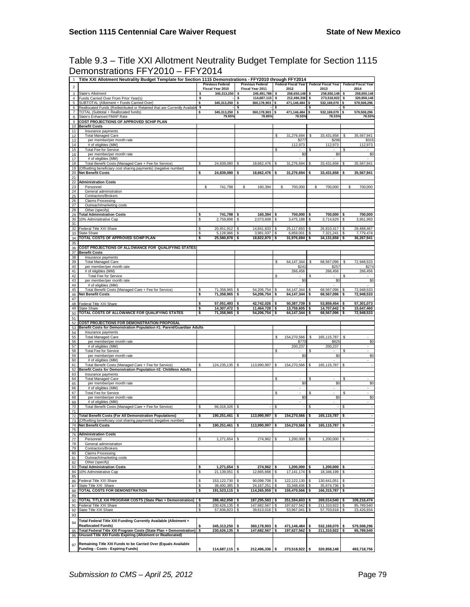# Table 9.3 – Title XXI Allotment Neutrality Budget Template for Section 1115 Demonstrations FFY2010 – FFY2014

|                                | Title XXI Allotment Neutrality Budget Template for Section 1115 Demonstrations - FFY2010 through FFY2014                         |          |                                 |    |                                 |          |                            |    |                                           |          |                            |
|--------------------------------|----------------------------------------------------------------------------------------------------------------------------------|----------|---------------------------------|----|---------------------------------|----------|----------------------------|----|-------------------------------------------|----------|----------------------------|
| $\overline{2}$                 |                                                                                                                                  |          | <b>Previous Federal</b>         |    | <b>Previous Federal</b>         |          |                            |    | Federal Fiscal Year   Federal Fiscal Year |          | <b>Federal Fiscal Year</b> |
|                                | <b>State's Allotment</b>                                                                                                         |          | Fiscal Year 2010<br>345,313,250 | -S | Fiscal Year 2011<br>245,491,788 |          | 2012<br>258,650,148        |    | 2013<br>258,650,148                       |          | 2014<br>258,650,148        |
| $\mathbf{3}$<br>$\overline{4}$ | Funds Carried Over From Prior Year(s)                                                                                            | \$<br>\$ |                                 | s  | 114,687,115                     | \$<br>\$ | 212,496,336                | \$ | 273,518,922                               | \$       | 320,858,148                |
| 5                              | SUBTOTAL (Allotment + Funds Carried Over)                                                                                        | \$       | 345,313,250                     | 5  | 360,178,903                     | \$       | 471,146,484                | \$ | 532,169,070                               | \$       | 579,508,296                |
| 6                              | Reallocated Funds (Redistributed or Retained that are Currently Available                                                        | - \$     |                                 | s  |                                 | \$       |                            | s  |                                           | \$       |                            |
| $\overline{7}$                 | TOTAL (Subtotal + Reallocated funds)                                                                                             | \$       | 345,313,250                     | \$ | 360,178,903                     | \$       | 471,146,484                |    | 532,169,070                               | s        | 579,508,296                |
| 8                              | State's Enhanced FMAP Rate                                                                                                       |          | 79.95%                          |    | 78.85%                          |          | 78.55%                     |    | 78.55%                                    |          | 78.55%                     |
| 9                              | COST PROJECTIONS OF APPROVED SCHIP PLAN                                                                                          |          |                                 |    |                                 |          |                            |    |                                           |          |                            |
| 10<br>11                       | <b>Benefit Costs</b><br>Insurance payments                                                                                       |          |                                 |    |                                 |          |                            |    |                                           |          |                            |
| 12                             | <b>Total Managed Care</b>                                                                                                        |          |                                 |    |                                 |          | 31,276,694                 |    | 33,431,658                                |          | 35,567,941                 |
| 13                             | per member/per month rate                                                                                                        |          |                                 |    |                                 |          | \$27                       |    | \$296                                     |          | \$315                      |
| 14                             | # of eligibles (MM)                                                                                                              |          |                                 |    |                                 |          | 112,973                    |    | 112,973                                   |          | 112,973                    |
| 15                             | <b>Total Fee for Service</b>                                                                                                     |          |                                 |    |                                 | S.       |                            |    |                                           |          |                            |
| 16                             | per member/per month rate                                                                                                        |          |                                 |    |                                 |          | \$0                        |    | \$0                                       |          | \$0                        |
| 17                             | # of eligibles (MM)                                                                                                              |          | 24,839,080                      |    |                                 |          |                            |    |                                           |          |                            |
| 18<br>19                       | Total Benefit Costs (Managed Care + Fee for Service)<br>Offsetting beneficiary cost sharing payments) (negative number)          |          |                                 |    | 18,662,476                      | \$       | 31,276,694                 |    | 33,431,658                                |          | 35,567,941                 |
| 20                             | <b>Net Benefit Costs</b>                                                                                                         |          | 24,839,080                      |    | 18,662,476                      | \$       | 31,276,694                 |    | 33,431,658                                |          | 35,567,941                 |
| 21                             |                                                                                                                                  |          |                                 |    |                                 |          |                            |    |                                           |          |                            |
| 22                             | <b>Administration Costs</b>                                                                                                      |          |                                 |    |                                 |          |                            |    |                                           |          |                            |
| 23                             | Personnel                                                                                                                        | \$.      | 741,798                         |    | 160,394                         |          | 700,000                    |    | 700,000<br>\$.                            |          | 700,000                    |
| 24                             | General administration                                                                                                           |          |                                 |    |                                 |          |                            |    |                                           |          |                            |
| 25                             | Contractors/Brokers                                                                                                              |          |                                 |    |                                 |          |                            |    |                                           |          |                            |
| 26<br>27                       | Claims Processing<br>Outreach/marketing costs                                                                                    |          |                                 |    |                                 |          |                            |    |                                           |          |                            |
| 28                             | Other (specify)                                                                                                                  |          |                                 |    |                                 |          |                            |    |                                           |          |                            |
| 29                             | <b>Total Administration Costs</b>                                                                                                | \$       | 741,798 \$                      |    | $160,394$ \$                    |          | $700,000$ \$               |    | $700,000$ \$                              |          | 700,000                    |
| 30                             | 10% Administrative Cap                                                                                                           | \$       | 2,759,898                       |    | 2,073,608                       |          | 3,475,188                  | \$ | 3,714,629                                 |          | 3,951,993                  |
| 31                             |                                                                                                                                  |          |                                 |    |                                 |          |                            |    |                                           |          |                            |
| 32                             | Federal Title XXI Share                                                                                                          | \$       | 20,451,912                      |    | 14,841,833                      | -\$      | 25,117,693                 |    | 26,810,417                                |          | 28,488,467                 |
| 33                             | State Share                                                                                                                      | \$       | 5,128,966                       | \$ | 3,981,037                       | \$       | 6,859,001                  |    | 7,321,241                                 |          | 7,779,474                  |
| 34                             | <b>TOTAL COSTS OF APPROVED SCHIP PLAN</b>                                                                                        | \$       | 25,580,878 \$                   |    | 18,822,870                      | 5        | 31,976,694                 | -S | $34,131,658$ \$                           |          | 36,267,941                 |
| 35                             | COST PROJECTIONS OF ALLOWANCE FOR QUALIFYING STATES                                                                              |          |                                 |    |                                 |          |                            |    |                                           |          |                            |
| 36<br>37                       | <b>Benefit Costs</b>                                                                                                             |          |                                 |    |                                 |          |                            |    |                                           |          |                            |
| 38                             | Insurance payments                                                                                                               |          |                                 |    |                                 |          |                            |    |                                           |          |                            |
| 39                             | <b>Total Managed Care</b>                                                                                                        |          |                                 |    |                                 | S        | 64, 147, 344               |    | 68,567,096                                |          | 72,948,533                 |
| 40                             | per member/per month rate                                                                                                        |          |                                 |    |                                 |          | \$241                      |    | \$25                                      |          | \$274                      |
| 41                             | # of eligibles (MM)                                                                                                              |          |                                 |    |                                 |          | 266,456                    |    | 266,456                                   |          | 266,456                    |
| 42                             | <b>Total Fee for Service</b>                                                                                                     |          |                                 |    |                                 |          |                            |    |                                           |          |                            |
| 43<br>44                       | per member/per month rate<br># of eligibles (MM)                                                                                 |          |                                 |    |                                 |          | \$0                        |    | \$0                                       |          | \$                         |
| 45                             | Total Benefit Costs (Managed Care + Fee for Service)                                                                             |          | 71,358,965 \$                   |    | 54,206,754                      | -S       | 64, 147, 344               |    | 68,567,096                                |          | 72,948,533                 |
| 46                             | Net Benefit Costs                                                                                                                | s        | 71,358,965 \$                   |    | 54,206,754 \$                   |          | 64, 147, 344               |    | 68,567,096                                |          | 72,948,533                 |
| 47                             |                                                                                                                                  |          |                                 |    |                                 |          |                            |    |                                           |          |                            |
| 48                             | Federal Title XXI Share                                                                                                          |          | 57,051,493                      |    | 42,742,026                      |          | 50,387,739                 |    | 53,859,454                                |          | 57,301,073                 |
| 49                             | State Share                                                                                                                      | \$       | 14,307,472                      | \$ | 11,464,728 \$                   |          | 13,759,605                 |    | 14,707,642                                |          | 15,647,460                 |
| 50                             | TOTAL COSTS OF ALLOWANCE FOR QUALIFYING STATES                                                                                   | s        | 71,358,965                      | -S | 54,206,754                      | -\$      | 64, 147, 344               | -S | 68,567,096                                | S        | 72,948,533                 |
| 51                             | COST PROJECTIONS FOR DEMONSTRATION PROPOSAL                                                                                      |          |                                 |    |                                 |          |                            |    |                                           |          |                            |
| 52                             |                                                                                                                                  |          |                                 |    |                                 |          |                            |    |                                           |          |                            |
|                                |                                                                                                                                  |          |                                 |    |                                 |          |                            |    |                                           |          |                            |
| 53                             | Benefit Costs for Demonstration Population #1: Parent/Guardian Adults                                                            |          |                                 |    |                                 |          |                            |    |                                           |          |                            |
| 54                             | Insurance payments                                                                                                               |          |                                 |    |                                 |          |                            |    |                                           |          |                            |
| 55<br>56                       | <b>Total Managed Care</b><br>per member/per month rate                                                                           |          |                                 |    |                                 |          | 154,270,566<br>\$770       |    | 165, 115, 787<br>\$825                    |          | \$0                        |
| 57                             | # of eligibles (MM)                                                                                                              |          |                                 |    |                                 |          | 200,237                    |    | 200,237                                   |          |                            |
| 58                             | <b>Total Fee for Service</b>                                                                                                     |          |                                 |    |                                 | \$       |                            |    |                                           |          |                            |
| 59                             | per member/per month rate                                                                                                        |          |                                 |    |                                 |          | \$0                        |    | \$0                                       |          | \$0                        |
| 60                             | # of eligibles (MM)                                                                                                              |          |                                 |    |                                 |          |                            |    |                                           |          |                            |
| 61                             | Total Benefit Costs (Managed Care + Fee for Service)                                                                             |          | 124,235,135                     |    | 113,990,997                     | \$       | 154,270,566                | \$ | 165, 115, 787                             |          |                            |
| 62<br>63                       | Benefit Costs for Demonstration Population #2: Childless Adults<br>Insurance payments                                            |          |                                 |    |                                 |          |                            |    |                                           |          |                            |
| 64                             | <b>Total Managed Care</b>                                                                                                        |          |                                 |    |                                 |          |                            |    |                                           |          |                            |
| 65                             | per member/per month rate                                                                                                        |          |                                 |    |                                 |          | \$0                        |    | \$0                                       |          | \$0                        |
| 66                             | # of eligibles (MM)                                                                                                              |          |                                 |    |                                 |          | $\overline{\phantom{a}}$   |    | $\overline{\phantom{a}}$                  |          | $\sim$                     |
| 67                             | <b>Total Fee for Service</b>                                                                                                     |          |                                 |    |                                 |          | ٠                          |    | $\sim$                                    |          | $\sim$                     |
| 68                             | per member/per month rate                                                                                                        |          |                                 |    |                                 |          | \$0<br>$\blacksquare$      |    | \$0<br>$\sim$                             |          | \$0<br>$\sim$              |
| 69<br>70                       | # of eligibles (MM)<br>Total Benefit Costs (Managed Care + Fee for Service)                                                      |          | 66,016,326                      |    |                                 | S        |                            |    |                                           |          | $\overline{\phantom{a}}$   |
| 71                             |                                                                                                                                  |          |                                 |    |                                 |          |                            |    |                                           |          |                            |
| 72                             | <b>Total Benefit Costs (For All Demonstration Populations)</b>                                                                   | s        | 190,251,461 \$                  |    | 113,990,997                     | <b>S</b> | 154,270,566                | \$ | 165, 115, 787                             | s        | $\blacksquare$             |
|                                | (Offsetting beneficiary cost sharing payments) (negative number)                                                                 |          |                                 |    |                                 |          |                            |    |                                           |          |                            |
|                                | 74 Net Benefit Costs                                                                                                             | s        | 190,251,461 \$                  |    | 113,990,997                     | s        | 154,270,566                |    | 165,115,787                               | s        |                            |
| 75                             |                                                                                                                                  |          |                                 |    |                                 |          |                            |    |                                           |          |                            |
| 76<br>77                       | <b>Administration Costs</b><br>Personnel                                                                                         |          | 1.271.654                       |    | 274,962                         | \$       | 1.200.000                  |    | 1,200,000                                 |          |                            |
| 78                             | General administration                                                                                                           |          |                                 |    |                                 |          |                            |    |                                           |          |                            |
| 79                             | Contractors/Brokers                                                                                                              |          |                                 |    |                                 |          |                            |    |                                           |          |                            |
| 80                             | Claims Processing                                                                                                                |          |                                 |    |                                 |          |                            |    |                                           |          |                            |
| 81                             | Outreach/marketing costs                                                                                                         |          |                                 |    |                                 |          |                            |    |                                           |          |                            |
| 82                             | Other (specify)                                                                                                                  |          | 1.271.654                       |    | 274.962                         |          |                            |    |                                           |          | $\overline{\phantom{a}}$   |
| 83                             | <b>Total Administration Costs</b>                                                                                                | \$       |                                 | \$ |                                 | \$<br>\$ | 1,200,000                  | Ŝ  | 1,200,000                                 |          |                            |
| 84<br>85                       | 10% Administrative Cap                                                                                                           | \$       | 21,139,051                      |    | 12,665,666                      |          | 17, 141, 174               |    | 18,346,199                                |          |                            |
| 86                             | Federal Title XXI Share                                                                                                          | \$       | 153, 122, 730                   | \$ | 90,098,708                      | \$       | 122,122,130                | \$ | 130,641,051                               | S        |                            |
| 87                             | State Title XXI Share                                                                                                            | \$       | 38,400,385                      | \$ | 24, 167, 251                    | \$       | 33,348,436                 | \$ | 35,674,736                                | \$       |                            |
| 88                             | TOTAL COSTS FOR DEMONSTRATION                                                                                                    | \$       | 191,523,115                     | \$ | 114,265,959                     | \$       | 155,470,566                | \$ | 166,315,787                               | s        | $\blacksquare$             |
| 89                             |                                                                                                                                  |          |                                 |    |                                 |          |                            |    |                                           |          |                            |
| 90                             | TOTAL TITLE XXI PROGRAM COSTS (State Plan + Demonstration)                                                                       | \$       | 288,462,958 \$                  |    | 187,295,583 \$                  |          | 251,594,603                | s  | 269,014,540                               | -S       | 109,216,474                |
| 91                             | Federal Title XXI Share                                                                                                          | \$       | 230,626,135                     | \$ | 147,682,567                     | \$       | 197,627,562                | \$ | 211,310,922                               | \$       | 85,789,540                 |
| 92                             | State Title XXI Share                                                                                                            | \$       | 57,836,823 \$                   |    | 39,613,016                      | \$       | 53,967,041                 | \$ | 57,703,618                                | \$       | 23,426,934                 |
| 93                             |                                                                                                                                  |          |                                 |    |                                 |          |                            |    |                                           |          |                            |
| 94                             | Total Federal Title XXI Funding Currently Available (Allotment +<br><b>Reallocated Funds)</b>                                    | Ś        |                                 | s  |                                 | s        |                            |    |                                           |          |                            |
| 95                             |                                                                                                                                  | \$       | 345,313,250                     |    | 360,178,903<br>147,682,567      | \$       | 471,146,484<br>197,627,562 | \$ | 532,169,070<br>211,310,922                | \$<br>\$ | 579,508,296<br>85,789,540  |
| 96                             | Total Federal Title XXI Program Costs (State Plan + Demonstration)<br>Unused Title XXI Funds Expiring (Allotment or Reallocated) |          | 230,626,135 \$                  |    |                                 |          |                            |    |                                           |          |                            |
|                                |                                                                                                                                  |          |                                 |    |                                 |          |                            |    |                                           |          |                            |
| 97                             | Remaining Title XXI Funds to be Carried Over (Equals Available<br>Funding - Costs - Expiring Funds)                              | \$       | 114,687,115                     | \$ | 212,496,336                     | \$       | 273,518,922                | \$ | 320,858,148                               |          | 493,718,756                |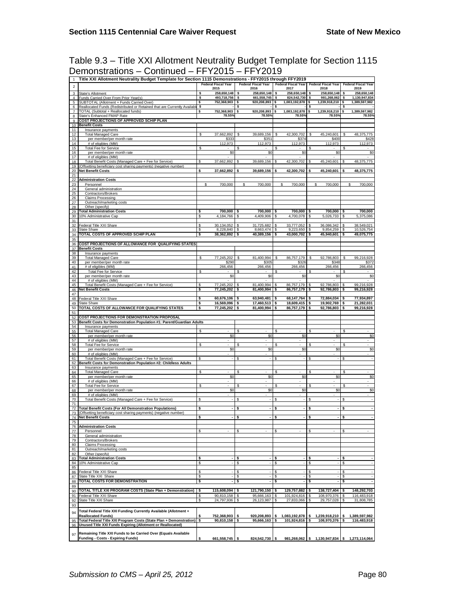Table 9.3 – Title XXI Allotment Neutrality Budget Template for Section 1115 Demonstrations – Continued – FFY2015 – FFY2019

|                | Title XXI Allotment Neutrality Budget Template for Section 1115 Demonstrations - FFY2015 through FFY2019                         |          |                            |          |                            |          |                            |         |                            |          |                            |
|----------------|----------------------------------------------------------------------------------------------------------------------------------|----------|----------------------------|----------|----------------------------|----------|----------------------------|---------|----------------------------|----------|----------------------------|
| $\overline{c}$ |                                                                                                                                  |          | <b>Federal Fiscal Year</b> |          | <b>Federal Fiscal Year</b> |          | <b>Federal Fiscal Year</b> |         | <b>Federal Fiscal Year</b> |          | <b>Federal Fiscal Year</b> |
| 3              | state's Allotment                                                                                                                |          | 2015<br>258,650,148        |          | 2016<br>258,650,148        |          | 2017<br>258,650,148        |         | 2018<br>258,650,148        |          | 2019<br>258,650,148        |
| 4              | unds Carried Over From Prior Year(s)                                                                                             | s        | 493,718,756                |          | 661,558,745                |          | 824,542,730                |         | 981,268,062                |          | 1,130,947,834              |
| 5              | SUBTOTAL (Allotment + Funds Carried Over)                                                                                        | s        | 752,368,903                |          | 920,208,893                |          | 1,083,192,878              |         | 1,239,918,210              |          | 1,389,597,982              |
| 6              | Reallocated Funds (Redistributed or Retained that are Currently Available                                                        | -S       |                            |          |                            |          |                            |         |                            |          |                            |
| $\overline{7}$ | TOTAL (Subtotal + Reallocated funds)                                                                                             | \$       | 752,368,903                | s        | 920,208,893                | l \$     | 1,083,192,878<br>78.55%    | s       | 1,239,918,210<br>78.559    | s        | 1,389,597,982<br>78.55%    |
| 8<br>9         | State's Enhanced FMAP Rate<br><b>COST PROJECTIONS OF APPROVED SCHIP PLAN</b>                                                     |          | 78.55%                     |          | 78.55%                     |          |                            |         |                            |          |                            |
| 10             | <b>Benefit Costs</b>                                                                                                             |          |                            |          |                            |          |                            |         |                            |          |                            |
| 11             | Insurance payments                                                                                                               |          |                            |          |                            |          |                            |         |                            |          |                            |
| 12             | <b>Total Managed Care</b>                                                                                                        | \$       | 37,662,892                 | S        | 39,689,156                 |          | 42,300,702                 |         | 45,240,601                 |          | 48,375,775                 |
| 13             | per member/per month rate                                                                                                        |          | \$33                       |          | \$35                       |          | \$374                      |         | \$400                      |          | \$428                      |
| 14             | # of eligibles (MM)                                                                                                              |          | 112,973                    |          | 112,973                    |          | 112,973                    |         | 112,973                    |          | 112,973                    |
| 15<br>16       | <b>Total Fee for Service</b><br>per member/per month rate                                                                        | s        | \$0                        |          | \$0                        |          | \$C                        |         | \$0                        |          | \$0                        |
| 17             | # of eligibles (MM)                                                                                                              |          |                            |          |                            |          |                            |         |                            |          |                            |
| 18             | Total Benefit Costs (Managed Care + Fee for Service)                                                                             | S        | 37,662,892                 |          | 39,689,156                 |          | 42,300,702                 | s       | 45,240,601                 | s        | 48,375,775                 |
| 19             | Offsetting beneficiary cost sharing payments) (negative number)                                                                  |          |                            |          |                            |          |                            |         |                            |          |                            |
| 20             | Net Benefit Costs                                                                                                                | \$       | 37,662,892                 | \$.      | 39,689,156                 | - S      | 42,300,702                 | s       | 45,240,601                 | s        | 48,375,775                 |
| 21<br>22       | <b>Administration Costs</b>                                                                                                      |          |                            |          |                            |          |                            |         |                            |          |                            |
| 23             | Personnel                                                                                                                        |          | \$<br>700,000              |          | \$<br>700,000              |          | 700,000<br>Ś               |         | \$<br>700,000              |          | Ŝ<br>700,000               |
| 24             | General administration                                                                                                           |          |                            |          |                            |          |                            |         |                            |          |                            |
| 25             | Contractors/Brokers                                                                                                              |          |                            |          |                            |          |                            |         |                            |          |                            |
| 26             | <b>Claims Processing</b>                                                                                                         |          |                            |          |                            |          |                            |         |                            |          |                            |
| 27             | Outreach/marketing costs<br>Other (specify)                                                                                      |          |                            |          |                            |          |                            |         |                            |          |                            |
| 28<br>29       | <b>Total Administration Costs</b>                                                                                                |          | 700,000                    |          | 700,000                    |          | 700,000                    |         | 700,000 \$                 |          | 700,000                    |
| 30             | 10% Administrative Cap                                                                                                           | s        | 4,184,766                  | -S       | 4,409,906                  | S.       | 4,700,078                  | \$      | 5,026,733                  | -S       | 5,375,086                  |
| 31             |                                                                                                                                  |          |                            |          |                            |          |                            |         |                            |          |                            |
| 32             | ederal Title XXI Share                                                                                                           |          | 30,134,052                 |          | 31,725,682                 | S        | 33,777,052                 | s       | 36,086,342                 |          | 38,549,021                 |
| 33             | State Share                                                                                                                      | \$       | 8.228.840                  |          | 8,663,474                  |          | 650                        |         | 9,854,259                  |          | 10,526,754                 |
| 34             | TOTAL COSTS OF APPROVED SCHIP PLAN                                                                                               | \$       | 38,362,892                 | l S      | 40,389,156                 | s        | 43,000,702                 | \$      | 45,940,601                 | \$       | 49,075,775                 |
| 35<br>36       | COST PROJECTIONS OF ALLOWANCE FOR QUALIFYING STATES                                                                              |          |                            |          |                            |          |                            |         |                            |          |                            |
| 37             | <b>Benefit Costs</b>                                                                                                             |          |                            |          |                            |          |                            |         |                            |          |                            |
| 38             | Insurance payments                                                                                                               |          |                            |          |                            |          |                            |         |                            |          |                            |
| 39             | <b>Total Managed Care</b>                                                                                                        | \$       | 77,245,202                 |          | 81,400,994                 |          | 86,757,179                 |         | 92,786,803                 |          | 99,216,928                 |
| 40             | per member/per month rate                                                                                                        |          | \$290                      |          | \$305                      |          | \$326                      |         | \$348                      |          | \$372                      |
| 41             | # of eligibles (MM)                                                                                                              | Ŝ        | 266,456                    |          | 266,456                    |          | 266,456                    |         | 266.456                    |          | 266,456                    |
| 42<br>43       | <b>Total Fee for Service</b><br>per member/per month rate                                                                        |          | \$0                        |          | \$0                        |          | \$0                        |         | \$0                        |          | \$0                        |
| 44             | # of eligibles (MM)                                                                                                              |          |                            |          |                            |          |                            |         |                            |          |                            |
| 45             | Total Benefit Costs (Managed Care + Fee for Service)                                                                             | s        | 77,245,202                 | - \$     | 81,400,994                 |          | 86,757,179                 | s       | 92,786,803                 |          | 99,216,928                 |
| 46             | Net Benefit Costs                                                                                                                | s        | 77,245,202                 |          | 81,400,994                 |          | 86,757,179                 | s       | 92,786,803                 |          | 99,216,928                 |
| 47             |                                                                                                                                  |          |                            |          |                            |          |                            |         |                            |          |                            |
| 48             | Federal Title XXI Share<br>State Share                                                                                           | \$<br>\$ | 60,676,106<br>16,569,096   |          | 63,940,481<br>17,460,513   | \$<br>\$ | 68, 147, 764<br>18,609,415 | \$<br>s | 72,884,034<br>19,902,769   | \$<br>\$ | 77,934,897<br>21,282,031   |
| 49<br>50       | TOTAL COSTS OF ALLOWANCE FOR QUALIFYING STATES                                                                                   | s        | 77,245,202                 |          | 81,400,994                 | s        | 86,757,179                 |         | 92,786,803                 |          | 99,216,928                 |
| 51             |                                                                                                                                  |          |                            |          |                            |          |                            |         |                            |          |                            |
| 52             | COST PROJECTIONS FOR DEMONSTRATION PROPOSAL                                                                                      |          |                            |          |                            |          |                            |         |                            |          |                            |
| 53             | Benefit Costs for Demonstration Population #1: Parent/Guardian Adults                                                            |          |                            |          |                            |          |                            |         |                            |          |                            |
| 54             | Insurance payments                                                                                                               |          |                            |          |                            |          |                            | S       |                            |          |                            |
| 55<br>56       | <b>Total Managed Care</b><br>per member/per month rate                                                                           |          | \$0                        |          | \$0                        |          | \$0                        |         | \$0                        |          | \$0                        |
|                |                                                                                                                                  |          |                            |          |                            |          |                            |         |                            |          |                            |
|                |                                                                                                                                  |          |                            |          |                            |          |                            |         |                            |          |                            |
| 57<br>58       | # of eligibles (MM)<br><b>Total Fee for Service</b>                                                                              | S        |                            | £.       |                            | \$.      |                            | S       |                            | £.       |                            |
| 59             | per member/per month rate                                                                                                        |          | \$0                        |          | \$0                        |          | \$0                        |         | \$0                        |          | \$0                        |
| 60             | # of eligibles (MM)                                                                                                              |          |                            |          |                            |          |                            |         |                            |          |                            |
| 61             | Total Benefit Costs (Managed Care + Fee for Service)                                                                             |          |                            |          |                            |          |                            |         |                            |          |                            |
| 62             | Benefit Costs for Demonstration Population #2: Childless Adults                                                                  |          |                            |          |                            |          |                            |         |                            |          |                            |
| 63<br>64       | Insurance payments<br><b>Total Managed Care</b>                                                                                  |          |                            |          |                            |          |                            |         |                            |          |                            |
| 65             | per member/per month rate                                                                                                        |          | \$0                        |          | \$0                        |          | \$0                        |         | \$0                        |          | \$0                        |
| 66             | # of eligibles (MM)                                                                                                              |          |                            |          |                            |          |                            |         |                            |          |                            |
| 67             | <b>Total Fee for Service</b>                                                                                                     |          |                            |          |                            |          |                            |         |                            |          |                            |
| 68             | per member/per month rate                                                                                                        |          | \$0                        |          | \$0                        |          | \$0                        |         | \$0                        |          | \$0                        |
| 69<br>70       | # of eligibles (MM)<br>Total Benefit Costs (Managed Care + Fee for Service)                                                      |          |                            | Ŝ        |                            |          |                            |         |                            |          |                            |
| 71             |                                                                                                                                  |          |                            |          |                            |          |                            |         |                            |          |                            |
| 72             | <b>Total Benefit Costs (For All Demonstration Populations)</b>                                                                   |          |                            | S        |                            |          |                            |         |                            |          |                            |
| 73             | (Offsetting beneficiary cost sharing payments) (negative number)                                                                 |          |                            |          |                            |          |                            |         |                            |          |                            |
| 74<br>75       | <b>Net Benefit Costs</b>                                                                                                         |          |                            |          |                            |          |                            |         |                            |          |                            |
| 76             | <b>Administration Costs</b>                                                                                                      |          |                            |          |                            |          |                            |         |                            |          |                            |
| 77             | Personnel                                                                                                                        |          |                            |          |                            |          |                            |         |                            |          |                            |
| 78             | General administration                                                                                                           |          |                            |          |                            |          |                            |         |                            |          |                            |
| 79             | Contractors/Brokers                                                                                                              |          |                            |          |                            |          |                            |         |                            |          |                            |
| 80<br>81       | Claims Processing<br>Outreach/marketing costs                                                                                    |          |                            |          |                            |          |                            |         |                            |          |                            |
| 82             | Other (specify)                                                                                                                  |          |                            |          |                            |          |                            |         |                            |          |                            |
| 83             | <b>Total Administration Costs</b>                                                                                                | s        |                            | s        |                            | s        |                            | s       |                            | s        |                            |
| 84             | 10% Administrative Cap                                                                                                           | s        |                            | \$       |                            | s        |                            | s       |                            | s        |                            |
| 85             |                                                                                                                                  |          |                            |          |                            | Я        |                            | S       |                            |          |                            |
| 86             | Federal Title XXI Share                                                                                                          | s<br>s   |                            | S        |                            | S.       |                            | S       |                            | S        |                            |
| 87<br>88       | State Title XXI Share<br>TOTAL COSTS FOR DEMONSTRATION                                                                           | \$       | $\overline{\phantom{a}}$   | \$<br>\$ |                            | \$       | $\overline{\phantom{a}}$   | \$      | $\overline{\phantom{a}}$   | \$       |                            |
| 89             |                                                                                                                                  |          |                            |          |                            |          |                            |         |                            |          |                            |
| 90             | TOTAL TITLE XXI PROGRAM COSTS (State Plan + Demonstration)                                                                       | s        | 115,608,094                | - \$     | 121,790,150                | l S      | 129,757,882                | s       | 138,727,404                |          | 148,292,703                |
| 91             | Federal Title XXI Share                                                                                                          | \$.      | 90,810,158                 |          | 95,666,163                 |          | 101,924,816                |         | 108,970,376                |          | 116,483,918                |
| 92             | State Title XXI Share                                                                                                            | \$       | 24,797,936                 | \$       | 26,123,987                 | \$       | 27,833,066                 | S       | 29,757,028                 | \$       | 31,808,785                 |
| 93             |                                                                                                                                  |          |                            |          |                            |          |                            |         |                            |          |                            |
| 94             | Total Federal Title XXI Funding Currently Available (Allotment +                                                                 |          |                            |          |                            |          |                            |         |                            |          |                            |
|                | <b>Reallocated Funds)</b>                                                                                                        |          | 752,368,903                | \$       | 920,208,893                | s        | 1,083,192,878              | \$      | 1,239,918,210              |          | 1,389,597,982              |
| 95<br>96       | Total Federal Title XXI Program Costs (State Plan + Demonstration)<br>Unused Title XXI Funds Expiring (Allotment or Reallocated) | \$       | 90,810,158                 | 5        | 95,666,163                 | l \$     | 101,924,816 \$             |         | 108,970,376 \$             |          | 116,483,918                |
|                |                                                                                                                                  |          |                            |          |                            |          |                            |         |                            |          |                            |
| 97             | Remaining Title XXI Funds to be Carried Over (Equals Available<br><b>Funding - Costs - Expiring Funds)</b>                       | \$       | 661,558,745                | \$       | 824,542,730                | \$       | 981,268,062                |         | \$ 1,130,947,834           |          | \$ 1,273,114,064           |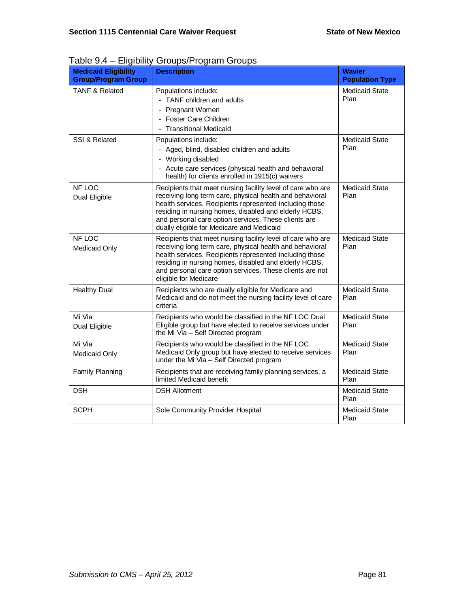| <b>Medicaid Eligibility</b><br><b>Group/Program Group</b> | <b>Description</b>                                                                                                                                                                                                                                                                                                                               | <b>Wavier</b><br><b>Population Type</b> |  |  |  |  |  |  |
|-----------------------------------------------------------|--------------------------------------------------------------------------------------------------------------------------------------------------------------------------------------------------------------------------------------------------------------------------------------------------------------------------------------------------|-----------------------------------------|--|--|--|--|--|--|
| <b>TANF &amp; Related</b>                                 | Populations include:<br>- TANF children and adults<br><b>Pregnant Women</b><br>- Foster Care Children<br>- Transitional Medicaid                                                                                                                                                                                                                 | <b>Medicaid State</b><br>Plan           |  |  |  |  |  |  |
| SSI & Related                                             | Populations include:<br>- Aged, blind, disabled children and adults<br>- Working disabled<br>- Acute care services (physical health and behavioral<br>health) for clients enrolled in 1915(c) waivers                                                                                                                                            |                                         |  |  |  |  |  |  |
| NF LOC<br>Dual Eligible                                   | Recipients that meet nursing facility level of care who are<br>receiving long term care, physical health and behavioral<br>health services. Recipients represented including those<br>residing in nursing homes, disabled and elderly HCBS,<br>and personal care option services. These clients are<br>dually eligible for Medicare and Medicaid | <b>Medicaid State</b><br>Plan           |  |  |  |  |  |  |
| NF LOC<br>Medicaid Only                                   | Recipients that meet nursing facility level of care who are<br>receiving long term care, physical health and behavioral<br>health services. Recipients represented including those<br>residing in nursing homes, disabled and elderly HCBS,<br>and personal care option services. These clients are not<br>eligible for Medicare                 | <b>Medicaid State</b><br>Plan           |  |  |  |  |  |  |
| <b>Healthy Dual</b>                                       | Recipients who are dually eligible for Medicare and<br>Medicaid and do not meet the nursing facility level of care<br>criteria                                                                                                                                                                                                                   | <b>Medicaid State</b><br>Plan           |  |  |  |  |  |  |
| Mi Via<br>Dual Eligible                                   | Recipients who would be classified in the NF LOC Dual<br>Eligible group but have elected to receive services under<br>the Mi Via - Self Directed program                                                                                                                                                                                         | <b>Medicaid State</b><br>Plan           |  |  |  |  |  |  |
| Mi Via<br>Medicaid Only                                   | Recipients who would be classified in the NF LOC<br>Medicaid Only group but have elected to receive services<br>under the Mi Via - Self Directed program                                                                                                                                                                                         | <b>Medicaid State</b><br>Plan           |  |  |  |  |  |  |
| Family Planning                                           | Recipients that are receiving family planning services, a<br>limited Medicaid benefit                                                                                                                                                                                                                                                            | <b>Medicaid State</b><br>Plan           |  |  |  |  |  |  |
| <b>DSH</b>                                                | <b>DSH Allotment</b>                                                                                                                                                                                                                                                                                                                             | Medicaid State<br>Plan                  |  |  |  |  |  |  |
| <b>SCPH</b>                                               | Sole Community Provider Hospital                                                                                                                                                                                                                                                                                                                 | <b>Medicaid State</b><br>Plan           |  |  |  |  |  |  |

Table 9.4 – Eligibility Groups/Program Groups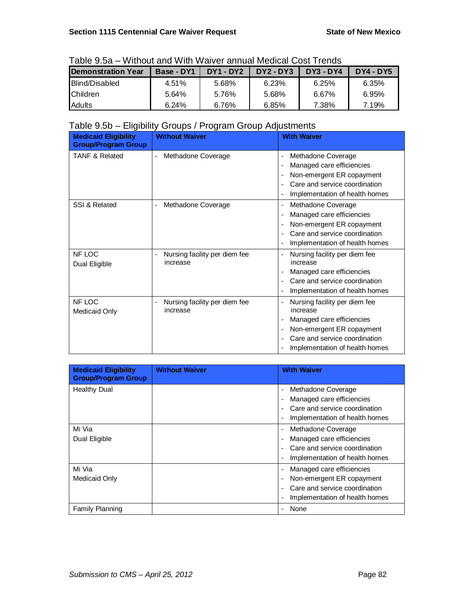|                            | Table 3.Ja = Williout and Willi Walver annual Medical Cost Tienus |                  |             |                  |             |  |  |  |  |  |  |  |  |
|----------------------------|-------------------------------------------------------------------|------------------|-------------|------------------|-------------|--|--|--|--|--|--|--|--|
| <b>IDemonstration Year</b> | Base - DY1                                                        | <b>DY1 - DY2</b> | $DY2 - DY3$ | <b>DY3 - DY4</b> | $DY4 - DY5$ |  |  |  |  |  |  |  |  |
| <b>Blind/Disabled</b>      | 4.51%                                                             | 5.68%            | 6.23%       | 6.25%            | 6.35%       |  |  |  |  |  |  |  |  |
| <b>IChildren</b>           | 5.64%                                                             | 5.76%            | 5.68%       | 6.67%            | 6.95%       |  |  |  |  |  |  |  |  |
| <b>Adults</b>              | 6.24%                                                             | 6.76%            | 6.85%       | 7.38%            | 7.19%       |  |  |  |  |  |  |  |  |

Table 9.5a – Without and With Waiver annual Medical Cost Trends

# Table 9.5b – Eligibility Groups / Program Group Adjustments

| <b>Medicaid Eligibility</b><br><b>Group/Program Group</b> | <b>Without Waiver</b>                                                     | <b>With Waiver</b>                                                    |
|-----------------------------------------------------------|---------------------------------------------------------------------------|-----------------------------------------------------------------------|
| <b>TANF &amp; Related</b>                                 | Methadone Coverage<br>$\qquad \qquad \blacksquare$                        | Methadone Coverage<br>$\overline{\phantom{a}}$                        |
|                                                           |                                                                           | Managed care efficiencies                                             |
|                                                           |                                                                           | Non-emergent ER copayment<br>$\overline{\phantom{a}}$                 |
|                                                           |                                                                           | Care and service coordination                                         |
|                                                           |                                                                           | Implementation of health homes<br>$\overline{\phantom{a}}$            |
| SSI & Related                                             | Methadone Coverage                                                        | Methadone Coverage<br>$\overline{\phantom{a}}$                        |
|                                                           |                                                                           | Managed care efficiencies<br>$\overline{\phantom{a}}$                 |
|                                                           |                                                                           | Non-emergent ER copayment<br>$\overline{\phantom{a}}$                 |
|                                                           |                                                                           | Care and service coordination<br>$\blacksquare$                       |
|                                                           |                                                                           | Implementation of health homes                                        |
| NF LOC                                                    | Nursing facility per diem fee<br>$\qquad \qquad \blacksquare$             | Nursing facility per diem fee<br>$\blacksquare$                       |
| Dual Eligible                                             | increase                                                                  | increase                                                              |
|                                                           |                                                                           | Managed care efficiencies<br>$\overline{\phantom{a}}$                 |
|                                                           |                                                                           | Care and service coordination<br>$\blacksquare$                       |
|                                                           |                                                                           | Implementation of health homes                                        |
| NF LOC<br>Medicaid Only                                   | Nursing facility per diem fee<br>$\qquad \qquad \blacksquare$<br>increase | Nursing facility per diem fee<br>$\overline{\phantom{a}}$<br>increase |
|                                                           |                                                                           | Managed care efficiencies<br>$\overline{\phantom{a}}$                 |
|                                                           |                                                                           | Non-emergent ER copayment<br>$\overline{\phantom{a}}$                 |
|                                                           |                                                                           | Care and service coordination                                         |
|                                                           |                                                                           | Implementation of health homes                                        |

| <b>Medicaid Eligibility</b><br><b>Group/Program Group</b> | <b>Without Waiver</b> | <b>With Waiver</b>                                                                                                                                               |
|-----------------------------------------------------------|-----------------------|------------------------------------------------------------------------------------------------------------------------------------------------------------------|
| <b>Healthy Dual</b>                                       |                       | Methadone Coverage<br>$\overline{a}$<br>Managed care efficiencies<br>$\overline{\phantom{a}}$<br>Care and service coordination<br>Implementation of health homes |
| Mi Via<br>Dual Eligible                                   |                       | Methadone Coverage<br>$\overline{\phantom{a}}$<br>Managed care efficiencies<br>Care and service coordination<br>$\blacksquare$<br>Implementation of health homes |
| Mi Via<br>Medicaid Only                                   |                       | Managed care efficiencies<br>-<br>Non-emergent ER copayment<br>$\overline{a}$<br>Care and service coordination<br>Implementation of health homes                 |
| <b>Family Planning</b>                                    |                       | None                                                                                                                                                             |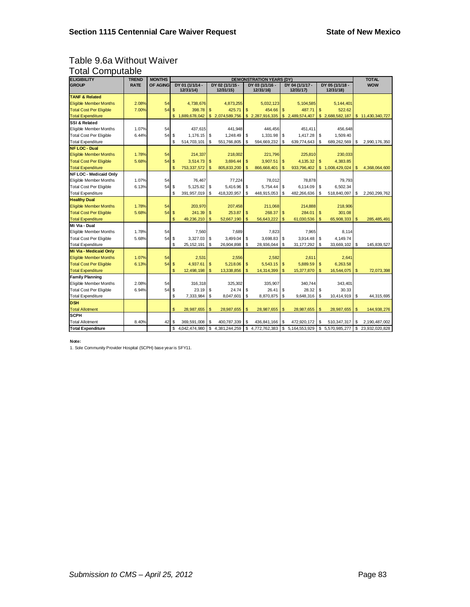# Table 9.6a Without Waiver Total Computable

| <b>ELIGIBILITY</b>             | <b>TREND</b> | <b>MONTHS</b>   | <b>DEMONSTRATION YEARS (DY)</b> |                 |              |                 |              |                 |                |                  |                |                 |          | <b>TOTAL</b>     |
|--------------------------------|--------------|-----------------|---------------------------------|-----------------|--------------|-----------------|--------------|-----------------|----------------|------------------|----------------|-----------------|----------|------------------|
| <b>GROUP</b>                   | <b>RATE</b>  | <b>OF AGING</b> |                                 | DY 01 (1/1/14 - |              | DY 02 (1/1/15 - |              | DY 03 (1/1/16 - |                | DY 04 (1/1/17 -  |                | DY 05 (1/1/18 - |          | <b>WOW</b>       |
|                                |              |                 |                                 | 12/31/14)       |              | 12/31/15)       |              | 12/31/16)       |                | 12/31/17)        |                | 12/31/18)       |          |                  |
| <b>TANF &amp; Related</b>      |              |                 |                                 |                 |              |                 |              |                 |                |                  |                |                 |          |                  |
| <b>Eligible Member Months</b>  | 2.08%        | 54              |                                 | 4,738,676       |              | 4,873,255       |              | 5,032,123       |                | 5,104,585        |                | 5,144,401       |          |                  |
| <b>Total Cost Per Eligible</b> | 7.00%        | 54              | $\mathsf{\$}$                   | 398.78          | \$           | 425.71          | $\mathsf{s}$ | 454.66          | <sub>\$</sub>  | 487.71           | $\mathsf{\$}$  | 522.62          |          |                  |
| <b>Total Expenditure</b>       |              |                 | \$                              | 1,889,678,042   |              | \$2,074,589,756 |              | \$2,287,916,335 |                | \$ 2,489,574,407 | \$             | 2,688,582,187   |          | \$11,430,340,727 |
| SSI & Related                  |              |                 |                                 |                 |              |                 |              |                 |                |                  |                |                 |          |                  |
| Eligible Member Months         | 1.07%        | 54              |                                 | 437,615         |              | 441,948         |              | 446,456         |                | 451,411          |                | 456,648         |          |                  |
| <b>Total Cost Per Eligible</b> | 6.44%        | 54              | \$                              |                 |              | 1.248.49        | \$           | 1.331.98        | \$             | 1.417.28         | \$             | 1.509.40        |          |                  |
| <b>Total Expenditure</b>       |              |                 | \$                              | 514,703,101     | \$           | 551,766,805     | \$           | 594,669,232     | - \$           | 639,774,643      | \$             | 689,262,569     | \$       | 2,990,176,350    |
| <b>NFLOC - Dual</b>            |              |                 |                                 |                 |              |                 |              |                 |                |                  |                |                 |          |                  |
| <b>Eligible Member Months</b>  | 1.78%        | 54              |                                 | 214,337         |              | 218,002         |              | 221,796         |                | 225,810          |                | 230,033         |          |                  |
| <b>Total Cost Per Eligible</b> | 5.68%        | 54              | $\mathsf{\$}$                   | 3,514.73        | l \$         | 3,696.44        | \$           | 3,907.51        | -\$            | 4,135.32         | $\mathsf{\$}$  | 4,383.85        |          |                  |
| <b>Total Expenditure</b>       |              |                 | \$                              | 753, 337, 572   | \$           | 805,833,200     | \$           | 866,668,401     | \$             | 933,796,402      |                | \$1,008,429,024 | S        | 4,368,064,600    |
| NF LOC - Medicaid Only         |              |                 |                                 |                 |              |                 |              |                 |                |                  |                |                 |          |                  |
| Eligible Member Months         | 1.07%        | 54              |                                 | 76,467          |              | 77.224          |              | 78.012          |                | 78.878           |                | 79.793          |          |                  |
| <b>Total Cost Per Eligible</b> | 6.13%        | 54              | \$                              | 5,125.82        | l \$         | 5.416.96        | \$           | 5.754.44        | \$             | 6.114.09         | \$             | 6,502.34        |          |                  |
| <b>Total Expenditure</b>       |              |                 | \$                              | 391,957,019     | l s          | 418,320,957     | \$           | 448,915,053     | \$             | 482,266,636      | \$             | 518,840,097     | S        | 2.260.299.762    |
| <b>Healthy Dual</b>            |              |                 |                                 |                 |              |                 |              |                 |                |                  |                |                 |          |                  |
| <b>Eligible Member Months</b>  | 1.78%        | 54              |                                 | 203,970         |              | 207,458         |              | 211,068         |                | 214,888          |                | 218,906         |          |                  |
| <b>Total Cost Per Eligible</b> | 5.68%        | 54              | $\frac{1}{2}$                   | 241.39          | $\mathbf{s}$ | 253.87          | \$           | 268.37          | $\mathbf{s}$   | 284.01           | $\mathsf{\$}$  | 301.08          |          |                  |
| <b>Total Expenditure</b>       |              |                 | \$                              | 49,236,210      | <b>S</b>     | 52,667,190      | \$           | 56,643,222      | \$             | 61,030,536       | \$             | 65,908,333      |          | 285,485,491      |
| Mi Via - Dual                  |              |                 |                                 |                 |              |                 |              |                 |                |                  |                |                 |          |                  |
| Eligible Member Months         | 1.78%        | 54              |                                 | 7,560           |              | 7,689           |              | 7,823           |                | 7,965            |                | 8,114           |          |                  |
| <b>Total Cost Per Eligible</b> | 5.68%        | 54              | \$                              | 3.327.03        | -S           | 3.499.04        | \$           | 3.698.83        | \$             | 3.914.48         | \$             | 4.149.74        |          |                  |
| <b>Total Expenditure</b>       |              |                 | \$                              | 25, 152, 191    | <b>S</b>     | 26,904,898      | \$           | 28,936,044      | <sup>\$</sup>  | 31,177,292       | \$             | 33,669,102      | <b>S</b> | 145,839,527      |
| Mi Via - Medicaid Only         |              |                 |                                 |                 |              |                 |              |                 |                |                  |                |                 |          |                  |
| <b>Eligible Member Months</b>  | 1.07%        | 54              |                                 | 2,531           |              | 2,556           |              | 2,582           |                | 2,611            |                | 2,641           |          |                  |
| <b>Total Cost Per Eligible</b> | 6.13%        | 54              | $\mathbf{\$}$                   | 4,937.61        | \$           | 5,218.06        | \$           | 5,543.15        | -\$            | 5,889.59         | $\mathfrak{S}$ | 6,263.58        |          |                  |
| <b>Total Expenditure</b>       |              |                 | \$                              | 12,498,198      | <b>S</b>     | 13,338,856      | $\mathsf{s}$ | 14,314,399      | $\mathfrak{s}$ | 15,377,870       | $\mathsf{s}$   | 16,544,075      | <b>S</b> | 72,073,398       |
| <b>Family Planning</b>         |              |                 |                                 |                 |              |                 |              |                 |                |                  |                |                 |          |                  |
| Eligible Member Months         | 2.08%        | 54              |                                 | 316,318         |              | 325,302         |              | 335,907         |                | 340,744          |                | 343,401         |          |                  |
| <b>Total Cost Per Eligible</b> | 6.94%        | 54              | \$                              | 23.19           | <b>S</b>     | 24.74           | \$           | 26.41           | \$             | 28.32            | \$             | 30.33           |          |                  |
| <b>Total Expenditure</b>       |              |                 | \$                              | 7,333,984       | \$           | 8,047,601       | \$           | 8,870,875       | \$             | 9,648,316        | \$             | 10,414,919      | \$       | 44,315,695       |
| <b>DSH</b>                     |              |                 |                                 |                 |              |                 |              |                 |                |                  |                |                 |          |                  |
| <b>Total Allotment</b>         |              |                 | \$                              | 28,987,655      | \$           | 28,987,655      | \$           | 28,987,655      | $\mathfrak{s}$ | 28,987,655       | $\mathsf{\$}$  | 28,987,655      | <b>S</b> | 144,938,276      |
| <b>SCPH</b>                    |              |                 |                                 |                 |              |                 |              |                 |                |                  |                |                 |          |                  |
| <b>Total Allotment</b>         | 8.40%        | 42              | - \$                            | 369,591,008     | \$.          | 400,787,339     | \$           | 436,841,166     | \$             | 472,920,172      | \$             | 510,347,317     | \$       | 2,190,487,002    |
| <b>Total Expenditure</b>       |              |                 | \$                              | 4,042,474,980   | \$           | 4,381,244,259   | \$           | 4,772,762,383   | \$             | 5, 164, 553, 929 |                | \$5,570,985,277 | \$       | 23,932,020,828   |

**Note:**

1. Sole Community Provider Hospital (SCPH) base year is SFY11.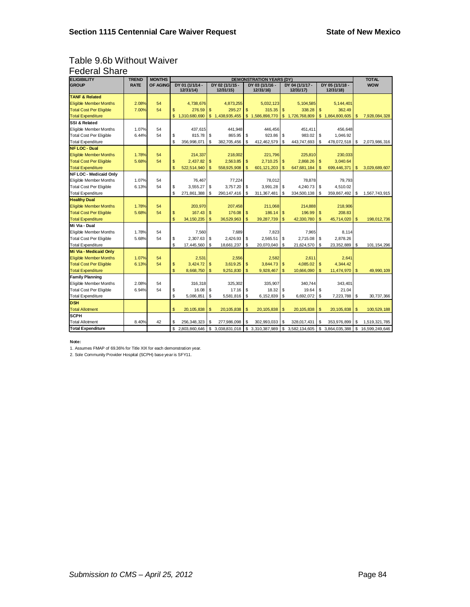# Table 9.6b Without Waiver Federal Share

| ELIGIBILITY<br>GROUP           | <b>TREND</b> | <b>MONTHS</b>   | <b>DEMONSTRATION YEARS (DY)</b> |                 |                |                 |               |                 |                |                 |              |                 |                | <b>TOTAL</b>   |
|--------------------------------|--------------|-----------------|---------------------------------|-----------------|----------------|-----------------|---------------|-----------------|----------------|-----------------|--------------|-----------------|----------------|----------------|
|                                | <b>RATE</b>  | <b>OF AGING</b> |                                 | DY 01 (1/1/14 - |                | DY 02 (1/1/15 - |               | DY 03 (1/1/16 - |                | DY 04 (1/1/17 - |              | DY 05 (1/1/18 - |                | <b>WOW</b>     |
|                                |              |                 |                                 | 12/31/14)       |                | 12/31/15)       |               | 12/31/16)       |                | 12/31/17)       |              | 12/31/18)       |                |                |
| <b>TANF &amp; Related</b>      |              |                 |                                 |                 |                |                 |               |                 |                |                 |              |                 |                |                |
| <b>Eligible Member Months</b>  | 2.08%        | 54              |                                 | 4,738,676       |                | 4,873,255       |               | 5.032.123       |                | 5,104,585       |              | 5,144,401       |                |                |
| <b>Total Cost Per Eligible</b> | 7.00%        | 54              | \$                              | 276.59          | \$             | 295.27          | \$            | 315.35          | $\mathbf{s}$   | 338.28          | \$           | 362.49          |                |                |
| <b>Total Expenditure</b>       |              |                 | \$                              | 1,310,680,690   | \$             | 1,438,935,455   | \$            | 1,586,898,770   | $\mathfrak{s}$ | 1,726,768,809   |              | \$1,864,800,605 | -S             | 7,928,084,328  |
| SSI & Related                  |              |                 |                                 |                 |                |                 |               |                 |                |                 |              |                 |                |                |
| Eligible Member Months         | 1.07%        | 54              |                                 | 437,615         |                | 441,948         |               | 446,456         |                | 451,411         |              | 456,648         |                |                |
| <b>Total Cost Per Eligible</b> | 6.44%        | 54              | \$                              | 815.78          | \$             | 865.95          | \$            | 923.86          | \$             | 983.02          | \$           | 1,046.92        |                |                |
| <b>Total Expenditure</b>       |              |                 | \$                              | 356,998,071     | <b>S</b>       | 382,705,456     | \$            | 412,462,579     | \$             | 443,747,693     | \$           | 478,072,518     | \$             | 2.073.986.316  |
| <b>NF LOC - Dual</b>           |              |                 |                                 |                 |                |                 |               |                 |                |                 |              |                 |                |                |
| <b>Eligible Member Months</b>  | 1.78%        | 54              |                                 | 214,337         |                | 218,002         |               | 221.796         |                | 225.810         |              | 230,033         |                |                |
| <b>Total Cost Per Eligible</b> | 5.68%        | 54              | \$                              | 2,437.82        | l s            | 2,563.85        | $\mathsf{\$}$ | 2.710.25        | $\mathsf{\$}$  | 2.868.26        | \$           | 3,040.64        |                |                |
| <b>Total Expenditure</b>       |              |                 | \$                              | 522,514,940     | \$             | 558,925,908     | \$            | 601.121.203     | \$             | 647.681.184     | \$           | 699.446.371     | S              | 3,029,689,607  |
| <b>NF LOC - Medicaid Only</b>  |              |                 |                                 |                 |                |                 |               |                 |                |                 |              |                 |                |                |
| Eligible Member Months         | 1.07%        | 54              |                                 | 76,467          |                | 77,224          |               | 78,012          |                | 78.878          |              | 79,793          |                |                |
| <b>Total Cost Per Eligible</b> | 6.13%        | 54              | \$                              | 3,555.27        | \$             | 3.757.20        | \$            | 3,991.28        | \$             | 4.240.73        | \$           | 4,510.02        |                |                |
| <b>Total Expenditure</b>       |              |                 | \$                              | 271,861,388     | \$             | 290,147,416     | \$            | 311,367,481     | \$             | 334,500,138     | \$           | 359,867,492     | \$             | 1,567,743,915  |
| <b>Healthy Dual</b>            |              |                 |                                 |                 |                |                 |               |                 |                |                 |              |                 |                |                |
| <b>Eligible Member Months</b>  | 1.78%        | 54              |                                 | 203,970         |                | 207,458         |               | 211,068         |                | 214,888         |              | 218,906         |                |                |
| <b>Total Cost Per Eligible</b> | 5.68%        | 54              | \$                              | 167.43          | $\mathsf{\$}$  | 176.08          | $\mathsf{\$}$ | 186.14          | $\mathsf{\$}$  | 196.99          | \$           | 208.83          |                |                |
| <b>Total Expenditure</b>       |              |                 | \$                              | 34, 150, 235    | S              | 36,529,963      | \$            | 39,287,739      | $\mathfrak{s}$ | 42,330,780      | \$           | 45,714,020      | <b>S</b>       | 198,012,736    |
| Mi Via - Dual                  |              |                 |                                 |                 |                |                 |               |                 |                |                 |              |                 |                |                |
| Eligible Member Months         | 1.78%        | 54              |                                 | 7,560           |                | 7.689           |               | 7.823           |                | 7.965           |              | 8.114           |                |                |
| <b>Total Cost Per Eligible</b> | 5.68%        | 54              | \$                              | 2.307.63        | \$             | 2.426.93        | \$            | 2,565.51        | \$             | 2.715.08        | \$           | 2,878.26        |                |                |
| <b>Total Expenditure</b>       |              |                 | \$                              | 17,445,560      | l \$           | 18,661,237      | \$            | 20,070,040      | \$             | 21,624,570      | \$           | 23,352,889 \$   |                | 101, 154, 296  |
| Mi Via - Medicaid Only         |              |                 |                                 |                 |                |                 |               |                 |                |                 |              |                 |                |                |
| <b>Eligible Member Months</b>  | 1.07%        | 54              |                                 | 2,531           |                | 2,556           |               | 2,582           |                | 2,611           |              | 2,641           |                |                |
| Total Cost Per Eligible        | 6.13%        | 54              | \$                              | 3.424.72        | -S             | 3.619.25        | $\mathbf{s}$  | 3.844.73        | $\mathbf{s}$   | 4.085.02        | \$           | 4.344.42        |                |                |
| <b>Total Expenditure</b>       |              |                 | \$                              | 8,668,750       | $\mathfrak{s}$ | 9,251,830       | $\mathsf{s}$  | 9,928,467       | $\mathfrak{s}$ | 10,666,090      | $\mathsf{s}$ | 11,474,970      | $\mathfrak{s}$ | 49,990,109     |
| <b>Family Planning</b>         |              |                 |                                 |                 |                |                 |               |                 |                |                 |              |                 |                |                |
| Eligible Member Months         | 2.08%        | 54              |                                 | 316.318         |                | 325,302         |               | 335.907         |                | 340.744         |              | 343,401         |                |                |
| <b>Total Cost Per Eligible</b> | 6.94%        | 54              | \$                              | 16.08           | \$             | 17.16           | \$            | 18.32           | \$             | 19.64           | \$           | 21.04           |                |                |
| <b>Total Expenditure</b>       |              |                 | \$                              | 5,086,851       | S              | 5,581,816       | \$            | 6,152,839       | \$             | 6,692,072       | \$           | 7,223,788       | \$             | 30,737,366     |
| <b>DSH</b>                     |              |                 |                                 |                 |                |                 |               |                 |                |                 |              |                 |                |                |
| <b>Total Allotment</b>         |              |                 | \$                              | 20,105,838      | \$             | 20,105,838      | \$            | 20,105,838      | \$             | 20,105,838      | \$           | 20, 105, 838    | $\mathfrak{s}$ | 100,529,188    |
| <b>SCPH</b>                    |              |                 |                                 |                 |                |                 |               |                 |                |                 |              |                 |                |                |
| <b>Total Allotment</b>         | 8.40%        | 42              | \$                              | 256,348,323     | $\mathfrak{L}$ | 277,986,098     | \$            | 302,993,033     | \$             | 328.017.431     | \$           | 353,976,899     | S              | 1,519,321,785  |
| <b>Total Expenditure</b>       |              |                 | \$                              | 2,803,860,646   | \$             | 3,038,831,018   |               | \$3,310,387,989 | \$             | 3,582,134,605   | \$           | 3,864,035,388   | \$             | 16,599,249,646 |
|                                |              |                 |                                 |                 |                |                 |               |                 |                |                 |              |                 |                |                |

#### **Note:**

1. Assumes FMAP of 69.36% for Title XIX for each demonstration year.

2. Sole Community Provider Hospital (SCPH) base year is SFY11.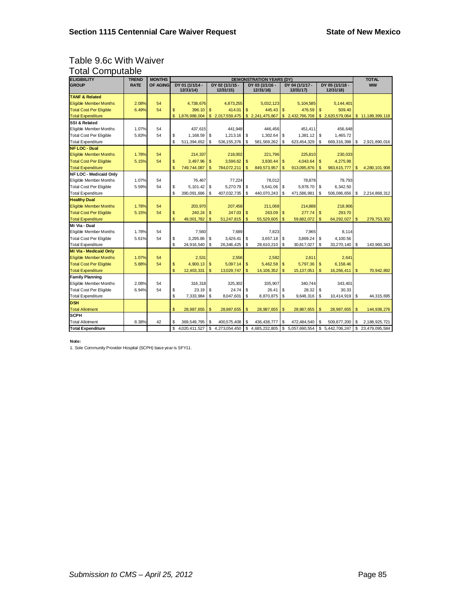# Table 9.6c With Waiver Total Computable

| <b>ELIGIBILITY</b>             | <b>TREND</b> | <b>MONTHS</b>   | <b>DEMONSTRATION YEARS (DY)</b> |                 |                |                 |    |                 |                |                 |               |                 | <b>TOTAL</b>  |                |
|--------------------------------|--------------|-----------------|---------------------------------|-----------------|----------------|-----------------|----|-----------------|----------------|-----------------|---------------|-----------------|---------------|----------------|
| <b>GROUP</b>                   | <b>RATE</b>  | <b>OF AGING</b> |                                 | DY 01 (1/1/14 - |                | DY 02 (1/1/15 - |    | DY 03 (1/1/16 - |                | DY 04 (1/1/17 - |               | DY 05 (1/1/18 - |               | <b>WW</b>      |
| <b>TANF &amp; Related</b>      |              |                 |                                 | 12/31/14)       |                | 12/31/15)       |    | 12/31/16)       |                | 12/31/17)       |               | 12/31/18)       |               |                |
|                                |              |                 |                                 |                 |                |                 |    |                 |                |                 |               |                 |               |                |
| <b>Eligible Member Months</b>  | 2.08%        | 54<br>54        |                                 | 4,738,676       |                | 4,873,255       |    | 5,032,123       |                | 5,104,585       |               | 5,144,401       |               |                |
| <b>Total Cost Per Eligible</b> | 6.49%        |                 | \$                              | 396.10          | $\mathbf{s}$   | 414.01          | \$ | 445.43          | $\mathsf{\$}$  | 476.59          | $\mathsf{\$}$ | 509.40          |               |                |
| <b>Total Expenditure</b>       |              |                 | \$                              | 1,876,988,004   | \$             | 2,017,559,475   |    | \$2,241,475,867 | \$             | 2,432,796,708   |               | \$2,620,579,064 | \$            | 11,189,399,118 |
| SSI & Related                  |              |                 |                                 |                 |                |                 |    |                 |                |                 |               |                 |               |                |
| Eligible Member Months         | 1.07%        | 54              |                                 | 437,615         |                | 441,948         |    | 446,456         |                | 451,411         |               | 456,648         |               |                |
| <b>Total Cost Per Eligible</b> | 5.83%        | 54              | \$                              | 1.168.59        | \$             | 1.213.16        | \$ | 1.302.64        | \$             | 1.381.12        | \$            | 1.465.72        |               |                |
| <b>Total Expenditure</b>       |              |                 | \$                              | 511,394,652     | <b>S</b>       | 536,155,376     | \$ | 581,569,262     | \$             | 623,454,329     | \$            | 669,316,398     | \$            | 2,921,890,016  |
| <b>NFLOC - Dual</b>            |              |                 |                                 |                 |                |                 |    |                 |                |                 |               |                 |               |                |
| <b>Eligible Member Months</b>  | 1.78%        | 54              |                                 | 214,337         |                | 218.002         |    | 221.796         |                | 225.810         |               | 230,033         |               |                |
| <b>Total Cost Per Eligible</b> | 5.15%        | 54              | \$                              | 3,497.96        | \$             | 3,596.62        | \$ | 3,830.44        | $\mathsf{\$}$  | 4,043.64        | $\mathbf{s}$  | 4,275.98        |               |                |
| <b>Total Expenditure</b>       |              |                 | \$                              | 749,744,087     | $\mathbf{s}$   | 784,072,211     | \$ | 849,573,957     | \$             | 913,095,876     | \$            | 983,615,777     |               | 4,280,101,908  |
| NF LOC - Medicaid Only         |              |                 |                                 |                 |                |                 |    |                 |                |                 |               |                 |               |                |
| Eligible Member Months         | 1.07%        | 54              |                                 | 76.467          |                | 77.224          |    | 78.012          |                | 78.878          |               | 79.793          |               |                |
| <b>Total Cost Per Eligible</b> | 5.59%        | 54              | \$                              | 5.101.42        | \$             | 5.270.79        | \$ | 5.641.06        | \$             | 5.978.70        | \$            | 6.342.50        |               |                |
| <b>Total Expenditure</b>       |              |                 | \$                              | 390,091,696     | \$             | 407,032,735     | \$ | 440,070,243     | \$             | 471,586,981     | \$            | 506,086,656     | S             | 2,214,868,312  |
| <b>Healthy Dual</b>            |              |                 |                                 |                 |                |                 |    |                 |                |                 |               |                 |               |                |
| <b>Eligible Member Months</b>  | 1.78%        | 54              |                                 | 203,970         |                | 207,458         |    | 211,068         |                | 214,888         |               | 218,906         |               |                |
| <b>Total Cost Per Eligible</b> | 5.15%        | 54              | \$                              | 240.24          | \$             | 247.03          | \$ | 263.09          | $\mathfrak{s}$ | 277.74          | $\mathsf{\$}$ | 293.70          |               |                |
| <b>Total Expenditure</b>       |              |                 | \$                              | 49,001,782      | \$             | 51,247,815      | \$ | 55,529,605      | $\mathbf{s}$   | 59,682,072      | \$            | 64,292,027      |               | 279,753,302    |
| Mi Via - Dual                  |              |                 |                                 |                 |                |                 |    |                 |                |                 |               |                 |               |                |
| Eligible Member Months         | 1.78%        | 54              |                                 | 7,560           |                | 7.689           |    | 7.823           |                | 7.965           |               | 8.114           |               |                |
| <b>Total Cost Per Eligible</b> | 5.61%        | 54              | \$                              | 3,295.86        | \$             | 3.426.41        | \$ | 3,657.18        | \$             | 3.869.24        | \$            | 4,100.56        |               |                |
| <b>Total Expenditure</b>       |              |                 | \$                              | 24,916,540      | \$             | 26,346,425      | \$ | 28,610,210      | \$             | 30,817,027      | \$            | 33,270,140 \$   |               | 143,960,343    |
| Mi Via - Medicaid Only         |              |                 |                                 |                 |                |                 |    |                 |                |                 |               |                 |               |                |
| <b>Eligible Member Months</b>  | 1.07%        | 54              |                                 | 2,531           |                | 2,556           |    | 2,582           |                | 2,611           |               | 2,641           |               |                |
| <b>Total Cost Per Eligible</b> | 5.88%        | 54              | \$                              | 4.900.13        | $\mathfrak{s}$ | 5.097.14        | \$ | 5.462.58        | $\mathfrak{S}$ | 5.797.36        | $\mathbf{s}$  | 6.158.46        |               |                |
| <b>Total Expenditure</b>       |              |                 | $\mathsf{s}$                    | 12,403,331      | $\mathbf{s}$   | 13,029,747      | \$ | 14,106,352      | $\mathbf{s}$   | 15,137,051      | $\mathbf{s}$  | 16,266,411      | \$            | 70,942,892     |
| <b>Family Planning</b>         |              |                 |                                 |                 |                |                 |    |                 |                |                 |               |                 |               |                |
| Eligible Member Months         | 2.08%        | 54              |                                 | 316.318         |                | 325.302         |    | 335.907         |                | 340.744         |               | 343,401         |               |                |
| <b>Total Cost Per Eligible</b> | 6.94%        | 54              | \$                              | 23.19           | \$             | 24.74           | \$ | 26.41           | \$             | 28.32           | \$            | 30.33           |               |                |
| <b>Total Expenditure</b>       |              |                 | \$                              | 7,333,984       | \$             | 8,047,601       | \$ | 8,870,875       | \$             | 9,648,316       | \$            | 10,414,919      | \$            | 44,315,695     |
| <b>DSH</b>                     |              |                 |                                 |                 |                |                 |    |                 |                |                 |               |                 |               |                |
| <b>Total Allotment</b>         |              |                 | \$                              | 28,987,655      | $\mathbf{s}$   | 28,987,655      | \$ | 28,987,655      | $\mathbf{s}$   | 28,987,655      | \$            | 28,987,655      | $\mathsf{\$}$ | 144,938,276    |
| <b>SCPH</b>                    |              |                 |                                 |                 |                |                 |    |                 |                |                 |               |                 |               |                |
| <b>Total Allotment</b>         | 8.38%        | 42              | \$                              | 369,549,795     | \$             | 400,575,408     | \$ | 436, 438, 777   | \$             | 472,484,540     | \$            | 509,877,200     | S             | 2,188,925,721  |
| <b>Total Expenditure</b>       |              |                 | \$                              | 4,020,411,527   | \$             | 4,273,054,450   | \$ | 4,685,232,805   | \$             | 5,057,690,554   | \$            | 5,442,706,247   | \$            | 23,479,095,584 |
|                                |              |                 |                                 |                 |                |                 |    |                 |                |                 |               |                 |               |                |

**Note:**

1. Sole Community Provider Hospital (SCPH) base year is SFY11.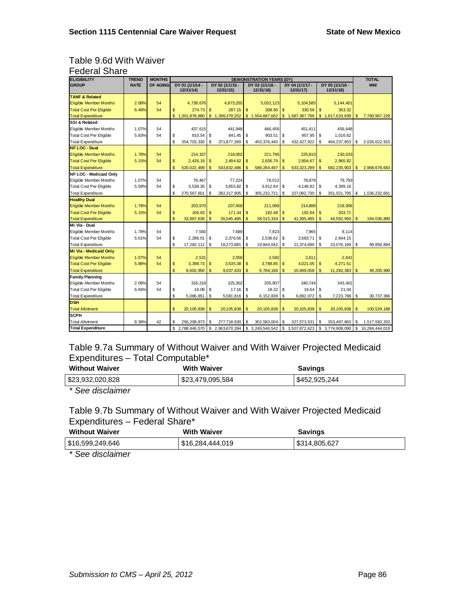#### Table 9.6d With Waiver Federal Share

| <b>ELIGIBILITY</b>             | <b>TREND</b> | <b>MONTHS</b><br><b>DEMONSTRATION YEARS (DY)</b> |              |                              |                |                              |    |                              |               |                              |                |                              |     | <b>TOTAL</b>   |  |           |
|--------------------------------|--------------|--------------------------------------------------|--------------|------------------------------|----------------|------------------------------|----|------------------------------|---------------|------------------------------|----------------|------------------------------|-----|----------------|--|-----------|
| <b>GROUP</b>                   | <b>RATE</b>  | <b>OF AGING</b>                                  |              | DY 01 (1/1/14 -<br>12/31/14) |                | DY 02 (1/1/15 -<br>12/31/15) |    | DY 03 (1/1/16 -<br>12/31/16) |               | DY 04 (1/1/17 -<br>12/31/17) |                | DY 05 (1/1/18 -<br>12/31/18) |     |                |  | <b>WW</b> |
| <b>TANF &amp; Related</b>      |              |                                                  |              |                              |                |                              |    |                              |               |                              |                |                              |     |                |  |           |
| <b>Eligible Member Months</b>  | 2.08%        | 54                                               |              | 4,738,676                    |                | 4.873.255                    |    | 5.032.123                    |               | 5.104.585                    |                | 5,144,401                    |     |                |  |           |
| <b>Total Cost Per Eligible</b> | 6.49%        | 54                                               | \$           | 274.73                       | $\mathbf{s}$   | 287.15                       | \$ | 308.95                       | <sub>\$</sub> | 330.56                       | $\mathsf{s}$   | 353.32                       |     |                |  |           |
| <b>Total Expenditure</b>       |              |                                                  | $\mathsf{s}$ | 1,301,878,880                | \$             | 1,399,379,252                |    | \$1,554,687,662              | $\mathsf{\$}$ | 1,687,387,796                |                | \$1,817,633,639              | S   | 7,760,967,228  |  |           |
| SSI & Related                  |              |                                                  |              |                              |                |                              |    |                              |               |                              |                |                              |     |                |  |           |
| Eligible Member Months         | 1.07%        | 54                                               |              | 437,615                      |                | 441.948                      |    | 446.456                      |               | 451,411                      |                | 456,648                      |     |                |  |           |
| <b>Total Cost Per Eligible</b> | 5.83%        | 54                                               | \$           | 810.54                       | \$             | 841.45                       | \$ | 903.51                       | \$            | 957.95                       | \$             | 1.016.62                     |     |                |  |           |
| <b>Total Expenditure</b>       |              |                                                  | \$           | 354.703.330                  | -S             | 371.877.369                  | \$ | 403.376.440                  | \$            | 432.427.922                  | \$             | 464,237,853                  | s.  | 2.026.622.915  |  |           |
| NFLOC - Dual                   |              |                                                  |              |                              |                |                              |    |                              |               |                              |                |                              |     |                |  |           |
| <b>Eligible Member Months</b>  | 1.78%        | 54                                               |              | 214,337                      |                | 218,002                      |    | 221,796                      |               | 225,810                      |                | 230,033                      |     |                |  |           |
| <b>Total Cost Per Eligible</b> | 5.15%        | 54                                               | \$           | 2.426.19                     | $\mathfrak{s}$ | 2.494.62                     | \$ | 2.656.79                     | <sub>\$</sub> | 2.804.67                     | $\mathfrak{s}$ | 2.965.82                     |     |                |  |           |
| <b>Total Expenditure</b>       |              |                                                  | \$           | 520,022,499                  | $\mathbf{s}$   | 543,832,486                  | \$ | 589,264,497                  | <sup>\$</sup> | 633,323,299                  | $\mathfrak{s}$ | 682,235,903                  | \$  | 2,968,678,683  |  |           |
| <b>NF LOC - Medicaid Only</b>  |              |                                                  |              |                              |                |                              |    |                              |               |                              |                |                              |     |                |  |           |
| Eligible Member Months         | 1.07%        | 54                                               |              | 76,467                       |                | 77.224                       |    | 78.012                       |               | 78.878                       |                | 79.793                       |     |                |  |           |
| <b>Total Cost Per Eligible</b> | 5.59%        | 54                                               | \$           | 3.538.35                     | l s            | 3.655.82                     | \$ | 3.912.64                     | \$            | 4.146.82                     | \$             | 4.399.16                     |     |                |  |           |
| <b>Total Expenditure</b>       |              |                                                  | \$           | 270,567,601                  | \$             | 282,317,905                  | \$ | 305,232,721                  | \$            | 327,092,730                  | \$             | 351,021,705                  | S   | 1,536,232,661  |  |           |
| <b>Healthy Dual</b>            |              |                                                  |              |                              |                |                              |    |                              |               |                              |                |                              |     |                |  |           |
| <b>Eligible Member Months</b>  | 1.78%        | 54                                               |              | 203,970                      |                | 207,458                      |    | 211,068                      |               | 214,888                      |                | 218,906                      |     |                |  |           |
| <b>Total Cost Per Eligible</b> | 5.15%        | 54                                               | \$           | 166.63                       | $\mathbf{s}$   | 171.34                       | \$ | 182.48                       | <sub>\$</sub> | 192.64                       | $\mathsf{\$}$  | 203.71                       |     |                |  |           |
| <b>Total Expenditure</b>       |              |                                                  | \$           | 33,987,636                   | \$             | 35,545,485                   | \$ | 38,515,334                   | $\mathcal{S}$ | 41,395,485                   | $\mathsf{s}$   | 44,592,950                   | \$. | 194,036,890    |  |           |
| Mi Via - Dual                  |              |                                                  |              |                              |                |                              |    |                              |               |                              |                |                              |     |                |  |           |
| Eligible Member Months         | 1.78%        | 54                                               |              | 7,560                        |                | 7.689                        |    | 7.823                        |               | 7.965                        |                | 8.114                        |     |                |  |           |
| <b>Total Cost Per Eligible</b> | 5.61%        | 54                                               | \$           | 2.286.01                     | <b>S</b>       | 2.376.56                     | \$ | 2.536.62                     | \$            | 2.683.71                     | \$             | 2.844.15                     |     |                |  |           |
| <b>Total Expenditure</b>       |              |                                                  | \$           | 17,282,112                   | \$             | 18.273.881                   | \$ | 19,844,042                   | \$            | 21,374,690                   | \$             | 23,076,169 \$                |     | 99.850.894     |  |           |
| Mi Via - Medicaid Only         |              |                                                  |              |                              |                |                              |    |                              |               |                              |                |                              |     |                |  |           |
| <b>Eligible Member Months</b>  | 1.07%        | 54                                               |              | 2,531                        |                | 2,556                        |    | 2,582                        |               | 2,611                        |                | 2,641                        |     |                |  |           |
| <b>Total Cost Per Eligible</b> | 5.88%        | 54                                               | \$           | 3,398.73                     | $\mathfrak{s}$ | 3,535.38                     | \$ | 3,788.85                     | - \$          | 4,021.05                     | $\mathsf{\$}$  | 4,271.51                     |     |                |  |           |
| <b>Total Expenditure</b>       |              |                                                  | \$           | 8,602,950                    | \$             | 9,037,433                    | \$ | 9,784,166                    | <sub>\$</sub> | 10,499,058                   | $\mathbf{s}$   | 11,282,383 \$                |     | 49,205,990     |  |           |
| <b>Family Planning</b>         |              |                                                  |              |                              |                |                              |    |                              |               |                              |                |                              |     |                |  |           |
| Eligible Member Months         | 2.08%        | 54                                               |              | 316,318                      |                | 325.302                      |    | 335.907                      |               | 340.744                      |                | 343,401                      |     |                |  |           |
| <b>Total Cost Per Eligible</b> | 6.94%        | 54                                               | \$           | 16.08                        | \$             | 17.16                        | \$ | 18.32                        | \$            | 19.64                        | \$             | 21.04                        |     |                |  |           |
| <b>Total Expenditure</b>       |              |                                                  | \$           | 5,086,851                    | \$             | 5,581,816                    | \$ | 6,152,839                    | \$            | 6,692,072                    | \$             | 7,223,788 \$                 |     | 30,737,366     |  |           |
| <b>DSH</b>                     |              |                                                  |              |                              |                |                              |    |                              |               |                              |                |                              |     |                |  |           |
| <b>Total Allotment</b>         |              |                                                  | \$           | 20,105,838                   | \$             | 20,105,838                   | \$ | 20,105,838                   | \$            | 20,105,838                   | \$             | 20, 105, 838                 | \$  | 100,529,188    |  |           |
| lsсрн                          |              |                                                  |              |                              |                |                              |    |                              |               |                              |                |                              |     |                |  |           |
| <b>Total Allotment</b>         | 8.38%        | 42                                               | \$           | 256.208.873                  | <b>S</b>       | 277,718,930                  | \$ | 302.583.004                  | \$            | 327,573,531                  | \$             | 353.497.863                  | \$  | 1.517.582.202  |  |           |
| <b>Total Expenditure</b>       |              |                                                  | \$           | 2,788,446,570                | \$             | 2,963,670,394                | \$ | 3,249,546,542                | \$            | 3,507,872,423                | \$             | 3,774,908,090                | \$  | 16,284,444,019 |  |           |

Table 9.7a Summary of Without Waiver and With Waiver Projected Medicaid Expenditures – Total Computable\*

| <b>Without Waiver</b> | <b>With Waiver</b> | <b>Savings</b> |
|-----------------------|--------------------|----------------|
| \$23,932,020,828      | \$23,479,095,584   | \$452,925,244  |

*\* See disclaimer* 

# Table 9.7b Summary of Without Waiver and With Waiver Projected Medicaid Expenditures – Federal Share\*

| <b>Without Waiver</b> | <b>With Waiver</b> | <b>Savings</b> |
|-----------------------|--------------------|----------------|
| \$16,599,249,646      | \$16,284,444,019   | \$314,805,627  |

*\* See disclaimer*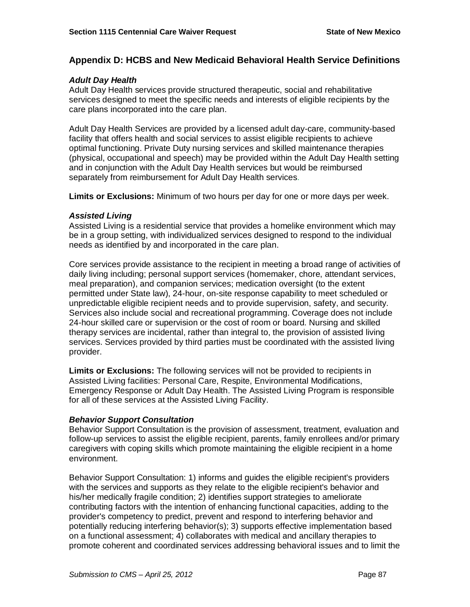# **Appendix D: HCBS and New Medicaid Behavioral Health Service Definitions**

# *Adult Day Health*

Adult Day Health services provide structured therapeutic, social and rehabilitative services designed to meet the specific needs and interests of eligible recipients by the care plans incorporated into the care plan.

Adult Day Health Services are provided by a licensed adult day-care, community-based facility that offers health and social services to assist eligible recipients to achieve optimal functioning. Private Duty nursing services and skilled maintenance therapies (physical, occupational and speech) may be provided within the Adult Day Health setting and in conjunction with the Adult Day Health services but would be reimbursed separately from reimbursement for Adult Day Health services.

**Limits or Exclusions:** Minimum of two hours per day for one or more days per week.

# *Assisted Living*

Assisted Living is a residential service that provides a homelike environment which may be in a group setting, with individualized services designed to respond to the individual needs as identified by and incorporated in the care plan.

Core services provide assistance to the recipient in meeting a broad range of activities of daily living including; personal support services (homemaker, chore, attendant services, meal preparation), and companion services; medication oversight (to the extent permitted under State law), 24-hour, on-site response capability to meet scheduled or unpredictable eligible recipient needs and to provide supervision, safety, and security. Services also include social and recreational programming. Coverage does not include 24-hour skilled care or supervision or the cost of room or board. Nursing and skilled therapy services are incidental, rather than integral to, the provision of assisted living services. Services provided by third parties must be coordinated with the assisted living provider.

**Limits or Exclusions:** The following services will not be provided to recipients in Assisted Living facilities: Personal Care, Respite, Environmental Modifications, Emergency Response or Adult Day Health. The Assisted Living Program is responsible for all of these services at the Assisted Living Facility.

# *Behavior Support Consultation*

Behavior Support Consultation is the provision of assessment, treatment, evaluation and follow-up services to assist the eligible recipient, parents, family enrollees and/or primary caregivers with coping skills which promote maintaining the eligible recipient in a home environment.

Behavior Support Consultation: 1) informs and guides the eligible recipient's providers with the services and supports as they relate to the eligible recipient's behavior and his/her medically fragile condition; 2) identifies support strategies to ameliorate contributing factors with the intention of enhancing functional capacities, adding to the provider's competency to predict, prevent and respond to interfering behavior and potentially reducing interfering behavior(s); 3) supports effective implementation based on a functional assessment; 4) collaborates with medical and ancillary therapies to promote coherent and coordinated services addressing behavioral issues and to limit the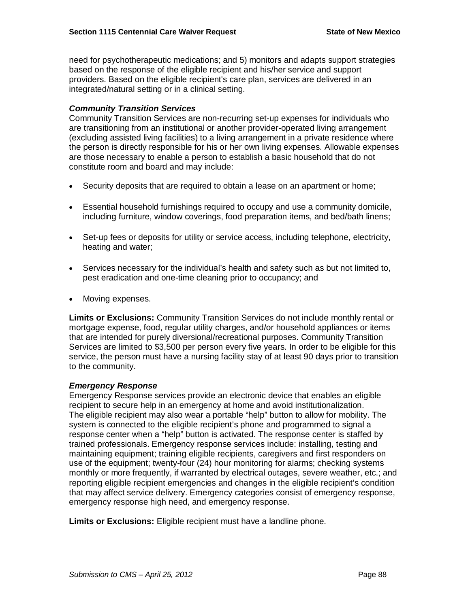need for psychotherapeutic medications; and 5) monitors and adapts support strategies based on the response of the eligible recipient and his/her service and support providers. Based on the eligible recipient's care plan, services are delivered in an integrated/natural setting or in a clinical setting.

# *Community Transition Services*

Community Transition Services are non-recurring set-up expenses for individuals who are transitioning from an institutional or another provider-operated living arrangement (excluding assisted living facilities) to a living arrangement in a private residence where the person is directly responsible for his or her own living expenses. Allowable expenses are those necessary to enable a person to establish a basic household that do not constitute room and board and may include:

- Security deposits that are required to obtain a lease on an apartment or home;
- Essential household furnishings required to occupy and use a community domicile, including furniture, window coverings, food preparation items, and bed/bath linens;
- Set-up fees or deposits for utility or service access, including telephone, electricity, heating and water;
- Services necessary for the individual's health and safety such as but not limited to, pest eradication and one-time cleaning prior to occupancy; and
- Moving expenses.

**Limits or Exclusions:** Community Transition Services do not include monthly rental or mortgage expense, food, regular utility charges, and/or household appliances or items that are intended for purely diversional/recreational purposes. Community Transition Services are limited to \$3,500 per person every five years. In order to be eligible for this service, the person must have a nursing facility stay of at least 90 days prior to transition to the community.

# *Emergency Response*

Emergency Response services provide an electronic device that enables an eligible recipient to secure help in an emergency at home and avoid institutionalization. The eligible recipient may also wear a portable "help" button to allow for mobility. The system is connected to the eligible recipient's phone and programmed to signal a response center when a "help" button is activated. The response center is staffed by trained professionals. Emergency response services include: installing, testing and maintaining equipment; training eligible recipients, caregivers and first responders on use of the equipment; twenty-four (24) hour monitoring for alarms; checking systems monthly or more frequently, if warranted by electrical outages, severe weather, etc.; and reporting eligible recipient emergencies and changes in the eligible recipient's condition that may affect service delivery. Emergency categories consist of emergency response, emergency response high need, and emergency response.

**Limits or Exclusions:** Eligible recipient must have a landline phone.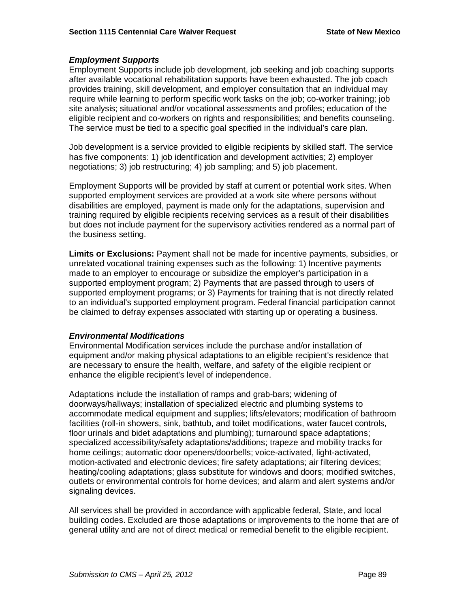### *Employment Supports*

Employment Supports include job development, job seeking and job coaching supports after available vocational rehabilitation supports have been exhausted. The job coach provides training, skill development, and employer consultation that an individual may require while learning to perform specific work tasks on the job; co-worker training; job site analysis; situational and/or vocational assessments and profiles; education of the eligible recipient and co-workers on rights and responsibilities; and benefits counseling. The service must be tied to a specific goal specified in the individual's care plan.

Job development is a service provided to eligible recipients by skilled staff. The service has five components: 1) job identification and development activities; 2) employer negotiations; 3) job restructuring; 4) job sampling; and 5) job placement.

Employment Supports will be provided by staff at current or potential work sites. When supported employment services are provided at a work site where persons without disabilities are employed, payment is made only for the adaptations, supervision and training required by eligible recipients receiving services as a result of their disabilities but does not include payment for the supervisory activities rendered as a normal part of the business setting.

**Limits or Exclusions:** Payment shall not be made for incentive payments, subsidies, or unrelated vocational training expenses such as the following: 1) Incentive payments made to an employer to encourage or subsidize the employer's participation in a supported employment program; 2) Payments that are passed through to users of supported employment programs; or 3) Payments for training that is not directly related to an individual's supported employment program. Federal financial participation cannot be claimed to defray expenses associated with starting up or operating a business.

# *Environmental Modifications*

Environmental Modification services include the purchase and/or installation of equipment and/or making physical adaptations to an eligible recipient's residence that are necessary to ensure the health, welfare, and safety of the eligible recipient or enhance the eligible recipient's level of independence.

Adaptations include the installation of ramps and grab-bars; widening of doorways/hallways; installation of specialized electric and plumbing systems to accommodate medical equipment and supplies; lifts/elevators; modification of bathroom facilities (roll-in showers, sink, bathtub, and toilet modifications, water faucet controls, floor urinals and bidet adaptations and plumbing); turnaround space adaptations; specialized accessibility/safety adaptations/additions; trapeze and mobility tracks for home ceilings; automatic door openers/doorbells; voice-activated, light-activated, motion-activated and electronic devices; fire safety adaptations; air filtering devices; heating/cooling adaptations; glass substitute for windows and doors; modified switches, outlets or environmental controls for home devices; and alarm and alert systems and/or signaling devices.

All services shall be provided in accordance with applicable federal, State, and local building codes. Excluded are those adaptations or improvements to the home that are of general utility and are not of direct medical or remedial benefit to the eligible recipient.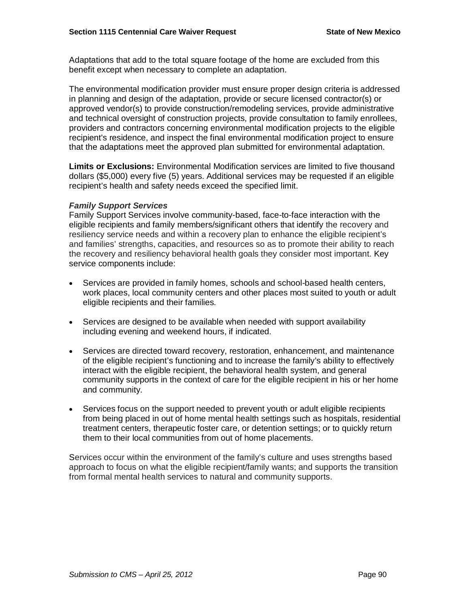Adaptations that add to the total square footage of the home are excluded from this benefit except when necessary to complete an adaptation.

The environmental modification provider must ensure proper design criteria is addressed in planning and design of the adaptation, provide or secure licensed contractor(s) or approved vendor(s) to provide construction/remodeling services, provide administrative and technical oversight of construction projects, provide consultation to family enrollees, providers and contractors concerning environmental modification projects to the eligible recipient's residence, and inspect the final environmental modification project to ensure that the adaptations meet the approved plan submitted for environmental adaptation.

**Limits or Exclusions:** Environmental Modification services are limited to five thousand dollars (\$5,000) every five (5) years. Additional services may be requested if an eligible recipient's health and safety needs exceed the specified limit.

### *Family Support Services*

Family Support Services involve community-based, face-to-face interaction with the eligible recipients and family members/significant others that identify the recovery and resiliency service needs and within a recovery plan to enhance the eligible recipient's and families' strengths, capacities, and resources so as to promote their ability to reach the recovery and resiliency behavioral health goals they consider most important. Key service components include:

- Services are provided in family homes, schools and school-based health centers, work places, local community centers and other places most suited to youth or adult eligible recipients and their families.
- Services are designed to be available when needed with support availability including evening and weekend hours, if indicated.
- Services are directed toward recovery, restoration, enhancement, and maintenance of the eligible recipient's functioning and to increase the family's ability to effectively interact with the eligible recipient, the behavioral health system, and general community supports in the context of care for the eligible recipient in his or her home and community.
- Services focus on the support needed to prevent youth or adult eligible recipients from being placed in out of home mental health settings such as hospitals, residential treatment centers, therapeutic foster care, or detention settings; or to quickly return them to their local communities from out of home placements.

Services occur within the environment of the family's culture and uses strengths based approach to focus on what the eligible recipient/family wants; and supports the transition from formal mental health services to natural and community supports.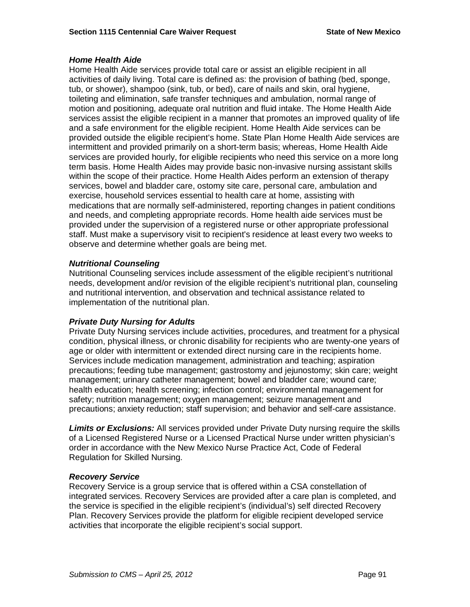# *Home Health Aide*

Home Health Aide services provide total care or assist an eligible recipient in all activities of daily living. Total care is defined as: the provision of bathing (bed, sponge, tub, or shower), shampoo (sink, tub, or bed), care of nails and skin, oral hygiene, toileting and elimination, safe transfer techniques and ambulation, normal range of motion and positioning, adequate oral nutrition and fluid intake. The Home Health Aide services assist the eligible recipient in a manner that promotes an improved quality of life and a safe environment for the eligible recipient. Home Health Aide services can be provided outside the eligible recipient's home. State Plan Home Health Aide services are intermittent and provided primarily on a short-term basis; whereas, Home Health Aide services are provided hourly, for eligible recipients who need this service on a more long term basis. Home Health Aides may provide basic non-invasive nursing assistant skills within the scope of their practice. Home Health Aides perform an extension of therapy services, bowel and bladder care, ostomy site care, personal care, ambulation and exercise, household services essential to health care at home, assisting with medications that are normally self-administered, reporting changes in patient conditions and needs, and completing appropriate records. Home health aide services must be provided under the supervision of a registered nurse or other appropriate professional staff. Must make a supervisory visit to recipient's residence at least every two weeks to observe and determine whether goals are being met.

# *Nutritional Counseling*

Nutritional Counseling services include assessment of the eligible recipient's nutritional needs, development and/or revision of the eligible recipient's nutritional plan, counseling and nutritional intervention, and observation and technical assistance related to implementation of the nutritional plan.

# *Private Duty Nursing for Adults*

Private Duty Nursing services include activities, procedures, and treatment for a physical condition, physical illness, or chronic disability for recipients who are twenty-one years of age or older with intermittent or extended direct nursing care in the recipients home. Services include medication management, administration and teaching; aspiration precautions; feeding tube management; gastrostomy and jejunostomy; skin care; weight management; urinary catheter management; bowel and bladder care; wound care; health education; health screening; infection control; environmental management for safety; nutrition management; oxygen management; seizure management and precautions; anxiety reduction; staff supervision; and behavior and self-care assistance.

*Limits or Exclusions:* All services provided under Private Duty nursing require the skills of a Licensed Registered Nurse or a Licensed Practical Nurse under written physician's order in accordance with the New Mexico Nurse Practice Act, Code of Federal Regulation for Skilled Nursing.

# *Recovery Service*

Recovery Service is a group service that is offered within a CSA constellation of integrated services. Recovery Services are provided after a care plan is completed, and the service is specified in the eligible recipient's (individual's) self directed Recovery Plan. Recovery Services provide the platform for eligible recipient developed service activities that incorporate the eligible recipient's social support.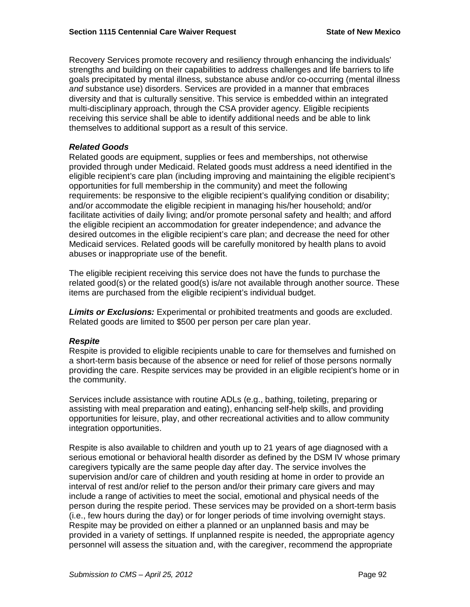Recovery Services promote recovery and resiliency through enhancing the individuals' strengths and building on their capabilities to address challenges and life barriers to life goals precipitated by mental illness, substance abuse and/or co-occurring (mental illness *and* substance use) disorders. Services are provided in a manner that embraces diversity and that is culturally sensitive. This service is embedded within an integrated multi-disciplinary approach, through the CSA provider agency. Eligible recipients receiving this service shall be able to identify additional needs and be able to link themselves to additional support as a result of this service.

### *Related Goods*

Related goods are equipment, supplies or fees and memberships, not otherwise provided through under Medicaid. Related goods must address a need identified in the eligible recipient's care plan (including improving and maintaining the eligible recipient's opportunities for full membership in the community) and meet the following requirements: be responsive to the eligible recipient's qualifying condition or disability; and/or accommodate the eligible recipient in managing his/her household; and/or facilitate activities of daily living; and/or promote personal safety and health; and afford the eligible recipient an accommodation for greater independence; and advance the desired outcomes in the eligible recipient's care plan; and decrease the need for other Medicaid services. Related goods will be carefully monitored by health plans to avoid abuses or inappropriate use of the benefit.

The eligible recipient receiving this service does not have the funds to purchase the related good(s) or the related good(s) is/are not available through another source. These items are purchased from the eligible recipient's individual budget.

*Limits or Exclusions:* Experimental or prohibited treatments and goods are excluded. Related goods are limited to \$500 per person per care plan year.

#### *Respite*

Respite is provided to eligible recipients unable to care for themselves and furnished on a short-term basis because of the absence or need for relief of those persons normally providing the care. Respite services may be provided in an eligible recipient's home or in the community.

Services include assistance with routine ADLs (e.g., bathing, toileting, preparing or assisting with meal preparation and eating), enhancing self-help skills, and providing opportunities for leisure, play, and other recreational activities and to allow community integration opportunities.

Respite is also available to children and youth up to 21 years of age diagnosed with a serious emotional or behavioral health disorder as defined by the DSM IV whose primary caregivers typically are the same people day after day. The service involves the supervision and/or care of children and youth residing at home in order to provide an interval of rest and/or relief to the person and/or their primary care givers and may include a range of activities to meet the social, emotional and physical needs of the person during the respite period. These services may be provided on a short-term basis (i.e., few hours during the day) or for longer periods of time involving overnight stays. Respite may be provided on either a planned or an unplanned basis and may be provided in a variety of settings. If unplanned respite is needed, the appropriate agency personnel will assess the situation and, with the caregiver, recommend the appropriate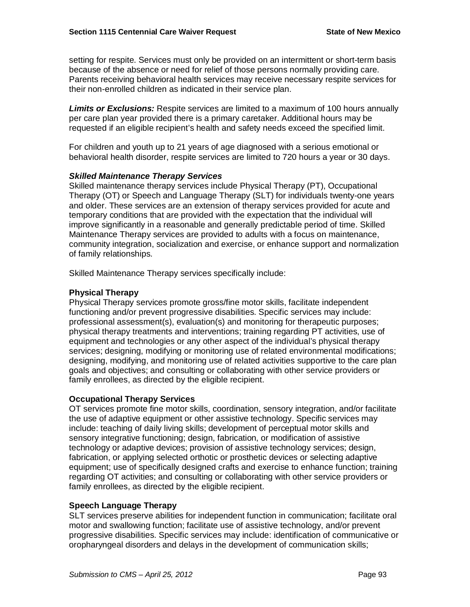setting for respite. Services must only be provided on an intermittent or short-term basis because of the absence or need for relief of those persons normally providing care. Parents receiving behavioral health services may receive necessary respite services for their non-enrolled children as indicated in their service plan.

*Limits or Exclusions:* Respite services are limited to a maximum of 100 hours annually per care plan year provided there is a primary caretaker. Additional hours may be requested if an eligible recipient's health and safety needs exceed the specified limit.

For children and youth up to 21 years of age diagnosed with a serious emotional or behavioral health disorder, respite services are limited to 720 hours a year or 30 days.

#### *Skilled Maintenance Therapy Services*

Skilled maintenance therapy services include Physical Therapy (PT), Occupational Therapy (OT) or Speech and Language Therapy (SLT) for individuals twenty-one years and older. These services are an extension of therapy services provided for acute and temporary conditions that are provided with the expectation that the individual will improve significantly in a reasonable and generally predictable period of time. Skilled Maintenance Therapy services are provided to adults with a focus on maintenance, community integration, socialization and exercise, or enhance support and normalization of family relationships.

Skilled Maintenance Therapy services specifically include:

### **Physical Therapy**

Physical Therapy services promote gross/fine motor skills, facilitate independent functioning and/or prevent progressive disabilities. Specific services may include: professional assessment(s), evaluation(s) and monitoring for therapeutic purposes; physical therapy treatments and interventions; training regarding PT activities, use of equipment and technologies or any other aspect of the individual's physical therapy services; designing, modifying or monitoring use of related environmental modifications; designing, modifying, and monitoring use of related activities supportive to the care plan goals and objectives; and consulting or collaborating with other service providers or family enrollees, as directed by the eligible recipient.

#### **Occupational Therapy Services**

OT services promote fine motor skills, coordination, sensory integration, and/or facilitate the use of adaptive equipment or other assistive technology. Specific services may include: teaching of daily living skills; development of perceptual motor skills and sensory integrative functioning; design, fabrication, or modification of assistive technology or adaptive devices; provision of assistive technology services; design, fabrication, or applying selected orthotic or prosthetic devices or selecting adaptive equipment; use of specifically designed crafts and exercise to enhance function; training regarding OT activities; and consulting or collaborating with other service providers or family enrollees, as directed by the eligible recipient.

#### **Speech Language Therapy**

SLT services preserve abilities for independent function in communication; facilitate oral motor and swallowing function; facilitate use of assistive technology, and/or prevent progressive disabilities. Specific services may include: identification of communicative or oropharyngeal disorders and delays in the development of communication skills;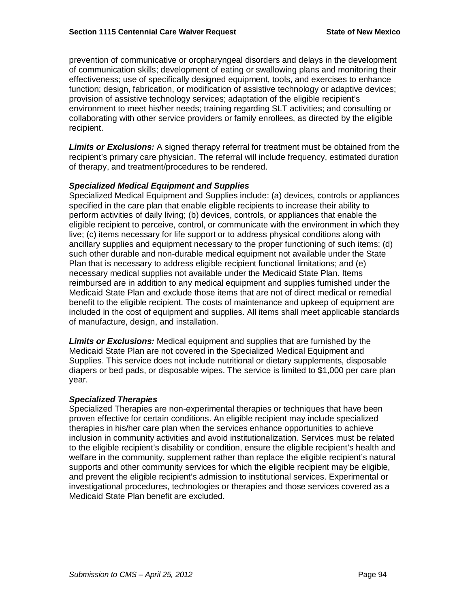prevention of communicative or oropharyngeal disorders and delays in the development of communication skills; development of eating or swallowing plans and monitoring their effectiveness; use of specifically designed equipment, tools, and exercises to enhance function; design, fabrication, or modification of assistive technology or adaptive devices; provision of assistive technology services; adaptation of the eligible recipient's environment to meet his/her needs; training regarding SLT activities; and consulting or collaborating with other service providers or family enrollees, as directed by the eligible recipient.

*Limits or Exclusions:* A signed therapy referral for treatment must be obtained from the recipient's primary care physician. The referral will include frequency, estimated duration of therapy, and treatment/procedures to be rendered.

### *Specialized Medical Equipment and Supplies*

Specialized Medical Equipment and Supplies include: (a) devices, controls or appliances specified in the care plan that enable eligible recipients to increase their ability to perform activities of daily living; (b) devices, controls, or appliances that enable the eligible recipient to perceive, control, or communicate with the environment in which they live; (c) items necessary for life support or to address physical conditions along with ancillary supplies and equipment necessary to the proper functioning of such items; (d) such other durable and non-durable medical equipment not available under the State Plan that is necessary to address eligible recipient functional limitations; and (e) necessary medical supplies not available under the Medicaid State Plan. Items reimbursed are in addition to any medical equipment and supplies furnished under the Medicaid State Plan and exclude those items that are not of direct medical or remedial benefit to the eligible recipient. The costs of maintenance and upkeep of equipment are included in the cost of equipment and supplies. All items shall meet applicable standards of manufacture, design, and installation.

*Limits or Exclusions:* Medical equipment and supplies that are furnished by the Medicaid State Plan are not covered in the Specialized Medical Equipment and Supplies. This service does not include nutritional or dietary supplements, disposable diapers or bed pads, or disposable wipes. The service is limited to \$1,000 per care plan year.

#### *Specialized Therapies*

Specialized Therapies are non-experimental therapies or techniques that have been proven effective for certain conditions. An eligible recipient may include specialized therapies in his/her care plan when the services enhance opportunities to achieve inclusion in community activities and avoid institutionalization. Services must be related to the eligible recipient's disability or condition, ensure the eligible recipient's health and welfare in the community, supplement rather than replace the eligible recipient's natural supports and other community services for which the eligible recipient may be eligible, and prevent the eligible recipient's admission to institutional services. Experimental or investigational procedures, technologies or therapies and those services covered as a Medicaid State Plan benefit are excluded.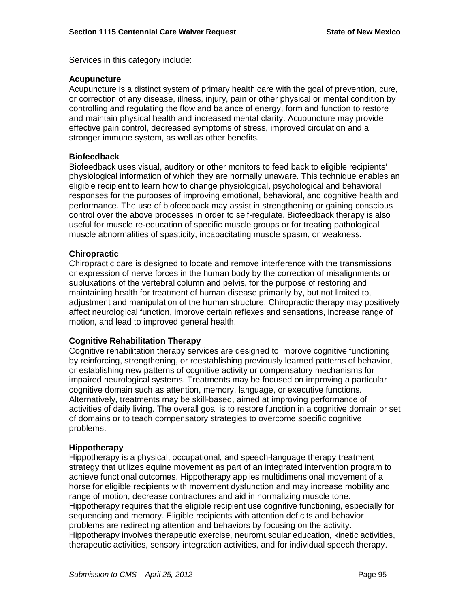Services in this category include:

#### **Acupuncture**

Acupuncture is a distinct system of primary health care with the goal of prevention, cure, or correction of any disease, illness, injury, pain or other physical or mental condition by controlling and regulating the flow and balance of energy, form and function to restore and maintain physical health and increased mental clarity. Acupuncture may provide effective pain control, decreased symptoms of stress, improved circulation and a stronger immune system, as well as other benefits.

### **Biofeedback**

Biofeedback uses visual, auditory or other monitors to feed back to eligible recipients' physiological information of which they are normally unaware. This technique enables an eligible recipient to learn how to change physiological, psychological and behavioral responses for the purposes of improving emotional, behavioral, and cognitive health and performance. The use of biofeedback may assist in strengthening or gaining conscious control over the above processes in order to self-regulate. Biofeedback therapy is also useful for muscle re-education of specific muscle groups or for treating pathological muscle abnormalities of spasticity, incapacitating muscle spasm, or weakness.

# **Chiropractic**

Chiropractic care is designed to locate and remove interference with the transmissions or expression of nerve forces in the human body by the correction of misalignments or subluxations of the vertebral column and pelvis, for the purpose of restoring and maintaining health for treatment of human disease primarily by, but not limited to, adjustment and manipulation of the human structure. Chiropractic therapy may positively affect neurological function, improve certain reflexes and sensations, increase range of motion, and lead to improved general health.

# **Cognitive Rehabilitation Therapy**

Cognitive rehabilitation therapy services are designed to improve cognitive functioning by reinforcing, strengthening, or reestablishing previously learned patterns of behavior, or establishing new patterns of cognitive activity or compensatory mechanisms for impaired neurological systems. Treatments may be focused on improving a particular cognitive domain such as attention, memory, language, or executive functions. Alternatively, treatments may be skill-based, aimed at improving performance of activities of daily living. The overall goal is to restore function in a cognitive domain or set of domains or to teach compensatory strategies to overcome specific cognitive problems.

# **Hippotherapy**

Hippotherapy is a physical, occupational, and speech-language therapy treatment strategy that utilizes equine movement as part of an integrated intervention program to achieve functional outcomes. Hippotherapy applies multidimensional movement of a horse for eligible recipients with movement dysfunction and may increase mobility and range of motion, decrease contractures and aid in normalizing muscle tone. Hippotherapy requires that the eligible recipient use cognitive functioning, especially for sequencing and memory. Eligible recipients with attention deficits and behavior problems are redirecting attention and behaviors by focusing on the activity. Hippotherapy involves therapeutic exercise, neuromuscular education, kinetic activities, therapeutic activities, sensory integration activities, and for individual speech therapy.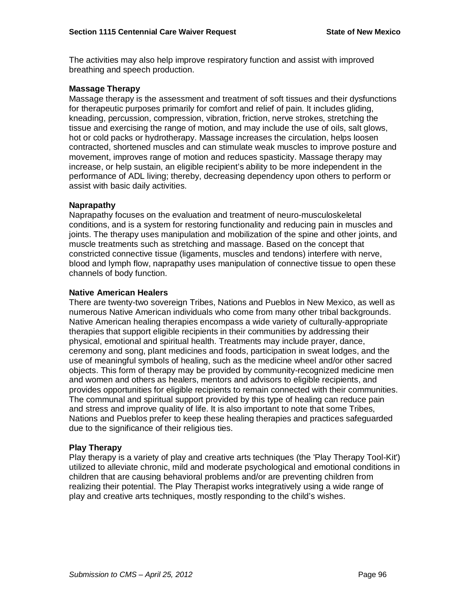The activities may also help improve respiratory function and assist with improved breathing and speech production.

#### **Massage Therapy**

Massage therapy is the assessment and treatment of soft tissues and their dysfunctions for therapeutic purposes primarily for comfort and relief of pain. It includes gliding, kneading, percussion, compression, vibration, friction, nerve strokes, stretching the tissue and exercising the range of motion, and may include the use of oils, salt glows, hot or cold packs or hydrotherapy. Massage increases the circulation, helps loosen contracted, shortened muscles and can stimulate weak muscles to improve posture and movement, improves range of motion and reduces spasticity. Massage therapy may increase, or help sustain, an eligible recipient's ability to be more independent in the performance of ADL living; thereby, decreasing dependency upon others to perform or assist with basic daily activities.

### **Naprapathy**

Naprapathy focuses on the evaluation and treatment of neuro-musculoskeletal conditions, and is a system for restoring functionality and reducing pain in muscles and joints. The therapy uses manipulation and mobilization of the spine and other joints, and muscle treatments such as stretching and massage. Based on the concept that constricted connective tissue (ligaments, muscles and tendons) interfere with nerve, blood and lymph flow, naprapathy uses manipulation of connective tissue to open these channels of body function.

#### **Native American Healers**

There are twenty-two sovereign Tribes, Nations and Pueblos in New Mexico, as well as numerous Native American individuals who come from many other tribal backgrounds. Native American healing therapies encompass a wide variety of culturally-appropriate therapies that support eligible recipients in their communities by addressing their physical, emotional and spiritual health. Treatments may include prayer, dance, ceremony and song, plant medicines and foods, participation in sweat lodges, and the use of meaningful symbols of healing, such as the medicine wheel and/or other sacred objects. This form of therapy may be provided by community-recognized medicine men and women and others as healers, mentors and advisors to eligible recipients, and provides opportunities for eligible recipients to remain connected with their communities. The communal and spiritual support provided by this type of healing can reduce pain and stress and improve quality of life. It is also important to note that some Tribes, Nations and Pueblos prefer to keep these healing therapies and practices safeguarded due to the significance of their religious ties.

# **Play Therapy**

Play therapy is a variety of play and creative arts techniques (the 'Play Therapy Tool-Kit') utilized to alleviate chronic, mild and moderate psychological and emotional conditions in children that are causing behavioral problems and/or are preventing children from realizing their potential. The Play Therapist works integratively using a wide range of play and creative arts techniques, mostly responding to the child's wishes.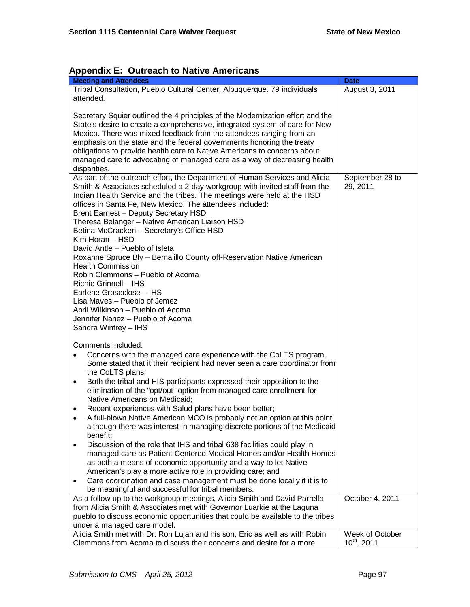# **Appendix E: Outreach to Native Americans**

| <b>Meeting and Attendees</b>                                                         | <b>Date</b>      |  |
|--------------------------------------------------------------------------------------|------------------|--|
| Tribal Consultation, Pueblo Cultural Center, Albuquerque. 79 individuals             | August 3, 2011   |  |
| attended.                                                                            |                  |  |
|                                                                                      |                  |  |
|                                                                                      |                  |  |
| Secretary Squier outlined the 4 principles of the Modernization effort and the       |                  |  |
| State's desire to create a comprehensive, integrated system of care for New          |                  |  |
| Mexico. There was mixed feedback from the attendees ranging from an                  |                  |  |
| emphasis on the state and the federal governments honoring the treaty                |                  |  |
| obligations to provide health care to Native Americans to concerns about             |                  |  |
| managed care to advocating of managed care as a way of decreasing health             |                  |  |
| disparities.                                                                         |                  |  |
| As part of the outreach effort, the Department of Human Services and Alicia          | September 28 to  |  |
| Smith & Associates scheduled a 2-day workgroup with invited staff from the           | 29, 2011         |  |
| Indian Health Service and the tribes. The meetings were held at the HSD              |                  |  |
|                                                                                      |                  |  |
| offices in Santa Fe, New Mexico. The attendees included:                             |                  |  |
| <b>Brent Earnest - Deputy Secretary HSD</b>                                          |                  |  |
| Theresa Belanger - Native American Liaison HSD                                       |                  |  |
| Betina McCracken - Secretary's Office HSD                                            |                  |  |
| Kim Horan - HSD                                                                      |                  |  |
| David Antle - Pueblo of Isleta                                                       |                  |  |
| Roxanne Spruce Bly - Bernalillo County off-Reservation Native American               |                  |  |
| <b>Health Commission</b>                                                             |                  |  |
| Robin Clemmons - Pueblo of Acoma                                                     |                  |  |
| Richie Grinnell - IHS                                                                |                  |  |
| Earlene Groseclose - IHS                                                             |                  |  |
| Lisa Maves - Pueblo of Jemez                                                         |                  |  |
|                                                                                      |                  |  |
| April Wilkinson - Pueblo of Acoma                                                    |                  |  |
| Jennifer Nanez - Pueblo of Acoma                                                     |                  |  |
| Sandra Winfrey - IHS                                                                 |                  |  |
|                                                                                      |                  |  |
| Comments included:                                                                   |                  |  |
| Concerns with the managed care experience with the CoLTS program.                    |                  |  |
| Some stated that it their recipient had never seen a care coordinator from           |                  |  |
| the CoLTS plans;                                                                     |                  |  |
| Both the tribal and HIS participants expressed their opposition to the<br>$\bullet$  |                  |  |
| elimination of the "opt/out" option from managed care enrollment for                 |                  |  |
| Native Americans on Medicaid;                                                        |                  |  |
|                                                                                      |                  |  |
| Recent experiences with Salud plans have been better;<br>٠                           |                  |  |
| A full-blown Native American MCO is probably not an option at this point,            |                  |  |
| although there was interest in managing discrete portions of the Medicaid            |                  |  |
| benefit;                                                                             |                  |  |
| Discussion of the role that IHS and tribal 638 facilities could play in<br>$\bullet$ |                  |  |
| managed care as Patient Centered Medical Homes and/or Health Homes                   |                  |  |
| as both a means of economic opportunity and a way to let Native                      |                  |  |
| American's play a more active role in providing care; and                            |                  |  |
| Care coordination and case management must be done locally if it is to               |                  |  |
| $\bullet$                                                                            |                  |  |
| be meaningful and successful for tribal members.                                     |                  |  |
| As a follow-up to the workgroup meetings, Alicia Smith and David Parrella            | October 4, 2011  |  |
| from Alicia Smith & Associates met with Governor Luarkie at the Laguna               |                  |  |
| pueblo to discuss economic opportunities that could be available to the tribes       |                  |  |
| under a managed care model.                                                          |                  |  |
| Alicia Smith met with Dr. Ron Lujan and his son, Eric as well as with Robin          | Week of October  |  |
| Clemmons from Acoma to discuss their concerns and desire for a more                  | $10^{th}$ , 2011 |  |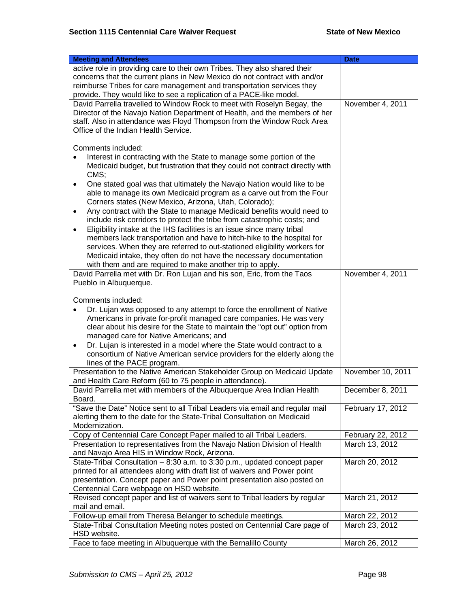| <b>Meeting and Attendees</b>                                                                                                                          | <b>Date</b>       |  |
|-------------------------------------------------------------------------------------------------------------------------------------------------------|-------------------|--|
| active role in providing care to their own Tribes. They also shared their                                                                             |                   |  |
| concerns that the current plans in New Mexico do not contract with and/or                                                                             |                   |  |
| reimburse Tribes for care management and transportation services they                                                                                 |                   |  |
| provide. They would like to see a replication of a PACE-like model.                                                                                   |                   |  |
| David Parrella travelled to Window Rock to meet with Roselyn Begay, the                                                                               | November 4, 2011  |  |
| Director of the Navajo Nation Department of Health, and the members of her                                                                            |                   |  |
| staff. Also in attendance was Floyd Thompson from the Window Rock Area                                                                                |                   |  |
| Office of the Indian Health Service.                                                                                                                  |                   |  |
| Comments included:                                                                                                                                    |                   |  |
| Interest in contracting with the State to manage some portion of the                                                                                  |                   |  |
| Medicaid budget, but frustration that they could not contract directly with                                                                           |                   |  |
| CMS;                                                                                                                                                  |                   |  |
| One stated goal was that ultimately the Navajo Nation would like to be<br>$\bullet$                                                                   |                   |  |
| able to manage its own Medicaid program as a carve out from the Four                                                                                  |                   |  |
| Corners states (New Mexico, Arizona, Utah, Colorado);                                                                                                 |                   |  |
| Any contract with the State to manage Medicaid benefits would need to<br>$\bullet$                                                                    |                   |  |
| include risk corridors to protect the tribe from catastrophic costs; and                                                                              |                   |  |
| Eligibility intake at the IHS facilities is an issue since many tribal<br>$\bullet$                                                                   |                   |  |
| members lack transportation and have to hitch-hike to the hospital for                                                                                |                   |  |
| services. When they are referred to out-stationed eligibility workers for                                                                             |                   |  |
| Medicaid intake, they often do not have the necessary documentation                                                                                   |                   |  |
| with them and are required to make another trip to apply.                                                                                             |                   |  |
| David Parrella met with Dr. Ron Lujan and his son, Eric, from the Taos                                                                                | November 4, 2011  |  |
| Pueblo in Albuquerque.                                                                                                                                |                   |  |
|                                                                                                                                                       |                   |  |
| Comments included:                                                                                                                                    |                   |  |
| Dr. Lujan was opposed to any attempt to force the enrollment of Native<br>Americans in private for-profit managed care companies. He was very         |                   |  |
| clear about his desire for the State to maintain the "opt out" option from                                                                            |                   |  |
| managed care for Native Americans; and                                                                                                                |                   |  |
| Dr. Lujan is interested in a model where the State would contract to a<br>$\bullet$                                                                   |                   |  |
| consortium of Native American service providers for the elderly along the                                                                             |                   |  |
| lines of the PACE program.                                                                                                                            |                   |  |
| Presentation to the Native American Stakeholder Group on Medicaid Update                                                                              | November 10, 2011 |  |
| and Health Care Reform (60 to 75 people in attendance).                                                                                               |                   |  |
| David Parrella met with members of the Albuquerque Area Indian Health                                                                                 | December 8, 2011  |  |
| Board.                                                                                                                                                |                   |  |
| "Save the Date" Notice sent to all Tribal Leaders via email and regular mail                                                                          | February 17, 2012 |  |
| alerting them to the date for the State-Tribal Consultation on Medicaid                                                                               |                   |  |
| Modernization.                                                                                                                                        |                   |  |
| Copy of Centennial Care Concept Paper mailed to all Tribal Leaders.                                                                                   | February 22, 2012 |  |
| Presentation to representatives from the Navajo Nation Division of Health                                                                             | March 13, 2012    |  |
| and Navajo Area HIS in Window Rock, Arizona.                                                                                                          |                   |  |
| State-Tribal Consultation - 8:30 a.m. to 3:30 p.m., updated concept paper                                                                             | March 20, 2012    |  |
| printed for all attendees along with draft list of waivers and Power point<br>presentation. Concept paper and Power point presentation also posted on |                   |  |
| Centennial Care webpage on HSD website.                                                                                                               |                   |  |
| Revised concept paper and list of waivers sent to Tribal leaders by regular                                                                           | March 21, 2012    |  |
| mail and email.                                                                                                                                       |                   |  |
| Follow-up email from Theresa Belanger to schedule meetings.                                                                                           | March 22, 2012    |  |
| State-Tribal Consultation Meeting notes posted on Centennial Care page of                                                                             | March 23, 2012    |  |
| HSD website.                                                                                                                                          |                   |  |
| Face to face meeting in Albuquerque with the Bernalillo County                                                                                        | March 26, 2012    |  |